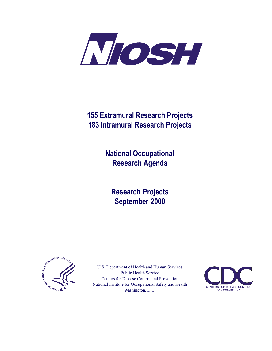

# **155 Extramural Research Projects 183 Intramural Research Projects**

**National Occupational Research Agenda** 

**Research Projects** September 2000



U.S. Department of Health and Human Services **Public Health Service** Centers for Disease Control and Prevention National Institute for Occupational Safety and Health Washington, D.C.

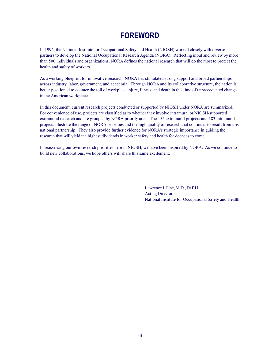# **FOREWORD**

In 1996, the National Institute for Occupational Safety and Health (NIOSH) worked closely with diverse partners to develop the National Occupational Research Agenda (NORA). Reflecting input and review by more than 500 individuals and organizations, NORA defines the national research that will do the most to protect the health and safety of workers.

As a working blueprint for innovative research, NORA has stimulated strong support and broad partnerships across industry, labor, government, and academia. Through NORA and its collaborative structure, the nation is better positioned to counter the toll of workplace injury, illness, and death in this time of unprecedented change in the American workplace.

In this document, current research projects conducted or supported by NIOSH under NORA are summarized. For convenience of use, projects are classified as to whether they involve intramural or NIOSH-supported extramural research and are grouped by NORA priority area. The 155 extramural projects and 183 intramural projects illustrate the range of NORA priorities and the high quality of research that continues to result from this national partnership. They also provide further evidence for NORA's strategic importance in guiding the research that will yield the highest dividends in worker safety and health for decades to come.

In reassessing our own research priorities here in NIOSH, we have been inspired by NORA. As we continue to build new collaborations, we hope others will share this same excitement.

> Lawrence J. Fine, M.D., Dr.P.H. **Acting Director** National Institute for Occupational Safety and Health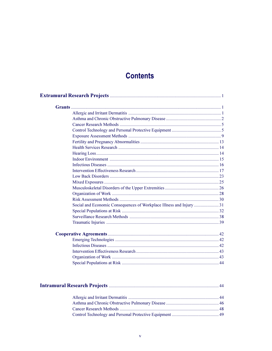# **Contents**

| Social and Economic Consequences of Workplace Illness and Injury 31 |
|---------------------------------------------------------------------|
|                                                                     |
|                                                                     |
|                                                                     |
|                                                                     |
|                                                                     |
|                                                                     |
|                                                                     |
|                                                                     |
|                                                                     |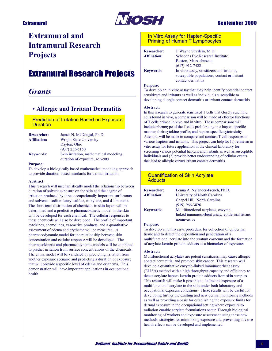

## **Sentember 2000**

# **Extramural and Intramural Research Projects**

# **Extramural Research Projects**

# **Grants**

## • Allergic and Irritant Dermatitis

**Prediction of Irritation Based on Exposure Duration** 

| <b>Researcher:</b>  | James N. McDougal, Ph.D.                |
|---------------------|-----------------------------------------|
| <b>Affiliation:</b> | Wright State University                 |
|                     | Dayton, Ohio                            |
|                     | $(937)$ 255-5150                        |
| <b>Keywords:</b>    | Skin irritation, mathematical modeling, |
|                     | duration of exposure, solvents          |

#### **Purpose:**

To develop a biologically based mathematical modeling approach to provide duration-based standards for dermal irritation.

### Abstract:

This research will mechanistically model the relationship between duration of solvent exposure on the skin and the degree of irritation produced by three occupationally important surfactants and solvents: sodium lauryl sulfate, m-xylene, and d-limonene. The short-term distribution of chemicals to skin layers will be determined and a predictive pharmacokinetic model in the skin will be developed for each chemical. The cellular responses to these chemicals will also be developed. The profile of important cytokines, chemolines, vasoactive products, and a quantitative assessment of edema and erythema will be measured. A pharmacodynamic model for the relationship between skin concentration and cellular response will be developed. The pharmacokinetic and pharmacodynamic models will be combined to predict irritation from surface concentrations of the chemicals. The entire model will be validated by predicting irritation from another exposure scenario and predicting a duration of exposure that will provide a specific level of edema and erythema. This demonstration will have important applications in occupational health.

## In Vitro Assay for Hapten-Specific **Priming of Human T Lymphocytes**

| <b>Researcher:</b>  |
|---------------------|
| <b>Affiliation:</b> |
|                     |
|                     |
| <b>Keywords:</b>    |

J. Wayne Streilein, M.D. Schepens Eye Research Institute Boston, Massachusetts  $(617)$  912-7422 In vitro assay, sensitizers and irritants, susceptible populations, contact or irritant contact dermatitis

#### **Purpose:**

To develop an in vitro assay that may help identify potential contact sensitizers and irritants as well as individuals susceptible to developing allergic contact dermatitis or irritant contact dermatitis.

#### Abstract:

In this research to generate sensitized T cells that closely resemble cells found in vivo, a comparison will be made of effector functions of T cells primed in vivo and in vitro. These comparisons will include phenotype of the T cells proliferating in a hapten-specific manner, their cytokine profile, and hapten-specific cytotoxicity. Attempts will be made to compare and contrast T cell responses to various haptens and irritants. This project can help to: (1) refine an in vitro assay for future application in the clinical laboratory for screening various potential haptens and irritants as well as susceptible individuals and (2) provide better understanding of cellular events that lead to allergic versus irritant contact dermatitis.

### **Quantification of Skin Acrylate Adducts**

| <b>Researcher:</b>  | Lenna A. Nylander-French, Ph.D.                             |
|---------------------|-------------------------------------------------------------|
| <b>Affiliation:</b> | University of North Carolina                                |
|                     | Chapel Hill, North Carolina                                 |
|                     | $(919)$ 966-3826                                            |
| <b>Keywords:</b>    | Multifunctional acrylates, enzyme-                          |
|                     | linked immunosorbent assay, epidermal tissue<br>noninvasive |
|                     |                                                             |

#### **Purpose:**

To develop a noninvasive procedure for collection of epidermal tissue and to detect the deposition and penetration of a multifunctional acrylate into the stratum corneum and the formation of acrylate-keratin protein adducts as a biomarker of exposure.

### **Abstract:**

Multifunctional acrylates are potent sensitizers, may cause allergic contact dermatitis, and promote skin cancer. This research will develop a quantitative enzyme-linked immunosorbent assay (ELISA) method with a high throughput capacity and efficiency to detect acrylate hapten-keratin protein adducts from skin samples. This research will make it possible to define the exposure of a multifunctional acrylate to the skin under both laboratory and occupational exposure conditions. These results will be useful for developing further the existing and new dermal monitoring methods as well as providing a basis for establishing the exposure limits for dermal exposure in the occupational setting where exposure to radiation curable acrylate formulations occur. Through biological monitoring of workers and exposure assessment using these new methods, strategies for minimizing exposure and preventing adverse health effects can be developed and implemented.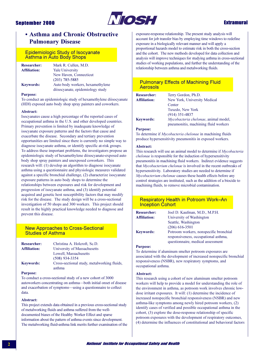

## **Extramural**

## • Asthma and Chronic Obstructive **Pulmonary Disease**

### **Epidemiologic Study of Isocyanate Asthma in Auto Body Shops**

| <b>Researcher:</b>  | Mark R. Cullen, M.D.             |
|---------------------|----------------------------------|
| <b>Affiliation:</b> | <b>Yale University</b>           |
|                     | New Haven, Connecticut           |
|                     | $(203)$ 785-5885                 |
| <b>Keywords:</b>    | Auto body workers, hexamethylene |
|                     | diisocyanate, epidemiology study |

#### **Purpose:**

To conduct an epidemiologic study of hexamethylene diisocyanate (HDI) exposed auto body shop spray painters and coworkers.

#### Abstract:

Isocyanates cause a high percentage of the reported cases of occupational asthma in the U.S. and other developed countries. Primary prevention is limited by inadequate knowledge of isocyanate exposure patterns and the factors that cause and exacerbate the disease. Secondary and tertiary prevention opportunities are limited since there is currently no simple way to diagnose isocyanate asthma, or identify specific at-risk groups. To address these important problems, the investigators propose an epidemiologic study of hexamethylene diisocyanate-exposed auto body shop spray painters and unexposed coworkers. This research will: (1) develop an algorithm to diagnose isocyanate asthma using a questionnaire and physiologic measures validated against a specific bronchial challenge, (2) characterize isocyanate exposure patterns in auto body shops to determine the relationships between exposures and risk for development and progression of isocyanate asthma, and (3) identify potential acquired and genetic host susceptibility factors that may modify risk for the disease. The study design will be a cross-sectional investigation of 50 shops and 300 workers. This project should result in the highly practical knowledge needed to diagnose and prevent this disease.

## **New Approaches to Cross-Sectional Studies of Asthma**

| <b>Researcher:</b>  | Christina A. Holcroft, Sc.D.               |
|---------------------|--------------------------------------------|
| <b>Affiliation:</b> | University of Massachusetts                |
|                     | Lowell, Massachusetts                      |
|                     | $(508)$ 934-3354                           |
| <b>Keywords:</b>    | Cross-sectional study, metalworking fluids |
|                     | asthma                                     |

#### **Purpose:**

To conduct a cross-sectional study of a new cohort of 3000 autoworkers concentrating on asthma-both initial onset of disease and exacerbation of symptoms—using a questionnaire to collect data.

#### Abstract:

This project extends data obtained in a previous cross-sectional study of metalworking fluids and asthma suffered from the welldocumented biases of the Healthy Worker Effect and sparse information about the pattern of asthma events since development. The metalworking fluid-asthma link merits further examination of the exposure-response relationship. The present study analysis will account for job transfer bias by employing time windows to redefine exposure in a biologically relevant manner and will apply a proportional hazards model to estimate risk in both the cross-section and the cohort. The new methods developed for data collection and analysis will improve techniques for studying asthma in cross-sectional studies of working populations, and further the understanding of the relationship between asthma and metalworking fluids.

## **Pulmonary Effects of Machining Fluid Aerosols**

| <b>Researcher:</b>  |  |
|---------------------|--|
| <b>Affiliation:</b> |  |
|                     |  |
|                     |  |
|                     |  |
| <b>Keywords:</b>    |  |

Terry Gordon, Ph.D. New York, University Medical Center Tuxedo, New York  $(914)$  351-4837 Mycobacteria chelonae, animal model, pneumonitis, machining fluid workers

#### **Purpose:**

To determine if Mycobacteria chelonae in machining fluids produce hypersensitivity pneumonitis in exposed workers.

#### Abstract:

This research will use an animal model to determine if Mycobacteria chelonae is responsible for the induction of hypersensitivity pneumonitis in machining fluid workers. Indirect evidence suggests that Mycobacterium chelonae is involved in the recent outbreaks of hypersensitivity. Laboratory studies are needed to determine if Mycobacterium chelonae causes these health effects before any control strategies are instituted, such as the addition of a biocide to machining fluids, to remove microbial contamination.

## **Respiratory Health in Potroom Work-An Inception Cohort**

| <b>Researcher:</b>  | Joel D. Kaufman, M.D., M.P.H.          |
|---------------------|----------------------------------------|
| <b>Affiliation:</b> | University of Washington               |
|                     | Seattle, Washington                    |
|                     | $(206)$ 616-3501                       |
| <b>Keywords:</b>    | Potroom workers, nonspecific bronchial |
|                     | responsiveness, occupational asthma,   |
|                     | questionnaire, medical assessment      |

#### **Purpose:**

To determine if aluminum smelter potroom exposures are associated with the development of increased nonspecific bronchial responsiveness (NSBR), new respiratory symptoms, and occupational asthma.

#### Abstract:

This research using a cohort of new aluminum smelter potroom workers will help to provide a model for understanding the role of the environment in asthma, as potroom work involves chronic lowdose irritant exposures. It will: (1) determine the incidence of increased nonspecific bronchial responsiveness (NSBR) and new asthma-like symptoms among newly hired potroom workers, (2) identify cases of verified and possible occupational asthma in the cohort, (3) explore the dose-response relationship of specific potroom exposures with the development of respiratory outcomes, (4) determine the influences of constitutional and behavioral factors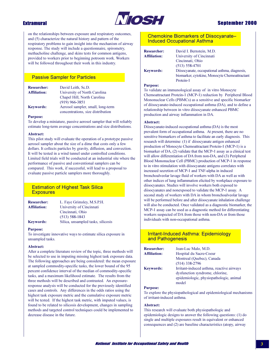

on the relationships between exposure and respiratory outcomes, and (5) characterize the natural history and pattern of the respiratory problems to gain insight into the mechanism of airway response. The study will include a questionnaire, spirometry, methacholine challenge, and skins tests for common antigens, provided to workers prior to beginning potroom work. Workers will be followed throughout their work in this industry.

## **Passive Sampler for Particles**

| <b>Researcher:</b>  | David Leith, Sc.D.                |
|---------------------|-----------------------------------|
| <b>Affiliation:</b> | University of North Carolina      |
|                     | Chapel Hill, North Carolina       |
|                     | $(919)$ 966-3851                  |
| <b>Keywords:</b>    | Aerosol sampler, small, long-term |
|                     | concentrations, size distribution |

### **Purpose:**

To develop a miniature, passive aerosol sampler that will reliably estimate long-term average concentrations and size distributions.

#### Abstract:

This pilot study will evaluate the operation of a prototype passive aerosol sampler about the size of a dime that costs only a few dollars. It collects particles by gravity, diffusion, and convection. It will be tested in a wind tunnel under controlled conditions. Limited field trials will be conducted at an industrial site where the performance of passive and conventional samplers can be compared. This work, if successful, will lead to a proposal to evaluate passive particle samplers more thoroughly.

## **Estimation of Highest Task Silica Exposures**

| <b>Researcher:</b>  | L. Faye Grimsley, M.S.P.H.         |
|---------------------|------------------------------------|
| <b>Affiliation:</b> | University of Cincinnati           |
|                     | Cincinnati, Ohio                   |
|                     | $(513) 588 - 1843$                 |
| <b>Keywords:</b>    | Silica, unsampled tasks, silicosis |

#### **Purpose:**

To investigate innovative ways to estimate silica exposure in unsampled tasks.

#### Abstract:

After a complete literature review of the topic, three methods will be selected to use in imputing missing highest task exposure data. The following approaches are being considered: the mean exposure at sampled commodity-specific tasks, the lower bound of the 95 percent confidence interval of the median of commodity-specific tasks, and a maximum likelihood estimate. The results from the three methods will be described and contrasted. An exposureresponse analysis will be conducted for the previously identified cases and controls. Any differences in the odds ratios using the highest task exposure metric and the cumulative exposure metric will be tested. If the highest task metric, with imputed values, is found to be related to silicosis development, changes in sampling methods and targeted control techniques could be implemented to decrease disease in the future.

### **Chemokine Biomarkers of Diisocvanate-Induced Occupational Asthma**

| <b>Researcher:</b>  | David I. Bernstein, M.D.                      |
|---------------------|-----------------------------------------------|
| <b>Affiliation:</b> | University of Cincinnati                      |
|                     | Cincinnati, Ohio                              |
|                     | $(513) 558 - 4701$                            |
| <b>Keywords:</b>    | Diisocyanate, occupational asthma, diagnosis, |
|                     | biomarker, cytokine, Monocyte Chemoattractant |
|                     | Protein-1                                     |

#### **Purpose:**

To validate an immunological assay of in vitro Monocyte Chemoattractant Protein-1 (MCP-1) reduction by Peripheral Blood Mononuclear Cells (PBMCs) as a sensitive and specific biomarker of diisocyanate-induced occupational asthma (DA), and to define a relationship between in vitro diisocyanate enhanced PBMC production and airway inflammation in DA.

#### Abstract:

Diisocyanate-induced occupational asthma (DA) is the most prevalent form of occupational asthma. At present, there are no sensitive biomarkers of asthma to facilitate an early diagnosis. This research will determine: (1) if diisocyanate antigen enhanced production of Monocyte Chemoattractant Protein-1 (MCP-1) is a biomarker of DA, (2) validate that the MCP-1 assay as a clinical test will allow differentiation of DA from non-DA, and (3) Peripheral Blood Mononuclear Cell (PBMC) production of MCP-1 in response to in vitro stimulation with diisocyanate antigens correlates with increased secretion of MCP-1 and TNF-alpha in induced bronchoalveolar lavage fluid of workers with DA as well as with other indices of lung inflammation elicited by workplace exposure to diisocyanates. Studies will involve workers both exposed to diisocyanates and nonexposed to validate the MCP-1 assay. A second study of workers with DA in whom bronchoalveolar lavage will be performed before and after diisocyanate inhalation challenge will also be conducted. Once validated as a diagnostic biomarker, the MCP-1 assay can be used as a diagnostic method for differentiating workers suspected of DA from those with non-DA or from those individuals with non-occupational asthma.

## **Irritant-Induced Asthma: Epidemiology** and Pathogenesis

| <b>Researcher:</b>  | Jean-Luc Malo, M.D.                       |
|---------------------|-------------------------------------------|
| <b>Affiliation:</b> | Hospital du Sacre-Coeur                   |
|                     | Montreal (Ouebec), Canada                 |
|                     | $(514)$ 338-2796                          |
| <b>Keywords:</b>    | Irritant-induced asthma, reactive airways |
|                     | dysfunction syndrome, chlorine,           |
|                     | epidemiologic, physiopathologic, animal   |
|                     | model                                     |

### **Purpose:**

To explore the physiopathological and epidemiological mechanisms of irritant-induced asthma.

### Abstract:

This research will evaluate both physiopathologic and epidemiologic designs to answer the following questions: (1) do single and multiple exposures result in equivalent or enhanced consequences and (2) are baseline characteristics (atopy, airway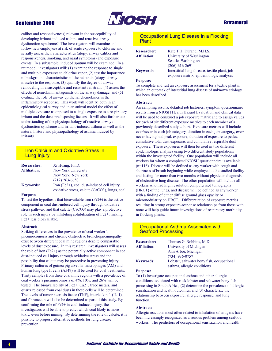

## **Extramural**

caliber and responsiveness) relevant in the susceptibility of developing irritant-induced asthma and reactive airway dysfunction syndrome? The investigators will examine and follow new employees at risk of acute exposure to chlorine and serially assess their characteristics (atopy, airway caliber and responsiveness, smoking, and nasal symptoms) and exposure events. In a subsample, induced sputum will be examined. In a rat model, investigators will: (1) examine the response to single and multiple exposures to chlorine vapor, (2) test the importance of background characteristics of the rat strain (atopy, airway muscle) to the response, (3) quantify the degree of airway remodeling in a susceptible and resistant rat strain, (4) assess the effects of neurokinin antagonists on the airway damage, and (5) evaluate the role of airway epithelial chemokines in the inflammatory response. This work will identify, both in an epidemiological survey and in an animal model the effect of multiple exposure as opposed to a single exposure to a respiratory irritant and the dose predisposing factors. It will also further our understanding of the physiopathology of reactive airways dysfunction syndrome and irritant-induced asthma as well as the natural history and physiopathology of asthma induced by irritants.

## **Iron Calcium and Oxidative Stress in Lung Injury**

| <b>Researcher:</b>  | Xi Huang, Ph.D.                                                                               |
|---------------------|-----------------------------------------------------------------------------------------------|
| <b>Affiliation:</b> | New York University                                                                           |
|                     | New York, New York                                                                            |
|                     | $(212)$ 263-6650                                                                              |
| <b>Keywords:</b>    | Iron (Fe2+), coal dust-induced cell injury,<br>oxidative stress, calcite (CaCO3), lungs, coal |
|                     |                                                                                               |

#### **Purpose:**

To test the hypothesis that bioavailable iron  $(Fe2+)$  is the active component in coal dust-induced cell injury through oxidative stress pathway, and that calcite (CaCO3) may play a protective role in such injury by inhibiting solubilization of Fe2+, making Fe2+ less bioavailable.

#### Abstract:

Striking differences in the prevalence of coal worker's pneumoconiosis and chronic obstructive bronchopneumopathy exist between different coal mine regions despite comparable levels of dust exposure. In this research, investigators will assess the role of iron  $(Fe2+)$  as the potentially active component in coal dust-induced cell injury through oxidative stress and the possibility that calcite may be protective in preventing injury. Primary cultures of guinea pig alveolar macrophages (AM) and human lung type II cells (A549) will be used for coal treatments. Thirty samples from three coal mine regions with a prevalence of coal worker's pneumoconiosis of 4%, 10%, and 26% will be tested. The bioavailability of Fe2+, Ca2+, trace metals, and quartz released from coal dusts in these cells will be determined. The levels of tumor necrosis factor (TNF), interleukin-1 (IL-1), and fibronectin will also be determined as part of this study. By confirming the role of  $Fe2+$  in coal-induced injury, the investigators will be able to predict which coal likely is more toxic, even before mining. By determining the role of calcite, it is possible to propose alternative methods for lung disease prevention.

### Occupational Lung Disease in a Flocking **Plant**

Kate T.H. Durand, M.H.S.

| <b>Researcher:</b><br>Affiliation: |  |
|------------------------------------|--|
| <b>Keywords:</b>                   |  |

University of Washington Seattle, Washington  $(206)$  616-2691 Interstitial lung disease, textile plant, job exposure matrix, epidemiologic analyses

#### **Purpose:**

To complete and test an exposure assessment for a textile plant in which an outbreak of interstitial lung disease of unknown etiology has been described.

#### Abstract:

Air sampling results, detailed job histories, symptom questionnaire results from a NIOSH Health Hazard Evaluation and clinical data will be used to construct a job exposure matrix and to assign values for each of six different exposure metrics to each member of a previously described study cohort. Exposure metrics will include ever/never in each job category, duration in each job category, ever/ never having had peak exposure, duration of exposure to peaks, cumulative total dust exposure, and cumulative respirable dust exposure. These exposures will then be used in two different epidemiologic analyses using two different study populations within the investigated facility. One population will include all workers for whom a completed NIOSH questionnaire is available  $(n=116)$ . Disease will be defined as any worker with cough and shortness of breath beginning while employed at the studied facility and lasting for more than two months without physician diagnosis of obstructive lung disease. The other population will include all workers who had high resolution computerized tomography (HRCT) of the lungs, and disease will be defined as any worker with a finding of either diffuse ground glass opacity or micronodularity on HRCT. Differentiation of exposure metrics resulting in strong exposure-response relationships from those with none will help guide future investigations of respiratory morbidity in flocking plants.

## **Occupational Asthma Associated with Seafood Processing**

| <b>Researcher:</b>  | Thomas G. Robbins, M.D.                    |
|---------------------|--------------------------------------------|
| <b>Affiliation:</b> | University of Michigan                     |
|                     | Ann Arbor, Michigan                        |
|                     | $(734)$ 936-0757                           |
| <b>Keywords:</b>    | Lobster, saltwater bony fish, occupational |
|                     | asthma, allergic conditions                |

#### **Purpose:**

To (1) investigate occupational asthma and other allergic conditions associated with rock lobster and saltwater bony fish processing in South Africa, (2) determine the prevalence of allergic sensitization and health outcomes, and (3) characterize the relationship between exposure, allergic response, and lung function.

#### Abstract:

Allergic reactions most often related to inhalation of antigens have been increasingly recognized as a serious problem among seafood workers. The predictors of occupational sensitization and health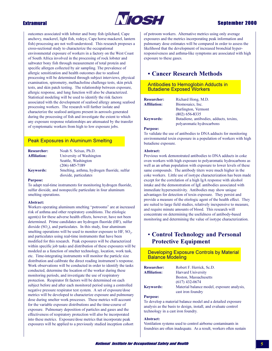

## **Extramural**

outcomes associated with lobster and bony fish (pilchard, Cape anchovy, mackerel, light fish, redeye, Cape horse mackerel, lantern fish) processing are not well-understood. This research proposes a cross-sectional study to characterize the occupational environmental exposure of workers in a factory on the West Coast of South Africa involved in the processing of rock lobster and saltwater bony fish through measurement of total protein and specific allergen collected by air sampling. The prevalence of allergic sensitization and health outcomes due to seafood processing will be determined through subject interviews, physical examination, spirometry, methacholine challenge tests, skin prick tests, and skin patch testing. The relationship between exposure, allergic response, and lung function will also be characterized. Statistical modeling will be used to identify the risk factors associated with the development of seafood allergy among seafood processing workers. The research will further isolate and characterize the seafood antigens present in aerosols generated during the processing of fish and investigate the extent to which any exposure response relationships are attenuated by the transfer of symptomatic workers from high to low exposure jobs.

## **Peak Exposures in Aluminum Smelting**

| <b>Researcher:</b>  | Noah S. Seixas, Ph.D.                       |
|---------------------|---------------------------------------------|
| <b>Affiliation:</b> | University of Washington                    |
|                     | Seattle, Washington                         |
|                     | $(206)$ 685-7189                            |
| <b>Keywords:</b>    | Smelting, asthma, hydrogen fluoride, sulfur |
|                     | dioxide, particulates                       |

#### **Purpose:**

To adapt real-time instruments for monitoring hydrogen fluoride, sulfur dioxide, and nonspecific particulate in four aluminum smelting operations.

#### **Abstract:**

Workers operating aluminum smelting "potrooms" are at increased risk of asthma and other respiratory conditions. The etiologic agent(s) for these adverse health effects, however, have not been determined. Prime candidates are hydrogen fluoride (HF), sulfur dioxide (SO<sub>2</sub>), and particulates. In this study, four aluminum smelting operations will be used to monitor exposure to HF, SO<sub>2</sub>, and particulates using real-time instruments that have been modified for this research. Peak exposures will be characterized within specific job tasks and distribution of these exposures will be modeled as a function of smelter technology, location, work task, etc. Time-integrating instruments will monitor the particle size distribution and calibrate the direct reading instrument's response. Work observations will be conducted in order to identify the tasks conducted, determine the location of the worker during these monitoring periods, and investigate the use of respiratory protection. Respirator fit factors will be determined on each subject before and after each monitored period using a controlled negative pressure respirator test system. A set of exposure/dose metrics will be developed to characterize exposure and pulmonary dose during smelter work processes. These metrics will account for the variable exposure distributions and the time-course of exposure. Pulmonary deposition of particles and gases and the effectiveness of respiratory protection will also be incorporated into these metrics. Exposure/dose metrics that incorporate peak exposures will be applied to a previously studied inception cohort

of potroom workers. Alternative metrics using only average exposures and the metrics incorporating peak information and pulmonary dose estimates will be compared in order to assess the likelihood that the development of increased bronchial hyperresponsiveness and asthma-like symptoms are associated with high exposure to these gases.

## • Cancer Research Methods

## Antibodies to Hemoglobin Adducts in **Butadiene Exposed Workers**

| <b>Researcher:</b>  | Richard Hong, M.D.                      |
|---------------------|-----------------------------------------|
| <b>Affiliation:</b> | Biomosaics, Inc.                        |
|                     | Burlington, Vermont                     |
|                     | $(802)$ 656-8335                        |
| <b>Keywords:</b>    | Butadiene, antibodies, adducts, toxins, |
|                     | polyaromatic hydrocarbons               |

#### **Purpose:**

To validate the use of antibodies to DNA adducts for monitoring environmental toxin exposure in a population of workers with high butadiene exposure.

#### Abstract:

Previous work demonstrated antibodies to DNA adducts in coke oven workers with high exposure to polyaromatic hydrocarbons as well as an urban population with exposure to lower levels of these same compounds. The antibody titers were much higher in the coke workers. Little use of isotype characterization has been made except for the correlation of a high IgA response with alcohol intake and the demonstration of IgE antibodies associated with immediate hypersensitivity. Antibodies may show unique advantages for detection of toxin exposure. They persist and provide a measure of the etiologic agent of the health effect. They are suited to large field studies, relatively inexpensive to measure, and require minute amounts of blood. This research will concentrate on determining the usefulness of antibody-based monitoring and determining the value of isotype characterization.

## **• Control Technology and Personal Protective Equipment**

## **Developing Exposure Controls by Material Balance Modeling**

| <b>Researcher:</b>  | Robert F. Herrick, Sc.D.                   |
|---------------------|--------------------------------------------|
| <b>Affiliation:</b> | <b>Harvard University</b>                  |
|                     | Boston, Massachusetts                      |
|                     | $(617)$ 432-0674                           |
| <b>Keywords:</b>    | Material balance model, exposure analysis. |
|                     | cast iron foundry                          |

#### **Purpose:**

To develop a material balance model and a detailed exposure analysis as the basis to design, install, and evaluate control technology in a cast iron foundry.

#### Abstract:

Ventilation systems used to control airborne contaminants in foundries are often inadequate. As a result, workers often sustain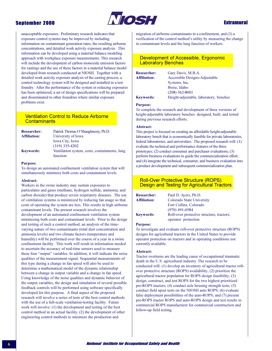

## **Extramural**

unacceptable exposures. Preliminary research indicates that exposure control systems may be improved by including information on contaminant generation rates, the resulting airborne concentrations, and detailed work activity exposure analysis. This information can be developed using a material balance modeling approach with workplace exposure measurements. This research will include the development of carbon monoxide emission factors for castings and the use of these factors in a material balance model developed from research conducted at NIOSH. Together with a detailed work activity exposure analysis of the casting process, a control technology system will be designed and installed in a test foundry. After the performance of the system in reducing exposures has been optimized, a set of design specifications will be prepared and disseminated to other foundries where similar exposure problems exist.

## **Ventilation Control to Reduce Airborne Contaminants**

| <b>Researcher:</b>  | Patrick Thomas O'Shaughnessy, Ph.D.                       |
|---------------------|-----------------------------------------------------------|
| <b>Affiliation:</b> | University of Iowa                                        |
|                     | <b>Iowa City, Iowa</b>                                    |
|                     | $(319)$ 335-4202                                          |
| <b>Keywords:</b>    | Ventilation system, costs, containments, lung<br>function |

#### **Purpose:**

To design an automated confinement ventilation system that will simultaneously minimize both costs and containment levels.

#### **Abstract:**

Workers in the swine industry may sustain exposures to particulates and gases (methane, hydrogen sulfide, ammonia, and carbon dioxide) that produce severe respiratory diseases. The use of ventilation systems is minimized by reducing fan usage so that costs of operating the system are less. This results in high airborne contaminant levels. The present research involves the development of an automated confinement ventilation system minimizing both costs and contaminant levels. Prior to the design and testing of such a control method, an analysis of the timevarying nature of two contaminants (total dust concentration and ammonia levels) and two climate factors (temperature and humidity) will be performed over the course of a year in a swine confinement facility. This work will result in information needed to ascertain the accuracy of real-time sensors used to measure these four "output" variables. In addition, it will indicate the noise qualities of the measurement signal. Sequential measurements of this type during a change in fan speed will also be used to determine a mathematical model of the dynamic relationship between a change in output variable and a change in fan speed. Using knowledge of the noise qualities and dynamic behavior of the output variables, the design and simulation of several possible feedback controls will be performed using software specifically developed for this purpose. A final aspect of the proposed research will involve a series of tests of the best control methods with the use of a full-scale ventilation-testing facility. Future work will involve: (1) the development and testing of the best control method in an actual facility, (2) the development of other engineering control methods to minimize the production and

migration of airborne contaminants in a confinement, and (3) a verification of the control method's utility by measuring the change in contaminant levels and the lung function of workers.

### Development of Accessible, Ergonomic **Laboratory Benches**

**Researcher:** Affiliation: **Keywords:** 

Gary Davis, M.B.A. Accessible Designs-Adjustable Systems, Inc. Boise, Idaho  $(208)$  362-8001 Height-adjustable, laboratory, benches

#### **Purpose:**

To complete the research and development of three versions of height-adjustable laboratory benches designed, built, and tested during previous research efforts.

### Abstract:

This project is focused on creating an affordable height-adjustable laboratory bench that is economically feasible for private laboratories, federal laboratories, and universities. The proposed research will: (1) evaluate the technical and performance features of the three prototypes; (2) conduct consumer and purchaser evaluations; (3) perform business evaluations to guide the commercialization effort; and (4) integrate the technical, consumer, and business evaluation into a product development and subsequent commercialization plan.

### **Roll-Over Protective Structure (ROPS) Design and Testing for Agricultural Tractors**

| <b>Researcher:</b>  | Paul D. Ayers, Ph.D.                     |
|---------------------|------------------------------------------|
| <b>Affiliation:</b> | Colorado State University                |
|                     | Fort Collins, Colorado                   |
|                     | $(970)$ 491-0584                         |
| <b>Keywords:</b>    | Roll-over protective structure, tractors |
|                     | operator protection                      |

#### **Purpose:**

To investigate and evaluate roll-over protective structure (ROPS) designs for agricultural tractors in the United States to provide operator protection on tractors and in operating conditions not currently available.

#### **Abstract:**

Tractor overturns are the leading cause of occupational traumatic death in the U.S. agricultural industry. The research to be conducted will: (1) develop an inventory of agricultural tractor rollover protective structure (ROPS) availability; (2) prioritize the agricultural tractor population for ROPS design feasibility; (3) design, construct, and test ROPS for the two highest prioritized pre-ROPS tractors; (4) conduct axle housing strength tests; (5) conduct field upset tests on the NIOSH auto ROPS; (6) evaluate false deployment possibilities of the auto-ROPS; and (7) present pre-ROPS tractor ROPS and auto-ROPS design and test results to commercial ROPS manufacturer for commercial construction and follow-up field testing.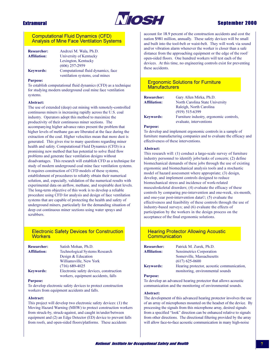

## **Sentember 2000**

### **Computational Fluid Dynamics (CFD) Analysis of Mine Face Ventilation Systems**

| <b>Researcher:</b>  | Andrzei M. Wala, Ph.D.             |
|---------------------|------------------------------------|
| <b>Affiliation:</b> | University of Kentucky             |
|                     | Lexington, Kentucky                |
|                     | $(606)$ 257-2959                   |
| <b>Keywords:</b>    | Computational fluid dynamics, face |
|                     | ventilation systems, coal mines    |

#### **Purpose:**

To establish computational fluid dynamics (CFD) as a technique for studying modern underground coal mine face ventilation systems.

#### Abstract:

The use of extended (deep) cut mining with remotely-controlled continuous miners is increasing rapidly across the U.S. coal industry. Operators adopt this method to maximize the productivity of their continuous miner sections. The accompanying higher advance rates present the problem that higher levels of methane gas are liberated at the face during the extraction of the coal. Higher velocities mean that more dust is generated. This gives rise to many questions regarding miner health and safety. Computational Fluid Dynamics (CFD) is a promising new method that has potential to solve fluid flow problems and generate face ventilation designs without disadvantages. This research will establish CFD as a technique for study of modern underground coal mine face ventilation systems. It requires construction of CFD models of these systems, establishment of procedures to reliably obtain their numerical solution, and, especially, validation of the numerical results with experimental data on airflow, methane, and respirable dust levels. The long-term objective of this work is to develop a reliable procedure using CFD for analysis and design of face ventilation systems that are capable of protecting the health and safety of underground miners, particularly for the demanding situation of deep cut continuous miner sections using water sprays and scrubbers.

## **Electronic Safety Devices for Construction Workers**

| <b>Researcher:</b>  | Satish Mohan, Ph.D.                     |
|---------------------|-----------------------------------------|
| <b>Affiliation:</b> | <b>Technological Systems Research</b>   |
|                     | Design & Education                      |
|                     | Williamsville, New York                 |
|                     | $(716)$ 689-4025                        |
| <b>Keywords:</b>    | Electronic safety devices, construction |
|                     | workers, equipment accidents, falls     |

#### **Purpose:**

To develop electronic safety devices to protect construction workers from equipment accidents and falls.

#### **Abstract:**

This project will develop two electronic safety devices: (1) the Moving Hazard Warning (MHW) to protect construction workers from struck-by, struck-against, and caught in/under/between equipment and (2) an Edge Detector (ED) device to prevent falls from roofs, and open-sided floors/platforms. These accidents

account for 18.9 percent of the construction accidents and cost the nation \$981 million, annually. These safety devices will be small and built into the tool-belt or waist-belt. They will work via sound and/or vibration alarm whenever the worker is closer than a safe distance from the approaching equipment or the edge of the roof/ open-sided floors. One hundred workers will test each of the devices. At this time, no engineering controls exist for preventing these accidents.

### **Ergonomic Solutions for Furniture Manufacturers**

| <b>Researcher:</b>  | Gary Allen Mirka, Ph.D.                 |
|---------------------|-----------------------------------------|
| <b>Affiliation:</b> | North Carolina State University         |
|                     | Raleigh, North Carolina                 |
|                     | $(919)$ 515-6399                        |
| <b>Keywords:</b>    | Furniture industry, ergonomic controls, |
|                     | evaluate interventions                  |

#### **Purpose:**

To develop and implement ergonomic controls in a sample of furniture manufacturing companies and to evaluate the efficacy and effectiveness of these interventions.

#### Abstract:

This research will: (1) conduct a large-scale survey of furniture industry personnel to identify jobs/tasks of concern; (2) define biomechanical demands of these jobs through the use of existing ergonomic and biomechanical analysis tools and a stochastic model of hazard assessment where appropriate; (3) design, develop, and implement controls designed to reduce biomechanical stress and incidence of work-related musculoskeletal disorders; (4) evaluate the efficacy of these controls by comparing pre-intervention and one-week, six-month, and one-year post-intervention data©; (5) evaluate the effectiveness and feasibility of these controls through the use of industry-based surveys; and (6) evaluate the effects of participation by the workers in the design process on the acceptance of the final ergonomic solutions.

## **Hearing Protector Allowing Acoustic** Communication

| <b>Researcher:</b>  | Patrick M. Zurek, Ph.D.                    |
|---------------------|--------------------------------------------|
| <b>Affiliation:</b> | Sensimetrics Corporation                   |
|                     | Somerville, Massachusetts                  |
|                     | $(617)$ 625-0600                           |
| Kevwords:           | Hearing protector, acoustic communication, |
|                     | monitoring, environmental sounds           |

#### **Purpose:**

To develop an advanced hearing protector that allows acoustic communication and the monitoring of environmental sounds.

#### Abstract:

The development of this advanced hearing protector involves the use of an array of microphones mounted on the headset of the device. By processing the signals from this microphone array, desired signals from a specified "look" direction can be enhanced relative to signals from other directions. The directional filtering provided by the array will allow face-to-face acoustic communication in many high-noise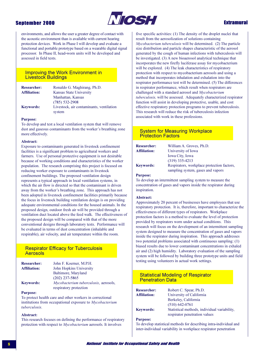

## **Extramural**

environments, and allows the user a greater degree of contact with the acoustic environment than is available with current hearing protection devices. Work in Phase I will develop and evaluate a functional and portable prototype based on a wearable digital signal processor. In Phase II, head-worn units will be developed and assessed in field tests.

### **Improving the Work Environment in Livestock Buildings**

| <b>Researcher:</b>  | Ronaldo G. Maghirang, Ph.D.              |
|---------------------|------------------------------------------|
| <b>Affiliation:</b> | Kansas State University                  |
|                     | Manhattan, Kansas                        |
|                     | $(785)$ 532-2908                         |
| <b>Keywords:</b>    | Livestock, air contaminants, ventilation |
|                     | system                                   |

#### **Purpose:**

To develop and test a local ventilation system that will remove dust and gaseous contaminants from the worker's breathing zone more effectively.

#### Abstract:

Exposure to contaminants generated in livestock confinement facilities is a significant problem to agricultural workers and farmers. Use of personal protective equipment is not desirable because of working conditions and characteristics of the worker population. The research comprising this project is focused on reducing worker exposure to contaminants in livestock confinement buildings. The proposed ventilation design represents a typical approach in local ventilation systems, in which the air flow is directed so that the contaminant is driven away from the worker's breathing zone. This approach has not been adopted in livestock confinement facilities primarily because the focus in livestock building ventilation design is on providing adequate environmental conditions for the housed animals. In the proposed design, outdoor fresh air will be provided through a ventilation duct located above the feed walk. The effectiveness of the proposed design will be compared with that of the more conventional designs through laboratory tests. Performance will be evaluated in terms of dust concentration (inhalable and respirable), air velocity, and air temperature within the room.

## **Respirator Efficacy for Tuberculosis Aerosols**

| <b>Researcher:</b>  | John F. Koerner, M.P.H.                      |
|---------------------|----------------------------------------------|
| <b>Affiliation:</b> | John Hopkins University                      |
|                     | Baltimore, Maryland                          |
|                     | $(202)$ 237-5865                             |
| <b>Keywords:</b>    | <i>Mycobacterium tuberculosis, aerosols,</i> |
|                     | respiratory protection                       |

#### **Purpose:**

To protect health care and other workers in correctional institutions from occupational exposure to Mycobacterium tuberculosis.

#### Abstract:

This research focuses on defining the performance of respiratory protection with respect to *Mycobacterium* aerosols. It involves

five specific activities: (1) The density of the droplet nuclei that result from the aerosolization of solutions containing Mycobacterium tuberculosis will be determined. (2) The particle size distribution and particle shapes characteristic of the aerosol generated by the cough of human infections with tuberculosis will be investigated. (3) A new bioaerosol analytical technique that incorporates the new firefly luciferase assay for mycobacterium will be explored. (4) The leak characteristics of respiratory protection with respect to mycobacterium aerosols and using a method that incorporates inhalation and exhalation into the respirator performance test will be determined. (5) The differences in respirator performance, which result when respirators are challenged with a standard aerosol and Mycobacterium tuberculosis, will be assessed. Adequately characterized respirator function will assist in developing protective, usable, and cost effective respiratory protection programs to prevent tuberculosis. This research will reduce the risk of tuberculosis infection associated with work in these professions.

### **System for Measuring Workplace Protection Factors**

| <b>Researcher:</b> | William A. Groves, Ph.D.                                                       |
|--------------------|--------------------------------------------------------------------------------|
| Affiliation:       | University of Iowa                                                             |
|                    | <b>Iowa City, Iowa</b>                                                         |
|                    | $(319)$ 335-4213                                                               |
| <b>Kevwords:</b>   | Respirators, workplace protection factors<br>sampling system, gases and vapors |
|                    |                                                                                |

#### **Purpose:**

To develop an intermittent sampling system to measure the concentration of gases and vapors inside the respirator during inspiration.

#### Abstract:

Approximately 20 percent of businesses have employees that use respiratory protection. It is, therefore, important to characterize the effectiveness of different types of respirators. Workplace protection factors is a method to evaluate the level of protection provided by respirators worn under actual conditions. This research will focus on the development of an intermittent sampling system designed to measure the concentration of gases and vapors inside the respirator during inspiration. This approach addresses two potential problems associated with continuous sampling: (1) biased results due to lower contaminant concentrations in exhaled air and (2) high humidity. Laboratory evaluation of the sampling system will be followed by building three prototype units and field testing using volunteers in actual work settings.

## **Statistical Modeling of Respirator Penetration Data**

| <b>Researcher:</b>  | Robert C. Spear, Ph.D.                       |
|---------------------|----------------------------------------------|
| <b>Affiliation:</b> | University of California                     |
|                     | Berkeley, California                         |
|                     | $(510)$ 642-0761                             |
| <b>Keywords:</b>    | Statistical methods, individual variability, |
|                     | respirator penetration values                |

#### **Purpose:**

To develop statistical methods for describing intra-individual and inter-individual variability in workplace respirator penetration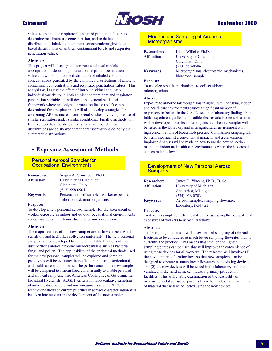

**Extramural** 

values to establish a respirator's assigned protection factor, to determine maximum use concentration, and to deduce the distribution of inhaled contaminant concentrations given databased distributions of ambient contaminant levels and respirator penetration values.

#### Abstract:

This project will identify and compare statistical models appropriate for describing data sets of respirator penetration values. It will simulate the distribution of inhaled contaminant concentrations generated by the combined distributions of ambient contaminant concentrations and respirator penetration values. This analysis will assess the effect of intra-individual and interindividual variability in both ambient contaminant and respirator penetration variables. It will develop a general statistical framework where an assigned protection factor (APF) can be determined for a respirator. It will also develop strategies for combining APF estimates from several studies involving the use of similar respirators under similar conditions. Finally, methods will be developed to describe data sets for which penetration distributions are so skewed that the transformations do not yield symmetric distributions.

## • Exposure Assessment Methods

**Personal Aerosol Sampler for Occupational Environments** 

| <b>Researcher:</b>  | Sergey A. Grinshpun, Ph.D.                 |
|---------------------|--------------------------------------------|
| <b>Affiliation:</b> | University of Cincinnati                   |
|                     | Cincinnati, Ohio                           |
|                     | $(513) 558 - 0504$                         |
| <b>Keywords:</b>    | Personal aerosol sampler, worker exposure, |
|                     | airborne dust, microorganisms              |

### **Purpose:**

To develop a new personal aerosol sampler for the assessment of worker exposure in indoor and outdoor occupational environments contaminated with airborne dust and/or microorganisms.

#### Abstract:

The major features of this new sampler are its low ambient wind sensitivity and high filter collection uniformity. The new personal sampler will be developed to sample inhalable fractions of inert dust particles and/or airborne microorganisms such as bacteria, fungi, and pollen. The applicability of the analytical methods used for the new personal sampler will be explored and sampler prototypes will be evaluated in the field in industrial, agricultural, and health care environments. The performance of the new sampler will be compared to standardized commercially available personal and ambient samplers. The American Conference of Governmental Industrial Hygienists (ACGIH) criteria for representative sampling of airborne dust particle and microorganisms and the NIOSH recommendations on current priorities in aerosol characterization will be taken into account in the development of the new sampler.

## **Electrostatic Sampling of Airborne Microorganisms**

**Researcher: Affiliation: Keywords:** 

Klaus Willeke, Ph.D. University of Cincinnati Cincinnati, Ohio  $(513) 558 - 0506$ Microorganisms, electrostatic mechanisms, bioaerosol sampler

#### **Purpose:**

To use electrostatic mechanisms to collect airborne microorganisms.

#### Abstract:

Exposure to airborne microorganisms in agriculture, industrial, indoor, and health care environments causes a significant number of respiratory infections in the U.S. Based upon laboratory findings from initial experiments, a field-compatible electrostatic bioaerosol sampler will be developed to collect microorganisms. The new sampler will be tested in the laboratory and in an agricultural environment with high concentrations of bioaerosols present. Comparison sampling will be performed against a conventional impactor and a conventional impinger. Analyses will be made on how to use the new collection method in indoor and health care environments where the bioaerosol concentration is low

## **Development of New Personal Aerosol Samplers**

| <b>Researcher:</b>  | James H. Vincent, Ph.D., D. Sc.      |
|---------------------|--------------------------------------|
| <b>Affiliation:</b> | University of Michigan               |
|                     | Ann Arbor, Michigan                  |
|                     | $(734)$ 936-0703                     |
| Kevwords:           | Aerosol sampler, sampling flowrates, |
|                     | laboratory, field test               |

#### **Purpose:**

To develop sampling instrumentation for assessing the occupational exposures of workers to aerosol fractions.

### Abstract:

This sampling instrument will allow aerosol sampling of relevant fractions to be conducted at much lower sampling flowrates than is currently the practice. This means that smaller and lighter sampling pumps can be used that will improve the convenience of using these devices for all workers. The research will involve: (1) the development of scaling laws so that new samplers can be designed to operate at much lower flowrates than existing devices and (2) the new devices will be tested in the laboratory and then validated in the field at nickel industry primary production facilities. This will enable examination of the feasibility of measuring metal aerosol exposures from the much smaller amounts of material that will be collected using the new devices.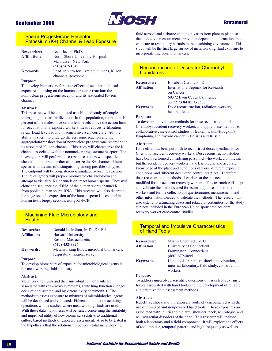

## **Extramural**

### Sperm Progesterone Receptor, Potassium (K+) Channel & Lead Exposure

| <b>Researcher:</b>  | Asha Jacob, Ph.D.                           |
|---------------------|---------------------------------------------|
| <b>Affiliation:</b> | North Shore University Hospital             |
|                     | Manhasset, New York                         |
|                     | $(516) 562 - 1049$                          |
| <b>Keywords</b>     | Lead, in vitro fertilization, humans, K+ion |
|                     | channels, acrosome                          |

#### **Purpose:**

To develop biomarkers for acute effects of occupational lead exposures focusing on the human acrosome reaction: the nonnuclear progesterone receptor and its associated K+ ion channel.

#### **Abstract:**

This research will be conducted as a blinded study of couples undergoing in vitro fertilization. In this population, more than 40 percent of the males have serum lead levels above the action limit for occupationally exposed workers. Lead reduces fertilization rates. Lead levels found in semen inversely correlate with the ability of sperm to undergo the acrosome reaction and the aggregation/translocation of nonnuclear progesterone receptor and its associated K+ ion channel. This study will characterize the K+ channel associated with the nonnuclear progesterone receptor. The investigators will perform dose-response studies with specific ion channel inhibitors to further characterize the K+ channel of human sperm, with the aim of distinguishing among possible subtypes. The endpoint will be progesterone-stimulated acrosome reaction. The investigators will prepare biotinyated charybdotoxin and attempt to visualize K+ channels on intact human sperm. They will clone and sequence the cDNA of the human sperm channel K+ from pooled human sperm RNA. This research will also determine the stage-specific expression of the human sperm K+ channel in human testis biopsy sections using RT/PCR.

### **Machining Fluid Microbiology and Health**

| <b>Researcher:</b>  | Donald K. Milton, M.D., Dr. P.H.           |
|---------------------|--------------------------------------------|
| <b>Affiliation:</b> | <b>Harvard University</b>                  |
|                     | Boston, Massachusetts                      |
|                     | $(617)$ 432-3324                           |
| <b>Keywords:</b>    | Metalworking fluids, microbial biomarkers. |
|                     | respiratory hazards, survey                |

#### **Purpose:**

To develop biomarkers of exposure for microbiological agents in the metalworking fluids industry.

#### **Abstract:**

Metalworking fluids and their microbial contaminants are associated with respiratory symptoms, acute lung function changes, occupational asthma, and hypersensitivity pneumonitis. The methods to assess exposure to mixtures of microbiological agents will be developed and validated. Fifteen automotive machining operations will be studied where metalworking fluids are used. With these data, hypotheses will be tested concerning the suitability and improved utility of new biomarkers relative to traditional culture based methods of exposure assessment. Also to be tested is the hypothesis that the relationship between total metalworking

fluid aerosol and airborne endotoxin varies from plant to plant, so that endotoxin measurements provide independent information about exposure to respiratory hazards in the machining environment. This study will be the first large survey of metalworking fluid exposure to incorporate microbial biomarkers.

## **Reconstruction of Doses for Chernobyl** Liquidators

| <b>Researcher:</b>  | Elisabeth Cardis, Ph.D.                  |
|---------------------|------------------------------------------|
| <b>Affiliation:</b> | <b>International Agency for Research</b> |
|                     | on Cancer                                |
|                     | 69372 Lyon Cedex 08, France              |
|                     | 33 72 73 84 85 X-8508                    |
| <b>Keywords:</b>    | Dose reconstruction, radiation, workers. |
|                     | health effects                           |

### **Purpose:**

To develop and validate methods for dose reconstruction of Chernobyl accident recovery workers and apply these methods to collaborative case-control studies of leukemia, non-Hodgkin's lymphoma, and thyroid cancer in Belarus and Russia.

#### **Abstract:**

Little effort has been put forth to reconstruct doses specifically for Chernobyl accident recovery workers. Dose reconstruction studies have been performed considering personnel who worked on the site, but the accident recovery workers have less precise and accurate knowledge of the place and conditions of work, different exposure conditions, and different dosimetric control practices. Therefore, dose reconstruction methods of workers at the site need to be modified for the accident recovery workers. This research will adapt and validate the methods used for estimating doses for on-site workers and for the collection of questionnaire, measurement, and other information needed to validate the methods. The research will also extend to estimating doses and related uncertainties for the study subjects included in the European Union sponsored accident recovery worker case-control studies.

### **Temporal and Impulsive Characteristics** of Hand Tools

| <b>Researcher:</b>  | Martin Cherniack, M.D.                          |
|---------------------|-------------------------------------------------|
| <b>Affiliation:</b> | University of Connecticut                       |
|                     | Farmington, Connecticut                         |
|                     | $(860)$ 679-4095                                |
| <b>Keywords:</b>    | Hand tools, repetitive shock and vibration,     |
|                     | injuries, laboratory, field study, construction |
|                     | workers                                         |

#### **Purpose:**

To address unresolved scientific questions on risks from extrinsic forces associated with hand tools and the development of reliable and effective field assessment methods.

#### Abstract:

Repetitive shock and vibration are routinely encountered with the use of powered and nonpowered hand tools. These exposures are associated with injuries to the arm, shoulder, neck, neurologic, and neurovascular disorders of the hand. This research will include both a laboratory and a field component. It will explore the effects of tool impulse, temporal pattern, and high frequency as well as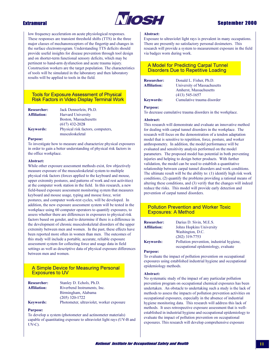

## **Sentember 2000**

low frequency acceleration on acute physiological responses. These responses are transient threshold shifts (TTS) in the three major classes of mechanoreceptors of the fingertip and changes in the surface electromyogram. Understanding TTS deficits should provide useful insights for disease prevention through tool design and on shorter-term functional sensory deficits, which may be pertinent to hand-arm dysfunction and acute trauma injury. Construction workers are the target population. The characteristics of tools will be simulated in the laboratory and then laboratory results will be applied to tools in the field.

### **Tools for Exposure Assessment of Physical Risk Factors in Video Display Terminal Work**

| <b>Researcher:</b>  | Jack Dennerlein, Ph.D.            |
|---------------------|-----------------------------------|
| <b>Affiliation:</b> | <b>Harvard University</b>         |
|                     | Boston, Massachusetts             |
|                     | $(617)$ 432-2028                  |
| <b>Keywords:</b>    | Physical risk factors, computers, |
|                     | musculoskeletal                   |

#### **Purpose:**

To investigate how to measure and characterize physical exposures in order to gain a better understanding of physical risk factors in the office workplace.

#### Abstract:

While other exposure assessment methods exist, few objectively measure exposure of the musculoskeletal system to multiple physical risk factors (forces applied to the keyboard and mouse, upper extremity postures, and patterns of work and rest activities) at the computer work station in the field. In this research, a new field-based exposure assessment monitoring system that measures keyboard and mouse usage, typing and mouse force, wrist postures, and computer work-rest cycles, will be developed. In addition, the new exposure assessment system will be tested in the workplace using 60 computer operators to quantify exposures, to assess whether there are differences in exposures to physical risk factors based on gender, and to determine if there is a difference in the development of chronic musculoskeletal disorders of the upper extremity between men and women. In the past, these effects have been reported more often in women than men. The outcomes of this study will include a portable, accurate, reliable exposure assessment system for collecting force and usage data in field settings as well as descriptive data of physical exposure differences between men and women.

## A Simple Device for Measuring Personal **Exposures to UV**

| <b>Researcher:</b>  | Stanley D. Echols, Ph.D.                 |
|---------------------|------------------------------------------|
| <b>Affiliation:</b> | Riverbend Instruments, Inc.              |
|                     | Birmingham, Alabama                      |
|                     | $(205)$ 320-1722                         |
| <b>Keywords:</b>    | Photometer, ultraviolet, worker exposure |

#### **Purpose:**

To develop a system (photometer and actinometer materials) capable of quantitating exposure to ultraviolet light rays (UV-B and  $UV-C$ ).

#### Abstract:

Exposure to ultraviolet light rays is prevalent in many occupations. There are presently no satisfactory personal dosimeters. This research will provide a system to measurement exposure in the field via badges worn during work.

## **A Model for Predicting Carpal Tunnel Disorders Due to Repetitive Loading**

**Researcher: Affiliation: Keywords:** 

Donald L. Fisher, Ph.D. University of Massachusetts Amherst, Massachusetts  $(413)$  545-1657 Cumulative trauma disorder

#### **Purpose:**

To decrease cumulative trauma disorders in the workplace.

#### Abstract:

This research will demonstrate and evaluate an innovative method for dealing with carpal tunnel disorders in the workplace. The research will focus on the demonstration of a tendon adaptation model that is sensitive to repetition, force, posture, and worker anthropometry. In addition, the model performance will be evaluated and sensitivity analysis performed on the model parameters. The proposed model has potential in both preventing injuries and helping to design better products. With further validation, the model can be used to establish a quantitative relationship between carpal tunnel disorders and work conditions. The ultimate result will be the ability to:  $(1)$  identify high risk work conditions, (2) quantify the problems providing a rational means of altering these conditions, and (3) verify that the changes will indeed reduce the risks. This model will provide early detection and prevention of carpal tunnel disorders.

## **Pollution Prevention and Worker Toxic Exposures: A Method**

| <b>Researcher:</b><br><b>Affiliation:</b> | Darius D. Sivin, M.E.S.<br>Johns Hopkins University                              |
|-------------------------------------------|----------------------------------------------------------------------------------|
|                                           | Washington, D.C.<br>$(202)$ 319-7753                                             |
| <b>Keywords:</b>                          | Pollution prevention, industrial hygiene,<br>occupational epidemiology, evaluate |

#### **Purpose:**

To evaluate the impact of pollution prevention on occupational exposures using established industrial hygiene and occupational epidemiology methods.

#### Abstract:

No systematic study of the impact of any particular pollution prevention program on occupational chemical exposures has been undertaken. An obstacle to undertaking such a study is the lack of methods to assess the impacts of pollution prevention activities on occupational exposures, especially in the absence of industrial hygiene monitoring data. This research will address this lack of methods. It uses retrospective exposure assessment that is wellestablished in industrial hygiene and occupational epidemiology to evaluate the impact of pollution prevention on occupational exposures. This research will develop comprehensive exposure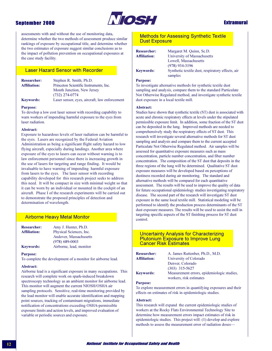

## **Extramural**

assessments with and without the use of monitoring data, determine whether the two methods of assessment produce similar rankings of exposure by occupational title, and determine whether the two estimates of exposure suggest similar conclusions as to the impact of pollution prevention on occupational exposures at the case study facility.

## **Laser Hazard Sensor with Recorder**

| <b>Researcher:</b>  | Stephen R. Smith, Ph.D.                       |
|---------------------|-----------------------------------------------|
| <b>Affiliation:</b> | Princeton Scientific Instruments, Inc.        |
|                     | Month Junction, New Jersey                    |
|                     | $(732)$ 274-0774                              |
| <b>Keywords:</b>    | Laser sensor, eyes, aircraft, law enforcement |

#### **Purpose:**

To develop a low cost laser sensor with recording capability to warn workers of impending harmful exposure to the eyes from laser radiation.

#### Abstract:

Exposure to hazardous levels of laser radiation can be harmful to the eyes. Lasers are recognized by the Federal Aviation Administration as being a significant flight safety hazard to low flying aircraft, especially during landings. Another area where exposure of the eyes to lasers can occur without warning is to law enforcement personnel since there is increasing growth in the use of lasers for targeting and range finding. It would be invaluable to have warning of impending harmful exposure from lasers to the eyes. The laser sensor with recording capability developed for this research project seeks to address this need. It will be compact in size with minimal weight so that it can be worn by an individual or mounted in the cockpit of an aircraft. Phase I of the research experiments will be carried out to demonstrate the proposed principles of detection and determination of wavelength.

## **Airborne Heavy Metal Monitor**

| <b>Researcher:</b>  | Amy J. Hunter, Ph.D.    |
|---------------------|-------------------------|
| <b>Affiliation:</b> | Physical Sciences, Inc. |
|                     | Andover, Massachusetts  |
|                     | $(978) 689 - 0003$      |
| Keywords:           | Airborne, lead, monitor |

#### **Purpose:**

To complete the development of a monitor for airborne lead.

#### Abstract:

Airborne lead is a significant exposure in many occupations. This research will complete work on spark-induced breakdown spectroscopy technology as an ambient monitor for airborne lead. This monitor will augment the current NIOSH/OSHA air sampling protocols. Sensitive, real-time monitoring provided by the lead monitor will enable accurate identification and mapping point sources, tracking of contaminant migrations, immediate notification of concentrations exceeding OSHA-permissible exposure limits and action levels, and improved evaluation of variable or periodic sources and exposure.

### **Methods for Assessing Synthetic Textile Dust Exposure**

| <b>Researcher:</b>  |  |
|---------------------|--|
| <b>Affiliation:</b> |  |
|                     |  |
|                     |  |
| <b>Keywords:</b>    |  |

University of Massachusetts Lowell, Massachusetts  $(978)$  934-3196 Synthetic textile dust, respiratory effects, air samples

#### **Purpose:**

To investigate alternative methods for synthetic textile dust sampling and analysis, compare them to the standard Particulate Not Otherwise Regulated method, and investigate synthetic textile dust exposure in a local textile mill.

Margaret M. Quinn, Sc.D.

#### Abstract:

Studies have shown that synthetic textile (ST) dust is associated with acute and chronic respiratory effects at levels under the stipulated permissible exposure limit. In addition, some fraction of the ST dust can be deposited in the lung. Improved methods are needed to comprehensively study the respiratory effects of ST dust. This research will investigate several alternative methods for ST dust sampling and analysis and compare them to the current accepted Particulate Not Otherwise Regulated method. Air samples will be assessed for quantitative exposure measures such as mass concentration, particle number concentration, and fiber number concentration. The composition of the ST dust that deposits in the three regions of the lung will be determined. Qualitative ST dust exposure measures will be developed based on perceptions of dustiness recorded during air monitoring. The standard and alternative methods will be compared for each quantitative assessment. The results will be used to improve the quality of data for future occupational epidemiology studies investigating respiratory disease. The second part of the research will investigate ST dust exposure in the same local textile mill. Statistical modeling will be performed to identify the production process determinants of the ST dust exposure measures. The results will be used to assist the mill in targeting specific aspects of the ST finishing process for ST dust control

### **Uncertainty Analysis for Characterizing Plutonium Exposure to Improve Lung Cancer Risk Estimates**

| <b>Researcher:</b> | A. James Ruttenber, Ph.D., M.D.                                                                                                                    |
|--------------------|----------------------------------------------------------------------------------------------------------------------------------------------------|
| Affiliation:       | University of Colorado                                                                                                                             |
|                    | Denver, Colorado                                                                                                                                   |
|                    | $(303)$ 315-5627                                                                                                                                   |
| <b>Kevwords:</b>   | Measurement errors, epidemiolog<br>the contract of the contract of the contract of the contract of the contract of the contract of the contract of |

olorado  $-5627$ ent errors, epidemiologic studies, workers, risk estimates

#### **Purpose:**

To explore measurement errors in quantifying exposures and their effects on estimates of risk in epidemiologic studies.

#### Abstract:

This research will expand the current epidemiologic studies of workers at the Rocky Flats Environmental Technology Site to determine how measurement errors impact estimates of risk in epidemiologic studies. This project will: (1) develop and explore methods to assess the measurement error of radiation doses-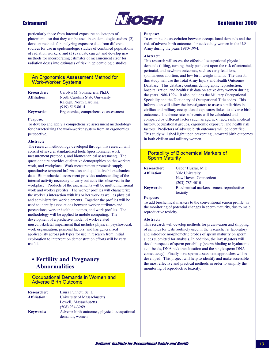

## **Extramural**

particularly those from internal exposures to isotopes of plutonium—so that they can be used in epidemiologic studies, (2) develop methods for analyzing exposure data from different sources for use in epidemiologic studies of combined populations of radiation workers, and (3) evaluate current and develop new methods for incorporating estimates of measurement error for radiation doses into estimates of risk in epidemiologic studies.

### **An Ergonomics Assessment Method for Work-Worker Systems**

| <b>Researcher:</b>  | Carolyn M. Sommerich, Ph.D.          |
|---------------------|--------------------------------------|
| <b>Affiliation:</b> | North Carolina State University      |
|                     | Raleigh, North Carolina              |
|                     | $(919)$ 515-8614                     |
| <b>Keywords:</b>    | Ergonomics, comprehensive assessment |

#### **Purpose:**

To develop and apply a comprehensive assessment methodology for characterizing the work-worker system from an ergonomics perspective.

#### Abstract:

The research methodology developed through this research will consist of several standardized tools (questionnaire, work measurement protocols, and biomechanical assessment). The questionnaire provides qualitative demographics on the workers, work, and workplace. Work measurement protocols supply quantitative temporal information and qualitative biomechanical data. Biomechanical assessment provides understanding of the internal activity necessary to carry out activities observed in the workplace. Products of the assessments will be multidimensional work and worker profiles. The worker profiles will characterize the worker's interaction with his or her work as well as physical and administrative work elements. Together the profiles will be used to identify associations between worker attributes and perceptions, worker health outcomes, and work profiles. The methodology will be applied to mobile computing. The development of a predictive model of work-related musculoskeletal impairment that includes physical, psychosocial, work organization, personal factors, and has generalized applicability across job types for use in research from initial exploration to intervention demonstration efforts will be very useful.

## • Fertility and Pregnancy **Abnormalities**

Occupational Demands in Women and **Adverse Birth Outcome** 

| <b>Researcher:</b>  | Laura Punnett, Sc. D.                         |
|---------------------|-----------------------------------------------|
| <b>Affiliation:</b> | University of Massachusetts                   |
|                     | Lowell, Massachusetts                         |
|                     | $(508)$ 934-3269                              |
| <b>Keywords:</b>    | Adverse birth outcomes, physical occupational |
|                     | demands, women                                |

#### **Purpose:**

To examine the association between occupational demands and the risk of adverse birth outcomes for active duty women in the U.S. Army during the years 1980-1994.

#### **Abstract:**

This research will assess the effects of occupational physical demands (lifting, turning, body position) upon the risk of antenatal, perinatal, and newborn outcomes, such as early fetal loss, spontaneous abortion, and low birth weight infants. The data for this study will use the Total Army Injury and Health Outcomes Database. This database contains demographic reproduction, hospitalization, and health risk data on active duty women during the years 1980-1994. It also includes the Military Occupational Speciality and the Dictionary of Occupational Title codes. This information will allow the investigators to assess similarities in civilian and military occupational exposures linked to adverse birth outcomes. Incidence rates of events will be calculated and compared by different factors such as age, sex, race, rank, medical history, occupational groups, ergonomic exposure, and health risk factors. Predictors of adverse birth outcomes will be identified. This study will shed light upon preventing untoward birth outcomes in both civilian and military women.

### **Portability of Biochemical Markers of Sperm Maturity**

| <b>Researcher:</b>  | Gabor Huszar, M.D.                                   |
|---------------------|------------------------------------------------------|
| <b>Affiliation:</b> | <b>Yale University</b>                               |
|                     | New Haven, Connecticut                               |
|                     | $(203)$ 785-4010                                     |
| <b>Keywords:</b>    | Biochemical markers, semen, reproductive<br>toxicity |

#### **Purpose:**

To add biochemical markers to the conventional semen profile, in the monitoring of potential changes in sperm maturity, due to male reproductive toxicity.

### Abstract:

This research will develop methods for preservation and shipping of samples for tests routinely used in the researcher's laboratory and introduce morphometric probes of sperm maturity on sperm slides submitted for analysis. In addition, the investigators will develop aspects of sperm portability (sperm binding to hyaluronic acid-beads, DNA nick translocation and the single sperm DNA comet assay). Finally, new sperm assessment approaches will be developed. This project will help to identify and make accessible the most effective and practical methods in order to simplify the monitoring of reproductive toxicity.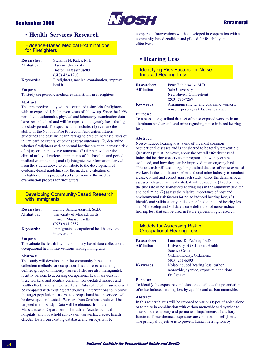

**Extramural** 

## • Health Services Research

**Evidence-Based Medical Examinations** for Firefighters

| <b>Researcher:</b>  | Stefanos N. Kales, M.D.                    |
|---------------------|--------------------------------------------|
| <b>Affiliation:</b> | <b>Harvard University</b>                  |
|                     | Boston, Massachusetts                      |
|                     | $(617)$ 423-1260                           |
| <b>Keywords:</b>    | Firefighters, medical examination, improve |
|                     | health                                     |

**Purpose:** 

To study the periodic medical examinations in firefighters.

#### Abstract:

This prospective study will be continued using 340 firefighters with an expected 1,700 person-years of follow-up. Since the 1996 periodic questionnaire, physical and laboratory examination data have been obtained and will be repeated on a yearly basis during the study period. The specific aims include:  $(1)$  evaluate the ability of the National Fire Protection Association fitness guidelines and baseline health ratings to predict increased risks of injury, cardiac events, or other adverse outcomes; (2) determine whether firefighters with abnormal hearing are at an increased risk of injury or other adverse outcomes; (3) further evaluate the clinical utility of various components of the baseline and periodic medical examinations; and (4) integrate the information derived from the studies above to contribute to the development of evidence-based guidelines for the medical evaluation of firefighters. This proposal seeks to improve the medical examination process for firefighters.

## **Developing Community-Based Research** with Immigrants

| <b>Researcher:</b>  | Lenore Sandra Azaroff, Sc.D.                               |
|---------------------|------------------------------------------------------------|
| <b>Affiliation:</b> | University of Massachusetts                                |
|                     | Lowell, Massachusetts                                      |
|                     | $(978)$ 934-2587                                           |
| <b>Keywords:</b>    | Immigrants, occupational health services,<br>interventions |

#### **Purpose:**

To evaluate the feasibility of community-based data collection and occupational health interventions among immigrants.

#### Abstract:

This study will develop and pilot community-based data collection methods for occupational health research among defined groups of minority workers (who are also immigrants), identify barriers to accessing occupational health services for these workers, and identify common work-related hazards and health effects among these workers. Data collected in surveys will be compared with existing data sources. Interventions to improve the target population's access to occupational health services will be developed and tested. Workers from Southeast Asia will be targeted in this study. Data will be obtained from the Massachusetts Department of Industrial Accidents, local hospitals, and household surveys on work-related acute health effects. Data from existing databases and surveys will be

compared. Interventions will be developed in cooperation with a community-based coalition and piloted for feasibility and effectiveness.

## • Hearing Loss

### **Identifying Risk Factors for Noise-Induced Hearing Loss**

Researcher. **Affiliation:** 

Peter Rabinowitz, M.D. **Yale University** New Haven, Connecticut  $(203)$  785-7267 Aluminum smelter and coal mine workers. noise exposure, risk factors, data set

#### **Purpose:**

**Keywords:** 

To assess a longitudinal data set of noise-exposed workers in an aluminum smelter and coal mine regarding noise-induced hearing loss.

#### Abstract:

Noise-induced hearing loss is one of the most common occupational diseases and is considered to be totally preventible. Questions persist, however, about the overall effectiveness of industrial hearing conservation programs, how they can be evaluated, and how they can be improved on an ongoing basis. This research will use a large longitudinal data set of noise-exposed workers in the aluminum smelter and coal mine industry to conduct a case-control and cohort approach study. Once the data has been assessed, cleaned, and validated, it will be used to: (1) determine the true rate of noise-induced hearing loss in the aluminum smelter and coal mine, (2) assess the relative importance of host and environmental risk factors for noise-induced hearing loss, (3) identify and validate early indicators of noise-induced hearing loss, and (4) develop and validate a case definition of noise-induced hearing loss that can be used in future epidemiologic research.

### **Models for Assessing Risk of Occupational Hearing Loss**

| <b>Researcher:</b>  | Laurence D. Fechter, Ph.D.              |
|---------------------|-----------------------------------------|
| <b>Affiliation:</b> | University of Oklahoma Health           |
|                     | <b>Science Center</b>                   |
|                     | Oklahoma City, Oklahoma                 |
|                     | $(405)$ 271-6593                        |
| <b>Keywords:</b>    | Noise-induced hearing loss, carbon      |
|                     | monoxide, cyanide, exposure conditions, |
|                     | firefighters                            |

#### **Purnose:**

To identify the exposure conditions that facilitate the potentiation of noise-induced hearing loss by cyanide and carbon monoxide.

#### Abstract:

In this research, rats will be exposed to various types of noise alone or to noise in combination with carbon monoxide and cyanide to assess both temporary and permanent impairments of auditory function. These chemical exposures are common in firefighters. The principal objective is to prevent human hearing loss by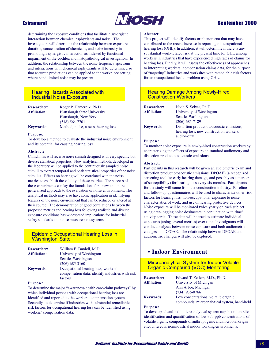

## **Sentember 2000**

determining the exposure conditions that facilitate a synergistic interaction between chemical asphyxiants and noise. The investigators will determine the relationship between exposure duration, concentration of chemicals, and noise intensity in promoting a synergistic interaction as indexed by functional impairment of the cochlea and histopathological investigation. In addition, the relationship between the noise frequency spectrum and interactions with chemical asphyxiants will be determined so that accurate predictions can be applied to the workplace setting where band limited noise may be present.

### **Hearing Hazards Associated with Industrial Noise Exposure**

| <b>Researcher:</b>  | Roger P. Hamernik, Ph.D.            |
|---------------------|-------------------------------------|
| <b>Affiliation:</b> | <b>Plattsburgh State University</b> |
|                     | Plattsburgh, New York               |
|                     | $(518) 564 - 7701$                  |
| <b>Keywords:</b>    | Method, noise, assess, hearing loss |

#### **Purpose:**

To develop a method to evaluate the industrial noise environment and its potential for causing hearing loss.

#### Abstract:

Chinchillas will receive noise stimuli designed with very specific but diverse statistical properties. New analytical methods developed in the laboratory will be applied to the continuously sampled noise stimuli to extract temporal and peak statistical properties of the noise stimulus. Effects on hearing will be correlated with the noise metrics to establish the validity of these metrics. The success of these experiments can lay the foundations for a new and more generalized approach to the evaluation of noise environments. The analytical methods may also have some application in identifying features of the noise environment that can be reduced or altered at their source. The demonstration of good correlations between the proposed metrics and hearing loss following realistic and diverse exposure conditions has widespread implications for industrial safety standards and noise measurement systems.

## **Epidemic Occupational Hearing Loss in Washington State**

| William E. Daniell, M.D.                         |
|--------------------------------------------------|
| University of Washington                         |
| Seattle, Washington                              |
| $(206)$ 685-3160                                 |
| Occupational hearing loss, workers'              |
| compensation data, identify industries with risk |
| factors                                          |
|                                                  |

#### **Purpose:**

To determine the major "awareness-health care-claim pathways" by which individual persons with occupational hearing loss are identified and reported to the workers' compensation system. Secondly, to determine if industries with substantial remediable risk factors for occupational hearing loss can be identified using workers' compensation data.

#### Abstract:

This project will identify factors or phenomena that may have contributed to the recent increase in reporting of occupational hearing loss (OHL). In addition, it will determine if there is any substantial work-related risk at the present time for OHL among workers in industries that have experienced high rates of claims for hearing loss. Finally, it will assess the effectiveness of approaches to interpreting workers' compensation claims data, for the purpose of "targeting" industries and worksites with remediable risk factors for an occupational health problem using OHL.

### **Hearing Damage Among Newly-Hired Construction Workers**

| <b>Researcher:</b>  | Noah S. Seixas, Ph.D.                     |
|---------------------|-------------------------------------------|
| <b>Affiliation:</b> | University of Washington                  |
|                     | Seattle, Washington                       |
|                     | $(206)$ 685-7189                          |
| <b>Keywords:</b>    | Distortion product otoacoustic emissions, |
|                     | hearing loss, new construction workers,   |
|                     | audiometry                                |

#### **Purpose:**

To monitor noise exposure in newly-hired construction workers by characterizing the effects of exposure on standard audiometry and distortion product otoacoustic emissions.

#### Abstract:

Participants in this research will be given an audiometric exam and distortion product otoacoustic emissions (DPOAE) (a recognized screening tool for early hearing damage, and possibly as a marker of susceptibility) for hearing loss every six months. Participants for the study will come from the construction industry. Baseline and follow-up questionnaires will be used to characterize other risk factors for hearing loss, non-occupational exposure to noise, characteristics of work, and use of hearing protective devices. Noise exposure will be monitored twice yearly on each subject using data-logging noise dosimeters in conjunction with time/ activity cards. These data will be used to estimate individual exposures (using several metrics) over time. Investigators will conduct analyses between noise exposure and both audiometric changes and DPOAE. The relationship between DPOAE and audiometric changes will also be explored.

## • Indoor Environment

**Mircroanalytical System for Indoor Volatile Organic Compound (VOC) Monitoring** 

| <b>Researcher:</b>  | Edward T. Zellers, M.D., Ph.D.                                                       |
|---------------------|--------------------------------------------------------------------------------------|
| <b>Affiliation:</b> | University of Michigan                                                               |
|                     | Ann Arbor, Michigan                                                                  |
|                     | $(734)$ 936-0766                                                                     |
| <b>Keywords:</b>    | Low concentrations, volatile organic<br>compounds, microanalytical system, hand-held |
|                     |                                                                                      |

#### **Purpose:**

To develop a hand-held microanalytical system capable of on-site identification and quantification of low-sub-ppb concentrations of volatile organic compounds of anthropogenic and microbial origin encountered in nonindustrial indoor working environments.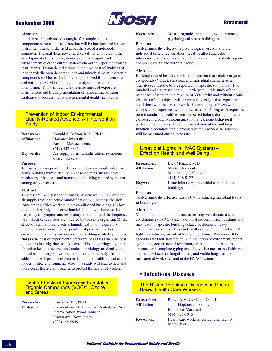

#### **Abstract:**

In this research, advanced strategies for sample collection, component separation, and detection will be incorporated into an instrument usable in the field about the size of a notebook computer. The analytical power and versatility embodied in the development of this new system represents a significant advancement over the current state-of-the-art in vapor monitoring instruments. Dramatic reductions in the time cost of analyses of indoor volatile organic compounds and microbial volatile organic compounds will be realized, obviating the need for conventional sorbent-tube/GC-MS sampling and analysis for routine monitoring. This will facilitate the assessment of exposure distributions and the implementation of rational intervention strategies to address indoor environmental quality problems.

### **Prevention of Indoor Environmental Quality-Related Absence: An Intervention Study**

| <b>Researcher:</b>  | Donald K. Milton, M.D., Ph.D.                                 |
|---------------------|---------------------------------------------------------------|
| <b>Affiliation:</b> | <b>Harvard University</b>                                     |
|                     | Boston, Massachusetts                                         |
|                     | $(617)$ 432-3324                                              |
| <b>Keywords:</b>    | Air supply rates, humidification, symptoms<br>office, workers |

#### **Purpose:**

To assess the independent effects of outdoor air supply rates and active building humidification on absence rates, incidence of respiratory infections, and nonspecific building-related symptoms among office workers.

#### Abstract:

This research will test the following hypotheses: (1) low outdoor air supply rates and active humidification will increase the sick leave among office workers in air-conditioned buildings, (2) low outdoor air supply and active humidification will increase the frequency of symptomatic respiratory infections and the frequency with which office mates are infected by the same organism, (3) the effect of ventilation and active humidification on respiratory infections and absence is independent of perceived indoor environmental quality and nonspecific building related symptoms, and (4) the cost of experimental interventions is less than the cost of lost productivity due to sick leave. This study brings together objective health outcomes and molecular biology to identify the impact of buildings on worker health and productivity. In addition, it will provide objective data on the health impact of the modern office environment. Also, this study will lead to new and more cost effective approaches to protect the health of workers.

### **Health Effects of Exposures to Volatile** Organic Compounds (VOCs), Ozone, and Stress

**Researcher:** Nancy Fiedler, Ph.D. Affiliation: University of Medicine and Dentistry of New Jersey-Robert Wood Johnson Piscataway, New Jersey  $(732)$  445-0919

#### **Keywords:**

Volatile organic compounds, ozone, women, psychological stress, building-related

#### **Purpose:**

To determine the effects of a psychological stressor and the individual difference variables, negative affect and odor intolerance, on responses of women to a mixture of volatile organic compounds with and without ozone.

#### Abstract:

Building-related health complaints document that volatile organic compounds (VOCs), stressors, and individual characteristics (females) contribute to the reported nonspecific symptoms. Two hundred and eighty women will participate in this study of the responses of women to a mixture of VOCs with and without ozone. One-half of the subjects will be randomly assigned to exposure conditions with the stressor while the remaining subjects will complete the exposures without the stressor. During each exposure period condition, health effects measured before, during, and after exposure include: symptom questionnaires, neurobehavioral performance, salivary cortisol, nasal inflammation, and lung function. Secondary stable products of the ozone-VOC reaction will be measured during exposure.

### Ultraviolet Lights in HVAC Systems-**Effect on Health and Well Being**

| <b>Researcher:</b>  | Dick Menzies, M.D.                                 |
|---------------------|----------------------------------------------------|
| <b>Affiliation:</b> | <b>McGill University</b>                           |
|                     | Montreal, OC, Canada                               |
|                     | $(514)$ 398-8122                                   |
| <b>Keywords:</b>    | Ultraviolet <i>(UV)</i> , microbial contamination, |
|                     | buildings                                          |

#### **Purpose:**

To determine the effectiveness of UV in reducing microbial levels in buildings.

#### **Abstract:**

Microbial contamination occurs in heating, ventilation, and air conditioning (HVAC) systems of most modern office buildings and may result in specific building-related outbreaks if heavy contamination occurs. This study will evaluate the impact of UV lights on reducing microbial levels in buildings. Workers will be asked to rate their satisfaction with the indoor environment, report symptoms, occurrence of respiratory tract infections, sickness absence, and complete typing tests. Extensive measures of airborne and surface bacteria, fungal spores, and viable fungi will be measured at work sites and in the HVAC systems.

## • Infectious Diseases

### The Risk of Infectious Diseases in Prison-**Based Health Care Workers**

| <b>Researcher:</b>  | Robyn R.M. Gershon, Dr. P.H.               |
|---------------------|--------------------------------------------|
| <b>Affiliation:</b> | Johns Hopkins University                   |
|                     | Baltimore, Maryland                        |
|                     | $(410)$ 955-3046                           |
| <b>Keywords:</b>    | Health care workers, correctional facility |
|                     | health risks                               |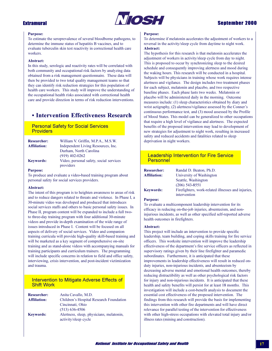

## **Sentember 2000**

#### **Purpose:**

To estimate the seroprevalence of several bloodborne pathogens, to determine the immune status of hepatitis B vaccines, and to evaluate tuberculin skin test reactivity in correctional health care workers.

#### **Abstract:**

In this study, serologic and reactivity rates will be correlated with both community and occupational risk factors by analyzing data obtained from a risk management questionnaire. These data will then be provided to two total quality management teams so that they can identify risk reduction strategies for this population of health care workers. This study will improve the understanding of the occupational health risks associated with correctional health care and provide direction in terms of risk reduction interventions.

## • Intervention Effectiveness Research

## **Personal Safety for Social Services Providers**

| <b>Researcher:</b>  | William V. Griffin, M.P.A., M.S.W.      |
|---------------------|-----------------------------------------|
| <b>Affiliation:</b> | Independent Living Resources, Inc.      |
|                     | Durham, North Carolina                  |
|                     | $(919)$ 402-0262                        |
| <b>Keywords:</b>    | Video, personal safety, social services |
|                     | providers                               |

#### **Purpose:**

To produce and evaluate a video-based training program about personal safety for social services providers.

#### Abstract:

The intent of this program is to heighten awareness to areas of risk and to reduce dangers related to threats and violence. In Phase I, a 30-minute video was developed and produced that introduces social services staffs and others to basic personal safety issues. In Phase II, program content will be expanded to include a full twoto three-day training program with four additional 30-minute videos and provide in-depth examination of the wide range of issues introduced in Phase I. Content will be focused on all aspects of delivery of social services. Video and companion training curricula will provide high-quality skill-based training and will be marketed as a key segment of comprehensive on-site training and as stand-alone videos with accompanying manuals for training participants and curriculum trainers. The programming will include specific concerns in relation to field and office safety, interviewing, crisis intervention, and post-incident victimization and trauma.

### Intervention to Mitigate Adverse Effects of **Shift Work**

| <b>Researcher:</b>  | Anita Cavallo, M.D.                      |
|---------------------|------------------------------------------|
| <b>Affiliation:</b> | Children's Hospital Research Foundation  |
|                     | Cincinnati, Ohio                         |
|                     | $(513) 636 - 4506$                       |
| <b>Keywords:</b>    | Alertness, sleep, physicians, melatonin, |
|                     | activity/sleep cycle                     |

#### **Purnose:**

To determine if melatonin accelerates the adjustment of workers to a reversal in the activity/sleep cycle from daytime to night work. Abstract:

The hypothesis for this research is that melatonin accelerates the adjustment of workers in activity/sleep cycle from day to night. This is proposed to occur by synchronizing sleep to the desired schedule and consequently improving alertness and mood during the waking hours. This research will be conducted in a hospital. Subjects will be physicians in training whose work requires intense alertness and vigilance. The design includes two treatment phases for each subject, melatonin and placebo, and two respective baseline phases. Each phase lasts two weeks. Melatonin or placebo will be administered daily in the morning. Outcome measures include: (1) sleep characteristics obtained by diary and wrist actigraphy, (2) alertness/vigilance assessed by the Conner's continuous performance test, and (3) mood assessed by the Profile of Mood States. This model can be generalized to other occupations that require a high level of vigilance and alertness. The expected benefits of the proposed intervention may lead to development of new strategies for adjustment to night work, resulting in increased safety and reduced accidents and fatalities related to sleep deprivation in night workers.

### **Leadership Intervention for Fire Service** Personnel

| <b>Researcher:</b>  | Randal D. Beaton, Ph.D.                            |
|---------------------|----------------------------------------------------|
| <b>Affiliation:</b> | University of Washington                           |
|                     | Seattle, Washington                                |
|                     | $(206)$ 543-8551                                   |
| <b>Keywords:</b>    | Firefighters, work-related illnesses and injuries. |
|                     | intervention                                       |

#### **Purpose:**

To evaluate a multicomponent leadership intervention for its efficacy in reducing on-the-job injuries, absenteeism, and noninjurious incidents, as well as other specified self-reported adverse health outcomes in firefighters.

#### Abstract:

This project will include an intervention to provide specific leadership, team building, and coping skills training for fire service officers. This worksite intervention will improve the leadership effectiveness of the department's fire service officers as reflected in supervisory ratings given by their line firefighter and paramedic subordinates. Furthermore, it is anticipated that these improvements in leadership effectiveness will result in reduced onduty injuries, non-injurious incidents, and absenteeism by decreasing adverse mental and emotional health outcomes, thereby reducing distractibility as well as other psychological risk factors for injury and non-injurious incidents. It is anticipated that these health and safety benefits will persist for at least 18 months. This investigation will include a cost-benefit analysis to document the essential cost effectiveness of the proposed intervention. The findings from this research will provide the basis for implementing this intervention with other fire departments and will have direct relevance for parallel testing of the intervention for effectiveness with other high-stress occupations with elevated total injury and/or illness rates (mining and construction).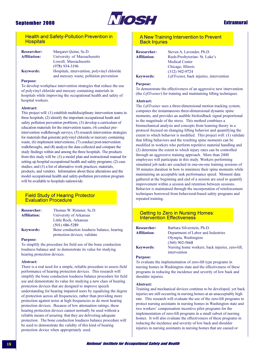

## **Extramural**

## **Health and Safety-Pollution Prevention in Hospitals**

| <b>Researcher:</b><br><b>Affiliation:</b> | Margaret Quinn, Sc.D.<br>University of Massachusetts |
|-------------------------------------------|------------------------------------------------------|
|                                           | Lowell, Massachusetts                                |
|                                           | $(978)$ 934-3196                                     |
| <b>Keywords:</b>                          | Hospitals, intervention, polyvinyl chloride          |
|                                           | and mercury waste, nollution prevention              |

#### **Purpose:**

To develop workplace intervention strategies that reduce the use of polyvinyl chloride and mercury containing materials in hospitals while improving the occupational health and safety of hospital workers.

#### **Abstract:**

This project will: (1) establish multidisciplinary intervention teams in three hospitals, (2) identify the important occupational heath and safety pollution prevention problems, (3) develop a curriculum of education materials for the intervention teams, (4) conduct preintervention walkthrough surveys, (5) research intervention strategies for materials that generate polyvinyl chloride or mercury containing waste, (6) implement interventions, (7) conduct post-intervention walkthroughs, and (8) analyze the data collected and compare the study findings within and among the three hospitals. The products from this study will be: (1) a model plan and instructional manual for setting up hospital occupational health and safety programs; (2) case studies; and (3) a list of alternative work practices, materials, products, and vendors. Information about these alterations and the model occupational health and safety-pollution prevention program will be available to hospitals nationwide.

### **Field Study of Hearing Protector Evaluation Procedure**

| <b>Researcher:</b>  | Thomas W. Rimmer, Sc.D.                                                   |
|---------------------|---------------------------------------------------------------------------|
| <b>Affiliation:</b> | University of Arkansas                                                    |
|                     | Little Rock, Arkansas                                                     |
|                     | $(501)$ 686-5289                                                          |
| <b>Keywords:</b>    | Bone conduction loudness balance, hearing<br>protection devices, validate |

#### **Purpose:**

To simplify the procedure for field use of the bone conduction loudness balance and to demonstrate its value for studying hearing protection devices.

#### Abstract:

There is a real need for a simple, reliable procedure to assess field performance of hearing protection devices. This research will simplify the bone conduction loudness balance procedure for field use and demonstrate its value for studying a new class of hearing protection devices that are designed to improve speech understanding for hearing impaired users by equalizing the degree of protection across all frequencies, rather than providing more protection against noise at high frequencies as do most hearing protection devices. Because of low attenuation ratings, these hearing protection devices cannot normally be used without a reliable means of assuring that they are delivering adequate protection. The bone conduction loudness balance procedure will be used to demonstrate the validity of this kind of hearing protection device when appropriately used.

## A New Training Intervention to Prevent **Back Injuries**

Researcher: **Affiliation: Keywords:** 

Steven A. Lavender, Ph.D. Rush-Presbyterian- St. Luke's **Medical Center** Chicago, Illinois  $(312)$  942-9724 LiftTrainer, back injuries, intervention

#### **Purpose:**

To demonstrate the effectiveness of an aggressive new intervention (the *LiftTrainer*) for training and maintaining lifting techniques.

#### Abstract:

The LiftTrainer uses a three-dimensional motion tracking system, computes the instantaneous three-dimensional dynamic spine moments, and provides an audible biofeedback signal proportional to the magnitude of the stress. This method combines a biomechanical analysis and concepts from learning theory in a protocol focused on changing lifting behavior and quantifying the extent to which behavior is modified. This project will: (1) validate that lifting behaviors and the resulting spine moments can be modified in workers who perform repetitive material handling and (2) determine the extent to which injury rates can be controlled through an aggressive training approach. More than 2400 employees will participate in this study. Workers performing simulated job tasks are coached in one-on-one training sessions of 30 minutes duration in how to minimize their spine moments while maintaining an acceptable task performance speed. Moment data gathered at the beginning and end of a session are used to quantify improvement within a session and retention between sessions. Behavior is maintained through the incorporation of reinforcement techniques borrowed from behavioral-based safety programs and repeated training.

#### **Getting to Zero in Nursing Homes: Intervention Effectiveness**

| <b>Researcher:</b>  | Barbara Silverstein, Ph.D.                                      |
|---------------------|-----------------------------------------------------------------|
| <b>Affiliation:</b> | Department of Labor and Industries                              |
|                     | Olympia, Washington                                             |
|                     | $(360)$ 902-5668                                                |
| <b>Keywords:</b>    | Nursing home workers, back injuries, zero-lift,<br>intervention |

#### **Purpose:**

To evaluate the implementation of zero-lift type programs in nursing homes in Washington state and the effectiveness of these programs in reducing the incidence and severity of low back and shoulder injuries.

#### Abstract:

Training and mechanical devices continue to be developed, yet back injuries are still occurring in nursing homes at an unacceptably high rate. This research will evaluate the use of the zero-lift programs to protect nursing assistants in nursing homes in Washington state and two workers' compensation incentive pilot programs for the implementation of zero-lift programs in a small subset of nursing homes. It will also evaluate the effectiveness of these programs in reducing the incidence and severity of low back and shoulder injuries in nursing assistants in nursing homes that are caused or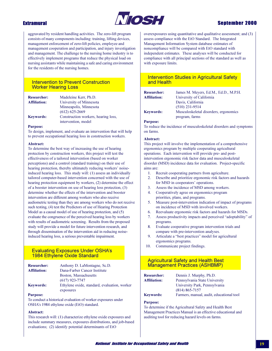

## **Extramural**

aggravated by resident handling activities. The zero-lift program consists of many components including: training, lifting devices, management enforcement of zero-lift policies, employee and management cooperation and participation, and injury investigation and management. The challenge to the nursing home industry is to effectively implement programs that reduce the physical load on nursing assistants while maintaining a safe and caring environment for the residents of the nursing homes.

## **Intervention to Prevent Construction Worker Hearing Loss**

| <b>Researcher:</b>  | Madeleine Kerr, Ph.D.               |
|---------------------|-------------------------------------|
| <b>Affiliation:</b> | University of Minnesota             |
|                     | Minneapolis, Minnesota              |
|                     | $(612) 625 - 2669$                  |
| <b>Keywords:</b>    | Construction workers, hearing loss, |
|                     | intervention, model                 |

#### **Purpose:**

To design, implement, and evaluate an intervention that will help to prevent occupational hearing loss in construction workers.

#### **Abstract:**

To determine the best way of increasing the use of hearing protection by construction workers, this project will test the effectiveness of a tailored intervention (based on worker perceptions) and a control (standard training) on their use of hearing protection, thereby ultimately reducing workers' noiseinduced hearing loss. This study will: (1) assess an individually tailored computer-based intervention concerned with the use of hearing protection equipment by workers, (2) determine the effect of a booster intervention on use of hearing loss protection, (3) determine whether the effects of the intervention and booster intervention are different among workers who also receive audiometric testing than they are among workers who do not receive such testing, (4) test the Predictors of use of Hearing Protection Model as a causal model of use of hearing protection, and (5) evaluate the congruence of the perceived hearing loss by workers with results of audiometric screening. Results from the proposed study will provide a model for future intervention research, and through dissemination of the intervention aid in reducing noiseinduced hearing loss, a serious preventable impairment.

## **Evaluating Exposures Under OSHA's 1984 Ethylene Oxide Standard**

| <b>Researcher:</b>  | Anthony D. LaMontagne, Sc.D.                 |
|---------------------|----------------------------------------------|
| <b>Affiliation:</b> | Dana-Farber Cancer Institute                 |
|                     | Boston, Massachusetts                        |
|                     | $(617)$ 923-7747                             |
| <b>Keywords:</b>    | Ethylene oxide, standard, evaluation, worker |
|                     | exposures                                    |

#### **Purpose:**

To conduct a historical evaluation of worker exposures under OSHA's 1984 ethylene oxide (EtO) standard.

### Abstract:

This research will: (1) characterize ethylene oxide exposures and include summary measures, exposures distributions, and job-based evaluations; (2) identify potential determinants of EtO

overexposures using quantitative and qualitative assessment; and (3) assess compliance with the EtO Standard. The Integrated Management Information System database estimates of noncompliance will be compared with EtO standard with independent estimates. These analyses will be conducted for compliance with all principal sections of the standard as well as with exposure limits.

## **Intervention Studies in Agricultural Safety** and Health

| <b>Researcher:</b>  | James M. Meyers, Ed.M., Ed.D., M.P.H. |
|---------------------|---------------------------------------|
| <b>Affiliation:</b> | University of California              |
|                     | Davis, California                     |
|                     | $(510)$ 231-9514                      |
| <b>Keywords:</b>    | Musculoskeletal disorders, ergonomics |
|                     | program, farms                        |

#### **Purpose:**

To reduce the incidence of musculoskeletal disorders and symptoms on farms.

#### Abstract:

This project will involve the implementation of a comprehensive ergonomics program by multiple cooperating agricultural operations. Each intervention will provide pre- and postintervention ergonomic risk factor data and musculoskeletal disorder (MSD) incidence data for evaluation. Project-specific aims are:

- 1. Recruit cooperating partners from agriculture.
- Describe and prioritize ergonomic risk factors and hazards  $2^{1}$ for MSD in cooperators' operations.
- $\mathbf{3}$ Assess the incidence of MSD among workers.
- $4<sup>1</sup>$ Cooperatively agree on ergonomics program priorities, plans, and programs.
- $5<sup>1</sup>$ Measure post-intervention indication of impact of programs on incidence of MSD with involved workers.
- Reevaluate ergonomic risk factors and hazards for MSDs. 6.
- Assess productivity impacts and perceived "adoptability" of  $7<sup>7</sup>$ programs.
- 8. Evaluate cooperative program intervention trials and compare with pre-intervention analyses.
- Articulate a "best practices" model for agricultural 9 ergonomics programs.
- $10<sub>1</sub>$ Communicate project findings.

## **Agricultural Safety and Health Best Management Practices (ASHBMP)**

| <b>Researcher:</b>  | Dennis J. Murphy, Ph.D.                  |
|---------------------|------------------------------------------|
| <b>Affiliation:</b> | Pennsylvania State University            |
|                     | University Park, Pennsylvania            |
|                     | $(814) 865 - 7157$                       |
| <b>Keywords:</b>    | Farmers, manual, audit, educational tool |

#### **Purpose:**

To determine if the Agricultural Safety and Health Best Management Practices Manual is an effective educational and auditing tool for reducing hazard levels on farms.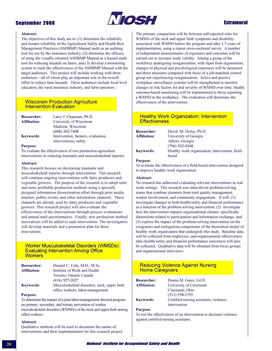

## **Extramural**

#### **Abstract:**

The objectives of this study are to:  $(1)$  determine the reliability and iterator reliability of the Agricultural Safety and Health Best Management Practices (ASHBMP) Manual audit as an auditing tool for use by the insurance industry, (2) determine the efficacy of using the visually-oriented ASHBMP Manual as a hazard audit tool for reducing hazards on farms, and (3) develop a monitoring system to track the effectiveness of the ASHBMP Manual with the target audiences. This project will include working with three audiences-all of whom play an important role in the overall effort to reduce farm hazards. These audiences include local level educators, the rural insurance industry, and farm operators.

### **Wisconsin Production Agriculture Intervention Evaluation**

| <b>Researcher:</b>  | Larry J. Chapman, Ph.D.            |
|---------------------|------------------------------------|
| <b>Affiliation:</b> | University of Wisconsin            |
|                     | Madison, Wisconsin                 |
|                     | $(608)$ 262-7408                   |
| <b>Keywords:</b>    | Intervention, farmers, evaluation, |
|                     | interventions, safety              |

#### **Purpose:**

To evaluate the effectiveness of two production agriculture interventions in reducing traumatic and musculoskeletal injuries.

#### Abstract:

This research focuses on decreasing traumatic and musculoskeletal injuries through intervention. This research will continue ongoing interventions with dairy producers and vegetable growers. The purpose of the research is to adopt safer and more profitable production methods using a specially designed information dissemination effort through print media, Internet, public events, and other information channels. These channels are already used by dairy producers and vegetable growers. This research project will also evaluate the effectiveness of the interventions through process evaluations and annual mail questionnaires. Finally, new production method innovations will be added to each intervention. The investigators will develop materials and a promotion plan for these innovations

#### **Worker Musculoskeletal Disorders (WMSDs): Evaluating Intervention Among Office Workers**

| <b>Researcher:</b>  | Donald C. Cole, M.D., M.Sc.                  |
|---------------------|----------------------------------------------|
| <b>Affiliation:</b> | Institute of Work and Health                 |
|                     | Toronto, Ontario Canada                      |
|                     | $(416)$ 927-2027                             |
| <b>Keywords:</b>    | Musculoskeletal disorders, neck, upper limb, |
|                     | office workers, labor-management             |

#### **Purpose:**

To determine the impact of a joint labor-management directed program on primary, secondary, and tertiary prevention of worker musculoskeletal disorders (WMSDs) of the neck and upper limb among office workers.

#### Abstract:

Qualitative methods will be used to document the nature of interventions and their implementation for this research project. The primary comparison will be between self-reported risks for WMSDs of the neck and upper limb symptoms and disability associated with WMSD before the program and after 1.5 years of implementation, using a repeat cross-sectional survey. A number of independent measurements of exposures and outcomes will be carried out to increase study validity. Among a group of the workforce undergoing reorganization, with input from ergonomists, changes in physical and psychological exposures will be measured and these measures compared with those of a job-matched control group not experiencing reorganization. Active and passive workplace surveillance systems will be strengthened to monitor changes in risk factors for and severity of WMSD over time. Health outcome-based monitoring will be implemented to those reporting a WMSD to the workplace. The evaluation will determine the effectiveness of the intervention.

## **Healthy Work Organization: Intervention Effectiveness**

| <b>Researcher:</b>  | David M. DeJoy, Ph.D.                           |
|---------------------|-------------------------------------------------|
| <b>Affiliation:</b> | University of Georgia                           |
|                     | Athens, Georgia                                 |
|                     | $(706)$ 542-4368                                |
| Kevwords:           | Healthy work organization, intervention, field- |
|                     | based                                           |

### **Purpose:**

To evaluate the effectiveness of a field-based intervention designed to improve healthy work organization.

#### Abstract:

No research has addressed evaluating relevant interventions in real work settings. This research uses data-driven problem-solving teams that combine elements from total quality management, worker involvement, and community engagement. It will: (1) investigate changes in both health/safety and financial performance as a function of the problem-solving intervention, (2) investigate how the intervention impacts organizational climate-specifically dimensions related to participation and information exchange, and (3) explore the impact of the problem-solving intervention on the exogenous and endogenous components of the theoretical model of healthy work organization that undergirds this study. Baseline data will be collected from employees, and organizational effectiveness data (health/safety and financial performance outcomes) will also be collected. Qualitative data will be obtained from focus groups and organizational interviews.

## **Reducing Violence Against Nursing Home Caregivers**

| <b>Researcher:</b>  | Donna M. Gates, Ed.D.                   |
|---------------------|-----------------------------------------|
| <b>Affiliation:</b> | University of Cincinnati                |
|                     | Cincinnati, Ohio                        |
|                     | $(513) 558 - 3793$                      |
| <b>Keywords:</b>    | Certified nursing assistants, violence, |
|                     | intervention                            |

#### **Purpose:**

To test the effectiveness of an intervention to decrease violence against certified nursing assistants.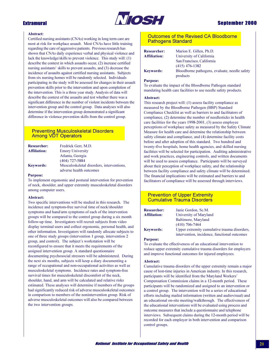

### **Abstract:**

Certified nursing assistants (CNAs) working in long term care are most at risk for workplace assault. Most CNAs have little training regarding the care of aggressive patients. Previous research has shown that CNAs daily experience verbal and physical violence and lack the knowledge/skills to prevent violence. This study will: (1) describe the context in which assaults occur, (2) increase certified nursing assistants' skills to prevent assaults, and (3) decrease the incidence of assaults against certified nursing assistants. Subjects from six nursing homes will be randomly selected. Individuals participating in the study will be assessed for changes in their assault prevention skills prior to the intervention and upon completion of the intervention. This is a three year study. Analysis of data will describe the context of the assaults and test whether there was a significant difference in the number of violent incidents between the intervention group and the control group. Data analyses will also determine if the intervention group demonstrated a significant difference in violence prevention skills from the control group.

## **Preventing Musculoskeletal Disorders Among VDT Operators**

| <b>Researcher:</b>  | Fredrick Gerr, M.D.                                                  |
|---------------------|----------------------------------------------------------------------|
| <b>Affiliation:</b> | <b>Emory University</b>                                              |
|                     | Atlanta, Georgia                                                     |
|                     | $(404)$ 727-5884                                                     |
| <b>Keywords:</b>    | Musculoskeletal disorders, interventions,<br>adverse health outcomes |

#### **Purpose:**

To implement ergonomic and postural intervention for prevention of neck, shoulder, and upper extremity musculoskeletal disorders among computer users.

#### Abstract:

Two specific interventions will be studied in this research. The incidence and symptom-free survival time of neck/shoulder symptoms and hand/arm symptoms of each of the intervention groups will be compared to the control group during a six month follow-up time. Investigators will recruit subjects from video display terminal users and collect ergonomic, personal health, and other information. Investigators will randomly allocate subjects to one of three study groups (intervention 1 group, intervention 2 group, and control). The subject's workstation will be reconfigured to ensure that it meets the requirements of the assigned intervention group. A standard questionnaire documenting psychosocial stressors will be administered. During the next six months, subjects will keep a diary documenting a range of occupational and non-occupational activities as well as musculoskeletal symptoms. Incidence rates and symptom-free survival times for musculoskeletal discomfort of the neck, shoulder, hand, and arm will be calculated and relative risks estimated. These analyses will determine if members of the groups had significantly reduced risk of adverse musculoskeletal outcomes in comparison to members of the nonintervention group. Risk of adverse musculoskeletal outcomes will also be compared between the two intervention groups.

## Outcomes of the Revised CA Bloodborne **Pathogens Standard**

| <b>Researcher:</b><br><b>Affiliation:</b> | Marion E. Gillen, Ph.D.<br>University of California<br>San Francisco, California |
|-------------------------------------------|----------------------------------------------------------------------------------|
| <b>Keywords:</b>                          | $(415)$ 476-1382<br>Bloodborne pathogens, evaluate, needle safety<br>products    |

#### **Purpose:**

To evaluate the impact of the Bloodborne Pathogen standard mandating health care facilities to use needle safety products.

### Abstract:

This research project will: (1) assess facility compliance as measured by the Bloodborne Pathogen (BBP) Standard Compliance Checklist as well as barriers to and facilitators of compliance, (2) determine the number of needlesticks in health care facilities for the years 1998-2001, (3) assess employee perceptions of workplace safety as measured by the Safety Climate Measure for health care and determine the relationship between safety climate and compliance, and (4) determine facility costs before and after adoption of this standard. Two hundred and twenty-five hospitals, home health agencies, and skilled nursing facilities will be selected for participation. Auditing administrative and work practices, engineering controls, and written documents will be used to assess compliance. Participants will be surveyed about their perception of workplace safety, and the relationship between facility compliance and safety climate will be determined. The financial implications will be estimated and barriers to and facilitators of compliance will be assessed through interviews.

## **Prevention of Upper Extremity Cumulative Trauma Disorders**

| <b>Researcher:</b>  | Janie Gordon, Sc.M.                          |
|---------------------|----------------------------------------------|
| <b>Affiliation:</b> | University of Maryland                       |
|                     | Baltimore, Maryland                          |
|                     | $(410)$ 706-7464                             |
| <b>Keywords:</b>    | Upper extremity cumulative trauma disorders  |
|                     | intervention, incidence, functional outcomes |

#### **Purpose:**

To evaluate the effectiveness of an educational intervention to reduce upper extremity cumulative trauma disorders for employers and improve functional outcomes for injured employees.

### Abstract:

Cumulative trauma disorders of the upper extremity remain a major cause of lost-time injuries in American industry. In this research, participants will be identified from the Maryland Workers' Compensation Commission claims in a 12-month period. These participants will be randomized and assigned to an intervention or a control group. The intervention will be a series of educational efforts including mailed information (written and audiovisual) and an educational on-site meeting/walkthrough. The effectiveness of the educational interventions will be evaluated using process and outcome measures that include a questionnaire and telephone interviews. Subsequent claims during the 12-month period will be recorded for each employer in both intervention and comparison control groups.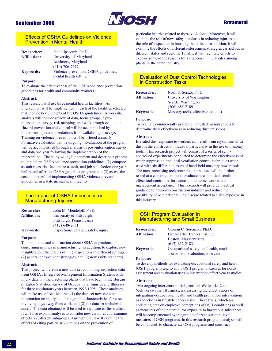

## **Extramural**

### **Effects of OSHA Guidelines on Violence Prevention in Mental Health**

| <b>Researcher:</b>  | Jane Lipscomb, Ph.D.                  |
|---------------------|---------------------------------------|
| <b>Affiliation:</b> | University of Maryland                |
|                     | Baltimore, Maryland                   |
|                     | $(410)$ 706-7647                      |
| <b>Keywords:</b>    | Violence prevention, OSHA guidelines, |
|                     | mental health setting                 |

#### **Purpose:**

To evaluate the effectiveness of the OSHA violence prevention guidelines for health and community workers.

#### Abstract:

This research will use three mental health facilities. An intervention will be implemented in each of the facilities selected that include key elements of the OSHA guidelines. A worksite analysis will include review of data, focus groups, a preintervention survey, risk mapping, and walkthrough evaluation. Hazard prevention and control will be accomplished by implementing recommendations from walkthrough surveys. Training on violence prevention will be offered annually. Formative evaluation will be ongoing. Evaluation of the program will be accomplished through analysis of post-intervention survey and data one year following the implementation of the intervention. The study will: (1) document and describe a process to implement OSHA violence prevention guidelines; (2) compare assault rates, risk factors for assault, and job satisfaction one year before and after the OSHA guideline program; and (3) assess the cost and benefit of implementing OSHA violence prevention guidelines in a state mental health facility.

### The Impact of OSHA Inspections on **Manufacturing Injuries**

| <b>Researcher:</b>  | John M. Mendeloff, Ph.D.              |
|---------------------|---------------------------------------|
| <b>Affiliation:</b> | University of Pittsburgh              |
|                     | Pittsburgh, Pennsylvania              |
|                     | $(412)$ 648-2651                      |
| <b>Keywords:</b>    | Inspections, data set, safety, injury |

#### **Purpose:**

To obtain data and information about OSHA inspections concerning injuries in manufacturing. In addition, to explore new insights about the effects of: (1) inspections in different settings, (2) general enforcement strategies, and (3) new safety standards.

#### Abstract:

This project will create a new data set combining inspection data from OSHA's Integrated Management Information System with injury data on manufacturing plants that have been in the Bureau of Labor Statistics Survey of Occupational Injuries and Illnesses for three continuous years between 1992-1995. These analyses will make use of two features:  $(1)$  the data set now contains information on injury and demographic characteristics for cases involving days away from work, and (2) the data set includes all states. The data obtained will be used to replicate earlier studies. It will also expand analyses to consider new variables and examine effects on different subgroups. Furthermore, it will examine the effects of citing particular violations on the prevention of

particular injuries related to those violations. Moreover, it will examine the role of new safety standards in reducing injuries and the role of inspection in boosting that effect. In addition, it will examine the effects of different enforcement strategies carried out in different states and regions. Finally, it will facilitate efforts to explore some of the reasons for variations in injury rates among plants in the same industry.

### **Evaluation of Dust Control Technologies** in Construction Tasks

| <b>Researcher:</b>  | Noah S. Seixas, Ph.D.              |
|---------------------|------------------------------------|
| <b>Affiliation:</b> | University of Washington           |
|                     | Seattle, Washington                |
|                     | $(206)$ 685-7189                   |
| <b>Keywords:</b>    | Masonry tools, effectiveness, dust |

#### **Purpose:**

To evaluate commercially available, untested masonry tools to determine their effectiveness in reducing dust emissions.

#### Abstract:

Elevated dust exposure to workers can result from crystalline silica dust in the construction industry, particularly in the use of masonry tools. This research project will consist of a series of semicontrolled experiments conducted to determine the effectiveness of water suppression and local ventilation control techniques when used with six different classes of hand-held masonry power tools. The most promising tool/control combinations will be further tested at a construction site to evaluate how nonideal conditions affect tool/control performance and to assess worker and management acceptance. This research will provide practical guidance to masonry construction industry and reduce the possibility of occupational lung disease related to silica exposure in this industry.

### **OSH Program Evaluation in Manufacturing and Small Business**

| <b>Researcher:</b>  | Glorian C. Sorenson, Ph.D.            |
|---------------------|---------------------------------------|
| <b>Affiliation:</b> | Dana-Farber Cancer Institute          |
|                     | Boston, Massachusetts                 |
|                     | $(617)$ 632-2183                      |
| <b>Keywords:</b>    | Occupational safety and health, needs |
|                     | assessment, evaluation, intervention  |

#### **Purpose:**

To develop methods for evaluating occupational safety and health (OSH) programs and to apply OSH program measures for needs assessment and evaluation uses in intervention effectiveness studies.

#### **Abstract:**

Two ongoing intervention trials, entitled Wellworks-2 and Wellworks-Small Business, are assessing the effectiveness of integrating occupational health and health promotion interventions as reductions in lifestyle cancer risks. These trials, which are collecting data on employee perceptions of OSH conditions as well as measures of the potential for exposure to hazardous substances, will be complemented by integration of organizational-level measures of OSH programs. In this research program, analysis will be conducted to characterize OSH programs and construct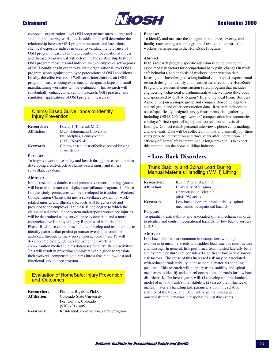

## **Sentember 2000**

composite organization-level OSH program measures in large and small manufacturing worksites. In addition, it will determine the relationship between OSH program measures and hazardous chemical exposure indices in order to validate the relevance of OSH program measures in the prevention of occupational illness and disease. Moreover, it will determine the relationship between OSH program measures and individual-level employee self-reports of OSH conditions in order to validate organizational level OSH program scores against employee perceptions of OSH conditions. Finally, the effectiveness of Wellworks interventions on OSH program measures using experimental designs in large and small manufacturing worksites will be evaluated. This research will substantially enhance intervention research, OSH practice, and regulatory applications of OSH program measures.

## **Claims-Based Surveillance to Identify Injury Prevention**

| <b>Researcher:</b>  | David J. Tollerud, M.D.                                       |
|---------------------|---------------------------------------------------------------|
| <b>Affiliation:</b> | MCP Hahnemann University                                      |
|                     | Philadelphia, Pennsylvania                                    |
|                     | $(215)$ 762-6514                                              |
| <b>Keywords:</b>    | Claims-based, cost effective, record linking.<br>surveillance |

#### **Purpose:**

To improve workplace safety and health through research aimed at developing a cost-effective claims-based injury and illness surveillance system.

### Abstract:

In this research, a database and prospective record linking system will be used to create a workplace surveillance program. In Phase I of this study, procedures will be developed to transform Workers' Compensation Claims data into a surveillance system for workrelated injuries and illnesses. Reports will be generated and provided to the employer. In Phase II, the degree to which the claims-based surveillance system underreports workplace injuries will be determined using surveillance system data and a more comprehensive Employee Injury Report used in Philadelphia. Phase III will use claims-based data to develop and test methods to identify patterns that predict precursor events that could be addressed through primary prevention actions. Phase IV will develop employer guidelines for using their workers' compensation medical claims databases for surveillance activities. This will result in providing employers with a guide to translate their workers' compensation claims into a feasible, low-cost and functional surveillance program.

## **Evaluation of HomeSafe: Injury Prevention** and Outcomes

| <b>Researcher:</b> | Philip L. Bigelow, Ph.D.                  |
|--------------------|-------------------------------------------|
| Affiliation:       | Colorado State University                 |
|                    | Fort Collins, Colorado                    |
|                    | $(970)$ 491-1405                          |
| Kevwords:          | Residential, construction, safety program |

#### **Purpose:**

To identify and measure the changes in incidence, severity, and fatality rates among a sample group of residential construction workers participating in the HomeSafe Program.

#### Abstract:

In this research program specific attention is being paid to the associated risk factors for occupational back pain, changes in work safe behaviors, and analysis of workers' compensation data. Investigators have designed a longitudinal cohort quasi-experimental research design to identify and measure the effect of the HomeSafe Program (a residential construction safety program that includes engineering, behavioral and administrative interventions developed and sponsored by OSHA Region VIII and the local Home Builders Association) on a sample group and compare those findings to a control group and other construction data. Research includes the use of specifically designed survey instruments, data gathering including OSHA 200 Logs, workers' compensation loss summaries, employer's first report of injury, and correlation analysis of findings. Contact entails personal interviews, phone calls, mailing, and site visits. Data will be collected monthly and annually for three years prior to intervention and three years after intervention. If efficacy of HomeSafe is determined, a long-term goal is to export this method into the home building industry.

## • Low Back Disorders

## **Trunk Stability and Spinal Load During Manual Materials Handling (MMH) Lifting**

| <b>Researcher:</b>  | Kevin P. Granata, Ph.D.                     |
|---------------------|---------------------------------------------|
| <b>Affiliation:</b> | University of Virginia                      |
|                     | Charlottesville, Virginia                   |
|                     | $(804)$ 982-0513                            |
| <b>Keywords:</b>    | Low back disorders, trunk stability, spinal |
|                     | mechanics, occupational hazards             |

#### **Purpose:**

To quantify trunk stability and associated spinal mechanics in order to identify and control occupational hazards for low back disorders  $(LBD)$ .

#### Abstract:

Low back disorders are common in occupations with high exposures to unstable events and sudden loads such as construction and nursing. In general, lifts performed from twisted laterally bent and dynamic postures are considered significant low back disorder risk factors. The cause of this increased risk may be associated with reduced trunk stability in these manual materials handling postures. This research will quantify trunk stability and spinal mechanics to identify and control occupational hazards for low back disorder/risk. The investigators will: (1) develop a biomechanical model of in vivo trunk/spinal stability, (2) assess the influence of manual materials handling task parameters upon the relative stability of the trunk, and (3) quantify spinal loads and musculoskeletal behavior in response to unstable events.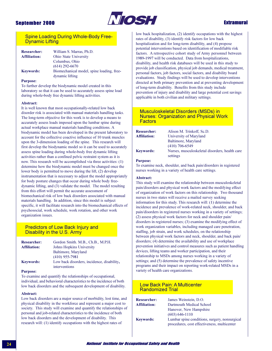

## **Extramural**

### **Spine Loading During Whole-Body Free-Dynamic Lifting**

| <b>Researcher:</b><br><b>Affiliation:</b> | William S. Marras, Ph.D.<br>Ohio State University |
|-------------------------------------------|---------------------------------------------------|
|                                           | Columbus, Ohio                                    |
|                                           | $(614)$ 292-6670                                  |
| <b>Keywords:</b>                          | Biomechanical model, spine loading, free-         |
|                                           | dynamic lifting                                   |

#### **Purpose:**

To further develop the biodynamic model created in this laboratory so that it can be used to accurately assess spine load during whole-body free dynamic lifting activities.

#### Abstract:

It is well known that most occupationally-related low back disorder risk is associated with manual materials handling tasks. The long-term objective for this work is to develop a means to accurately assess loads imposed upon the lumbar spine during actual workplace manual materials handling conditions. A biodynamic model has been developed in the present laboratory to account for the collective coactive influence of 10 trunk muscles upon the 3-dimension loading of the spine. This research will first develop the biodynamic model so it can be used to accurately assess spine loading during whole-body free dynamic lifting activities rather than a confined pelvic restraint system as it is now. This research will be accomplished via three activities: (1) determine how the biodynamic model must be changed once the lower body is permitted to move during the lift, (2) develop instrumentation that is necessary to adjust the model appropriately for body posture changes that occur during whole body freedynamic lifting, and (3) validate the model. The model resulting from this effort will permit the accurate assessment of biomechanical risk of low back disorders associated with manual materials handling. In addition, since this model is subject specific, it will facilitate research into the biomechanical effects of psychosocial, work schedule, work rotation, and other work organization issues.

## **Predictors of Low Back Injury and** Disability in the U.S. Army

| <b>Researcher:</b>  | Gordon Smith, M.B., Ch.B., M.P.H.          |
|---------------------|--------------------------------------------|
| <b>Affiliation:</b> | Johns Hopkins University                   |
|                     | Baltimore, Maryland                        |
|                     | $(410)$ 955-7981                           |
| <b>Keywords:</b>    | Low back disorders, incidence, disability, |
|                     | interventions                              |

#### **Purpose:**

To examine and quantify the relationships of occupational, individual, and behavioral characteristics to the incidence of both low back disorders and the subsequent development of disability.

#### Abstract:

Low back disorders are a major source of morbidity, lost time, and physical disability in the workforce and represent a major cost to society. This study will examine and quantify the relationships of personal and job-related characteristics to the incidence of both low back disorders and the development of disability. This research will: (1) identify occupations with the highest rates of

low back hospitalization, (2) identify occupations with the highest rates of disability, (3) identify risk factors for low back hospitalization and for long-term disability, and (4) propose potential interventions based on identification of modifiable risk factors. A retrospective cohort study of Army personnel between 1989-1997 will be conducted. Data from hospitalizations, disability, and health risk databases will be used in this study to provide job classification, physical job demands, medical treatment, personal factors, job factors, social factors, and disability board evaluations. Study findings will be used to develop interventions directed at both primary prevention and at preventing development of long-term disability. Benefits from this study include prevention of injury and disability and large potential cost savings applicable in both civilian and military settings.

#### **Musculoskeletal Disorders (MSDs) in Nurses: Organization and Physical Work Factors**

| Alison M. Trinkoff, Sc.D.                                  |
|------------------------------------------------------------|
| University of Maryland                                     |
| Baltimore, Maryland                                        |
| $(410)$ 706-6549                                           |
| Nurses, musculoskeletal disorders, health care<br>settings |
|                                                            |

#### **Purpose:**

To examine neck, shoulder, and back pain/disorders in registered nurses working in a variety of health care settings.

#### Abstract:

This study will examine the relationship between musculoskeletal pain/disorders and physical work factors and the modifying effect of organization of work factors on this relationship. Two thousand nurses in two states will receive a mailed survey seeking information for this study. This research will: (1) determine the incidence and prevalence of work-related neck, shoulder, and back pain/disorders in registered nurses working in a variety of settings; (2) assess physical work factors for neck and shoulder pain/ disorders in registered nurses; (3) examine the modifying effect of work organization variables, including managed care penetration, staffing, job strain, and work schedules, on the relationship between physical work factors and neck, shoulder, and back pain/ disorders; (4) determine the availability and use of workplace prevention initiatives and control measures such as patient handling devices, lifting teams and worker participation, and their relationship to MSDs among nurses working in a variety of settings; and (5) determine the prevalence of safety incentive programs and their impact on reporting work-related MSDs in a variety of health care organizations.

#### **Low Back Pain: A Multicenter Randomized Trial**

| <b>Researcher:</b>  | James Weinstein, D.O.                         |
|---------------------|-----------------------------------------------|
| <b>Affiliation:</b> | Dartmouth Medical School                      |
|                     | Hanover, New Hampshire                        |
|                     | $(603) 646 - 1110$                            |
| <b>Keywords:</b>    | Lumbar spine conditions, surgery, nonsurgical |
|                     | procedures cost effectiveness multicenter     |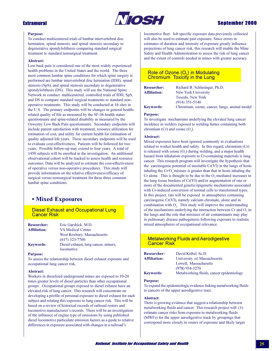

## **Sentember 2000**

#### **Purpose:**

To conduct multicentered trials of lumbar intervertebral disc herniation, spinal stenosis, and spinal stenosis secondary to degenerative spondylolithesis comparing standard surgical treatment to standard nonsurgical treatment.

#### Abstract:

Low back pain is considered one of the most widely experienced health problems in the United States and the world. The three most common lumbar spine conditions for which spine surgery is performed are lumbar intervertebral disc herniation (IDH), spinal stenosis (SpS), and spinal stenosis secondary to degenerative spondylolithesis (DS). This study will use the National Spine Network to conduct multicentered, controlled trials of IDH, SpS, and DS to compare standard surgical treatments to standard nonoperative treatments. This study will be conducted at 16 sites in the U.S. The primary endpoints will be changes in general healthrelated quality of life as measured by the SF-36 health status questionnaire and spine-related disability as measured by the Oswestry Low Back Pain questionnaire. Secondary endpoints will include patient satisfaction with treatment, resource utilization for estimation of cost, and utility for current health for estimation of quality adjusted life years. These secondary endpoints will be used to evaluate cost-effectiveness. Patients will be followed for two years. Possible follow-up may extend to four years. A total of 1450 subjects will be enrolled in the investigation. An additional observational cohort will be tracked to assess health and resource outcomes. Data will be analyzed to estimate the cost-effectiveness of operative versus non-operative procedures. This study will provide information on the relative effectiveness/efficacy of surgical versus nonsurgical treatment for these three common lumbar spine conditions.

## • Mixed Exposures

**Diesel Exhaust and Occupational Lung Cancer Risk** 

| Eric Garshick, M.D.                  |
|--------------------------------------|
| VA Medical Center                    |
| West Roxbury, Massachusetts          |
| $(617)$ 323-7700                     |
| Diesel exhaust, lung cancer, miners, |
| locomotive                           |
|                                      |

#### **Purpose:**

To assess the relationship between diesel exhaust exposure and occupational lung cancer risk.

#### Abstract:

Workers in dieselized underground mines are exposed to 10-20 times greater levels of diesel particles than other occupational groups. Occupational groups exposed to diesel exhaust have an elevated risk of lung cancer. This research will concentrate on developing a profile of personal exposure to diesel exhaust for each subject and relating this exposure to lung cancer risk. This will be based on a review of historical records of railroad rosters and locomotive manufacturer's records. There will be an investigation of the influence of engine type of emissions by using published diesel locomotive particulate emission factors as a guide to relative differences in exposure associated with changes in a railroad's

locomotive fleet. Job specific exposure data previously collected will also be used to estimate past exposure. Since errors in estimates of duration and intensity of exposure greatly influence projections of lung cancer risk, this research will enable the Mine Safety and Health Administration to assess the risk of lung cancer and the extent of controls needed in mines with greater accuracy.

### Role of Ozone (O<sub>3</sub>) in Modulating Chromium Toxicity in the Lung

| <b>Researcher:</b>  | Richard B. Schlesinger, Ph.D. |
|---------------------|-------------------------------|
| <b>Affiliation:</b> | New York University           |
|                     | Tuxedo, New York              |
|                     | $(914)$ 351-5140              |
| <b>Keywords:</b>    | Chromium, ozone, cancer, lu   |

Chromium, ozone, cancer, lungs, animal model

#### **Purpose:**

To investigate mechanisms underlying the elevated lung cancer incidence in welders exposed to welding fumes containing both chromium (Cr) and ozone  $(O_2)$ .

#### Abstract:

Mixed exposures have been ignored commonly in evaluations related to worker health and safety. In this regard, chromium (Cr) is released with ozone  $(O_3)$  during welding, and a major health hazard from inhalation exposure to Cr-containing materials is lung cancer. This research program will investigate the hypothesis that the carcinogenic potential of insoluble  $Cr(VI)$  in the lungs of hosts inhaling the Cr/O, mixture is greater than that in hosts inhaling the Cr alone. This is thought to be due to the O<sub>2</sub>-mediated increases in the lung tissue burdens of Cr(VI) and/or augmentation of one or more of the documented genetic/epigenetic mechanisms associated with Cr-induced conversion of normal cells to transformed types. In this project, rats will be exposed to atmospheres containing carcinogenic Cr(VI), namely calcium chromate, alone and in combination with  $O<sub>3</sub>$ . This study will improve the understanding of the mechanisms underlying the interaction between Cr and  $O<sub>3</sub>$  in the lungs and the role that mixtures of air contaminants may play in pulmonary disease pathogenesis following exposure to realistic mixed atmospheres of occupational relevance.

## **Metalworking Fluids and Aerodigestive Cancer Risk**

| <b>Researcher:</b>  | David Kribel, Sc.D.                      |
|---------------------|------------------------------------------|
| <b>Affiliation:</b> | University of Massachusetts              |
|                     | Lowell, Massachusetts                    |
|                     | $(978)$ 934-3270                         |
| <b>Keywords:</b>    | Metalworking fluids, cancer epidemiology |

#### **Purpose:**

To expand the epidemiologic evidence linking metalworking fluids to cancers of the upper aerodigestive tract.

#### Abstract:

There is growing evidence that suggest a relationship between metalworking fluids and cancer. This research project will: (1) estimate cancer risks from exposure to metalworking fluids (MWFs) for the upper aerodigestive track by groupings that correspond more closely to routes of exposure and likely target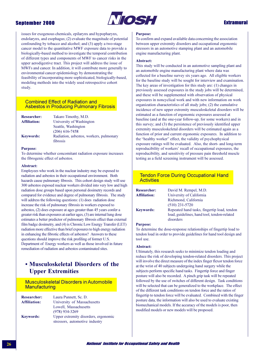

issues for exogenous chemicals, epilarynx and hypopharynx, endolarynx, and esophagus; (2) evaluate the magnitude of potential confounding by tobacco and alcohol; and (3) apply a two-stage cancer model to the quantitative MWF exposure data to provide a biologically-based method to investigate the temporal contribution of different types and components of MWF to cancer risks in the upper aerodigestive tract. This project will address the issue of MWFs and cancer. In addition, it will contribute more generally to environmental cancer epidemiology by demonstrating the feasibility of incorporating more sophisticated, biologically-based, modeling methods into the widely used retrospective cohort study.

### **Combined Effect of Radiation and Asbestos in Producing Pulmonary Fibrosis**

| <b>Researcher:</b>  | Takaro Timothy, M.D.                                |
|---------------------|-----------------------------------------------------|
| <b>Affiliation:</b> | University of Washington                            |
|                     | Seattle, Washington                                 |
|                     | $(206)$ 616-7458                                    |
| <b>Keywords:</b>    | Radiation, asbestos, workers, pulmonary<br>fibrosis |

#### **Purpose:**

To determine whether concomitant radiation exposure increases the fibrogenic effect of asbestos.

#### Abstract:

Employees who work in the nuclear industry may be exposed to radiation and asbestos in their occupational environment. Both hazards cause pulmonary fibrosis. This cohort design study will use 300 asbestos exposed nuclear workers divided into very low and high radiation dose groups based upon personal dosimetry records and compared for evidence and degree of pulmonary fibrosis. The study will address the following questions: (1) does radiation dose increase the risk of pulmonary fibrosis in workers exposed to asbestos, (2) does exposure at ages greater than 45 years confer a greater risk than exposures at earlier ages, (3) are internal lung dose estimates a better predictor of pulmonary fibrosis effect than external film badge dosimetry, and (4) is Chronic Low Energy Transfer (LET) radiation more effective than brief exposures to high energy radiation in enhancing the fibrotic effects of asbestos? Answers to these questions should improve the risk profiling of former U.S. Department of Energy workers as well as those involved in future remediation of radiation and asbestos contaminated sites.

## • Musculoskeletal Disorders of the **Upper Extremities**

## **Musculoskeletal Disorders in Automobile Manufacturing**

| Laura Punnett, Sc. D.                |
|--------------------------------------|
| University of Massachusetts          |
| Lowell, Massachusetts                |
| $(978)$ 934-3269                     |
| Upper extremity disorders, ergonomic |
| stressors, automotive industry       |
|                                      |

#### **Purpose:**

To confirm and expand available data concerning the association between upper extremity disorders and occupational ergonomic stressors in an automotive stamping plant and an automobile engine manufacturing plant.

#### Abstract:

This study will be conducted in an automotive sampling plant and an automobile engine manufacturing plant where data was collected for a baseline survey six years ago. All eligible workers for the baseline study will be sought for interview and examination. The key areas of investigation for this study are:  $(1)$  changes in previously assessed exposures in the study jobs will be determined, and these will be supplemented with observation of physical exposures in noncyclical work and with new information on work organization characteristics of all study jobs; (2) the cumulative incidence of new upper extremity musculoskeletal disorders will be estimated as a function of ergonomic exposures assessed at baseline (and at the one-year follow-up, for some workers) and in this survey; and (3) the persistence of previously identified upper extremity musculoskeletal disorders will be estimated again as a function of prior and current ergonomic exposures. In addition to the "healthy worker" effect, the validity of psychophysical exposure ratings will be evaluated. Also, the short- and long-term reproducibility of workers' recall of occupational exposures, the reproducibility, and sensitivity of pressure pain threshold muscle testing as a field screening instrument will be assessed.

## **Tendon Force During Occupational Hand Activities**

| <b>Researcher:</b>  | David M. Rempel, M.D.                       |
|---------------------|---------------------------------------------|
| <b>Affiliation:</b> | University of California                    |
|                     | Richmond, California                        |
|                     | $(510)$ 231-5720                            |
| <b>Keywords:</b>    | Repeated hand tasks, fingertip load, tendon |
|                     | load, guidelines, hand tool, tendon-related |
|                     | disorders                                   |

#### **Purpose:**

To determine the dose-response relationships of fingertip load to tendon load in order to provide guidelines for hand tool design and tool use.

#### Abstract:

Ultimately, this research seeks to minimize tendon loading and reduce the risk of developing tendon-related disorders. This project will involve the direct measure of the index finger flexor tendon force at the wrist of 40 subjects undergoing hand surgery while the subjects perform specific hand tasks. Fingertip force and finger posture will also be recorded. A pinch grip task will be repeated followed by the use of switches of different design. Task conditions will be selected that can be generalized to the workplace. The effect of the different task conditions on tendon force and the ratios of fingertip to tendon force will be evaluated. Combined with the finger posture data, the information will also be used to evaluate existing biomechanical models. If the accuracy of the models is poor, then modified models or new models will be proposed.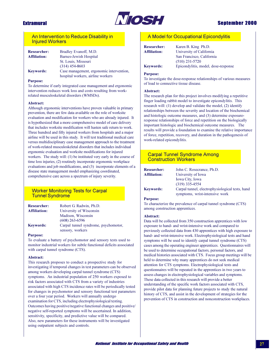

## An Intervention to Reduce Disability in **Injured Workers**

| <b>Researcher:</b>  | Bradley Evanoff, M.D.                    |
|---------------------|------------------------------------------|
| <b>Affiliation:</b> | Barnes-Jewish Hospital                   |
|                     | St. Louis, Missouri                      |
|                     | $(314)$ 454-8603                         |
| <b>Keywords:</b>    | Case management, ergonomic intervention, |
|                     | hospital workers, airline workers        |

#### **Purpose:**

To determine if early integrated case management and ergonomic intervention reduces work loss and costs resulting from workrelated musculoskeletal disorders (WMSDs).

#### Abstract:

Although ergonomic interventions have proven valuable in primary prevention, there are few data available on the role of worksite evaluation and modification for workers who are already injured. It is hypothesized that a more comprehensive model of care delivery that includes worksite modification will hasten safe return to work. Three hundred and fifty injured workers from hospitals and a major airline will be used in this study. It will test traditional medical care versus multidisciplinary case management approach to the treatment of work-related musculoskeletal disorders that includes individual ergonomic evaluation and worksite modifications for injured workers. The study will:  $(1)$  be instituted very early in the course of time loss injuries, (2) routinely incorporate ergonomic workplace evaluations and job modifications, and (3) incorporate elements of a disease state management model emphasizing coordinated, comprehensive care across a spectrum of injury severity.

## **Worker Monitoring Tests for Carpal Tunnel Syndrome**

| <b>Researcher:</b>  | Robert G. Radwin, Ph.D.              |
|---------------------|--------------------------------------|
| <b>Affiliation:</b> | University of Wisconsin              |
|                     | Madison, Wisconsin                   |
|                     | $(608)$ 263-6596                     |
| <b>Keywords:</b>    | Carpal tunnel syndrome, psychomotor, |
|                     | sensory, workers                     |

#### **Purpose:**

To evaluate a battery of psychomotor and sensory tests used to monitor industrial workers for subtle functional deficits associated with carpal tunnel syndrome (CTS).

#### Abstract:

This research proposes to conduct a prospective study for investigating if temporal changes in test parameters can be observed among workers developing carpal tunnel syndrome (CTS) symptoms. An industrial population of 250 workers exposed to risk factors associated with CTS from a variety of industries associated with high CTS incidence rates will be periodically tested for changes in psychomotor and sensory functional test parameters over a four year period. Workers will annually undergo examination for CTS, including electrophysiological testing. Outcomes having positive/negative functional changes and positive/ negative self-reported symptoms will be ascertained. In addition, sensitivity, specificity, and predictive value will be compared. Also, new parameters for these instruments will be investigated using outpatient subjects and controls.

## A Model for Occupational Epicondylitis

| <b>Researcher:</b>  | Karen B. King Ph.D.                 |
|---------------------|-------------------------------------|
| <b>Affiliation:</b> | University of California            |
|                     | San Francisco, California           |
|                     | $(510)$ 231-5720                    |
| <b>Keywords:</b>    | Epicondylitis, model, dose-response |

#### **Purpose:**

To investigate the dose-response relationships of various measures of load to connective tissue disease.

#### Abstract:

The research plan for this project involves modifying a repetitive finger loading rabbit model to investigate epicondylitis. This research will: (1) develop and validate the model, (2) identify relationships between the severity and location of the biochemical and histologic outcome measures, and (3) determine exposureresponse relationships of force and repetition on the biologically important histologic and biochemical outcome measures. The results will provide a foundation to examine the relative importance of force, repetition, recovery, and duration in the pathogenesis of work-related epicondylitis.

### **Carpal Tunnel Syndrome Among Construction Workers**

| <b>Researcher:</b>  | John C. Rosecrance, Ph.D.                       |
|---------------------|-------------------------------------------------|
| <b>Affiliation:</b> | University of Iowa                              |
|                     | <b>Iowa City, Iowa</b>                          |
|                     | $(319)$ 335-4554                                |
| <b>Keywords:</b>    | Carpal tunnel, electrophysiological tests, hand |
|                     | symptoms, wrist-intensive work                  |

#### **Purpose:**

To characterize the prevalence of carpal tunnel syndrome (CTS) among construction apprentices.

#### Abstract:

Data will be collected from 350 construction apprentices with low exposure to hand- and wrist-intensive work and compared to previously collected data from 430 apprentices with high exposure to hand- and wrist-intensive work. Electrophysiological tests and hand symptoms will be used to identify carpal tunnel syndrome (CTS) cases among the operating engineer apprentices. Questionnaires will be used to determine occupational factors, personal factors, and medical histories associated with CTS. Focus group meetings will be held to determine why many apprentices do not seek medical attention for CTS symptoms. Electrophysiological tests and questionnaires will be repeated in the apprentices in two years to assess changes in electrophysiological variables and symptoms. These data collected in this research will provide a better understanding of the specific work factors associated with CTS, provide pilot data for planning future projects to study the natural history of CTS, and assist in the development of strategies for the prevention of CTS in construction and nonconstruction workplaces.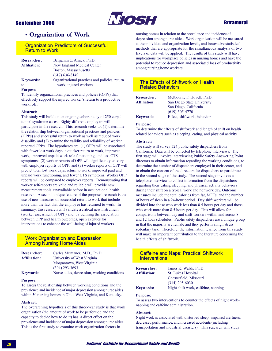

## **Extramural**

## **• Organization of Work**

**Organization Predictors of Successful Return to Work** 

| <b>Researcher:</b>  | Benjamin C. Amick, Ph.D.                      |
|---------------------|-----------------------------------------------|
| <b>Affiliation:</b> | New England Medical Center                    |
|                     | Boston, Massachusetts                         |
|                     | $(617)$ 636-8149                              |
| <b>Keywords:</b>    | Organizational practices and policies, return |
| to                  | work, injured workers                         |
| $D \ldots$          |                                               |

**Purpose:** 

To identify organizational practices and policies (OPPs) that effectively support the injured worker's return to a productive work role.

#### Abstract:

This study will build on an ongoing cohort study of 250 carpal tunnel syndrome cases. Eighty different employers will participate in the research. This research seeks to: (1) determine the relationship between organizational practices and policies (OPPs) and successful return to work as well as reduced work disability and (2) examine the validity and reliability of worker reported OPPs. The hypotheses are: (1) OPPs will be associated with fewer lost work days, a quicker return to work, improved work, improved unpaid work role functioning, and less CTS symptoms; (2) worker reports of OPP will significantly co-vary with employer reports of OPP; and (3) worker reports of OPP will predict total lost work days, return to work, improved paid and unpaid work functioning, and fewer CTS symptoms. Worker OPP reports will be compared to employer reports. Demonstrating that worker self-reports are valid and reliable will provide new measurement tools unavailable before in occupational health research. A second unique feature of the proposed research is the use of new measures of successful return to work that include more than the fact that the employee has returned to work. In summary, this research will validate a critical new instrument (worker assessment of OPP) and, by defining the association between OPP and health outcomes, open avenues for interventions to enhance the well-being of injured workers.

### **Work Organization and Depression Among Nursing Home Aides**

| <b>Researcher:</b>  | Carles Muntaner, M.D., Ph.D.                |
|---------------------|---------------------------------------------|
| <b>Affiliation:</b> | University of West Virginia                 |
|                     | Morgantown, West Virginia                   |
|                     | $(304)$ 293-3693                            |
| <b>Keywords:</b>    | Nurse aides, depression, working conditions |

#### **Purpose:**

To assess the relationship between working conditions and the prevalence and incidence of major depression among nurse aides within 50 nursing homes in Ohio, West Virginia, and Kentucky.

#### Abstract:

The overarching hypothesis of this three-year study is that work organization (the amount of work to be performed and the capacity to decide how to do it) has a direct effect on the prevalence and incidence of major depression among nurse aides. This is the first study to examine work organization factors in

nursing homes in relation to the prevalence and incidence of depression among nurse aides. Work organization will be measured at the individual and organization levels, and innovative statistical methods that are appropriate for the simultaneous analysis of two levels of data will be applied. The results of this study will have implications for workplace policies in nursing homes and have the potential to reduce depression and associated loss of productivity among nursing home workers.

### **The Effects of Shiftwork on Health Related Behaviors**

| <b>Researcher:</b>  | Melbourne F. Hovell, Ph.D.  |
|---------------------|-----------------------------|
| <b>Affiliation:</b> | San Diego State University  |
|                     | San Diego, California       |
|                     | $(619)$ 505-4770            |
| <b>Keywords:</b>    | Effect, shiftwork, behavior |

#### **Purpose:**

To determine the effects of shiftwork and length of shift on health related behaviors such as sleeping, eating, and physical activity.

#### Abstract:

The study will survey 524 public safety dispatchers from California. Data will be collected by telephone interviews. The first stage will involve interviewing Public Safety Answering Point directors to obtain information regarding the working conditions, to determine the number of dispatchers employed in their center, and to obtain the consent of the directors for dispatchers to participate in the second stage of the study. The second stage involves a telephone interview to collect information from the dispatchers regarding their eating, sleeping, and physical activity behaviors during their shift on a typical work and nonwork day. Outcome measures include the total calories from fat, METs, and the number of hours of sleep in a 24-hour period. Day shift workers will be divided into those who work less than 8.5 hours per day and those who work more than 8.5 hours per day. This will allow for comparisons between day and shift workers within and across 8 and 12 hour schedules. Public safety dispatchers are a unique group in that the majority are female and they perform a high stress sedentary task. Therefore, the information learned from this study will make an important contribution to the literature concerning the health effects of shiftwork.

## **Caffeine and Naps: Practical Shiftwork Interventions**

| <b>Researcher:</b>  | James K. Walsh, Ph.D.               |
|---------------------|-------------------------------------|
| <b>Affiliation:</b> | St. Lukes Hospital                  |
|                     | Chesterfield, Missouri              |
|                     | $(314)$ 205-6030                    |
| <b>Keywords:</b>    | Night shift work, caffeine, napping |

#### **Purpose:**

To assess two interventions to counter the effects of night worknapping and caffeine administration.

#### **Abstract:**

Night work is associated with disturbed sleep, impaired alertness, decreased performance, and increased accidents (including transportation and industrial disasters). This research will study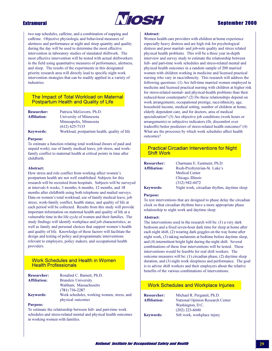

## **Sentember 2000**

two nap schedules, caffeine, and a combination of napping and caffeine. Objective physiologic and behavioral measures of alertness and performance at night and sleep quantity and quality during the day will be used to determine the most effective intervention in laboratory studies of simulated shiftwork. The most effective intervention will be tested with actual shiftworkers in the field using quantitative measures of performance, alertness, and sleep. The results of the experiments in this designated priority research area will directly lead to specific night work intervention strategies that can be readily applied in a variety of industries.

### The Impact of Total Workload on Maternal **Postpartum Health and Quality of Life**

| <b>Researcher:</b>  | Patricia McGovern, Ph.D.                      |
|---------------------|-----------------------------------------------|
| <b>Affiliation:</b> | University of Minnesota                       |
|                     | Minneapolis, Minnesota                        |
|                     | $(612) 625 - 7135$                            |
| <b>Keywords:</b>    | Workload, postpartum health, quality of life. |

#### **Purpose:**

To estimate a function relating total workload (hours of paid and unpaid work), use of family medical leave, job stress, and workfamily conflict to maternal health at critical points in time after childbirth.

#### Abstract:

How stress and role conflict from working affect women's postpartum health are not well established. Subjects for this research will be recruited from hospitals. Subjects will be surveyed at intervals 6 weeks, 3 months, 6 months, 12 months, and 18 months after childbirth using both telephone and mailed surveys. Data on women's total workload, use of family medical leave, job stress, work-family conflict, health status, and quality of life at each period will be collected. Results from this study will provide important information on maternal health and quality of life at a vulnerable time in the life cycle of women and their families. The study findings will identify workplace and job characteristics, as well as family and personal choices that support women's health and quality of life. Knowledge of these factors will facilitate the design and testing of policy and programmatic interventions relevant to employers, policy makers, and occupational health providers.

### **Work Schedules and Health in Women Health Professionals**

| <b>Researcher:</b>  | Rosalind C. Barnett, Ph.D.                 |
|---------------------|--------------------------------------------|
| <b>Affiliation:</b> | <b>Brandeis University</b>                 |
|                     | Waltham, Massachusetts                     |
|                     | $(781) 736 - 2287$                         |
| <b>Keywords:</b>    | Work schedules, working women, stress, and |
|                     | physical outcomes                          |

#### **Purpose:**

To estimate the relationship between full- and part-time work schedules and stress-related mental and physical health outcomes in working women with families.

#### Abstract:

Women health care providers with children at home experience especially heavy distress and are high risk for psychological distress and poor marital- and job-role quality and stress related physical health problems. This will be a three year in-depth interview and survey study to estimate the relationship between full- and part-time work schedules and stress-related mental and physical health outcomes in a random sample of 200 married women with children working in medicine and licensed practical nursing who vary in race/ethnicity. This research will address the following questions: (1) Are full-time married women employed in medicine and licensed practical nursing with children at higher risk for stress-related mental- and physical-health problems than their reduced-hour counterparts? (2) Do these relationships depend on work arrangements, occupational prestige, race/ethnicity, age, household income, medical setting, number of children at home, elderly dependent care, and for doctors, area of medical specialization? (3) Are objective job conditions (work hours or arrangements) or subjective indicators (fit, discomfort over tradeoffs) better predictors of stress-related health outcomes? (4) What are the processes by which work schedules affect health outcomes?

### **Practical Circadian Interventions for Night Shift Work**

| <b>Researcher:</b>  | Charmane E. Eastment, Ph.D.                 |
|---------------------|---------------------------------------------|
| <b>Affiliation:</b> | Rush-Presbyterian-St. Luke's                |
|                     | <b>Medical Center</b>                       |
|                     | Chicago, Illinois                           |
|                     | $(312)$ 942-4472                            |
| <b>Keywords:</b>    | Night work, circadian rhythm, daytime sleen |

#### **Purpose:**

To test interventions that are designed to phase delay the circadian clock so that circadian rhythms have a more appropriate phase relationship to night work and daytime sleep.

#### Abstract:

The interventions used in the research will be:  $(1)$  a very dark bedroom and a fixed seven-hour dark time for sleep at home after each night shift, (2) wearing dark goggles on the way home after night work, (3) taking melatonin at bedtime before daytime sleep, and (4) intermittent bright light during the night shift. Several combinations of these four interventions will be tested. These interventions would be feasible for real shift workers. The outcome measures will be: (1) circadian phase, (2) daytime sleep duration, and (3) night work sleepiness and performance. The goal is to advise shift workers and their employers about the relative benefits of the various combinations of interventions.

| <b>Work Schedules and Workplace Injuries</b> |                                  |
|----------------------------------------------|----------------------------------|
| Researcher:                                  | Michael R. Pergamit, Ph.D.       |
| Affiliation:                                 | National Opinion Research Center |
|                                              | Washington, D.C.                 |
|                                              | $(202)$ 223-6040                 |
| <b>Keywords:</b>                             | Sift work, workplace injury      |
|                                              |                                  |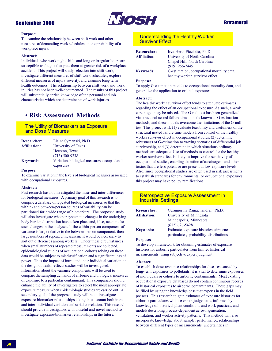

## **Extramural**

#### **Purpose:**

To examine the relationship between shift work and other measures of demanding work schedules on the probability of a workplace injury.

#### Abstract:

Individuals who work night shifts and long or irregular hours are susceptible to fatigue that puts them at greater risk of a workplace accident. This project will study selection into shift work, investigate different measures of shift work schedules, explore different measures of injury severity, and examine long-term health outcomes. The relationship between shift work and work injuries has not been well-documented. The results of this project will substantially enrich knowledge of the personal and job characteristics which are determinants of work injuries.

## • Risk Assessment Methods

## The Utility of Biomarkers as Exposure and Dose Measures

| <b>Researcher:</b>  | Elaine Symanski, Ph.D.                       |
|---------------------|----------------------------------------------|
| <b>Affiliation:</b> | University of Texas                          |
|                     | Houston, Texas                               |
|                     | $(713)$ 500-9238                             |
| <b>Keywords:</b>    | Variation, biological measures, occupational |
|                     | exposures                                    |

#### **Purpose:**

To examine variation in the levels of biological measures associated with occupational exposures.

#### Abstract:

Past research has not investigated the intra- and inter-differences for biological measures. A primary goal of this research is to compile a database of repeated biological measures so that the within- and between-person sources of variability can be partitioned for a wide range of biomarkers. The proposed study will also investigate whether systematic changes in the underlying body burden distribution have taken place and, if so, account for such changes in the analyses. If the within-person component of variance is large relative to the between-person component, then large numbers of repeated measurement would be necessary to sort out differences among workers. Under these circumstances when small numbers of repeated measurements are collected, epidemiological studies of occupational cohorts relying on these data would be subject to misclassification and a significant loss of power. Thus the impact of intra- and inter-individual variation on the design of health-effects studies will be investigated. Information about the variance components will be used to compare the sampling demands of airborne and biological measures of exposure to a particular contaminant. This comparison should enhance the ability of investigators to select the most appropriate exposure measure when epidemiologic studies are carried out. A secondary goal of the proposed study will be to investigate exposure-biomarker relationships taking into account both intraand inter-individual variation and serial correlation. This research should provide investigators with a useful and novel method to investigate exposure-biomarker relationships in the future.

## **Understanding the Healthy Worker Survivor Effect**

| <b>Researcher:</b>  | Irva Hertz-Picciotto, Ph.D.                |
|---------------------|--------------------------------------------|
| <b>Affiliation:</b> | University of North Carolina               |
|                     | Chapel Hill, North Carolina                |
|                     | $(919)$ 966-7445                           |
| <b>Keywords:</b>    | G-estimation, occupational mortality data, |
|                     | healthy worker survivor effect             |

#### **Purpose:**

To apply G-estimation models to occupational mortality data, and generalize the application to ordinal exposures.

#### Abstract:

The healthy worker survivor effect tends to attenuate estimates regarding the effect of an occupational exposure. As such, a weak carcinogen may be missed. The G-null test has been generalized via structural nested failure time models known as G-estimation methods, and these models overcome the limitations of the G-null test. This project will: (1) evaluate feasibility and usefulness of the structural nested failure time models from control of the healthy worker survivor effect in occupational studies, (2) determine robustness of G-estimation to varying scenarios of differential job survivorship, and (3) determine in which situations ordinary methods are adequate. Use of methods to control for the healthy worker survivor effect is likely to improve the sensitivity of occupational studies, enabling detection of carcinogens and other toxins that are less potent or are present at low exposure levels. Also, since occupational studies are often used in risk assessments to establish standards for environmental or occupational exposures, this project may have policy ramifications.

#### **Retrospective Exposure Assessment in Industrial Settings**

| <b>Researcher:</b>  | Gurumurthy Ramachandran, Ph.D.          |
|---------------------|-----------------------------------------|
| <b>Affiliation:</b> | University of Minnesota                 |
|                     | Minneapolis, Minnesota                  |
|                     | $(612) 626 - 5428$                      |
| <b>Keywords:</b>    | Estimate, exposure histories, airborne  |
|                     | particulates, probability distributions |

#### **Purpose:**

To develop a framework for obtaining estimates of exposure histories for airborne particulates from limited historical measurements, using subjective expert judgment.

#### Abstract:

To establish dose-response relationships for diseases caused by long-term exposures to pollutants, it is vital to determine exposures of individuals or cohorts to airborne contaminants. Most existing occupational exposure databases do not contain continuous records of historical exposures to airborne contaminants. These gaps may be filled by using the knowledge base that experts in the field possess. This research to gain estimates of exposure histories for airborne particulates will use expert judgements informed by knowledge of historical plant conditions and work practices, and models describing process-dependent aerosol generation, ventilation, and worker activity patterns. This method will also incorporate knowledge about sampler performance, relationships between different types of measurements, uncertainties in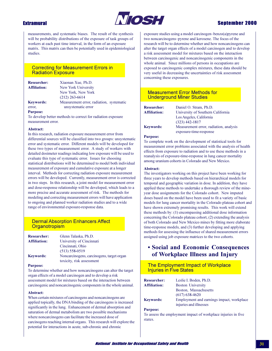

### **Extramural**

measurements, and systematic biases. The result of the synthesis will be probability distributions of the exposure of task groups of workers at each past time interval, in the form of an exposure matrix. This matrix can then be potentially used in epidemiological studies.

### **Correcting for Measurement Errors in Radiation Exposure**

| <b>Researcher:</b><br><b>Affiliation:</b> | Xiaonan Xue, Ph.D.<br>New York University |
|-------------------------------------------|-------------------------------------------|
|                                           | New York, New York                        |
|                                           | $(212)$ 263-6614                          |
| <b>Keywords:</b>                          | Measurement error, radiation, systematic  |
| error.                                    | unsystematic error                        |
| $D \ldots$                                |                                           |

**Purpose:** 

To develop better methods to correct for radiation exposure measurement error.

#### Abstract:

In this research, radiation exposure measurement error from differential sources will be classified into two groups: unsystematic error and systematic error. Different models will be developed for these two types of measurement error. A study of workers with detailed dosimeter readings indicating low exposure will be used to evaluate this type of systematic error. Issues for choosing statistical distributions will be determined to model both individual measurement of exposure and cumulative exposure at a longer interval. Methods for correcting radiation exposure measurement errors will be developed. Currently, measurement error is corrected in two steps. In this research, a joint model for measurement error and dose-response relationship will be developed, which leads to a more precise and accurate assessment of risk. The methods for modeling and correcting measurement errors will have application to ongoing and planned worker radiation studies and to a wide range of environmental exposure-response data.

### **Dermal Absorption Enhancers Affect** Organotropism

| <b>Researcher:</b>  | Glenn Talaska, Ph.D.                      |
|---------------------|-------------------------------------------|
| <b>Affiliation:</b> | University of Cincinnati                  |
|                     | Cincinnati, Ohio                          |
|                     | $(513) 558 - 0519$                        |
| <b>Keywords:</b>    | Noncarcinogens, carcinogens, target organ |
|                     | toxicity, risk assessment                 |

#### **Purpose:**

To determine whether and how noncarcinogens can alter the target organ effects of a model carcinogen and to develop a risk assessment model for mixtures based on the interaction between carcinogenic and noncarcinogenic components in the whole animal.

#### Abstract:

When certain mixtures of carcinogens and noncarcinogens are applied topically, the DNA binding of the carcinogens is increased significantly in the lung. Enhancement of dermal absorption and saturation of dermal metabolism are two possible mechanisms where noncarcinogens can facilitate the increased dose of carcinogens reaching internal organs. This research will explore the potential for interactions in acute, sub-chronic and chronic

exposure studies using a model carcinogen-benzo(a) pyrene and two noncarcinogens-pyrene and kerosene. The focus of the research will be to determine whether and how noncarcinogens can alter the target organ effects of a model carcinogen and to develop a risk assessment model for mixtures based on the interaction between carcinogenic and noncarcinogenic components in the whole animal. Since millions of persons in occupations are exposed to carcinogenic complex mixtures, these data should be very useful in decreasing the uncertainties of risk assessment concerning these exposures.

### **Measurement Error Methods for Underground Miner Studies**

| <b>Researcher:</b>  | Daniel O. Stram, Ph.D.                 |
|---------------------|----------------------------------------|
| <b>Affiliation:</b> | University of Southern California      |
|                     | Los Angeles, California                |
|                     | $(323)$ 442-1817                       |
| <b>Keywords:</b>    | Measurement error, radiation, analysis |
|                     | exposure-time-response                 |

#### **Purpose:**

To complete work on the development of statistical tools for measurement error problems associated with the analysis of health effects from exposure to radiation and to use these methods in a reanalysis of exposure-time-response in lung cancer mortality among uranium cohorts in Colorado and New Mexico.

#### Abstract:

The investigators working on this project have been working for three years to develop methods based on hierarchical models for temporal and geographic variation in dose. In addition, they have applied these methods to undertake a thorough review of the mineyear dose assignments for the Colorado cohort. New imputed doses based on the model have been used to fit a variety of basic models for lung cancer mortality in the Colorado plateau cohort and have shown extremely promising results. This work will extend these methods by: (1) encompassing additional dose information concerning the Colorado plateau cohort, (2) extending the analysis of both Colorado and New Mexico mines by fitting more elaborate time-response models, and (3) further developing and applying methods for assessing the influence of shared measurement errors assigned using job exposure matrices to the two cohorts.

### **• Social and Economic Consequences** of Workplace Illness and Injury

### The Employment Impact of Workplace **Injuries in Five States**

| <b>Researcher:</b>  | Leslie I. Boden, Ph.D.                    |
|---------------------|-------------------------------------------|
| <b>Affiliation:</b> | <b>Boston University</b>                  |
|                     | Boston, Massachusetts                     |
|                     | $(617)$ 638-4620                          |
| <b>Keywords:</b>    | Employment and earnings impact, workplace |
|                     | injuries and illnesses                    |

#### **Purpose:**

To assess the employment impact of workplace injuries in five states.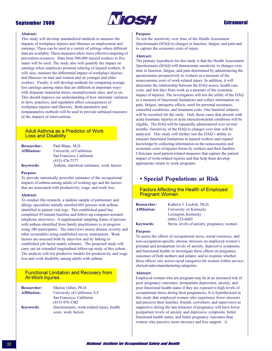

#### **Abstract:**

This study will develop standardized methods to measure the impacts of workplace injuries and illnesses on employment and earnings. These can be used in a variety of settings where different data are available. These measures allow more effective targeting of prevention resources. Data from 500,000 injured workers in five states will be used. The study also will quantify the impact on earnings when employers promote rehiring of injured workers. It will, also, measure the differential impact of workplace injuries and illnesses on men and women and on younger and older workers. Finally, it will develop methods for comparing average lost earnings among states that are different in important wayswith disparate industrial mixes, unemployment rates, and so on. This should improve our understanding of how interstate variation in laws, practices, and regulation affect consequences of workplace injuries and illnesses. Both parametric and nonparametric methods will be used to provide unbiased measures of the impacts of interventions.

### **Adult Asthma as a Predictor of Work Loss and Disability**

| <b>Researcher:</b>  | Paul Blanc, M.D.                            |
|---------------------|---------------------------------------------|
| <b>Affiliation:</b> | University of California                    |
|                     | San Francisco, California                   |
|                     | $(415)$ 476-7377                            |
| <b>Keywords:</b>    | Asthma, statistical estimates, work factors |

#### **Purpose:**

To provide statistically powerful estimates of the occupational impacts of asthma among adults of working age and the factors that are associated with productivity, wage, and work loss.

#### Abstract:

To conduct this research, a random sample of pulmonary and allergy specialists initially enrolled 601 persons with asthma identified in patient visit logs. This established panel has completed 45-minute baseline and follow-up computer-assisted telephone interviews. A supplemental sampling frame of persons with asthma identified from family practitioners is in progress using 180 participants. The interviews assess disease severity and other covariables using established survey instruments. Work factors are assessed both by interview and by linking to established job factor matrix schemes. The proposed study will carry out an extended longitudinal follow-up study of this cohort. The analysis will test predictive models for productivity and wage loss and work disability among adults with asthma.

### **Functional Limitation and Recovery from At-Work Injuries**

| <b>Researcher:</b>  | Marion Gillen, Ph.D.                                              |
|---------------------|-------------------------------------------------------------------|
| <b>Affiliation:</b> | University of California, S.F.                                    |
|                     | San Francisco, California                                         |
|                     | $(415)$ 476-1382                                                  |
| <b>Keywords:</b>    | Questionnaire, work-related injury, health<br>costs, work factors |

#### **Purpose:**

To test the sensitivity over time of the Health Assessment Questionnaire (HAQ) to changes in function, fatigue, and pain and to capture the economic costs of injury.

#### **Abstract:**

The primary hypothesis for this study is that the Health Assessment Questionnaire (HAQ) will demonstrate sensitivity to changes over time in function, fatigue, and pain determined by administering the questionnaire prospectively to workers as a measure of the noneconomic costs of work-related injury. In addition, it will determine the relationship between the HAQ scores, health care costs, and lost days from work as a measure of the economic impact of injuries. The investigators will test the utility of the HAQ as a measure of functional limitations and collect information on pain, fatigue, iatrogenic effects, need for personal assistance, comorbid conditions, and treatment costs. One hundred subjects will be recruited for the study. Only those cases that present with acute traumatic injuries or acute musculoskeletal conditions will be eligible. The HAQ will be repeatedly administered over several months. Sensitivity of the HAQ to changes over time will be analyzed. This study will further test the HAQ's ability to measure functional limitations in injured workers and expand knowledge by collecting information on the noneconomic and economic costs of injuries borne by workers and their families. Clinicians need patient-related measures that capture the patient impact of work-related injuries and that help them develop appropriate return to work programs.

### • Special Populations at Risk

**Factors Affecting the Health of Employed Pregnant Women** 

| <b>Researcher:</b>  | Kathryn J. Luchok, Ph.D.                    |
|---------------------|---------------------------------------------|
| <b>Affiliation:</b> | University of Kentucky                      |
|                     | Lexington, Kentucky                         |
|                     | $(606)$ 323-6065                            |
| <b>Keywords:</b>    | Stress, levels of anxiety, pregnancy, women |

#### **Purpose:**

To assess the effects of occupational stress, social resources, and non-occupation-specific chronic stressors on employed women's prenatal and postpartum levels of anxiety, depressive symptoms, and functional health; to investigate these effects on pregnancy outcomes of both mothers and infants; and to examine whether these effects vary across racial categories for women within serviceclerical-sales-manufacturing categories.

#### Abstract:

Employed women who are pregnant may be at an increased risk of poor pregnancy outcomes, postpartum depression, anxiety, and poor functional health status if they are exposed to high levels of occupational stress during their pregnancies. It is hypothesized in this study that employed women who experience fewer stressors and perceive their families, friends, coworkers, and supervisors as supportive during the last trimester of pregnancy will have lower postpartum levels of anxiety and depressive symptoms, better functional health status, and better pregnancy outcomes than women who perceive more stressors and less support. A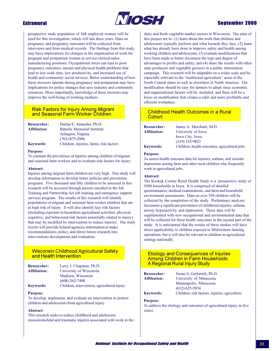### **Extramural**



### **Sentember 2000**

prospective study population of 168 employed women will be used for this investigation, which will last three years. Data on pregnancy and pregnancy outcomes will be collected from interviews and from medical records. The findings from this study may have implications for changes in the organization of work for pregnant and postpartum women in service-clerical-salesmanufacturing positions. Occupational stress can lead to poor pregnancy outcomes, mental and physical health problems that lead to lost work time, low productivity, and increased use of health and community social services. Better understanding of how these stressors operate during pregnancy and postpartum may have implications for policy changes that save industry and community resources. More importantly, knowledge of these stressors may improve the well-being of working mothers.

### **Risk Factors for Injury Among Migrant** and Seasonal Farm Worker Children

| <b>Researcher:</b>  | Harlan E. Amandus, Ph.D.                |
|---------------------|-----------------------------------------|
| <b>Affiliation:</b> | <b>Battelle Memorial Institute</b>      |
|                     | Arlington, Virginia                     |
|                     | $(703)$ 875-2996                        |
| <b>Keywords:</b>    | Children, injuries, farms, risk factors |

#### **Purpose:**

To estimate the prevalence of injuries among children of migrant and seasonal farm workers and to evaluate risk factors for injury.

#### Abstract:

Injuries among migrant farm children are very high. This study will develop information to develop better policies and prevention programs. Five thousand and fifty children to be assessed in this research will be accessed through parents enrolled in the Job Training and Partnership Act job training and emergency support services program. The results of this research will identify populations of migrant and seasonal farm worker children that are at high risk of injury. It will also identify key risk factors (including exposure to hazardous agricultural activities, physical, cognitive, and behavioral risk factors potentially related to injury) that may be modified by intervention to reduce injuries. The study results will provide federal agencies information to make recommendations, policy, and direct future research into interventions development and evaluation.

### **Wisconsin Childhood Agricultural Safety** and Health Intervention

| <b>Researcher:</b>  | Larry J. Chapman, Ph.D.                     |
|---------------------|---------------------------------------------|
| <b>Affiliation:</b> | University of Wisconsin                     |
|                     | Madison, Wisconsin                          |
|                     | $(608)$ 262-7408                            |
| <b>Keywords:</b>    | Children, intervention, agricultural injury |

#### **Purpose:**

To develop, implement, and evaluate an intervention to protect children and adolescents from agricultural injury.

#### Abstract:

This research seeks to reduce childhood and adolescent musculoskeletal and traumatic injuries associated with work in the dairy and fresh vegetable market sectors in Wisconsin. The aims of this project are to: (1) learn about the work that children and adolescents typically perform and what hazards they face, (2) learn what has already been done to improve safety and health among working children and adolescents, (3) evaluate modifications that have been made to better document the type and degree of advantages to profits and safety, and (4) share the results with other state producers and vegetable growers in a public information campaign. This research will be adaptable on a wider scale and be especially relevant to the "traditional agriculture" areas of the North Central states as well as elsewhere in North America. The modification should be easy for farmers to adopt since economic and organizational factors will be included, and there will be a focus on modification that creates a safer and more profitable and efficient workplace.

### **Childhood Health Outcomes in a Rural** Cohort

| <b>Researcher:</b>  | James A. Merchant, M.D.                      |
|---------------------|----------------------------------------------|
| <b>Affiliation:</b> | University of Iowa                           |
|                     | Iowa City, Iowa                              |
|                     | $(319)$ 335-9823                             |
| <b>Keywords:</b>    | Children, health outcomes, agricultural jobs |

#### **Purpose:**

To assess health outcome data for injuries, asthma, and suicide/ depression among farm and other rural children who frequently work in agricultural jobs.

#### Abstract:

The Keokuk County Rural Health Study is a prospective study of 1000 households in Iowa. It is comprised of detailed questionnaires, medical examinations, and farm and household environment assessments. Data on over 550 children will be collected by the completion of the study. Preliminary analyses document a significant prevalence of childhood injuries, asthma, airway hyperactivity, and depression. These data will be supplemented with new occupational and environmental data that will be collected for these health outcomes in the second part of the study. It is anticipated that the results of these studies will have direct applicability to children exposed to Midwestern farming operations, but it will also be relevant to children in agricultural settings nationally.

### **Etiology and Consequences of Injuries Among Children in Farm Households:** A Regional Rural Injury Study

| <b>Researcher:</b>  | Susan G. Gerberich, Ph.D.                                           |
|---------------------|---------------------------------------------------------------------|
| <b>Affiliation:</b> | University of Minnesota                                             |
|                     | Minneapolis, Minnesota                                              |
|                     | $(612) 625 - 5934$                                                  |
| <b>Keywords:</b>    | Children, risk factors, injuries, agriculture                       |
| <b>Purpose:</b>     |                                                                     |
|                     | To address the etiology and outcomes of agricultural injury in five |

states.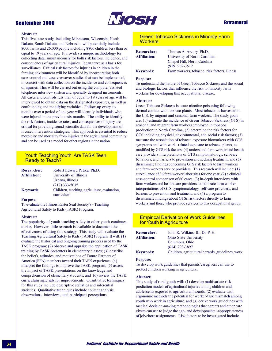

### **Extramural**

#### **Abstract:**

This five state study, including Minnesota, Wisconsin, North Dakota, South Dakota, and Nebraska, will potentially include 8000 farms and 26,000 people including 8800 children less than or equal to 19 years of age. It provides a unique methodology for collecting data, simultaneously for both risk factors, incidence, and consequences of agricultural injuries. It can serve as a basis for surveillance. Critical risk factors for injuries in children in the farming environment will be identified by incorporating both case-control and case-crossover studies that can be implemented, in concert with data collection on the incidence and consequences of injuries. This will be carried out using the computer assisted telephone interview system and specially designed instruments. All cases and controls less than or equal to 19 years of age will be interviewed to obtain data on the designated exposures, as well as confounding and modifying variables. Follow-up every six months over a period of one year will identify individuals who were injured in the previous six months. The ability to identify the risk factors, incidence rates, and consequences of injury are critical for providing sound scientific data for the development of focused intervention strategies. This approach is essential to reduce morbidity and mortality from injuries in the agricultural community and can be used as a model for other regions in the nation.

### **Youth Teaching Youth: Are TASK Teen Ready to Teach?**

| <b>Researcher:</b>  | Robert Edward Petrea, Ph.D.                  |
|---------------------|----------------------------------------------|
| <b>Affiliation:</b> | University of Illinois                       |
|                     | Urbana, Illinois                             |
|                     | $(217)$ 333-5035                             |
| <b>Keywords:</b>    | Children, teaching, agriculture, evaluation, |
|                     | curriculum                                   |

#### **Purpose:**

To evaluate the Illinois Easter Seal Society's - Teaching Agricultural Safety to Kids (TASK) Program.

#### Abstract:

The popularity of youth teaching safety to other youth continues to rise. However, little research is available to document the effectiveness of using this strategy. This study will evaluate the Teaching Agricultural Safety to Kids (TASK) Program. It will: (1) evaluate the historical and ongoing training process used by the TASK program; (2) observe and appraise the application of TASK training by TASK presenters in elementary classes; (3) describe the beliefs, attitudes, and motivations of Future Farmers of America (FFA) members toward their TASK experience; (4) interpret the findings to improve the TASK program; (5) assess the impact of TASK presentations on the knowledge and comprehension of elementary students; and (6) review the TASK curriculum materials for improvements. Quantitative techniques for this study include descriptive statistics and inferential statistics. Qualitative techniques include content analysis, observations, interviews, and participant perceptions.

### **Green Tobacco Sickness in Minority Farm Workers**

| <b>Researcher:</b><br>Affiliation: |  |
|------------------------------------|--|
| <b>Keywords:</b>                   |  |

Thomas A. Arcury, Ph.D. University of North Carolina Chapel Hill, North Carolina  $(919)$  962-3512 Farm workers, tobacco, risk factors, illness

#### **Purpose:**

To understand the nature of Green Tobacco Sickness and the social and biologic factors that influence the risk to minority farm workers for developing this occupational disease.

#### **Abstract:**

Green Tobacco Sickness is acute nicotine poisoning following dermal contact with tobacco plants. Most tobacco is harvested in the U.S. by migrant and seasonal farm workers. The study goals are: (1) estimate the incidence of Green Tobacco Sickness (GTS) in seasonal and migrant farm workers employed in tobacco production in North Carolina; (2) determine the risk factors for GTS including physical, environmental, and social risk factors; (3) measure the association of tobacco exposure biomarkers with GTS symptoms and with work- related exposure to tobacco plants, as modified by GTS risk factors; (4) understand farm worker and health care providers interpretations of GTS symptomatology, self-care behaviors, and barriers to prevention and seeking treatment; and (5) disseminate findings concerning GTS risk factors to farm workers and farm workers service providers. This research will include: (1) surveillance of 36 farm worker labor sites for one year; (2) a clinical case-control comparison of 60 cases; (3) in-depth interviews with farm workers and health care providers to delineate farm worker interpretations of GTS symptomatology, self-care providers, and barriers to prevention and treatment; and (4) a program to disseminate findings about GTSs risk factors directly to farm workers and those who provide services to this occupational group.

### **Empirical Derivation of Work Guidelines** for Youth in Agriculture

| <b>Researcher:</b>  | John R. Wilkins, III, Dr. P. H.                  |
|---------------------|--------------------------------------------------|
| <b>Affiliation:</b> | <b>Ohio State University</b>                     |
|                     | Columbus, Ohio                                   |
|                     | $(614)$ 293-3897                                 |
| <b>Keywords:</b>    | Children, agricultural hazards, guidelines, work |

#### **Purnose:**

To develop work guidelines that parents/caregivers can use to protect children working in agriculture.

#### Abstract:

This study of rural youth will: (1) develop multivariate risk prediction models of agricultural injuries among children and adolescents exposed to agricultural hazards, (2) evaluate with ergonomic methods the potential for worker-task mismatch among youth who work in agriculture, and (3) derive work guidelines with medical decision-making methodologies that parents and other care givers can use to judge the age- and developmental-appropriateness of job/chore assignments. Risk factors to be investigated include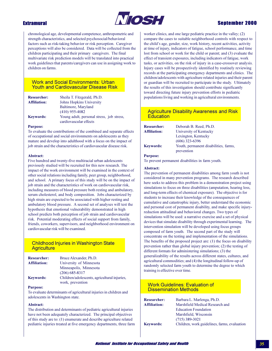### **Extramural**



### **Sentember 2000**

chronological age, developmental competence, anthropometric and strength characteristics, and selected psychosocial/behavioral factors such as risk-taking behavior or risk perception. Caregiver perceptions will also be considered. Data will be collected from the children participating and their primary caregivers. The final multivariate risk prediction models will be translated into practical work guidelines that parents/caregivers can use in assigning work to children on farms.

### **Work and Social Environments: Urban Youth and Cardiovascular Disease Risk**

| <b>Researcher:</b><br><b>Affiliation:</b> | Sheila T. Fitzgerald, Ph.D.<br>Johns Hopkins University |
|-------------------------------------------|---------------------------------------------------------|
|                                           | Baltimore, Maryland                                     |
|                                           | $(410)$ 955-4082                                        |
| <b>Keywords:</b>                          | Young adult, personal stress, job stress,               |
|                                           | cardiovascular effects                                  |

#### **Purpose:**

To evaluate the contributions of the combined and separate effects of occupational and social environments on adolescents as they mature and develop into adulthood with a focus on the impact of job strain and the characteristics of cardiovascular disease risk.

#### Abstract:

Five hundred and twenty-five multiracial urban adolescents previously studied will be recruited for this new research. The impact of the work environment will be examined in the context of other social relations including family, peer group, neighborhood, and school. A primary focus of this study will be on the impact of job strain and the characteristics of work on cardiovascular risk, including measures of blood pressure both resting and ambulatory, serum cholesterol, and body composition. Jobs characterized by high strain are expected to be associated with higher resting and ambulatory blood pressure. A second set of analyses will test the hypothesis that emotional vulnerability demonstrated in high school predicts both perception of job strain and cardiovascular risk. Potential moderating effects of social support from family, friends, coworkers, supervisors, and neighborhood environment on cardiovascular risk will be examined.

### **Childhood Injuries in Washington State Agriculture**

| <b>Researcher:</b>  | Bruce Alexander, Ph.D.                       |
|---------------------|----------------------------------------------|
| <b>Affiliation:</b> | University of Minnesota                      |
|                     | Minneapolis, Minnesota                       |
|                     | $(206)$ 685-8317                             |
| <b>Keywords:</b>    | Children/adolescents, agricultural injuries, |
|                     | work prevention                              |

#### **Purpose:**

To evaluate determinants of agricultural injuries in children and adolescents in Washington state.

#### Abstract:

The distribution and determinants of pediatric agricultural injuries have not been adequately characterized. The principal objectives of this study are to: (1) enumerate and describe agriculture related pediatric injuries treated at five emergency departments, three farm worker clinics, and one large pediatric practice in the valley;  $(2)$ compare the cases to suitable neighborhood controls with respect to the child's age, gender, size, work history, recent activities, activity at time of injury, indicators of fatigue, school performance, and time lost from school or work for the child or parent; and (3) evaluate the effect of transient exposures, including indicators of fatigue, work tasks, or activities, on the risk of injury in a case-crossover analysis. Injury cases will be prospectively identified by routinely reviewing records at the participating emergency departments and clinics. The children/adolescents with agriculture related injuries and their parent or guardian will be recruited to participate in the study. Ultimately the results of this investigation should contribute significantly toward directing future injury prevention efforts in pediatric populations living and working in agricultural environments.

### **Agriculture Disability Awareness and Risk Education**

| <b>Researcher:</b><br><b>Affiliation:</b> | Deborah B. Reed, Ph.D.<br>University of Kentucky    |
|-------------------------------------------|-----------------------------------------------------|
|                                           | Lexington, Kentucky<br>$(606)$ 323-6396             |
| <b>Keywords:</b>                          | Youth, permanent disabilities, farms,<br>prevention |

#### **Purpose:**

To prevent permanent disabilities in farm youth.

#### Abstract:

The prevention of permanent disabilities among farm youth is not considered in many prevention programs. The research described here seeks to address this problem in a demonstration project using simulations to focus on three disabilities (amputation, hearing loss, and long-term effects of chemical exposure). The objective is for students to increase their knowledge of the consequences of cumulative and catastrophic injury, better understand the economic and personal cost of permanent disability, and make specific injuryreduction attitudinal and behavioral changes. Two types of simulations will be used: a narrative exercise and a set of physical devices that simulate disability through experimental learning. The intervention simulation will be developed using focus groups composed of farm youth. The second part of the study will concentrate on the testing and implementation of the simulations. The benefits of the proposed project are:  $(1)$  the focus on disability prevention rather than global injury prevention; (2) the testing of different formats for administering simulations; (3) the generalizability of the results across different states, cultures, and agricultural commodities; and (4) the longitudinal follow-up of randomly selected farm youth to determine the degree to which training is effective over time.

### **Work Guidelines: Evaluation of Dissemination Methods**

| <b>Researcher:</b>  | Barbara L. Marlenga, Ph.D.                   |
|---------------------|----------------------------------------------|
| <b>Affiliation:</b> | Marshfield Medical Research and              |
|                     | <b>Education Foundation</b>                  |
|                     | Marshfield, Wisconsin                        |
|                     | $(715)$ 389-3021                             |
| <b>Keywords:</b>    | Children, work guidelines, farms, evaluation |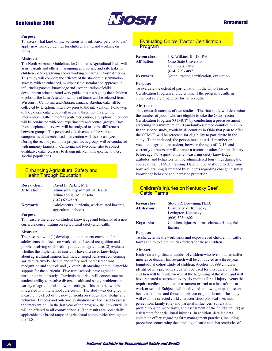### **September 2000**



### **Extramural**

#### **Purpose:**

To assess what kind of interventions will influence parents to use/ apply new work guidelines for children living and working on farms.

#### Abstract:

The North American Guidelines for Children's Agricultural Tasks will assist parents and others in assigning appropriate and safe tasks for children 7-16 years living and/or working on farms in North America. This study will compare the efficacy of the standard dissemination strategy with an enhanced, multiphased dissemination approach in influencing parents' knowledge and use/application of child development principles and work guidelines in assigning their children to jobs on the farm. A random sample of farms will be selected from Wisconsin, California, and Ontario, Canada. Baseline data will be collected by telephone interview prior to the intervention. Follow-up of the experimental group will occur in three months after the intervention. Fifteen months post-intervention, a telephone interview will be conducted with both experimental and control groups. Data from telephone interviews will be analyzed to assess differences between groups. The perceived effectiveness of the various components of the enhanced intervention will also be analyzed. During the second year of the project, focus groups will be conducted with minority farmers in California and two other sites to collect qualitative data necessary to design interventions specific to these special populations.

### **Enhancing Agricultural Safety and Health Through Education**

| <b>Researcher:</b>  | David L. Parker, M.D.                         |
|---------------------|-----------------------------------------------|
| <b>Affiliation:</b> | Minnesota Department of Health                |
|                     | Minneapolis, Minnesota                        |
|                     | $(612)$ 623-5220                              |
| <b>Keywords:</b>    | Adolescents, curricula, work-related hazards, |
|                     | agriculture, schools                          |

#### **Purpose:**

To measure the effect on student knowledge and behavior of a new curricula concentrating on agricultural safety and health.

#### Abstract:

The research will: (1) develop and implement curricula for adolescents that focus on work-related hazard recognition and problem solving skills within production agriculture; (2) evaluate whether the implemented curricula have increased knowledge about agricultural injuries/fatalities, changed behaviors concerning agricultural/worker health and safety, and increased hazard recognition and control; and (3) establish ongoing community-wide support for the curricula. Five rural schools have agreed to participate in the study. Curricula materials will concentrate on student ability to resolve diverse health and safety problems in a variety of agricultural and work settings. This material will be integrated into the school curriculum. The study was designed to measure the effect of the new curricula on student knowledge and behavior. Process and outcome evaluations will be used to assess the intervention. In the last year of the program, the new curricula will be offered to all county schools. The results are potentially applicable to a broad range of agricultural communities throughout the U.S.

### **Evaluating Ohio's Tractor Certification** Program

**Researcher: Affiliation: Keywords:** 

J.R. Wilkins, III, Dr. P.H. Ohio State University Columbus, Ohio  $(614)$  293-3897 Youth, tractor, certification, evaluation

#### **Purpose:**

To evaluate the extent of participation in the Ohio Tractor Certification Program and determine if the program results in enhanced safety protection for farm youth.

#### Abstract:

This research consists of two studies. The first study will determine the number of youth who are eligible to take the Ohio Tractor Certification Program (OTMCP) by conducting a pre-assessment screening in a minimum of 10 randomly-selected counties in Ohio. In the second study, youth in all counties in Ohio that plan to offer the OTMCP will be screened for eligibility to participate in the study. To be included, the person must be a 4-H member or a vocational agriculture student, between the ages of 13-16, and currently operates or will operate a tractor or other farm machinery before age 17. A questionnaire measuring safety knowledge. attitudes, and behaviors will be administered four times during the course of the OTMCP training. Data will be analyzed to determine how well training is retained by students regarding change in safety knowledge behavior and increased protection.

### **Children's Injuries on Kentucky Beef Cattle Farms**

| <b>Researcher:</b>  | Steven R. Browning, Ph.D.                        |
|---------------------|--------------------------------------------------|
| <b>Affiliation:</b> | University of Kentucky                           |
|                     | Lexington, Kentucky                              |
|                     | $(606)$ 323-4602                                 |
| <b>Keywords:</b>    | Children, injuries, farms, characteristics, risk |
|                     | factors                                          |

#### **Purpose:**

To characterize the work tasks and exposures of children on cattle farms and to explore the risk factors for these children.

#### Abstract:

Each year a significant number of children who live on farms suffer injuries or death. This research will be conducted as a three-year longitudinal cohort study of children. A cohort of 999 children identified in a previous study will be used for this research. The children will be reinterviewed at the beginning of the study and will have repeated assessment every six months for all injury events that require medical attention or treatment or lead to a loss of time at work or school. Subjects will be divided into two groups those on beef cattle farms and those on tobacco or grain farms. The study will examine selected child characteristics (physical size, risk perception, family role) and parental influences (supervision, prohibitions on work tasks, and assessment of the child's ability) as risk factors for agricultural injuries. In addition, detailed data collection efforts regarding farm management practices, including procedures concerning the handling of cattle and characteristics of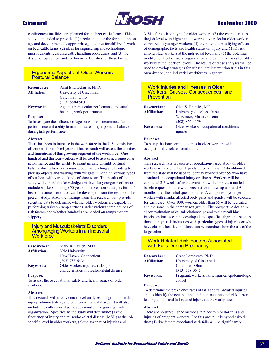

### **Extramural**

confinement facilities, are planned for the beef cattle farms. This study is intended to provide: (1) needed data for the formulation on age and developmentally appropriate guidelines for children's work on beef cattle farms, (2) ideas for engineering and technologic improvements regarding cattle handling procedures, and (3) the design of equipment and confinement facilities for these farms.

### **Ergonomic Aspects of Older Workers' Postural Balance**

| <b>Researcher:</b>  | Amit Bhattacharya, Ph.D.                 |
|---------------------|------------------------------------------|
| <b>Affiliation:</b> | University of Cincinnati                 |
|                     | Cincinnati, Ohio                         |
|                     | $(513) 558 - 0503$                       |
| <b>Keywords:</b>    | Age, neuromuscular performance, postural |
|                     | balance, work performance                |

#### **Purpose:**

To investigate the influence of age on workers' neuromuscular performance and ability to maintain safe upright postural balance during task performance.

#### Abstract:

There has been in increase in the workforce in the U.S. consisting of workers from 45-64 years. This research will assess the abilities and limitations of this growing segment of the workforce. Onehundred and thirteen workers will be used to assess neuromuscular performance and the ability to maintain safe upright postural balance during task performance, such as reaching and bending to pick up objects and walking with weights in hand on various types of surfaces with various kinds of shoe wear. The results of the study will expand the knowledge obtained for younger workers to include workers up to age 75 years. Intervention strategies for fall/ loss of balance prevention can be developed from the results of the present study. Also, the findings from this research will provide scientific data to determine whether older workers are capable of performing tasks on ramp surfaces under various combinations of risk factors and whether handrails are needed on ramps that are slippery.

#### **Injury and Musculoskeletal Disorders** Among Aging Workers in an Industrial **Workforce**

| <b>Researcher:</b>  | Mark R. Cullen, M.D.                     |
|---------------------|------------------------------------------|
| <b>Affiliation:</b> | <b>Yale University</b>                   |
|                     | New Haven, Connecticut                   |
|                     | $(203)$ 785-6434                         |
| <b>Keywords:</b>    | Older worker, injuries, risks, job       |
|                     | characteristics, musculoskeletal disease |

#### **Purpose:**

To assess the occupational safety and health issues of older workers.

#### Abstract:

This research will involve multilevel analyses of a group of health, injury, administrative, and environmental databases. It will also include the collection of some additional data regarding work organization. Specifically, the study will determine: (1) the frequency of injury and musculoskeletal disease (MSD) at the job specific level in older workers, (2) the severity of injuries and

MSDs for each job type for older workers, (3) the characteristics at the job-level with higher and lower relative risks for older workers compared to younger workers, (4) the potential modifying effects of demographic facts and health status on injury and MSD risk among older workers at the individual level, and (5) the potential modifying effect of work organization and culture on risks for older workers at the location levels. The results of these analyses will be used to develop strategies for subsequent intervention trials in this organization, and industrial workforces in general.

### **Work Injuries and Illnesses in Older Workers: Causes, Consequences, and Prevention**

| <b>Researcher:</b> | Glen S. Pransky, M.D.                   |
|--------------------|-----------------------------------------|
| Affiliation:       | University of Massachusetts             |
|                    | Worcester, Massachusetts                |
|                    | $(508) 856 - 4159$                      |
| <b>Keywords:</b>   | Older workers, occupational conditions, |
|                    | injuries                                |

#### **Purpose:**

To study the long-term outcomes in older workers with occupationally-related conditions.

#### Abstract:

This research is a prospective, population-based study of older workers with occupationally-related conditions. Data obtained from the state will be used to identify workers over 55 who have sustained an occupational injury or illness. Workers will be contacted 2-6 weeks after the event and will complete a mailed baseline questionnaire with prospective follow-up at 3 and 9 months after the initial questionnaire. A comparison younger worker with similar affected body parts and gender will be selected for each case. Over 1000 workers older than 55 will be recruited and the same in the comparison group. The prospective design will allow evaluation of causal relationships and avoid recall bias. Precise estimates can be developed and specific subgroups, such as those in high-risk industries with particular types of injuries or who have chronic health conditions, can be examined from the use of the large cohort.

### **Work-Related Risk Factors Associated** with Falls During Pregnancy

| <b>Researcher:</b> | Grace Lemasters, Ph.D.                            |
|--------------------|---------------------------------------------------|
| Affiliation:       | University of Cincinnati                          |
|                    | Cincinnati, Ohio                                  |
|                    | $(513)$ 558-0045                                  |
| <b>Keywords:</b>   | Pregnant, workers, falls, injuries, epidemiologic |
|                    | cohort                                            |

#### **Purpose:**

To determine the prevalence rates of falls and fall-related injuries and to identify the occupational and non-occupational risk factors leading to falls and fall-related injuries at the workplace.

#### Abstract:

There are no surveillance methods in place to monitor falls and injuries of pregnant workers. For this group, it is hypothesized that: (1) risk factors associated with falls will be significantly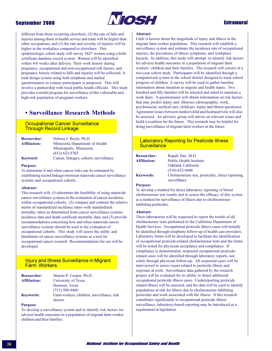### **September 2000**



### **Extramural**

different from those occurring elsewhere, (2) the rate of falls and injuries among those in health service and trade will be higher than other occupations, and (3) the rate and severity of injuries will be higher in the workplace compared to elsewhere. This epidemiologic cohort study will survey 3627 women using a birth certificate database record system. Women will be identified within 4-6 weeks after delivery. Their work history during pregnancy, occupational and non-occupational risk factors, and pregnancy history related to falls and injuries will be collected. A total design system using both telephone and mailed questionnaires to contact participants is proposed. This will involve a partnership with local public health officials. This study provides a model program for surveillance of this vulnerable and high-risk population of pregnant workers.

### • Surveillance Research Methods

### **Occupational Cancer Surveillance Through Record Linkage**

| <b>Researcher:</b>  | Debora J. Boyle, Ph.D.                  |
|---------------------|-----------------------------------------|
| <b>Affiliation:</b> | Minnesota Department of Health          |
|                     | Minneapolis, Minnesota                  |
|                     | $(612)$ 623-5765                        |
| <b>Keyword:</b>     | Cancer, linkages, cohorts, surveillance |

#### **Purpose:**

To determine if and when cancer risks can be estimated by establishing record linkages between statewide cancer surveillance systems and occupational cohorts.

#### Abstract:

This research will: (1) determine the feasibility of using statewide cancer surveillance systems in the evaluation of cancer incidence within occupational cohorts, (2) compare and contrast the relative merits of standardized incidence ratios with standardized mortality ratios as determined from cancer surveillance systems incidence data and death certificate mortality data, and (3) provide recommendations concerning how and when statewide cancer surveillance systems should be used in the evaluation of occupational cohorts. This study will assess the utility and limitations of cancer surveillance systems as a tool for occupational cancer research. Recommendations for use will be developed.

### **Injury and Illness Surveillance in Migrant Farm Workers**

| <b>Researcher:</b>  | Sharon P. Cooper, Ph.D.                               |
|---------------------|-------------------------------------------------------|
| <b>Affiliation:</b> | University of Texas                                   |
|                     | Houston, Texas                                        |
|                     | $(713)$ 500-9460                                      |
| <b>Keywords:</b>    | Farm workers, children, surveillance, risk<br>factors |

### **Purpose:**

To develop a surveillance system and to identify risk factors for adverse health outcomes in a population of migrant farm worker children and their families.

#### Abstract:

Little is known about the magnitude of injury and illness in the migrant farm worker population. This research will establish a surveillance system and estimate the incidence rate of occupational injuries, the prevalence of illness symptoms, and workplace hazards. In addition, this study will attempt to identify risk factors for adverse health outcomes in a population of migrant farm workers' children and their families. The research will consist of a two-year cohort study. Participants will be identified through a computerized system in the school district designed to track school progress of children. A survey will be used to gather baseline information about intention to migrate and health status. Two hundred and fifty families will be selected and asked to maintain a work diary. A questionnaire will obtain information on risk factors that may predict injury and illnesses (demographic, work, psychosocial, medical care, childcare, injury and illness questions). Agreement issues between mother/child and husband/wife will also be assessed. An advisory group will advise on relevant issues and build a coalition for the future. This research may be helpful for doing surveillance of migrant farm workers in the future.

### **Laboratory Reporting for Pesticide Illness Surveillance**

| <b>Researcher:</b>  | Rupali Das, M.D.                                   |
|---------------------|----------------------------------------------------|
| <b>Affiliation:</b> | <b>Public Health Institute</b>                     |
|                     | Oakland, California                                |
|                     | $(510)$ 622-4406                                   |
| <b>Keywords:</b>    | Cholinesterase test, pesticides, direct reporting, |
|                     | surveillance                                       |

#### **Purpose:**

To develop a method for direct laboratory reporting of blood cholinesterase test results and to assess the efficacy of this system as a method for surveillance of illness due to cholinesteraseinhibiting pesticides.

#### Abstract:

Three laboratories will be requested to report the results of all cholinesterase tests performed to the California Department of Health Services. Occupational pesticide illness cases will initially be identified through telephone follow-up of health care providers. Laboratory forms will be developed to facilitate the identification of occupational pesticide-related cholinesterase tests and the forms will be tested for physician acceptance and compliance. If compliance is demonstrated, suspected occupational pesticiderelated cases will be identified through laboratory reports, not solely through physician follow-up. All suspected cases will be interviewed to assess issues related to pesticide illness and exposure at work. Surveillance data gathered by the research project will be evaluated for its ability to detect additional occupational pesticide illness cases. Underreporting pesticide related illness will be assessed, and the data will be used to identify populations at risk for illness due to cholinesterase inhibiting pesticides and work associated with the illness. If this research contributes significantly to occupational pesticide illness surveillance, laboratory-based reporting may be introduced as a requirement in legislation.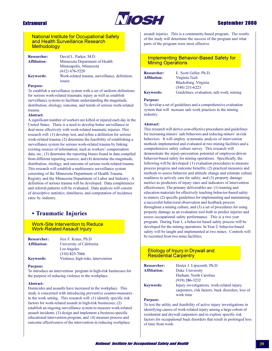### **Extramural**



### **Sentember 2000**

### **National Institute for Occupational Safety** and Health Surveillance Research **Methodology**

| <b>Researcher:</b>  | David L. Parker, M.D.                          |
|---------------------|------------------------------------------------|
| <b>Affiliation:</b> | Minnesota Department of Health                 |
|                     | Minneapolis, Minnesota                         |
|                     | $(612) 676 - 5220$                             |
| <b>Keywords:</b>    | Work-related trauma, surveillance, definition. |
|                     | <b>ISSUES</b>                                  |

#### **Purpose:**

To establish a surveillance system with a set of uniform definitions for serious work-related traumatic injury as well as establish surveillance systems to facilitate understanding the magnitude, distribution, etiology, outcome, and trends of serious work-related trauma

#### **Abstract:**

A significant number of workers are killed or injured each day in the United States. There is a need to develop better surveillance to deal more effectively with work-related traumatic injuries. This research will: (1) develop, test, and refine a definition for serious work-related trauma; (2) determine the feasibility of establishing a surveillance system for serious work-related trauma by linking existing sources of information, such as workers' compensation  $data, etc.; (3) determine the reporting biases found in data compiled$ from different reporting sources; and (4) determine the magnitude, distribution, etiology, and outcome of serious work-related trauma. This research will establish a multisource surveillance system consisting of the Minnesota Department of Health Trauma Registry and the Minnesota Department of Labor and Industry. A definition of serious trauma will be developed. Data completeness and referral patterns will be evaluated. Data analysis will consist of descriptive statistics, timeliness, and computation of incidence rates by industry.

### • Traumatic Injuries

**Work-Site Intervention to Reduce Work-Related Assault Injury** 

| <b>Researcher:</b>  | Jess F. Kraus, Ph.D.               |
|---------------------|------------------------------------|
| <b>Affiliation:</b> | University of California           |
|                     | Los Angeles                        |
|                     | $(310)$ 825-7066                   |
| <b>Keywords:</b>    | Violence, high risks, intervention |

#### **Purpose:**

To introduce an intervention program in high-risk businesses for the purpose of reducing violence in the workplace.

#### Abstract:

Homicides and assaults have increased in the workplace. This study is concerned with introducing preventive counter-measures in the work setting. This research will:  $(1)$  identify specific risk factors for work-related assault in high-risk businesses, (2) establish an ongoing surveillance system to measure work-related assault incidents, (3) design and implement a business-specific educational intervention program, and (4) measure process and outcome effectiveness of the intervention in reducing workplace

assault injuries. This is a community-based program. The results of the study will determine the success of the program and what parts of the program were most effective.

### **Implementing Behavior-Based Safety for Mining Operations**

| <b>Researcher:</b>  | E. Scott Geller, Ph.D.                    |
|---------------------|-------------------------------------------|
| <b>Affiliation:</b> | Virginia Tech                             |
|                     | Blacksburg, Virginia                      |
|                     | $(540)$ 231-6223                          |
| <b>Keywords:</b>    | Guidelines, evaluation, safe work, mining |

#### **Purpose:**

To develop a set of guidelines and a comprehensive evaluation system that will increase safe work practices in the mining industry.

#### **Abstract:**

This research will derive cost-effective procedures and guidelines for increasing miners' safe behaviors and reducing miners' at-risk behaviors. It will employ systematic analysis of intervention methods implemented and evaluated at two mining facilities and a comprehensive safety culture survey. This research will demonstrate the injury-prevention potential of employee-driven behavior-based safety for mining operations. Specifically, the following will be developed: (1) evaluation procedures to measure process progress and outcome benefits; (2) practical measures and methods to assess behavior and attitude change and estimate culture readiness to actively care for safety; and (3) property damage metrics as predictors of injury rates and indicators of intervention effectiveness. The primary deliverables are: (1) training and education materials for effectively teaching behavior-based safety to miners, (2) specific guidelines for implementing and maintaining a successful behavioral observation and feedback process throughout a mining culture, and (3) a set of procedures for using property damage as an evaluation tool both to predict injuries and assess occupational safety performance. This is a two year program. During Year 1, a behavior based safety process will be developed for the mining operations. In Year 2, behavior-based safety will be taught and implemented at two mines. Controls will be recruited from two mine facilities.

### **Etiology of Injury in Drywall and Residential Carpentry**

| <b>Researcher:</b>  | Hester J. Lipscomb, Ph.D.                                                                                     |
|---------------------|---------------------------------------------------------------------------------------------------------------|
| <b>Affiliation:</b> | Duke University                                                                                               |
|                     | Durham, North Carolina                                                                                        |
|                     | $(919)$ 286-3232                                                                                              |
| <b>Keywords:</b>    | Injury investigations, work-related injury,<br>carpenters, risk factors, back disorders, loss of<br>work time |

#### **Purpose:**

To test the utility and feasibility of active injury investigations in identifying causes of work-related injury among a large cohort of residential and drywall carpenters and to explore specific risk factors for occupational back disorders that result in prolonged loss of time from work.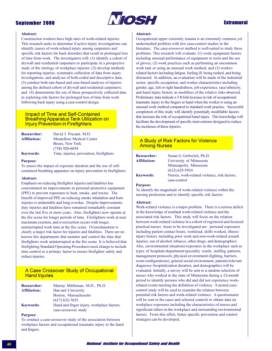

### **Extramural**

#### **Abstract:**

Construction workers have high rates of work-related injuries. This research seeks to determine if active injury investigations can identify causes of work-related injury among carpenters and specific risk factors for back disorders that result in prolonged loss of time from work. The investigators will: (1) identify a cohort of drywall and residential carpenters to participate in a prospective study of the etiology of workplace injuries; (2) develop methods for reporting injuries, systematic collection of data from injury investigations, and analyses of both coded and descriptive data; (3) conduct both rate-based and case-based analyses of injuries among the defined cohort of drywall and residential carpenters; and (4) demonstrate the use of these prospectively collected data in exploring risk factors for prolonged loss of time from work following back injury using a case-control design.

### **Impact of Time and Self-Contained Breathing Apparatus Tank Utilization on Injury Prevention in Firefighters**

| <b>Researcher:</b> | David J. Prezant, M.D.                   |
|--------------------|------------------------------------------|
| Affiliation:       | <b>Montefiore Medical Center</b>         |
|                    | Bronx, New York                          |
|                    | $(718)$ 920-6054                         |
| <b>Keywords:</b>   | Time, injuries, prevention, firefighters |

#### **Purpose:**

To assess the impact of exposure duration and the use of selfcontained breathing apparatus on injury prevention in firefighters.

#### Abstract:

Emphasis on reducing firefighter injuries and fatalities has concentrated on improvements in personal protective equipment (PPE) to prevent exposures to heat, smoke, and toxins. The benefit of improved PPE on reducing smoke inhalation and burn injuries is undeniable and long overdue. Despite improvements, duty injuries and fatalities have remained remarkably constant over the last five or more years. Also, firefighters now operate at the fire scene for longer periods of time. Firefighters work at near maximum exertion, and overexertion occurs with longer, uninterrupted work time at the fire scene. Overexhaustion is clearly a major risk factor for injuries and fatalities. There are no known fire departments that monitor and control the time that firefighters work uninterrupted at the fire scene. It is believed that firefighting Standard Operating Procedures must change to include time control as a primary factor to ensure firefighter safety and reduce injuries.

### A Case Crossover Study of Occupational **Hand Injuries**

| <b>Researcher:</b>  | Murray Mittleman, M.D., Ph.D.              |
|---------------------|--------------------------------------------|
| <b>Affiliation:</b> | <b>Harvard University</b>                  |
|                     | Boston, Massachusetts                      |
|                     | $(617)$ 632-7653                           |
| <b>Keywords:</b>    | Hand and finger injury, workplace factors, |
|                     | case-crossover study                       |

#### **Purpose:**

To conduct a case-crossover study of the association between workplace factors and occupational traumatic injury to the hand and fingers.

#### Abstract:

Occupational upper extremity trauma is an extremely common yet understudied problem with few case-control studies in the literature. The case-crossover method is well-suited to study these problems. This research will evaluate: (1) work equipment factors including unusual performance of equipment or tools and the use of gloves; (2) work practices such as performing an uncommon work task or using an unusual work method; and (3) workerrelated factors including fatigue, feeling ill, being rushed, and being distracted. In addition, an evaluation will be made of the industrial sector, specific occupation, and worker characteristics including gender, age, left or right handedness, job experience, race/ethnicity, and hand injury history as modifiers of the relative risks observed. Preliminary data indicate a 5.8 fold increase in risk of occupational traumatic injury to the fingers or hand when the worker is using an unusual work method compared to standard work practice. Successful completion of this study will identify potentially modifiable factors that increase the risk of occupational hand injury. This knowledge will facilitate the development of specific interventions designed to reduce the incidence of these injuries.

### A Study of Risk Factors for Violence **Among Nurses**

| <b>Researcher:</b>  | Susan G. Gerberich, Ph.D.                    |
|---------------------|----------------------------------------------|
| <b>Affiliation:</b> | University of Minnesota                      |
|                     | Minneapolis, Minnesota                       |
|                     | $(612) 625 - 5934$                           |
| <b>Keywords:</b>    | Nurses, work-related violence, risk factors, |
|                     | case-control                                 |

#### **Purpose:**

To identify the magnitude of work-related violence within the nursing profession and to identify specific risk factors.

#### **Abstract:**

Work-related violence is a major problem. There is a serious deficit in the knowledge of nonfatal work-related violence and the associated risk factors. This study will focus on the relation between work-related violence in a cohort of registered and licensed practical nurses. Areas to be investigated are: personal exposures including patient contact hours, workload, shifts worked, illness/ injury history including prior work and non-work-related assault injuries, use of alcohol, tobacco, other drugs, and demographics. Also, environmental situations/exposures in the workplace such as types of hospitals/department/speciality wards, staffing patterns, management protocols, physical environment (lighting, barriers, room configurations), general social environment, patients/relevant diagnoses /hospitalization duration, and demographics will be evaluated. Initially, a survey will be sent to a random selection of nurses who worked in the state of Minnesota during a 12-month period to identify persons who did and did not experience workrelated events meeting the definition of violence. A nested casecontrol study will be used to examine the relation between potential risk factors and work-related violence. A questionnaire will be sent to the cases and selected controls to obtain data on workplace exposures including the characteristics of nurses and significant others in the workplace and surrounding environmental factors. From this effort, better specific prevention and control strategies can be developed.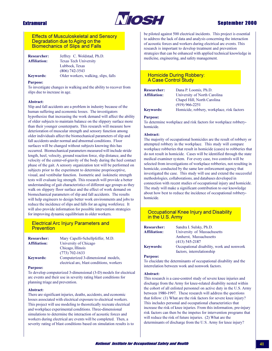### **Extramural**



### **Sentember 2000**

### **Effects of Musculoskeletal and Sensory** Degradation due to Aging on the **Biomechanics of Slips and Falls**

**Researcher:** Jeffrey C. Woldstad, Ph.D. **Affiliation:** 

**Texas Tech University** Lubbock, Texas  $(806)$  742-3543 Older workers, walking, slips, falls

### **Keywords: Purpose:**

To investigate changes in walking and the ability to recover from slips due to increase in age.

#### Abstract:

Slip and fall accidents are a problem in industry because of the human suffering and economic losses. The investigators hypothesize that increasing the work demand will affect the ability of older subjects to maintain balance on the slippery surface more than their younger counterparts. This research will measure how deterioration of muscular strength and sensory function among older individuals affect the biomechanical parameters of slip and fall accidents under normal and abnormal conditions. Floor surfaces will be changed without subjects knowing this has occurred. Biomechanical parameters measured will include stride length, heel, velocity, ground reaction force, slip distance, and the velocity of the center-of-gravity of the body during the heel contact phase of the gait. A sensory organization test will be performed on subjects prior to the experiment to determine proprioceptive, visual, and vestibular function. Isometric and isokinetic strength tests will evaluate leg strength. This research will provide a better understanding of gait characteristics of different age groups as they walk on slippery floor surface and the effect of work demand on biomechanical parameters of slip and fall accidents. The results will help engineers to design better work environments and jobs to reduce the incidence of slips and falls for an aging workforce. It will also provide information for possible intervention strategies for improving dynamic equilibrium in older workers.

### **Electrical Arc Injury Parameters and Prevention**

| <b>Researcher:</b>  | Mary Capelli-Schellpfeffer, M.D.          |
|---------------------|-------------------------------------------|
| <b>Affiliation:</b> | University of Chicago                     |
|                     | Chicago, Illinois                         |
|                     | $(773) 702 - 1633$                        |
| <b>Keywords:</b>    | Computerized 3-dimensional models,        |
|                     | electrical arc, blast conditions, workers |

#### **Purpose:**

To develop computerized 3-dimensional (3-D) models for electrical arc events and their use in severity rating blast conditions for planning triage and prevention.

#### Abstract:

There are significant injuries, deaths, accidents, and economic losses associated with electrical exposure to electrical workers. This project will use modeling to theoretically recreate electrical and workplace experimental conditions. Three-dimensional simulations to determine the interaction of acoustic forces and workers during electrical arc events will be completed. Then, a severity rating of blast conditions based on simulation results is to be piloted against 500 electrical incidents. This project is essential to address the lack of data and analysis concerning the interaction of acoustic forces and workers during electrical arc events. This research is important to develop treatment and prevention strategies that can be enhanced with applied technical knowledge in medicine, engineering, and safety management.

### **Homicide During Robbery: A Case Control Study**

| <b>Researcher:</b>  | Dana P. Loomis, Ph.D.                      |
|---------------------|--------------------------------------------|
| <b>Affiliation:</b> | University of North Carolina               |
|                     | Chapel Hill, North Carolina                |
|                     | $(919)$ 966-2251                           |
| <b>Keywords:</b>    | Homicide, robbery, workplace, risk factors |

#### **Purpose:**

To determine workplace and risk factors for workplace robberyhomicide.

#### Abstract:

The majority of occupational homicides are the result of robbery or attempted robbery in the workplace. This study will compare workplace robberies that result in homicide (cases) to robberies that do not result in homicide. Cases will be identified through the state medical examiner system. For every case, two controls will be selected from investigations of workplace robberies, not resulting in homicide, conducted by the same law enforcement agency that investigated the case. This study will use and extend the successful methodologies, collaborations, and databases developed in connection with recent studies of occupational injury and homicide. The study will make a significant contribution to our knowledge about how best to reduce the incidence of occupational robberyhomicide.

### **Occupational Knee Injury and Disability** in the U.S. Army

| <b>Researcher:</b>  | Sandra I. Sulsky, Ph.D.                                                 |
|---------------------|-------------------------------------------------------------------------|
| <b>Affiliation:</b> | University of Massachusetts                                             |
|                     | Amherst, Massachusetts                                                  |
|                     | $(413)$ 545-2187                                                        |
| <b>Keywords:</b>    | Occupational disability, work and nonwork<br>factors, interrelationship |

#### **Purpose:**

To elucidate the determinants of occupational disability and the interrelation between work and nonwork factors.

#### Abstract:

This research is a case-control study of severe knee injuries and discharge from the Army for knee-related disability nested within the cohort of all enlisted personnel on active duty in the U.S. Army between 1980-1997. These research will address the questions that follow: (1) What are the risk factors for severe knee injury? This includes personal and occupational characteristics that increase the risk of knee injuries. From this information, pre-injury risk factors can then be the impetus for intervention programs that will reduce the risk of future injuries. (2) What are the determinants of discharge from the U.S. Army for knee injury?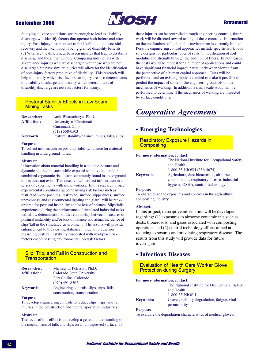### **September 2000**



### **Extramural**

Studying all knee conditions severe enough to lead to disability discharge will identify factors that operate both before and after injury. Post-injury factors relate to the likelihood of successful recovery and the likelihood of being granted disability benefits. (3) What are the differences between injuries that lead to disability discharge and those that do not? Comparing individuals with severe knee injuries who are discharged with those who are not discharged but have similar injuries will allow for the identification of post-injury factors predictive of disability. This research will help to identify which risk factors for injury are also determinants of disability discharge and identify which determinants of disability discharge are not risk factors for injury.

### **Postural Stability Effects in Low Seam Mining Tasks**

| <b>Researcher:</b> | Amit Bhattacharya, Ph.D.                        |
|--------------------|-------------------------------------------------|
| Affiliation:       | University of Cincinnati                        |
|                    | Cincinnati, Ohio                                |
|                    | $(513) 558 - 0503$                              |
| <b>Keywords:</b>   | Postural stability/balance, mines, falls, slips |

#### **Purpose:**

To collect information on postural stability/balance for material handling in underground mines.

#### Abstract:

Information about material handling in a stooped posture and dynamic stooped posture while exposed to individual and/or combined ergonomic risk factors commonly found in underground mines does not exist. This research will collect information in a series of experiments with mine workers. In this research project, experimental conditions (accompanying risk factors such as restricted work postures, task type, surface slipperiness, surface unevenness, and environmental lighting and glare) will be rankordered for postural instability and/or loss of balance. Slips/falls experienced during the performance of simulated industrial tasks will allow determination of the relationship between measures of postural instability and/or loss of balance and actual incidence of slips/fall in the simulated environment. The results will provide enhancement to the existing statistical model of prediction regarding postural instability associated with workplace risk factors encompassing environmental job task factors.

### Slip, Trip, and Fall in Construction and **Transportation**

| <b>Researcher:</b>  | Michael L. Peterson, Ph.D.                 |
|---------------------|--------------------------------------------|
| <b>Affiliation:</b> | Colorado State University                  |
|                     | Fort Collins, Colorado                     |
|                     | $(970)$ 491-8502                           |
| <b>Keywords:</b>    | Engineering controls, slips, trips, falls, |
|                     | construction, transportation               |

#### **Purpose:**

To develop engineering controls to reduce slips, trips, and fall injuries in the construction and the transportation industries.

#### Abstract:

The focus of this effort is to develop a general understanding of the mechanisms of falls and slips on an unimproved surface. If

these injuries can be controlled through engineering controls, future work will be directed toward testing of these controls. Information on the mechanisms of falls in this environment is currently limited. Possible engineering control approaches include specific work boot sole designs for particular types of soils to modification of soil modulus and strength through the addition of fibers. In both cases, the costs would be modest for a number of applications and could have significant financial impact, particularly when viewed from the perspective of a human capital approach. Tests will be performed and an existing model extended to make it possible to predict the impact of some of the engineering controls on the mechanics of walking. In addition, a small scale study will be performed to determine if the mechanics of walking are impacted by surface conditions.

## **Cooperative Agreements**

### **• Emerging Technologies**

**Respiratory Exposure Hazards in** Composting

#### For more information, contact:

|                  | The National Insti  |
|------------------|---------------------|
|                  | and Health          |
|                  | 1-800-35-NIOSH      |
| <b>Keywords:</b> | Agriculture, dust b |

tute for Occupational Safety  $(356 - 4674)$ pioaerosols, airborne

contaminants, respiratory disease, industrial hygiene, OSHA, control technology

#### **Purpose:**

To characterize the exposures and controls in the agricultural composting industry.

#### Abstract:

In this project, descriptive information will be developed regarding: (1) exposures to airborne contaminants such as dusts, bioaerosols, and gases associated with composting operations and (2) control technology efforts aimed at reducing exposures and preventing respiratory disease. The results from this study will provide data for future investigations.

### • Infectious Diseases

**Evaluation of Health Care Worker Glove Protection during Surgery** 

#### For more information, contact:

|                  | The National Institute for Occupational Safety<br>and Health   |
|------------------|----------------------------------------------------------------|
|                  | 1-800-35-NIOSH                                                 |
| <b>Keywords:</b> | Gloves, stability, degradation, fatigue, viral<br>permeability |

### **Purpose:**

To evaluate the degradation characteristics of medical gloves.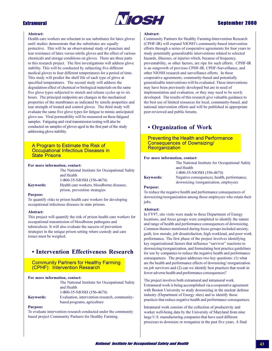### **Extramural**



### **Sentember 2000**

#### **Abstract:**

Health care workers are reluctant to use substitutes for latex gloves until studies demonstrate that the substitutes are equally protective. This will be an observational study of puncture and tear resistance of latex versus nitrile gloves and the effect of various chemicals and storage conditions on gloves. There are three parts to this research project. The first investigations will address glove stability. This will be conducted by subjecting five different medical gloves to four different temperatures for a period of time. This study will predict the shelf life of each type of glove at specified temperatures. The second study will address the degradation effect of chemical or biological materials on the same five glove types subjected to stretch and release cycles up to six hours. The principal endpoints are changes in the mechanical properties of the membranes as indicated by tensile properties and tear strength of treated and control gloves. The third study will evaluate the same five glove types for fatigue to mimic anticipated glove use. Viral permeability will be measured on these fatigued samples. Fatiguing and viral transmission testing will also be conducted on samples of gloves aged in the first part of the study addressing glove stability.

#### A Program to Estimate the Risk of **Occupational Infectious Diseases in State Prisons**

#### For more information, contact:

|                  | The National Institute for Occupational Safety                             |
|------------------|----------------------------------------------------------------------------|
|                  | and Health                                                                 |
|                  | 1-800-35-NIOSH (356-4674)                                                  |
| <b>Keywords:</b> | Health care workers, bloodborne diseases,<br>prison, prevention strategies |
|                  |                                                                            |

#### **Purpose:**

To quantify risks to prison health care workers for developing occupational infectious diseases in state prisons.

#### Abstract:

This project will quantify the risk of prison health care workers for occupational transmission of bloodborne pathogens and tuberculosis. It will also evaluate the success of prevention strategies in the unique prison setting where custody and care issues must be weighed.

### • Intervention Effectiveness Research

**Community Partners for Healthy Farming** (CPHF): Intervention Research

#### For more information, contact:

|                  | The National Institute for Occupational Safety |
|------------------|------------------------------------------------|
|                  | and Health                                     |
|                  | 1-800-35-NIOSH (356-4674)                      |
| <b>Keywords:</b> | Evaluation, intervention research, community-  |
|                  | based programs, agriculture                    |

#### **Purnose:**

To evaluate intervention research conducted under the community based project Community Partners for Healthy Farming.

#### Abstract:

Community Partners for Healthy Farming-Intervention Research (CPHF-IR) will expand NIOSH's community-based intervention efforts through a series of cooperative agreements for four years to study potentially generalizable interventions related to selected hazards, illnesses, or injuries which, because of frequency, preventability, or other factors, are ripe for such efforts. CPHF-IR is an outgrowth of previous CPHF-IR, CPHF-Surveillance, and other NIOSH research and surveillance efforts. In these cooperative agreements, community-based and potentially generalizable interventions will be evaluated. These interventions may have been previously developed but are in need of implementation and evaluation, or they may need to be newly developed. The results of this research give valuable guidance to the best use of limited resources for local, community-based, and national intervention efforts and will be published in appropriate peer-reviewed and public forums.

### • Organization of Work

**Preventing the Health and Performance Consequences of Downsizing/** Reorganization

#### For more information, contact:

The National Institute for Occupational Safety and Health

1-800-35-NIOSH (356-4674)

**Keywords:** 

Negative consequences, health, performance, downsizing/reorganization, employees

#### **Purpose:**

To reduce the negative health and performance consequences of downsizing/reorganization among those employees who retain their jobs.

#### Abstract:

In FY97, site visits were made to three Department of Energy locations, and focus groups were completed to identify the nature and range of health and performance consequences of downsizing. Common themes mentioned during focus groups included anxiety, guilt, low morale, job dissatisfaction, high workload, and poor work performance. The first phase of the project involves identifying key organizational factors that influence "survivor" reactions to downsizing/reorganization, and formulating best practice guidelines for use by companies to reduce the negative health and performance consequences. The project addresses two key questions: (1) what are the health and performance effects of downsizing/reorganization on job survivors and (2) can we identify best practices that result in fewer adverse health and performance consequences?

The project involves both extramural and intramural work. Extramural work is being accomplished via a cooperative agreement with Boston University to study downsizing in the nuclear defense industry (Department of Energy sites) and to identify those practices that reduce negative health and performance consequences.

Intramural work consists of the collection of productivity and worker well-being data by the University of Maryland from nine large U.S. manufacturing companies that have used different processes to downsize or reorganize in the past five years. A final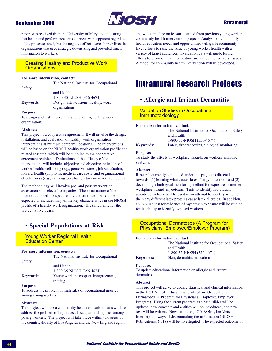

### **Extramural**

report was received from the University of Maryland indicating that health and performance consequences were apparent regardless of the processes used, but the negative effects were shorter-lived in organizations that used strategic downsizing and provided timely information to workers.

### **Creating Healthy and Productive Work Organizations**

#### For more information, contact:

Safety

The National Institute for Occupational

and Health 1-800-35-NIOSH (356-4674) **Keywords:** Design, interventions, healthy, work organizations

#### **Purpose:**

To design and test interventions for creating healthy work organizations.

#### Abstract:

This project is a cooperative agreement. It will involve the design, installation, and evaluation of healthy work organization interventions at multiple company locations. The interventions will be based on the NIOSH healthy work organization profile and related research, which will be supplied to the cooperative agreement recipient. Evaluations of the efficacy of the interventions will include subjective and objective indicators of worker health/well-being (e.g., perceived stress, job satisfaction, morale, health symptoms, medical care costs) and organizational effectiveness (e.g., earnings per share, return on investment, etc.).

The methodology will involve pre- and post-intervention assessments in selected companies. The exact nature of the interventions will be specified by the contractor but can be expected to include many of the key characteristics in the NIOSH profile of a healthy work organization. The time frame for the project is five years.

### • Special Populations at Risk

### **Young Worker Regional Health Education Center**

#### For more information, contact:

The National Institute for Occupational

Safety

and Health 1-800-35-NIOSH (356-4674) Young workers, cooperative agreement, training

#### **Purpose:**

**Keywords:** 

To address the problem of high rates of occupational injuries among young workers.

#### Abstract:

This project will use a community health education framework to address the problem of high rates of occupational injuries among young workers. The project will take place within two areas of the country, the city of Los Angeles and the New England region,

and will capitalize on lessons learned from previous young worker community health intervention projects. Analysis of community health education needs and opportunities will guide communitylevel efforts to raise the issue of young worker health with a variety of target audiences. Evaluation data will guide further efforts to promote health education around young workers' issues. A model for community health intervention will be developed.

# **Intramural Research Projects**

### • Allergic and Irritant Dermatitis

### **Validation Studies in Occupational** Immunotoxicology

#### For more information, contact:

# **Keywords:**

The National Institute for Occupational Safety and Health 1-800-35-NIOSH (356-4674) Latex, airborne toxins, biological monitoring

#### **Purpose:**

To study the effects of workplace hazards on workers' immune systems.

#### Abstract:

Research currently conducted under this project is directed towards: (1) learning what causes latex allergy in workers and (2) developing a biological monitoring method for exposure to another workplace hazard-mycotoxin. Tests to identify individuals sensitized to latex will be used in an attempt to identify which of the many different latex proteins cause latex allergies. In addition, an immune test for evidence of mycotoxin exposure will be studied for its ability to identify exposed workers.

### **Occupational Dermatoses (A Program for** Physicians; Employee/Employer Program)

#### For more information, contact:

The National Institute for Occupational Safety and Health 1-800-35-NIOSH (356-4674) Skin, dermatitis, education

### **Keywords: Purpose:**

To update educational information on allergic and irritant dermatitis.

#### Abstract:

This project will serve to update statistical and clinical information in the 1981 NIOSH Educational Slide Show, Occupational Dermatoses (A Program for Physicians; Employee/Employer Program). Using the current program as a base, slides will be updated, new concepts and entities will be introduced, and new text will be written. New media (e.g. CD-ROMs, booklets, Internet) and ways of disseminating the information (NIOSH Publications, NTIS) will be investigated. The expected outcome of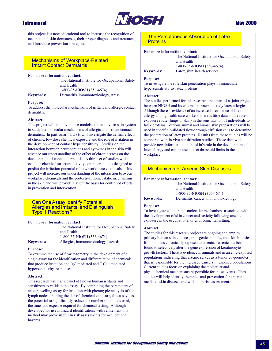

### **May 2000**

this project is a new educational tool to increase the recognition of occupational skin dermatoses, their proper diagnosis and treatment, and introduce prevention strategies.

### **Mechanisms of Workplace-Related Irritant Contact Dermatitis**

#### For more information, contact:

The National Institute for Occupational Safety and Health 1-800-35-NIOSH (356-4674)

#### **Keywords:**

#### **Purpose:**

To address the molecular mechanisms of irritant and allergic contact dermatitis.

Dermatitis, immunotoxicology, stress

#### Abstract:

This project will employ mouse models and an in vitro skin system to study the molecular mechanisms of allergic and irritant contact dermatitis. In particular, NIOSH will investigate the dermal effects of chronic, low dose chemical exposure and the role of irritation in the development of contact hypersensitivity. Studies on the interaction between neuropeptides and cytokines in the skin will advance our understanding of the effect of chronic stress on the development of contact dermatitis. A third set of studies will evaluate chemical structure-activity computer models designed to predict the irritation potential of new workplace chemicals. This project will increase our understanding of the interaction between workplace chemicals and the protective, homeostatic mechanisms in the skin and will provide a scientific basis for continued efforts in prevention and intervention.

#### **Can One Assay Identify Potential** Allergies and Irritants, and Distinguish **Type 1 Reactions?**

#### For more information, contact:

The National Institute for Occupational Safety and Health 1-800-35-NIOSH (356-4674) Allergies, immunotoxicology, hazards

### **Keywords: Purpose:**

To examine the use of flow cytometry in the development of a single assay for the identification and differentiation of chemicals that produce irritation and IgG mediated and T Cell mediated hypersensitivity responses.

#### Abstract:

This research will use a panel of known human irritants and sensitizers to validate the assay. By combining the parameters of an ear swelling assay for irritation with phenotypic analysis of the lymph nodes draining the site of chemical exposure, this assay has the potential to significantly reduce the number of animals used, the time, and expense required for chemical testing. Although developed for use in hazard identification, with refinement this method may prove useful in risk assessments for occupational hazards.

#### The Percutaneous Absorption of Latex **Proteins**

#### For more information, contact:

The National Institute for Occupational Safety and Health 1-800-35-NIOSH (356-4674) Latex, skin, health services

### **Keywords: Purpose:**

To investigate the role skin penetration plays in immediate hypersensitivity to latex proteins.

#### Abstract:

The studies performed for this research are a part of a joint project between NIOSH and its external partners to study latex allergies. Although there is evidence of an increased prevalence of latex allergy among health care workers, there is little data on the role of exposure route (lungs or skin) in the sensitization of individuals to latex proteins. Various animal and human skin preparations will be used in specific, validated flow-through diffusion cells to determine the penetration of latex proteins. Results from these studies will be compared with in vivo sensitization studies. These data will provide new information on the skin's role in the development of latex allergy and can be used to set threshold limits in the workplace.

### **Mechanisms of Arsenic Skin Diseases**

#### For more information, contact:

The National Institute for Occupational Safety and Health 1-800-35-NIOSH (356-4674) Dermatitis, cancer, immunotoxicology

### **Keywords: Purpose:**

To investigate cellular and molecular mechanisms associated with the development of skin cancer and toxicity following arsenic exposure in the occupational or environmental setting.

#### Abstract:

The studies for this research project are ongoing and employ primary human skin cultures, transgenic animals, and skin biopsies from humans chronically exposed to arsenic. Arsenic has been found to selectively alter the gene expression of keratinocyte growth factors. There is evidence in animals and in arsenic-exposed populations indicating that arsenic serves as a tumor co-promoter that is responsible for the increased cancers in exposed populations. Current studies focus on explaining the molecular and physiochemical mechanisms responsible for these events. These studies will help identify therapies and prevention for arsenicmediated skin diseases and will aid in risk assessment.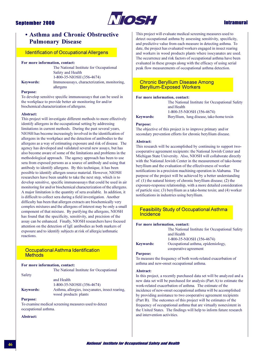

### **Intramural**

### • Asthma and Chronic Obstructive **Pulmonary Disease**

### **Identification of Occupational Allergens**

#### For more information, contact:

The National Institute for Occupational Safety and Health 1-800-35-NIOSH (356-4674) Immunoassays, characterization, monitoring, allergens

### **Purpose:**

**Keywords:** 

To develop sensitive specific immunoassays that can be used in the workplace to provide better air monitoring for and/or biochemical characterization of allergens.

#### Abstract:

This project will investigate different methods to more effectively identify allergens in the occupational setting by addressing limitations in current methods. During the past several years, NIOSH has become increasingly involved in the identification of allergens in the workplace and the detection of antibodies to the allergens as a way of estimating exposure and risk of disease. The agency has developed and validated several new assays, but has also become aware of some of the limitations and problems in the methodological approach. The agency approach has been to use sera from exposed persons as a source of antibody and using that antibody to identify allergens. By this technique, it has been possible to identify allergen source material. However, NIOSH researchers have been unable to take the next step, which is to develop sensitive, specific immunoassays that could be used in air monitoring for and/or biochemical characterization of the allergens. A major limitation is the quantity of sera available. In addition, it is difficult to collect sera during a field investigation. Another difficulty has been that allergen extracts are biochemically very complex mixtures and the allergens of interest may be only a small component of that mixture. By purifying the allergens, NIOSH has found that the specificity, sensitivity, and precision of the assay can be enhanced. Finally, NIOSH researchers have focused attention on the detection of IgE antibodies as both markers of exposure and to identify subjects at risk of allergic/asthmatic reactions.

### Occupational Asthma Identification **Methods**

|                  | For more information, contact:                  |
|------------------|-------------------------------------------------|
|                  | The National Institute for Occupational         |
| Safety           |                                                 |
|                  | and Health                                      |
|                  | 1-800-35-NIOSH (356-4674)                       |
| <b>Kevwords:</b> | Asthma, allergies, isocyanates, insect rearing, |
|                  | wood products plants                            |
| <b>Purpose:</b>  |                                                 |

To examine medical screening measures used to detect occupational asthma.

A hetract.

This project will evaluate medical screening measures used to detect occupational asthma by assessing sensitivity, specificity, and predictive value from each measure in detecting asthma. To date, the project has evaluated workers engaged in insect rearing and workers in wood products plants where isocyanates are used. The occurrence and risk factors of occupational asthma have been evaluated in these groups along with the efficacy of using serial peak flow measurements of occupational asthma detection.

### **Chronic Beryllium Disease Among Beryllium-Exposed Workers**

#### For more information, contact:

The National Institute for Occupational Safety and Health

**Keywords:** 

1-800-35-NIOSH (356-4674) Beryllium, lung disease, take-home toxin

#### **Purpose:**

The objective of this project is to improve primary and/or secondary prevention efforts for chronic beryllium disease.

#### Abstract:

This research will be accomplished by continuing to support twocooperative agreement recipients: the National Jewish Center and Michigan State University. Also, NIOSH will collaborate directly with the National Jewish Center in the measurement of take-home beryllium and the evaluation of the effectiveness of worker notifications in a precision machining operation in Alabama. The purpose of the project will be achieved by a better understanding of: (1) the natural history of chronic beryllium disease; (2) the exposure-response relationship, with a more detailed consideration of particle size; (3) beryllium as a take-home toxin; and (4) worker notifications in industries using beryllium.

### **Feasibility Study of Occupational Asthma Incidence**

#### For more information, contact:

|                  | The National Institute for Occupational Safet |
|------------------|-----------------------------------------------|
|                  | and Health                                    |
|                  | 1-800-35-NIOSH (356-4674)                     |
| <b>Keywords:</b> | Occupational asthma, epidemiology,            |
|                  | cooperative agreement                         |

#### **Purpose:**

To measure the frequency of both work-related exacerbation of asthma and new-onset occupational asthma.

#### Abstract:

In this project, a recently purchased data set will be analyzed and a new data set will be purchased for analysis (Part A) to estimate the work-related exacerbation of asthma. The estimate of the incidence of new-onset occupational asthma will be accomplished by providing assistance to two cooperative agreement recipients (Part B). The outcomes of this project will be estimates of the frequency of occupational asthma that are virtually nonexistent in the United States. The findings will help to inform future research and intervention activities.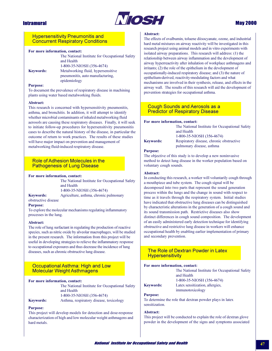

### **May 2000**

### **Hypersensitivity Pneumonitis and Concurrent Respiratory Conditions**

#### For more information, contact:

|                  | The National Institute for Occupational Safety<br>and Health           |
|------------------|------------------------------------------------------------------------|
|                  | 1-800-35-NIOSH (356-4674)                                              |
| <b>Keywords:</b> | Metalworking fluid, hypersensitive<br>pneumonitis, auto manufacturing, |
|                  | epidemiology                                                           |

#### **Purpose:**

To document the prevalence of respiratory disease in machining plants using water based metalworking fluids.

#### Abstract:

This research is concerned with hypersensitivity pneumonitis, asthma, and bronchitis. In addition, it will attempt to identify whether microbial contaminants of inhaled metalworking fluid aerosols are causing these respiratory diseases. Finally, it will seek to initiate follow-up procedures for hypersensitivity pneumonitis cases to describe the natural history of the disease, in particular the outcome of return to work practices. The results of these studies will have major impact on prevention and management of metalworking fluid-induced respiratory disease.

### Role of Adhesion Molecules in the **Pathogenesis of Lung Disease**

#### For more information, contact:

The National Institute for Occupational Safety and Health 1-800-35-NIOSH (356-4674)

Agriculture, asthma, chronic pulmonary

#### **Keywords:**

obstructive disease

#### **Purpose:**

To explore the molecular mechanisms regulating inflammatory processes in the lung.

#### Abstract:

The role of lung surfactant in regulating the production of reactive species, such as nitric oxide by alveolar macrophages, will be studied in the present research. The information from this project will be useful in developing strategies to relieve the inflammatory response to occupational exposures and thus decrease the incidence of lung diseases, such as chronic obstructive lung disease.

### Occupational Asthma: High and Low **Molecular Weight Asthmagens**

#### For more information, contact:

The National Institute for Occupational Safety and Health 1-800-35-NIOSH (356-4674) Asthma, respiratory disease, toxicology

#### Keywords:

#### **Purpose:**

This project will develop models for detection and dose-response characterization of high and low molecular weight asthmagens and hard metals.

#### Abstract:

The effects of ovalbumin, toluene diisocyanate, ozone, and industrial hard metal mixtures on airway reactivity will be investigated in this research project using animal models and in vitro experiments with isolated airway preparations. This research will address: (1) the relationship between airway inflammation and the development of airway hyperreactivity after inhalation of workplace asthmagens and irritants;  $(2)$  the role of the epithelium in the development of occupationally-induced respiratory disease; and (3) the nature of epithelium-derived, reactivity-modulating factors and what mechanisms are involved in their synthesis, release, and effects in the airway wall. The results of this research will aid the development of prevention strategies for occupational asthma.

#### **Cough Sounds and Aerosols as a Predictor of Respiratory Disease**

#### For more information, contact:

**Keywords:** 

The National Institute for Occupational Safety and Health 1-800-35-NIOSH (356-4674) Respiratory disease, chronic obstructive pulmonary disease, asthma

#### **Purpose:**

The objective of this study is to develop a new noninvasive method to detect lung disease in the worker population based on voluntary cough sounds.

#### **Abstract:**

In conducting this research, a worker will voluntarily cough through a mouthpiece and tube system. The cough signal will be decomposed into two parts that represent the sound generation process within the lungs and the change in sound with respect to time as it travels through the respiratory system. Initial studies have indicated that obstructive lung diseases can be distinguished by characteristic alterations in the generation of a cough sound and its sound transmission path. Restrictive diseases also show distinct differences in cough sound composition. The development of an easily administered early detection technique for identifying obstructive and restrictive lung disease in workers will enhance occupational health by enabling earlier implementation of primary and secondary prevention.

### The Role of Dextran Powder in Latex **Hypersensitivity**

#### For more information, contact:

| The National Institute for Occupational Safety |
|------------------------------------------------|
| and Health                                     |
| 1-800-35-NIOSH (356-4674)                      |
| Latex sensitization, allergies,                |
| immunotoxicology                               |

#### **Purpose:**

**Keywords:** 

To determine the role that dextran powder plays in latex sensitization.

#### Abstract:

This project will be conducted to explain the role of dextran glove powder in the development of the signs and symptoms associated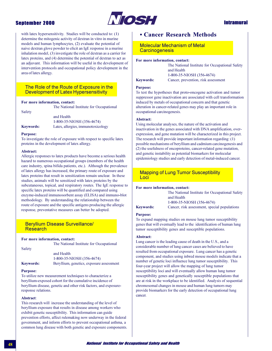### **September 2000**



### **Intramural**

with latex hypersensitivity. Studies will be conducted to:  $(1)$ determine the mitogenic activity of dextran in vitro in murine models and human lymphocytes, (2) evaluate the potential of naive dextran glove powder to elicit an IgE response in a murine inhalation model, (3) investigate the role of dextran as a carrier for latex proteins, and (4) determine the potential of dextran to act as an adjuvant. This information will be useful in the development of intervention protocols and occupational policy development in the area of latex allergy.

### The Role of the Route of Exposure in the Development of Latex Hypersensitivity

#### For more information, contact:

The National Institute for Occupational

| and Health                         |
|------------------------------------|
| 1-800-35-NIOSH (356-4674)          |
| Latex, allergies, immunotoxicology |
|                                    |

#### **Purpose:**

Safety

To investigate the role of exposure with respect to specific latex proteins in the development of latex allergy.

#### Abstract:

Allergic responses to latex products have become a serious health hazard to numerous occupational groups (members of the health care industry, spina bifida patients, etc.). Although the prevalence of latex allergy has increased, the primary route of exposure and latex proteins that result in sensitization remain unclear. In these studies, animals will be sensitized with latex proteins by the subcutaneous, topical, and respiratory routes. The IgE response to specific latex proteins will be quantified and compared using enzyme-induced immunosorbent assay (ELISA) and immuno-blot methodology. By understanding the relationship between the route of exposure and the specific antigens producing the allergic response, preventative measures can better be adopted.

### **Beryllium Disease Surveillance/ Research**

#### For more information, contact:

The National Institute for Occupational

Safety

and Health 1-800-35-NIOSH (356-4674) Beryllium, genetics, exposure assessment

### **Keywords: Purpose:**

To utilize new measurement techniques to characterize a beryllium-exposed cohort for the cumulative incidence of beryllium disease, genetic and other risk factors, and exposureresponse relations.

#### Ahstract:

This research will increase the understanding of the level of beryllium exposure that results in disease among workers who exhibit genetic susceptibility. This information can guide prevention efforts, affect rulemaking now underway in the federal government, and inform efforts to prevent occupational asthma, a common lung disease with both genetic and exposure components.

### • Cancer Research Methods

**Molecular Mechanism of Metal Carcinogenesis** 

#### For more information, contact:

| The National Institute for Occupational Safety |
|------------------------------------------------|
| and Health                                     |
| 1-800-35-NIOSH (356-4674)                      |
| Cancer, prevention, risk assessment            |

### **Keywords: Purpose:**

To test the hypotheses that proto-oncogene activation and tumor suppressor gene inactivation are associated with cell transformation induced by metals of occupational concern and that genetic alteration in cancer-related genes may play an important role in occupational carcinogenesis.

#### Abstract:

Using molecular analyses, the nature of the activation and inactivation in the genes associated with DNA amplification, overexpression, and gene mutation will be characterized in this project. The research will provide important information regarding: (1) possible mechanisms of beryllium and cadmium carcinogenesis and (2) the usefulness of oncoproteins, cancer-related gene mutation, and genetic instability as potential biomarkers for molecular epidemiology studies and early detection of metal-induced cancer.

### **Mapping of Lung Tumor Susceptibility** Loci

#### For more information, contact:

|                  | The National Institute for Occupational Safety |
|------------------|------------------------------------------------|
|                  | and Health                                     |
|                  | 1-800-35-NIOSH (356-4674)                      |
| <b>Keywords:</b> | Cancer, risk assessment, special populations   |

#### **Purpose:**

To expand mapping studies on mouse lung tumor susceptibility genes that will eventually lead to the identification of human lung tumor susceptibility genes and susceptible populations.

#### Abstract:

Lung cancer is the leading cause of death in the U.S., and a considerable number of lung cancer cases are believed to have resulted from occupational exposure. Lung cancer has a genetic component, and studies using inbred mouse models indicate that a number of genetic loci influence lung tumor susceptibility. This four-year project will allow the mapping of lung tumor susceptibility loci and will eventually allow human lung tumor susceptibility genes and genetically susceptible populations that are at risk in the workplace to be identified. Analysis of sequential chromosomal changes in mouse and human lung tumors may provide biomarkers for the early detection of occupational lung cancer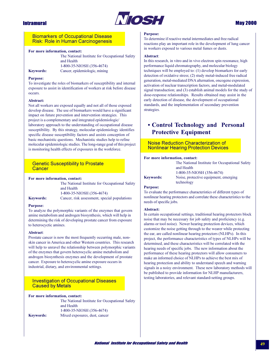

### **Biomarkers of Occupational Disease Risk: Role in Human Carcinogenesis**

#### For more information, contact:

The National Institute for Occupational Safety and Health 1-800-35-NIOSH (356-4674) Cancer, epidemiologic, mining

### **Keywords: Purpose:**

To investigate the roles of biomarkers of susceptibility and internal exposure to assist in identification of workers at risk before disease occurs

#### Abstract:

Not all workers are exposed equally and not all of those exposed develop disease. The use of biomarkers would have a significant impact on future prevention and intervention strategies. This project is a complementary and integrated epidemiologic/ laboratory approach to the understanding of occupational disease susceptibility. By this strategy, molecular epidemiology identifies specific disease susceptibility factors and assists conception of basic mechanistic questions. Mechanistic studies help to refine molecular epidemiologic studies. The long-range goal of this project is monitoring health effects of exposures in the workforce.

### **Genetic Susceptibility to Prostate** Cancer

#### For more information, contact:

|                  | The National Institute for Occupational Safety |
|------------------|------------------------------------------------|
|                  | and Health                                     |
|                  | 1-800-35-NIOSH (356-4674)                      |
| <b>Keywords:</b> | Cancer, risk assessment, special populations   |

#### **Purpose:**

To analyze the polymorphic variants of the enzymes that govern amine metabolism and androgen biosynthesis, which will help in determining the risk of developing prostate cancer from exposure to heterocyctic amines.

#### Abstract:

Prostate cancer is now the most frequently occurring male, nonskin cancer in America and other Western countries. This research will help to unravel the relationship between polymorphic variants of the enzymes that govern heterocyclic amine metabolism and androgen biosynthesis enzymes and the development of prostate cancer. Exposure to heterocyclic amine exposure occurs in industrial, dietary, and environmental settings.

### **Investigation of Occupational Diseases Caused by Metals**

#### For more information, contact:

The National Institute for Occupational Safety and Health 1-800-35-NIOSH (356-4674) **Keywords:** Mixed exposures, dust, cancer

#### **Purpose:**

To determine if reactive metal intermediates and free radical reactions play an important role in the development of lung cancer in workers exposed to various metal fumes or dusts.

#### **Abstract:**

In this research, in vitro and in vivo electron spin resonance, high performance liquid chromatography, and molecular biology techniques will be employed to: (1) develop biomarkers for early detection of oxidative stress; (2) study metal-induced free radical generation, metal-mediated DNA alternation, oncogene expression, activation of nuclear transcription factors, and metal-modulated signal transduction; and (3) establish animal models for the study of dose-response relationships. Results obtained may assist in the early detection of disease, the development of occupational standards, and the implementation of secondary prevention strategies.

### • Control Technology and Personal **Protective Equipment**

### **Noise Reduction Characterization of Nonlinear Hearing Protection Devices**

#### For more information, contact:

The National Institute for Occupational Safety and Health 1-800-35-NIOSH (356-4674) Noise, protective equipment, emerging

**Keywords:** 

#### technology

#### **Purpose:**

To evaluate the performance characteristics of different types of nonlinear hearing protectors and correlate these characteristics to the needs of specific jobs.

#### **Abstract:**

In certain occupational settings, traditional hearing protectors block noise that may be necessary for job safety and proficiency (e.g. alarms or tool noise). Newer hearing protection devices, which customize the noise getting through to the wearer while protecting the ear, are called nonlinear hearing protectors (NLHPs). In this project, the performance characteristics of types of NLHPs will be determined, and these characteristics will be correlated with the hearing needs of specific jobs. The new information about the performance of these hearing protectors will allow consumers to make an informed choice of NLHPs to achieve the best mix of hearing protection and ability to understand speech and warning signals in a noisy environment. These new laboratory methods will be published to provide information for NLHP manufacturers, testing laboratories, and relevant standard-setting groups.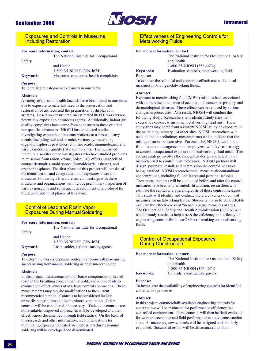

### **Intramural**

**Exposures and Controls in Museums. Including Restoration** 

#### For more information, contact:

Safety

The National Institute for Occupational

and Health 1-800-35-NIOSH (356-4674) Museums, exposures, health complaints

#### **Purpose:**

**Keywords:** 

To identify and categorize exposures in museums.

#### Abstract:

A variety of potential health hazards have been found in museums due to exposure to materials used in the preservation and restoration of artifacts and the preparation of displays for artifacts. Based on census data, an estimated 80,000 workers are potentially exposed to hazardous agents. Additionally, indoor air quality complaints have come from exposures to these or other nonspecific substances. NIOSH has conducted studies investigating exposure of museum workers to asbestos, heavy metals (including lead and arsenic), various hydrocarbons, organophosphorus pesticides, ethylene oxide, immunotoxins, and various indoor air quality (IAQ) complaints. The published literature also cites other investigators who have studied problems in museums from radon, ozone, noise, IAQ effects, unspecified contact dermatitis, mold spores, formaldehyde, asbestos, and organophosphates. The first phase of this project will consist of the identification and categorization of exposures in several museums. Following a literature search, meetings with these museums and organizations will include preliminary inspection of various museums and subsequent development of a protocol for the second and third phases of this work.

### **Control of Lead and Rosin Vapor Exposures During Manual Soldering**

#### For more information, contact:

The National Institute for Occupational

Safety

and Health

**Keywords:** 

1-800-35-NIOSH (356-4674) Rosin, solder, asthma-causing agents

#### **Purpose:**

To determine worker exposure routes to airborne asthma-causing agents arising from manual soldering using rosin-core solder.

#### Abstract:

In this project, measurements of airborne components of heated rosin in the breathing zone of manual solderers will be made to evaluate the effectiveness of available control approaches. These measurements may require modifications to the current recommended method. Controls to be considered include primarily substitution and local exhaust ventilation. Other controls will be considered, if necessary. If adequate controls are not available, improved approaches will be developed and their effectiveness documented through field studies. On the basis of this research and other information, recommendations for minimizing exposure to heated rosin emissions during manual soldering will be developed and disseminated.

**Effectiveness of Engineering Controls for Metalworking Fluids** 

#### For more information, contact:

**Keywords:** 

and Health 1-800-35-NIOSH (356-4674) Evaluation, controls, metalworking fluids

The National Institute for Occupational Safety

#### **Purpose:**

To evaluate the technical and economic effectiveness of control measures involving metalworking fluids.

#### Abstract:

Exposure to metalworking fluid (MWF) mist has been associated with an increased incidence of occupational cancer, respiratory, and dermatological diseases. These effects can be reduced by various changes in procedures. As a result, NIOSH will conduct the following study. Researchers will identify study sites with excessive exposure to airborne metalworking fluid mist. These study sites may come from a current NIOSH study of exposure in the machining industry. At other sites, NIOSH researchers will need to obtain preliminary measurements which indicate that the mist exposures are excessive. For each site, NIOSH, with input from the plant management and employees, will devise a strategy to control occupational exposure to metalworking fluid mists. This control strategy involves the conceptual design and selection of methods used to control mist exposures. NIOSH partners will design, purchase, install, and commission the control measures being installed. NIOSH researchers will measure air contaminant concentrations, including full-shift area and personal samples. These measurements will be conducted before and after the control measures have been implemented. In addition, researchers will estimate the capital and operating costs of these control measures. This study will identify and evaluate the effectiveness of control measures for metalworking fluids. Studies will also be conducted to evaluate the effectiveness of "in use" control measures at sites. The Occupational Safety and Health Administration (OSHA) will use the study results to help assess the efficiency and efficacy of engineering controls for future OSHA rulemaking on metalworking fluids.

### **Control of Occupational Exposures During Construction**

#### For more information, contact:

The National Institute for Occupational Safety and Health 1-800-35-NIOSH (356-4674)

#### **Keywords:**

#### **Purpose:**

To investigate the availability of engineering controls for identified construction processes.

Controls, construction, pavers

#### Abstract:

In this project, commercially-available engineering controls for construction will be evaluated for performance efficiency in a controlled environment. These controls will then be field-evaluated for worker acceptance and field performance at active construction sites. As necessary, new controls will be designed and similarly evaluated. Successful results will be disseminated to labor,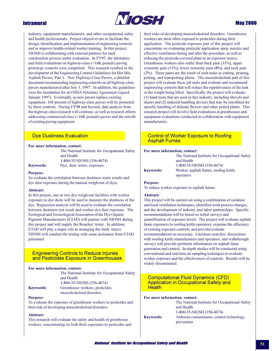

### **May 2000**

industry, equipment manufacturers, and other occupational safety and health professionals. Project objectives are to facilitate the design, identification, and implementation of engineering controls and to improve health-related worker training. In this project, NIOSH is collaborating with external partners for each construction process under evaluation. In FY97, the laboratory and field evaluations on highway-class  $(>16K$  pounds) paying prototype controls were completed. This research resulted in the development of the Engineering Control Guidelines for Hot Mix Asphalt Pavers, Part 1: New Highway-Class Pavers, a detailed document recommending engineering controls on all highway-class pavers manufactured after July 1, 1997. In addition, the guidelines were the foundation for an OSHA Voluntary Agreement (signed January 1997). Eventually, as new pavers replace existing equipment, 100 percent of highway-class pavers will be protected by these controls. During FY98 and beyond, data analysis from the highway-class research will continue, as well as research efforts addressing commercial-class (<16K pounds) pavers and the retrofit of existing paving equipment.

### **Dye Dustiness Evaluation**

#### For more information, contact:

The National Institute for Occupational Safety and Health 1-800-35-NIOSH (356-4674) Dye, dust, tester, exposure

**Keywords: Purpose:** 

To evaluate the correlation between dustiness tester results and dye dust exposure during the manual weigh-out of dyes.

#### Abstract:

In this project, one or two dye weigh-out facilities with worker exposure to dye dusts will be used to measure the dustiness of the dye. Regression analysis will be used to evaluate the correlation between dustiness test result and worker dye dust exposure. The Ecological and Toxicological Association of the Dye Organic Pigment Manufacturers (ETAD) will partner with NIOSH during this project and will supply the Roaches' tester. In addition, ETAD will play a major role in arranging the study site(s). NIOSH will conduct the testing with some assistance from ETAD personnel.

### **Engineering Controls to Reduce Injuries** and Pesticides Exposure in Greenhouses

#### For more information, contact:

|                  | The National Institute for Occupational Safety |
|------------------|------------------------------------------------|
|                  | and Health                                     |
|                  | 1-800-35-NIOSH (356-4674)                      |
| <b>Keywords:</b> | Greenhouse workers, pesticides,                |
|                  | musculoskeletal disorders                      |

#### **Purpose:**

To evaluate the exposure of greenhouse workers to pesticides and their risk of developing musculoskeletal disorders.

#### Abstract:

This research will evaluate the safety and health of greenhouse workers, concentrating on both their exposures to pesticides and

their risks of developing musculoskeletal disorders. Greenhouse workers are most often exposed to pesticides during their application. The pesticide exposure part of this project will concentrate on evaluating pesticide application spray nozzles and effective ventilation during and after the procedure, as well as reducing the pesticide-covered plant as an exposure source. Greenhouse workers also suffer from back pain (31%), upper extremity pain (11%), lower extremity pain (8%), and neck pain (2%). These pains are the result of such tasks as cutting, pruning, potting, and transporting plants. The musculoskeletal part of this project will evaluate these job tasks and evaluate and recommend engineering controls that will reduce the repetitiveness of the task or the weight being lifted. Specifically, the project will evaluate: (1) hand tools that are used in this industry, including shovels and shears and (2) material handling devices that may be retrofitted for specific handling of delicate flowers and other potted plants. This research project will involve field evaluations at greenhouses and equipment evaluations conducted in collaboration with equipment manufacturers.

### **Control of Worker Exposure to Roofing Asphalt Fumes**

#### For more information, contact:

| The National Institute for Occupational Safety |
|------------------------------------------------|
| and Health                                     |
| 1-800-35-NIOSH (356-4674)                      |
| Worker, asphalt fumes, roofing kettle          |
| operators                                      |

#### **Purpose:**

**Keywords:** 

To reduce worker exposure to asphalt fumes.

#### Abstract:

This project will be carried out using a combination of isolation and local ventilation techniques, identified work process changes, and the development of industry and labor partnerships. Specific recommendations will be based on initial surveys and quantification of exposure levels. The project will evaluate asphalt fume exposures to roofing kettle operators, examine the efficiency of existing exposure controls, and provide/evaluate recommendations as necessary. Literature searches, discussions with roofing kettle manufacturers and operators, and walkthrough surveys will provide pertinent information on asphalt fume generation and control. In-depth studies will be conducted using conventional and real-time air sampling techniques to evaluate worker exposure and the effectiveness of controls. Results will be widely disseminated.

### **Computational Fluid Dynamics (CFD) Application in Occupational Safety and Health**

For more information, contact:

|                  | The National Institute for Occupational Safety |
|------------------|------------------------------------------------|
|                  | and Health                                     |
|                  | 1-800-35-NIOSH (356-4674)                      |
| <b>Keywords:</b> | Airborne contaminants, control technology,     |
|                  | prevention                                     |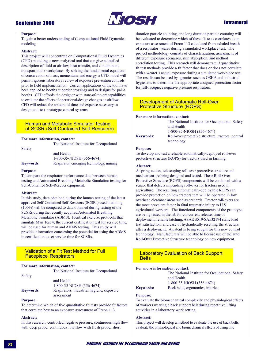### **September 2000**



### **Intramural**

#### **Purpose:**

To gain a better understanding of Computational Fluid Dynamics modeling.

#### Abstract:

This project will concentrate on Computational Fluid Dynamics (CFD) modeling, a new analytical tool that can give a detailed description of fluid or airflow, heat transfer, and contaminant transport in the workplace. By solving the fundamental equations of conservation of mass, momentum, and energy, a CFD model will permit rigorous laboratory review of exposure prevention controls prior to field implementation. Current applications of the tool have been applied to booths at border crossings and to designs for paint booths. CFD affords the designer with state-of-the-art capabilities to evaluate the effects of operational/design changes on airflow. CFD will reduce the amount of time and expense necessary to design and test prototype control systems.

### **Human and Metabolic Simulator Testing** of SCSR (Self-Contained Self-Rescuers)

#### For more information, contact:

The National Institute for Occupational

Safety

and Health 1-800-35-NIOSH (356-4674) Respirator, emerging technology, mining

### **Keywords: Purpose:**

To compare the respirator performance data between human testing and Automated Breathing Metabolic Simulation testing for Self-Contained Self-Rescuer equipment.

#### **Abstract:**

In this study, data obtained during the human testing of the latest approved Self-Contained Self-Rescuers (SCSRs) used in mining (100%) will be compared to data obtained during testing of the SCSRs during the recently acquired Automated Breathing Metabolic Simulator (ABMS). Identical exercise protocols that simulate Man Test 4, the current certification test for service time, will be used for human and ABMS testing. This study will provide information concerning the potential for using the ABMS in certification to set service time for SCSRs.

### **Validation of a Fit Test Method for Full Facepiece Respirators**

#### For more information, contact:

|                  | The National Institute for Occupational   |
|------------------|-------------------------------------------|
| Safety           |                                           |
|                  | and Health                                |
|                  | 1-800-35-NIOSH (356-4674)                 |
| <b>Keywords:</b> | Respirators, industrial hygiene, exposure |
|                  | assessment                                |

#### **Purpose:**

To determine which of five quantitative fit tests provide fit factors that correlate best to an exposure assessment of Freon 113.

#### Abstract:

In this research, controlled negative pressure, continuous high flow with deep probe, continuous low flow with flush probe, short

duration particle counting, and long duration particle counting will be evaluated to determine which of these fit tests correlates to an exposure assessment of Freon 113 calculated from exhaled breath of a respirator wearer during a simulated workplace test. The project methodology consists of characterization, assessment of different exposure scenarios, skin absorption, and method correlation testing. This research will demonstrate if quantitative fit test methods provide a fit factor that does or does not correlate with a wearer's actual exposure during a simulated workplace test. The results can be used by agencies such as OSHA and industrial hygienists to determine the appropriate assigned protection factor for full-facepiece negative pressure respirators.

### **Development of Automatic Roll-Over Protective Structure (ROPS)**

#### For more information, contact:

|                  | The National Institute for Occupational Safety    |
|------------------|---------------------------------------------------|
|                  | and Health                                        |
|                  | 1-800-35-NIOSH (356-4674)                         |
| <b>Keywords:</b> | Roll-over protective structure, tractors, control |
|                  | technology                                        |

#### **Purpose:**

To develop and test a reliable automatically-deployed roll-over protective structure (ROPS) for tractors used in farming.

#### Abstract:

A spring-action, telescoping roll-over protective structure and mechanism are being designed and tested. These Roll-Over Protective Structure (ROPS) components will be combined with a sensor that detects impending roll-over for tractors used in agriculture. The resulting automatically-deployable ROPS can provide protection on new tractors that will be operated in low overhead clearance areas such as orchards. Tractor roll-overs are the most prevalent factor in fatal traumatic injury to U.S. agricultural workers. The functional components of the prototype are being tested in the lab for concurrent release, time of deployment, reliable latching, ASAE S519/SAEJ2194 static load test satisfaction, and ease of hydraulically resetting the structure after a deployment. A patent is being sought for this new control technology. Manufacturers will be able to license use of the auto Roll-Over Protective Structure technology on new equipment.

### **Laboratory Evaluation of Back Support Relts**

#### For more information, contact:

The National Institute for Occupational Safety and Health 1-800-35-NIOSH (356-4674) Back belts, ergonomics, injuries

### **Keywords: Purpose:**

To evaluate the biomechanical complexity and physiological effects of workers wearing a back support belt during repetitive lifting activities in a laboratory work setting.

#### Abstract:

This project will develop a method to evaluate the use of back belts, evaluate the physiological and biomechanical effects of using one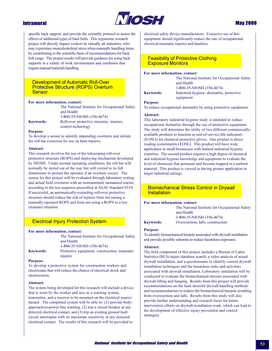

### **May 2000**

specific back support, and provide the scientific protocol to assess the effects of additional types of back belts. This ergonomic research project will directly impact workers in virtually all industries, who may experience musculoskeletal stress when manually handling items, by contributing to the scientific basis of recommendations for back belt usage. The project results will provide guidance for using back supports in a variety of work environments and conditions that require manual materials handling.

### **Development of Automatic Roll-Over Protective Structure (ROPS) Overturn Sensor**

#### For more information, contact:

|                  | The National Institute for Occupational Safety |
|------------------|------------------------------------------------|
|                  | and Health                                     |
|                  | 1-800-35-NIOSH (356-4674)                      |
| <b>Keywords:</b> | Roll-over protective structure, tractors,      |
|                  | control technology                             |

#### **Purpose:**

To develop a sensor to identify impending overturns and initiate the roll bar extension for use on farm tractors.

#### Abstract:

This research involves the use of the telescoping roll-over protective structure (ROPS) and deploying mechanism developed by NIOSH. Under normal operating conditions, the roll bar will normally be stored out of the way but will extend to its full dimensions to protect the operator if an overturn occurs. The sensor for this project will be evaluated through laboratory testing and actual field overturns with an instrumented, unmanned tractor, according to the test sequence prescribed in ASAE Standard S519. If successful, an automatically-extending roll-over protective structure should reduce the risk of injuries from not raising a manually-operated ROPS and from not using a ROPS in a low clearance situation.

### **Electrical Injury Protection System**

#### For more information, contact:

|                  | The National Institute for Occupational Safety |
|------------------|------------------------------------------------|
|                  | and Health                                     |
|                  | 1-800-35-NIOSH (356-4674)                      |
| <b>Keywords:</b> | Protective equipment, construction, traumatic  |
|                  | injuries                                       |

#### **Purpose:**

To develop a protective system for construction workers and electricians that will reduce the chance of electrical shock and electrocution.

#### Abstract:

The system being developed for this research will include a device that is worn by the worker and acts as a warning system, transmitter, and a receiver to be mounted on the electrical source/ hazard. The completed system will be able to: (1) provide bodyapproach-to-power line warning, (2) trip a circuit breaker at any detected electrical contact, and (3) trip an existing ground fault circuit interrupter with its maximum sensitivity at any detected electrical contact. The results of this research will be provided to

electrical safety device manufacturers. Extensive use of this equipment should significantly reduce the rate of occupational electrical traumatic injuries and fatalities.

**Feasibility of Protective Clothing Exposure Monitors** 

#### For more information, contact:

**Keywords:** 

The National Institute for Occupational Safety and Health 1-800-35-NIOSH (356-4674) Industrial hygiene, dermatitis, protective equipment

#### **Purpose:**

To reduce occupational dermatitis by using protective equipment.

#### Abstract:

This laboratory industrial hygiene study is intended to reduce occupational dermatitis through the use of protective equipment. The study will determine the utility of two different commerciallyavailable products to function as end-of-service-life indicators (EOSLI) for chemical protective gloves. One product is direct reading (colorimetric) EOSLI. This product will have wide application in small businesses with limited industrial hygiene expertise. The second product requires a high degree of chemical and industrial hygiene knowledge and equipment to evaluate the level of chemicals that permeate and become trapped in a sorbent material. This product is viewed as having greater application in larger industrial settings.

### **Biomechanical Stress Control in Drywall Installation**

#### For more information, contact:

The National Institute for Occupational Safety and Health 1-800-35-NIOSH (356-4674) Overexertion, falls, construction

#### **Keywords:**

**Purpose:** 

To identify biomechanical hazards associated with drywall installation and provide possible solutions to reduce hazardous exposures.

#### Abstract:

The field component of this project includes a Bureau of Labor Statistics (BLS) injury-database search, a video analysis of actual drywall installation, and a questionnaire to identify current drywall installation techniques and the hazardous tasks and activities associated with drywall installation. Laboratory simulation will be conducted to evaluate the biomechanical stresses associated with drywall lifting and hanging. Results from this project will provide recommendations on the least stressful drywall handling methods and recommendations to reduce the biomechanical hazards resulting from overexertion and falls. Results from this study will also provide further understanding and research focus for future intervention efforts on drywall-installation work, which can lead to the development of effective injury prevention and control strategies.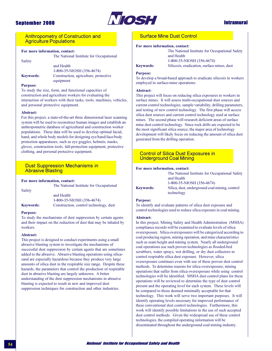

### **Intramural**

**Anthropometry of Construction and Agriculture Populations** 

#### For more information, contact:

Safety

The National Institute for Occupational

and Health 1-800-35-NIOSH (356-4674) **Keywords:** Construction, agriculture, protective equipment

#### **Purpose:**

To study the size, form, and functional capacities of construction and agriculture workers for evaluating the interaction of workers with their tasks, tools, machines, vehicles, and personal protective equipment.

#### Abstract:

For this project, a state-of-the-art three dimensional laser scanning system will be used to reconstruct human images and establish an anthropometric database of agricultural and construction worker populations. These data will be used to develop optimal facial, hand, and whole body models for designing eye/hand/face/body protection apparatuses, such as eye goggles, helmets, masks, gloves, construction tools, fall-protection equipment, protective clothing, and personal protective equipment.

### **Dust Suppression Mechanisms in Abrasive Blasting**

#### For more information, contact:

The National Institute for Occupational

and Health 1-800-35-NIOSH (356-4674) Construction, control technology, dust

### **Keywords: Purpose:**

Safety

To study the mechanisms of dust suppression by certain agents and their impact on the reduction of dust that may be inhaled by workers.

#### Abstract:

This project is designed to conduct experiments using a small abrasive blasting system to investigate the mechanisms of successful dust suppression by certain agents that are sometimes added to the abrasive. Abrasive blasting operations using silicasand are especially hazardous because they produce very large amounts of silica dust in the respirable size range. Despite these hazards, the parameters that control the production of respirable dust in abrasive blasting are largely unknown. A better understanding of the dust suppression mechanisms in abrasive blasting is expected to result in new and improved dust suppression techniques for construction and other industries.

### **Surface Mine Dust Control**

#### For more information, contact:

The National Institute for Occupational Safety and Health 1-800-35-NIOSH (356-4674) Silicosis, eradication, surface mines, dust

#### **Purpose:**

**Keywords:** 

To develop a broad-based approach to eradicate silicosis in workers employed in surface-mine operations.

#### Abstract:

This project will focus on reducing silica exposures to workers in surface mines. It will assess multi-occupational dust sources and current control technologies, sample variability, drilling parameters, and testing of new control technology. The first phase will access silica dust sources and current control technology used at surface mines. The second phase will research deficient areas of surface mine dust control technology. Since rock drills are expected to be the most significant silica source, the major area of technology development will likely focus on reducing the amount of silica dust generated from the drilling operation.

### **Control of Silica Dust Exposures in Underground Coal Mining**

#### For more information, contact:

| The National Institute for Occupational Safety               |
|--------------------------------------------------------------|
| and Health                                                   |
| 1-800-35-NIOSH (356-4674)                                    |
| Silica, dust, underground coal mining, control<br>technology |
|                                                              |

#### **Purpose:**

To identify and evaluate patterns of silica dust exposure and control technologies used to reduce silica exposure in coal mining.

#### Abstract:

In this project, Mining Safety and Health Administration (MSHA) compliance records will be examined to evaluate levels of silical overexposure. Silica overexposures will be categorized according to coal producing region, mining operation, and mine characteristics such as seam height and mining system. Nearly all underground coal operations use such proven technologies as flooded-bed scrubbers, water sprays, wet drilling, or dry dust collectors to control respirable silica dust exposure. However, silica overexposure continues even with use of these proven dust control methods. To determine reasons for silica overexposure, mining operations that suffer from silica overexposure while using control technologies will be identified. MSHA dust control plans for these operations will be reviewed to determine the type of dust control present and the operating level for each system. These levels will be compared to those deemed minimally acceptable for that technology. This work will serve two important purposes. It will identify operating levels necessary for improved performance of these conventional dust control technologies. Furthermore, this work will identify possible limitations in the use of such accepted dust control methods. Given the widespread use of these control technologies, the compiled operating information will be disseminated throughout the underground coal mining industry.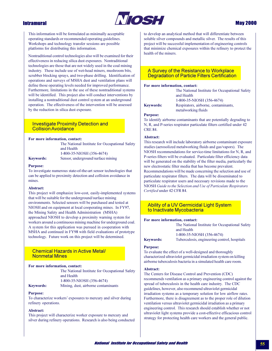

### **May 2000**

This information will be formulated as minimally acceptable operating standards or recommended operating guidelines. Workshops and technology transfer sessions are possible platforms for distributing this information.

Nontraditional control technologies also will be examined for their effectiveness in reducing silica dust exposures. Nontraditional technologies are those that are not widely used in the coal mining industry. These include use of wet-head miners, mushroom bits, scrubber blocking sprays, and two-phase drilling. Identification of operations and surveys of MSHA dust and ventilation plans will define those operating levels needed for improved performance. Furthermore, limitations in the use of these nontraditional systems will be identified. This project also will conduct interventions by installing a nontraditional dust control system at an underground operation. The effectiveness of the intervention will be assessed by the reduction in silica dust exposure.

### **Investigate Proximity Detection and Collision Avoidance**

#### For more information, contact:

The National Institute for Occupational Safety and Health 1-800-35-NIOSH (356-4674) Sensor, underground/surface mining

**Keywords:** 

#### **Purpose:**

To investigate numerous state-of-the-art sensor technologies that can be applied to proximity detection and collision avoidance in mines.

#### Abstract:

This project will emphasize low-cost, easily-implemented systems that will be suitable for the underground/surface mining environments. Selected sensors will be purchased and tested at NIOSH and on equipment at local cooperating mines. In FY97, the Mining Safety and Health Administration (MSHA) approached NIOSH to develop a proximity warning system for workers around a continuous mining machine for underground coal. A system for this application was pursued in cooperation with MSHA and continued in FY98 with field evaluations of prototype technology. Future work on this project will be determined.

### **Chemical Hazards in Active Metal/ Nonmetal Mines**

#### For more information, contact:

| The National Institute for Occupational Safety |
|------------------------------------------------|
| and Health                                     |
| 1-800-35-NIOSH (356-4674)                      |
| Mining, dust, airborne contaminants            |

### **Keywords:**

#### **Purpose:**

To characterize workers' exposures to mercury and silver during refinery operations.

#### Abstract:

This project will characterize worker exposure to mercury and silver during refinery operations. Research is also being conducted

to develop an analytical method that will differentiate between soluble silver compounds and metallic silver. The results of this project will be successful implementation of engineering controls that minimize chemical exposures within the refinery to protect the health of the miners.

### A Survey of the Resistance to Workplace Degradation of Particle Filters Certification

#### For more information, contact:

The National Institute for Occupational Safety and Health 1-800-35-NIOSH (356-4674)

**Keywords:** 

#### Respirators, airborne, contaminants, metalworking fluids

#### **Purpose:**

To identify airborne contaminants that are potentially degrading to N, R, and P-series respirator particulate filters certified under 42 **CRE 84.** 

#### Abstract:

This research will include laboratory airborne contaminant exposure studies (aerosolized metalworking fluids and gas/vapors). The NIOSH recommendations for service-time limitations for N, R, and P-series filters will be evaluated. Particulate filter efficiency data will be generated on the stability of the filter media, particularly the new electrostatic filter media that has become prevalent. Recommendations will be made concerning the selection and use of particulate respirator filters. The data will be disseminated to particulate respirator users and necessary revisions made to the NIOSH Guide to the Selection and Use of Particulate Respirators Certified under 42 CFR 84.

### **Ability of a UV Germicidal Light System** to Inactivate Mycobacteria

#### For more information, contact:

The National Institute for Occupational Safety and Health 1-800-35-NIOSH (356-4674) Tuberculosis, engineering control, hospitals

### **Keywords: Purpose:**

To evaluate the effect of a well-designed and thoroughly characterized ultraviolet germicidal irradiation system on killing airborne tuberculosis bacteria in a simulated health care room.

#### Abstract:

The Centers for Disease Control and Prevention (CDC) recommends ventilation as a primary engineering control against the spread of tuberculosis in the health care industry. The CDC guidelines, however, also recommend ultraviolet germicidal irradiation systems as a temporary solution for low airflow rates. Furthermore, there is disagreement as to the proper role of dilution ventilation versus ultraviolet germicidal irradiation as a primary engineering control. This research should establish whether or not ultraviolet light systems provide a cost-effective efficacious control strategy for protecting health care workers and the general public.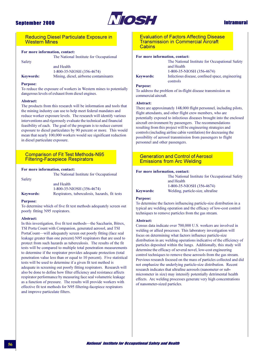

### **Intramural**

**Reducing Diesel Particulate Exposure in Western Mines** 

#### For more information, contact:

Safety

The National Institute for Occupational

and Health 1-800-35-NIOSH (356-4674) Mining, diesel, airborne contaminants

#### **Purpose:**

**Keywords:** 

To reduce the exposure of workers in Western mines to potentially dangerous levels of exhaust from diesel engines.

#### Abstract:

The products from this research will be information and tools that the mining industry can use to help meet federal mandates and reduce worker exposure levels. The research will identify various interventions and rigorously evaluate the technical and financial feasibility of each. The goal of the program is to reduce current exposure to diesel particulates by 90 percent or more. This would mean that nearly 100,000 workers would see significant reduction in diesel particulate exposure.

#### **Comparison of Fit Test Methods-N95 Filtering-Facepiece Respirators**

#### For more information, contact:

Safety

The National Institute for Occupational

and Health 1-800-35-NIOSH (356-4674) **Keywords:** Respirators, tuberculosis, hazards, fit tests

#### **Purpose:**

To determine which of five fit test methods adequately screen out poorly fitting N95 respirators.

#### **Abstract:**

In this investigation, five fit test methods—the Saccharin, Bitrex, TSI Porta Count with Companion, generated aerosol, and TSI PortaCount-will adequately screen out poorly fitting (face seal leakage greater than one percent) N95 respirators that are used to protect from such hazards as tuberculosis. The results of the fit tests will be compared to multiple total penetration measurements to determine if the respirator provides adequate protection (total penetration value less than or equal to 10 percent). Five statistical tests will be used to determine if a given fit test method is adequate in screening out poorly fitting respirators. Research will also be done to define how filter efficiency and resistance affects respirator performance by measuring face seal volumetric leakage as a function of pressure. The results will provide workers with effective fit test methods for N95 filtering-facepiece respirators and improve particulate filters.

**Evaluation of Factors Affecting Disease Transmission in Commercial Aircraft Cabins** 

and Health

controls

#### For more information, contact: The National Institute for Occupational Safety

**Keywords:** 

**Purpose:** 

To address the problem of in-flight disease transmission on commercial aircraft.

#### Abstract:

There are approximately 148,000 flight personnel, including pilots, flight attendants, and other flight crew members, who are potentially exposed to infectious diseases brought into the enclosed aircraft environment by passengers. The recommendations resulting from this project will be engineering strategies and controls (including airline cabin ventilation) for decreasing the possibility of aerosol transmission from passengers to flight personnel and other passengers.

1-800-35-NIOSH (356-4674)

Infectious disease, confined space, engineering

### **Generation and Control of Aerosol Emissions from Arc Welding**

#### For more information, contact:

| The National Institute for Occupational Safety |
|------------------------------------------------|
| and Health                                     |
| 1-800-35-NIOSH (356-4674)                      |
| Welding particle-size ultrafine                |

### **Keywords: Purpose:**

To determine the factors influencing particle-size distribution in a typical arc welding operation and the efficacy of low-cost control techniques to remove particles from the gas stream.

#### Abstract:

Census data indicate over 700,000 U.S. workers are involved in welding or allied processes. This laboratory investigation will focus on determining what factors influence particle-size distribution in arc welding operations indicative of the efficiency of particles deposited within the lungs. Additionally, this study will determine the efficacy of several novel, low-cost engineering control techniques to remove these aerosols from the gas stream. Previous research focused on the mass of particles collected and did not emphasize the underlying particle-size distribution. Recent research indicates that ultrafine aerosols (nanometer or submicrometer in size) may intensify potentially detrimental health effects. Arc welding processes generate very high concentrations of nanometer-sized particles.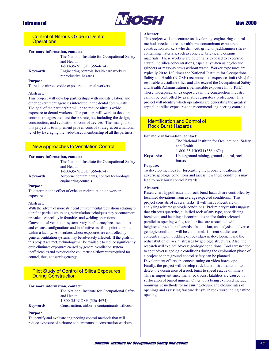

### **May 2000**

### **Control of Nitrous Oxide in Dental Operations**

#### For more information, contact:

|                  | The National Institute for Occupational Safety |
|------------------|------------------------------------------------|
|                  | and Health                                     |
|                  | 1-800-35-NIOSH (356-4674)                      |
| <b>Keywords:</b> | Engineering controls, health care workers,     |
|                  | reproductive hazards                           |

#### **Purpose:**

To reduce nitrous oxide exposure to dental workers.

#### Abstract:

This project will develop partnerships with industry, labor, and other government agencies interested in the dental community. The goal of the partnership will be to reduce nitrous oxide exposure to dental workers. The partners will work to develop control strategies then test these strategies, including the design, construction, and evaluation of control devices. The final goal of this project is to implement proven control strategies on a national level by leveraging the wide-based membership of all the partners.

### **New Approaches to Ventilation Control**

#### For more information, contact:

|           | The National Institute for Occupational Safety |
|-----------|------------------------------------------------|
|           | and Health                                     |
|           | 1-800-35-NIOSH (356-4674)                      |
| Kevwords: | Airborne contaminants, control technology,     |
|           | engineering controls                           |

#### **Purpose:**

To determine the effect of exhaust recirculation on worker exposure.

#### Abstract:

With the advent of more stringent environmental regulations relating to ultrafine particle emissions, recirculation techniques may become more prevalent, especially in foundries and welding operations. Conventional ventilation systems vary in efficiency because of inlet and exhaust configurations and in effectiveness from point-to-point within a facility. All workers whose exposures are controlled by general ventilation systems may be adversely affected. If the goals of this project are met, technology will be available to reduce significantly or to eliminate exposures caused by general ventilation system inefficiencies and to reduce the volumetric airflow rates required for control, thus, conserving energy.

### **Pilot Study of Control of Silica Exposures During Construction**

#### For more information, contact:

|                  | The National Institute for Occupational Safety |
|------------------|------------------------------------------------|
|                  | and Health                                     |
|                  | 1-800-35-NIOSH (356-4674)                      |
| <b>Keywords:</b> | Construction, airborne contaminants, silicosis |

#### **Purpose:**

To identify and evaluate engineering control methods that will reduce exposure of airborne contaminants to construction workers.

#### Abstract:

This project will concentrate on developing engineering control methods needed to reduce airborne contaminant exposure to construction workers who drill, cut, grind, or jackhammer silicacontaining materials, such as concrete, bricks, and ceramic materials. These workers are potentially exposed to excessive crystalline silica concentrations, especially when using electric grinders or masonry saws without water. Worker exposures are typically 20 to 160 times the National Institute for Occupational Safety and Health (NIOSH) recommended exposure limit (REL) for respirable crystalline silica and also exceed the Occupational Safety and Health Administration's permissible exposure limit (PEL). These widespread silica exposures in the construction industry cannot be controlled by available respiratory protection. This project will identify which operations are generating the greatest crystalline silica exposures and recommend engineering controls.

#### **Identification and Control of Rock Burst Hazards**

#### For more information, contact:

|                  | The National Institute for Occupational Safety |
|------------------|------------------------------------------------|
|                  | and Health                                     |
|                  | 1-800-35-NIOSH (356-4674)                      |
| <b>Keywords:</b> | Underground mining, ground control, rock       |
|                  | bursts                                         |

#### **Purpose:**

To develop methods for forecasting the probable locations of adverse geologic conditions and assess how these conditions may lead to rock burst control hazards.

#### Abstract:

Researchers hypothesize that rock burst hazards are controlled by localized deviations from average expected conditions. This project consists of several tasks. It will first concentrate on analyzing adverse geologic conditions. Preliminary results suggest that vitreous quartzite, silicified rock of any type, core discing, breakouts, and bedding discontinuities and/or faults oriented parallel to opening walls, roof, or face are associated with heightened rock burst hazards. In addition, an analysis of adverse geologic conditions will be completed. Current studies are concentrating on buckling of rock slabs in development and the redistribution of in situ stresses by geologic structures. Also, the research will explore adverse geologic conditions. Tools are needed to spot adverse geologic conditions during the exploration phase of a project so that ground control safety can be planned. Development efforts are concentrating on video borescope. Finally, the project will develop rock burst instrumentation to detect the occurrence of a rock burst to speed rescue of miners. This is important since many rock burst fatalities are caused by suffocation of buried miners. Other tools being explored include noninvasive methods for measuring closure and closure rates of openings and assessing fracture density in rock surrounding a mine opening.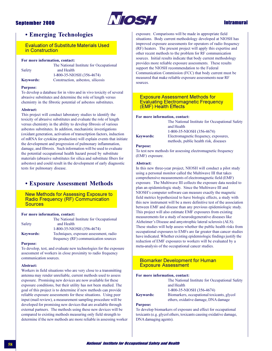

### **Intramural**

### **• Emerging Technologies**

**Evaluation of Substitute Materials Used** in Construction

#### For more information, contact:

|                  | The National Institute for Occupational |
|------------------|-----------------------------------------|
| Safety           | and Health                              |
|                  | 1-800-35-NIOSH (356-4674)               |
| <b>Keywords:</b> | Construction, asbestos, silicosis       |

#### **Purpose:**

To develop a database for in vitro and in vivo toxicity of several abrasive substitutes and determine the role of length versus chemistry in the fibrotic potential of asbestos substitutes.

#### Abstract:

This project will conduct laboratory studies to identify the toxicity of abrasive substitutes and evaluate the role of length versus chemistry in the ability to develop fibrosis of various asbestos substitutes. In addition, mechanistic investigations (oxidant generation, activation of transcription factors, induction of mRNA for cytokine production) will explain events that initiate the development and progression of pulmonary inflammation, damage, and fibrosis. Such information will be used to evaluate the potential occupational health hazard posed by substitute materials (abrasive substitutes for silica and substitute fibers for asbestos) and could result in the development of early diagnostic tests for pulmonary disease.

### **• Exposure Assessment Methods**

**New Methods for Assessing Exposure to** Radio Frequency (RF) Communication **Sources** 

#### For more information, contact:

|                  | The National Institute for Occupational |
|------------------|-----------------------------------------|
| Safety           | and Health                              |
|                  | 1-800-35-NIOSH (356-4674)               |
| <b>Keywords:</b> | Techniques, exposure assessment, radio  |
|                  | frequency (RF) communication sources    |

#### **Purpose:**

To develop, test, and evaluate new technologies for the exposure assessment of workers in close proximity to radio frequency communication sources.

#### Abstract:

Workers in field situations who are very close to a transmitting antenna may render unreliable, current methods used to assess exposure. Promising new devices are now available for these exposure conditions, but their utility has not been studied. The goal of this project is to determine if new methods can provide reliable exposure assessments for these situations. Using peer input (mail review), a measurement sampling procedure will be developed for promising new devices that are available through external partners. The methods using these new devices will be compared to existing methods measuring only field strength to determine if the new methods are more reliable in assessing worker exposure. Comparisons will be made in appropriate field situations. Body current methodology developed at NIOSH has improved exposure assessments for operators of radio frequency (RF) heaters. The present project will apply this expertise and other recent methods to the problem for RF communication sources. Initial results indicate that body current methodology provides more reliable exposure assessments. These results support the NIOSH recommendation to the Federal Communication Commission (FCC) that body current must be measured that make reliable exposure assessments near RF sources

### **Exposure Assessment Methods for Evaluating Electromagnetic Frequency** (EMF) Health Effects

#### For more information, contact:

| The National Institute for Occupational Safety |
|------------------------------------------------|
| and Health                                     |
| 1-800-35-NIOSH (356-4674)                      |
| Electromagnetic frequency, exposures,          |
| methods, public health risk, diseases          |

#### **Purpose:**

**Keywords:** 

To test new methods for assessing electromagnetic frequency (EMF) exposure.

#### Abstract:

In this new three-year project, NIOSH will conduct a pilot study using a personal monitor called the Multiwave III that takes comprehensive measurements of electromagnetic field (EMF) exposure. The Multiwave III collects the exposure data needed to plan an epidemiologic study. Since the Multiwave III and NIOSH's computer software can measure exactly the magnetic field metrics hypothesized to have biologic effects, a study with this new instrument will be a more definitive test of the association between EMF and disease than any previous epidemiologic study. This project will also estimate EMF exposures from existing measurements for a study of neurodegenerative diseases like Alzheimer's Disease and amyotrophic lateral sclerosis (ALS). These studies will help assess whether the public health risks from occupational exposures to EMFs are far greater than cancer studies have indicated. Whether existing epidemiologic findings justify the reduction of EMF exposures to workers will be evaluated by a meta-analysis of the occupational cancer studies.

### **Biomarker Development for Human Exposure Assessment**

#### For more information, contact:

The National Institute for Occupational Safety and Health 1-800-35-NIOSH (356-4674) Biomarkers, occupational toxicants, glycol

ethers, oxidative damage, DNA damage

#### **Purpose:**

**Keywords:** 

To develop biomarkers of exposure and effect for occupational toxicants (e.g. glycol ethers, toxicants causing oxidative damage, DNA damaging agents).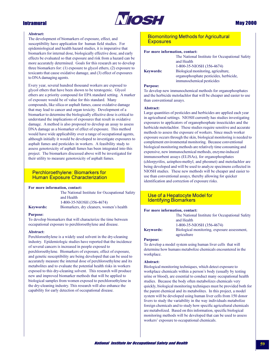

#### Abstract:

The development of biomarkers of exposure, effect, and susceptibility have application for human field studies. For epidemiological and health hazard studies, it is imperative that biomarkers for internal dose, biologically effective dose, and early effects be evaluated so that exposure and risk from a hazard can be more accurately determined. Goals for this research are to develop three biomarkers for:  $(1)$  exposure to glycol ethers,  $(2)$  exposure to toxicants that cause oxidative damage, and (3) effect of exposures to DNA damaging agents.

Every year, several hundred thousand workers are exposed to glycol ethers that have been shown to be teratogenic. Glycol ethers are a priority compound for EPA standard setting. A marker of exposure would be of value for this standard. Many compounds, like silica or asphalt fumes, cause oxidative damage that may lead to cancer and organ toxicity. Development of a biomarker to determine the biologically effective dose is critical to understand the implications of exposures that result in oxidative damage. A method is also proposed to develop an assay to assess DNA damage as a biomarker of effect of exposure. This method would have wide applicability over a range of occupational agents, although initially it would be developed to investigate exposures to asphalt fumes and pesticides in workers. A feasibility study to assess genotoxicity of asphalt fumes has been integrated into this project. The biomarkers discussed above will be investigated for their utility to measure genotoxicity of asphalt fumes.

### **Perchloroethylene: Biomarkers for Human Exposure Characterization**

#### For more information, contact:

| The National Institute for Occupational Safety |
|------------------------------------------------|
| and Health                                     |
| 1-800-35-NIOSH (356-4674)                      |
| Biomarkers, dry cleaners, women's health       |

### **Keywords: Purpose:**

To develop biomarkers that will characterize the time between occupational exposure to perchloroethylene and disease.

#### Abstract:

Perchloroethylene is a widely used solvent in the dry-cleaning industry. Epidemiologic studies have reported that the incidence of several cancers is increased in people exposed to perchloroethylene. Biomarkers of exposure, effect of exposure, and genetic susceptibility are being developed that can be used to accurately measure the internal dose of perchloroethylene and its metabolites and to evaluate the potential health risks in workers exposed to this dry-cleaning solvent. This research will produce new and improved biomarker methods that will be applied to biological samples from women exposed to perchloroethylene in the dry-cleaning industry. This research will also enhance the capability for early detection of occupational disease.

### **Biomonitoring Methods for Agricultural Exposures**

#### For more information, contact:

|                  | The National Institute for Occupational Safet<br>and Health |
|------------------|-------------------------------------------------------------|
|                  | 1-800-35-NIOSH (356-4674)                                   |
| <b>Keywords:</b> | Biological monitoring, agriculture,                         |
|                  | organophosphate pesticides, herbicide,                      |
|                  | immunochemical pesticides                                   |

#### **Purpose:**

To develop new immunochemical methods for organophosphates and the herbicide metolachlor that will be cheaper and easier to use than conventional assays.

#### Abstract:

Large quantities of pesticides and herbicides are applied each year in agricultural settings. NIOSH currently has studies investigating exposures to applicators of organophosphate insecticides and the herbicide metolachlor. These studies require sensitive and accurate methods to assess the exposure of workers. Since much worker exposure occurs through the skin, biological monitoring is needed to complement environmental monitoring. Because conventional biological monitoring methods are relatively time consuming and expensive, new immunochemical methods, enzyme-induced immunosorbent assays (ELISAs), for organophosphates (chlorpyrifos, azinphos-methyl, and phosmet) and metolachlor are being developed and will be used to analyze specimens collected in NIOSH studies. These new methods will be cheaper and easier to use than conventional assays, thereby allowing for quicker identification and correction of exposure risks.

### Use of a Hepatocyte Model for **Identifying Biomarkers**

#### For more information, contact:

The National Institute for Occupational Safety and Health 1-800-35-NIOSH (356-4674) Biological monitoring, exposure assessment, agriculture

### **Purpose:**

**Keywords:** 

To develop a model system using human liver cells that will determine how humans metabolize chemicals encountered in the workplace.

#### Abstract:

Biological monitoring techniques, which detect exposure to workplace chemicals within a person's body (usually by testing urine or blood), are essential to conduct many occupational health studies. Because the body often metabolizes chemicals very quickly, biological monitoring techniques must be provided both for the parent chemical and its metabolites. In this project, a model system will be developed using human liver cells from 150 donor livers to study the variability in the way individuals metabolize foreign chemicals and to study how specific agricultural chemicals are metabolized. Based on this information, specific biological monitoring methods will be developed that can be used to assess workers' exposure to occupational chemicals.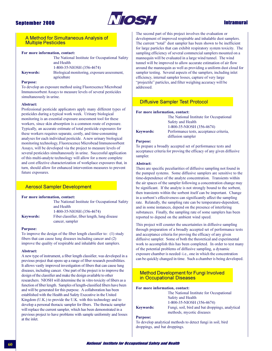

### **Intramural**

### A Method for Simultaneous Analysis of **Multiple Pesticides**

#### For more information, contact:

| The National Institute for Occupational Safety |
|------------------------------------------------|
| and Health                                     |
| 1-800-35-NIOSH (356-4674)                      |
| Biological monitoring, exposure assessment.    |

**Keywords:** 

agriculture

#### **Purnose:**

To develop an exposure method using Fluorescence Microbead Immunosorbent Assays to measure levels of several pesticides simultaneously in urine.

#### Abstract:

Professional pesticide applicators apply many different types of pesticides during a typical work week. Urinary biological monitoring is an essential exposure assessment tool for these workers, since skin absorption is a common route of exposure. Typically, an accurate estimate of total pesticide exposures for these workers requires separate, costly, and time-consuming analyses for each individual pesticide. A new urinary biological monitoring technology, Fluorescence Microbead Immunosorbent Assays, will be developed via the project to measure levels of several pesticides simultaneously in urine. Successful application of this multi-analyte technology will allow for a more complete and cost effective characterization of workplace exposures that, in turn, should allow for enhanced intervention measures to prevent future exposures.

### **Aerosol Sampler Development**

#### For more information, contact:

and Health 1-800-35-NIOSH (356-4674) Fiber classifier, fiber length, lung disease

cancer, sampler

The National Institute for Occupational Safety

#### **Purpose:**

**Keywords:** 

To improve the design of the fiber length classifier to: (1) study fibers that can cause lung diseases including cancer and (2) improve the quality of respirable and inhalable dust samplers.

#### Abstract:

A new type of instrument, a fiber length classifier, was developed in a previous project that opens up a range of fiber research possibilities. It allows vastly improved investigation of fibers that can cause lung diseases, including cancer. One part of the project is to improve the design of the classifier and make the design available to other researchers. NIOSH will determine the in vitro toxicity of fibers as a function of fiber length. Samples of length-classified fibers have been and will be generated for this purpose. A collaboration has been established with the Health and Safety Executive in the United Kingdom (U.K.) to provide the U.K. with this technology and to develop a personal thoracic sampler for fibers. The thoracic sampler will replace the current sampler, which has been demonstrated in a previous project to have problems with sample uniformity and losses at the inlet.

The second part of this project involves the evaluation or development of improved respirable and inhalable dust samplers. The current "total" dust sampler has been shown to be inefficient for large particles that can exhibit respiratory system toxicity. The sampling efficiency of several commercial samplers mounted on a mannequin will be evaluated in a large wind tunnel. The wind tunnel will be improved to allow accurate estimation of air flow around the mannequin as well as providing a uniform dust cloud for sampler testing. Several aspects of the samplers, including inlet efficiency, internal sampler losses, capture of very large "projectile" particles, and filter weighing accuracy will be addressed.

### **Diffusive Sampler Test Protocol**

#### For more information, contact:

|                  | The National Institute for Occupational |
|------------------|-----------------------------------------|
|                  | Safety and Health                       |
|                  | 1-800-35-NIOSH (356-4674)               |
| <b>Keywords:</b> | Performance tests, acceptance criteria, |
|                  | diffusion sampler                       |

#### **Purpose:**

To prepare a broadly accepted set of performance tests and acceptance criteria for proving the efficacy of any given diffusive sampler.

#### Abstract:

There are specific peculiarities of diffusive sampling not found in the pumped systems. Some diffusive samplers are sensitive to the time-dependence of the analyte concentration. Transients within the air spaces of the sampler following a concentration change may be significant. If the analyte is not strongly bound to the sorbent, then transients within the sorbent itself can be important. Change in a sorbent's effectiveness can significantly affect the sampling rate. Relatedly, the sampling rate can be temperature-dependent, and in some instances, depend on the presence of interfering substances. Finally, the sampling rate of some samplers has been reported to depend on the ambient wind speed.

This project will counter the uncertainties in diffusive sampling through preparation of a broadly accepted set of performance tests and acceptance criteria for proving the efficacy of any given diffusive sampler. Some of both the theoretical and experimental work to accomplish this has been completed. In order to test many of the potential problems of diffusive sampling, a dynamic exposure chamber is needed-i.e., one in which the concentration can be quickly changed in time. Such a chamber is being developed.

### **Method Development for Fungi Involved** in Occupational Diseases

#### For more information, contact:

|                  | The National Institute for Occupational         |
|------------------|-------------------------------------------------|
|                  | Safety and Health                               |
|                  | 1-800-35-NIOSH (356-4674)                       |
| <b>Keywords:</b> | Fungi, soil, bird and bat droppings, analytical |
|                  | methods, mycotic diseases                       |

#### **Purpose:**

To develop analytical methods to detect fungi in soil, bird droppings, and bat droppings.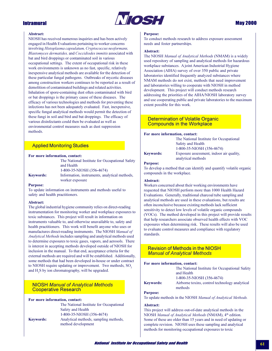

### **May 2000**

### **Intramural**

#### Abstract:

NIOSH has received numerous inquiries and has been actively engaged in Health Evaluations pertaining to worker concerns involving Histoplasma capsulatum, Cryptococcus neoformans, Blastomyces dermatides, and Coccidiodes immitis associated with bat and bird droppings or contaminated soil in various occupational settings. The extent of occupational risk in these work environments is unknown as no fast, specific, relatively inexpensive analytical methods are available for the detection of these particular fungal pathogens. Outbreaks of mycotic diseases among construction workers continues to be reported as a result of demolition of contaminated buildings and related activities. Inhalation of spore-containing dust often contaminated with bird or bat droppings is the primary cause of these diseases. The efficacy of various technologies and methods for preventing these infections has not been adequately evaluated. Fast, inexpensive, specific fungal analytical methods would permit the detection of these fungi in soil and bird and bat droppings. The efficacy of various disinfectants could then be evaluated as well as environmental control measures such as dust suppression methods.

### **Applied Monitoring Studies**

#### For more information, contact:

|                  | The National Institute for Occupational Safety |
|------------------|------------------------------------------------|
|                  | and Health                                     |
|                  | 1-800-35-NIOSH (356-4674)                      |
| <b>Kevwords:</b> | Information, instruments, analytical methods,  |
|                  | worker exposure                                |

#### **Purpose:**

To update information on instruments and methods useful to safety and health practitioners.

#### **Abstract:**

The global industrial hygiene community relies on direct-reading instrumentation for monitoring worker and workplace exposures to toxic substances. This project will result in information on instruments valuable to, and otherwise unavailable to, safety and health practitioners. This work will benefit anyone who uses or manufactures direct-reading instruments. The NIOSH Manual of Analytical Methods includes sampling and analytical methods used to determine exposures to toxic gases, vapors, and aerosols. There is interest in accepting methods developed outside of NIOSH for inclusion in the manual. To that end, acceptance criteria for the external methods are required and will be established. Additionally, some methods that had been developed in-house or under contract to NIOSH require updating or improvement. Two methods, SO. and H<sub>2</sub>S by ion chromatography, will be upgraded.

### **NIOSH Manual of Analytical Methods Cooperative Research**

| For more information, contact: |                                                             |
|--------------------------------|-------------------------------------------------------------|
|                                | The National Institute for Occupational                     |
|                                | Safety and Health                                           |
|                                | 1-800-35-NIOSH (356-4674)                                   |
| <b>Keywords:</b>               | Analytical methods, sampling methods,<br>method development |

#### **Purpose:**

To conduct methods research to address exposure assessment needs and foster partnerships.

#### Abstract:

The NIOSH Manual of Analytical Methods (NMAM) is a widely used repository of sampling and analytical methods for hazardous workplace substances. A joint American Industrial Hygiene Association (AIHA) survey of over 350 public and private laboratories identified frequently analyzed substances where NMAM methods do not exist, methods that need improvement and laboratories willing to cooperate with NIOSH in method development. This project will conduct methods research addressing the priorities of the AIHA/NIOSH laboratory survey and use cooperating public and private laboratories to the maximum extent possible for this work.

### **Determination of Volatile Organic Compounds in the Workplace**

#### For more information, contact:

|                  | The National Institute for Occupational                        |
|------------------|----------------------------------------------------------------|
|                  | Safety and Health                                              |
|                  | 1-800-35-NIOSH (356-4674)                                      |
| <b>Keywords:</b> | Exposure assessment, indoor air quality,<br>analytical methods |

#### **Purpose:**

To develop a method that can identify and quantify volatile organic compounds in the workplace.

#### **Abstract:**

Workers concerned about their working environments have requested that NIOSH perform more than 1000 Health Hazard Evaluations. Generally, traditional charcoal tube sampling and analytical methods are used in these evaluations, but results are often inconclusive because existing methods lack sufficient sensitivity to detect low levels of volatile organic compounds (VOCs). The method developed in this project will provide results that help researchers associate observed health effects with VOC exposures when determining risk. These results will also be used to evaluate control measures and compliance with regulatory standards.

### **Revision of Methods in the NIOSH Manual of Analytical Methods**

#### For more information, contact:

| The National Institute for Occupational Safety |
|------------------------------------------------|
| and Health                                     |
| 1-800-35-NIOSH (356-4674)                      |
| Airborne toxins, control technology analytical |
| methods                                        |

#### **Purpose:**

**Keywords** 

To update methods in the NIOSH Manual of Analytical Methods.

#### Abstract:

This project will address out-of-date analytical methods in the NIOSH Manual of Analytical Methods (NMAM), 4<sup>th</sup> edition. Some of these are older than 15 years and in need of updating or complete revision. NIOSH uses these sampling and analytical methods for monitoring occupational exposures to toxic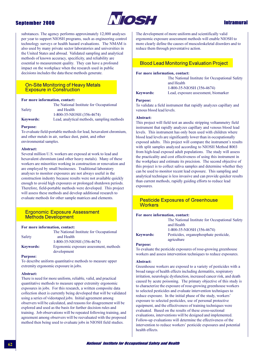### **September 2000**



### **Intramural**

substances. The agency performs approximately 12,000 analyses per year to support NIOSH programs, such as engineering control technology surveys or health hazard evaluations. The NMAM is also used by many private sector laboratories and universities in the United States and abroad. Validated sampling and analytical methods of known accuracy, specificity, and reliability are essential to measurement quality. They can have a profound impact on the workplace when the research used in public decisions includes the data these methods generate.

### **On-Site Monitoring of Heavy Metals Exposure in Construction**

#### For more information, contact:

|                  | The National Institute for Occupational    |
|------------------|--------------------------------------------|
| Safety           | and Health                                 |
|                  | 1-800-35-NIOSH (356-4674)                  |
| <b>Keywords:</b> | Lead, analytical methods, sampling methods |

#### **Purpose:**

To evaluate field-portable methods for lead, hexavalent chromium, and other metals in air, surface dust, paint, and other environmental samples.

#### Abstract:

Several million U.S. workers are exposed at work to lead and hexavalent chromium (and other heavy metals). Many of these workers are minorities working in construction or renovation and are employed by small businesses. Traditional laboratory analyses to monitor exposures are not always useful in the construction industry because results were not available quickly enough to avoid high exposures or prolonged shutdown periods. Therefore, field-portable methods were developed. This project will assess these methods and develop additional research to evaluate methods for other sample matrices and elements.

### **Ergonomic Exposure Assessment Methods Development**

#### For more information, contact:

|                  | The National Institute for Occupational |
|------------------|-----------------------------------------|
| Safety           | and Health                              |
|                  | 1-800-35-NIOSH (356-4674)               |
| <b>Keywords:</b> | Ergonomic exposure assessment, methods  |
|                  | development                             |

#### **Purpose:**

To describe uniform quantitative methods to measure upper extremity ergonomic exposure in jobs.

#### Abstract:

There is need for more uniform, reliable, valid, and practical quantitative methods to measure upper extremity ergonomic exposures in jobs. For this research, a written composite data collection sheet is currently being developed that will be validated using a series of videotaped jobs. Initial agreement among observers will be calculated, and reasons for disagreement will be explored and used as the basis for further decision rules and training. Job observations will be repeated following training, and agreement among observers will be reevaluated with the proposed method then being used to evaluate jobs in NIOSH field studies.

The development of more uniform and scientifically valid ergonomic exposure assessment methods will enable NIOSH to more clearly define the causes of musculoskeletal disorders and to reduce them through preventative action.

### **Blood Lead Monitoring Evaluation Project**

and Health

#### For more information, contact:

**Keywords:** 

1-800-35-NIOSH (356-4674) Lead, exposure assessment, biomarker

The National Institute for Occupational Safety

#### **Purpose:**

To validate a field instrument that rapidly analyzes capillary and venous blood lead levels.

#### Abstract:

This project will field test an anodic stripping voltammetry field instrument that rapidly analyzes capillary and venous blood lead levels. This instrument has only been used with children where blood lead levels are significantly lower than in occupationally exposed adults. This project will compare the instrument's results with split samples analyzed according to NIOSH Method 8003 from high-lead exposed adult populations. The study will assess the practicality and cost effectiveness of using this instrument in the workplace and estimate its precision. The second objective of this project is to collect saliva samples and determine whether they can be used to monitor recent lead exposure. This sampling and analytical technique is less invasive and can provide quicker results than current methods, rapidly guiding efforts to reduce lead exposures.

### **Pesticide Exposures of Greenhouse Workers**

#### For more information, contact:

|                  | The National Institute for Occupational Safety<br>and Health |
|------------------|--------------------------------------------------------------|
|                  | 1-800-35-NIOSH (356-4674)                                    |
| <b>Keywords:</b> | Pesticides, organophosphate pesticide,                       |
|                  | agriculture                                                  |

### **Purpose:**

To evaluate the pesticide exposures of rose-growing greenhouse workers and assess intervention techniques to reduce exposures.

#### Abstract:

Greenhouse workers are exposed to a variety of pesticides with a broad range of health effects including dermatitis, respiratory irritation, neurologic dysfunction, increased cancer risk, and death caused by acute poisoning. The primary objective of this study is to characterize the exposure of rose-growing greenhouse workers to selected pesticides and evaluate intervention techniques to reduce exposure. In the initial phase of the study, workers' exposure to selected pesticides, use of personal protective equipment, and the effectiveness of training techniques were evaluated. Based on the results of these cross-sectional evaluations, interventions will be designed and implemented. Follow-up evaluations will determine the effectiveness of the intervention to reduce workers' pesticide exposures and potential health effects.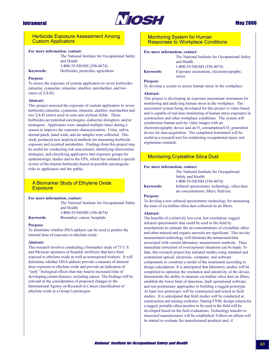

### **May 2000**

### **Herbicide Exposure Assessment Among Custom Applicators**

#### For more information, contact:

The National Institute for Occupational Safety and Health 1-800-35-NIOSH (356-4674) Herbicides, pesticides, agriculture

### **Keywords: Purpose:**

To assess the exposure of custom applicators to seven herbicides (atrazine, cyanazine, simazine, alachlor, metolachlor, and two esters of 2,4-D).

#### **Abstract:**

This project assessed the exposure of custom applicators to seven herbicides (atrazine, cyanazine, simazine, alachlor, metolachlor and two 2,4-D esters) used in corn and soybean fields. These herbicides are potential carcinogens, endocrine disruptors, and/or teratogens. Applicators were sampled multiple times during a season to improve the exposure characterization. Urine, saliva, dermal patch, hand wash, and air samples were collected. This study produced new analytical methods for measuring herbicide exposure and excreted metabolites. Findings from this project may be useful for conducting risk assessments, identifying intervention strategies, and classifying applicators into exposure groups for epidemiologic studies and to the EPA, which has initiated a special review of the triazine herbicides based on possible carcinogenic risks to applicators and the public.

### A Biomarker Study of Ethylene Oxide **Exposure**

#### For more information, contact:

The National Institute for Occupational Safety and Health 1-800-35-NIOSH (356-4674) Biomarker, cancer, hospitals

### **Keywords: Purpose:**

To determine whether DNA adducts can be used to predict the internal dose of exposure to ethylene oxide.

#### Abstract:

This research involves conducting a biomarker study of 73 U.S. and Mexican operators of hospital sterilizers that have been exposed to ethylene oxide as well as nonexposed workers. It will determine whether DNA adducts provide a measure of internal dose exposure to ethylene oxide and provide an indication of "early" biological effects that may lead to increased risks of developing certain diseases, including cancer. The findings will be relevant in the consideration of proposed changes to the International Agency on Research in Cancer classification of ethylene oxide as a Group I carcinogen.

### **Monitoring System for Human Responses to Workplace Conditions**

#### For more information, contact:

|                  | The National Institute for Occupational Safety |
|------------------|------------------------------------------------|
|                  | and Health                                     |
|                  | 1-800-35-NIOSH (356-4674)                      |
| <b>Keywords:</b> | Exposure assessment, electromyography,         |
|                  | stress                                         |

#### **Purpose:**

To develop a system to assess human stress in the workplace.

#### Abstract:

This project is developing an exposure assessment instrument for monitoring and analyzing human stress in the workplace. The assessment system being developed for this project is video based and is capable of real time monitoring of human stress exposures in construction and other workplace conditions. The system will synchronize human activity video images with an electromyography device and an O<sub>2</sub> consumption/CO<sub>2</sub> generation device for data acquisition. The completed instrument will be useful as a research tool for conducting occupational injury and ergonomics research.

### **Monitoring Crystalline Silica Dust**

Safety and Health

#### For more information, contact:

**Keywords:** 

1-800-35-NIOSH (356-4674) Infrared spectrometry technology, silica dust, air concentrations, filters, field use

The National Institute for Occupational

#### **Purpose:**

To develop a new infrared spectrometry technology for measuring the mass of crystalline silica dust collected on air filters.

#### Abstract:

The benefits of a relatively low-cost, low-resolution, rugged, infrared spectrometer that could be used in the field by nonchemists to estimate the air concentrations of crystalline silica and other mineral and organic aerosols are significant. This on-site measurement technology will eliminate the turnaround time associated with current laboratory measurement methods. Thus, immediate correction of overexposure situations can be made. To date, this research project has initiated studies using standard and customized optical, electronic, computer, and software components to construct a model of the instrument according to design calculations. It is anticipated that laboratory studies will be completed to optimize the resolution and sensitivity of the device, demonstrate the ability to measure crystalline silica dust on filters, establish the lower limit of detection, draft operational software, and test preliminary approaches to building a rugged prototype. At least two prototypes will be constructed and tested in field studies. It is anticipated that field studies will be conducted at construction and mining worksites. During FY00, design criteria for a rugged, portable silica monitor to be used in the field will be developed based on the field evaluations. Technology transfer to interested manufacturers will be established. Follow-on efforts will be started to evaluate the manufactured products and, if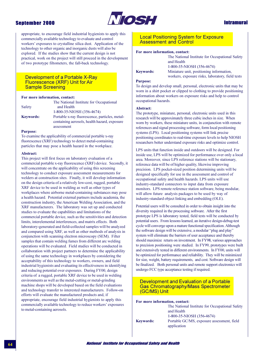### **September 2000**



### **Intramural**

appropriate, to encourage field industrial hygienists to apply this commercially available technology to evaluate and control workers' exposures to crystalline silica dust. Application of the technology to other organic and inorganic dusts will also be explored. If the studies show that the current design is not practical, work on the project will still proceed in the development of two prototype filtometers, the fall-back technology.

#### Development of a Portable X-Ray **Fluorescence (XRF) Unit for Air Sample Screening**

#### For more information, contact:

|                  | The National Institute for Occupational       |
|------------------|-----------------------------------------------|
| Safety           | and Health                                    |
|                  | 1-800-35-NIOSH (356-4674)                     |
| <b>Keywords:</b> | Portable x-ray fluorescence, particles, metal |
|                  | containing aerosols, health hazard, exposure  |
|                  | assessment                                    |
|                  |                                               |

#### **Purpose:**

To examine the applicability of commercial portable x-ray fluorescence (XRF) technology to detect metal-containing particles that may pose a health hazard in the workplace.

#### **Abstract:**

This project will first focus on laboratory evaluation of a commercial portable x-ray fluorescence (XRF) device. Secondly, it will concentrate on the applicability of using this screening technology to conduct exposure assessment measurements for welders at construction sites. Finally, it will develop information on the design criteria of a relatively low-cost, rugged, portable XRF device to be used in welding as well as other types of workplaces where airborne metal-containing substances may pose a health hazard. Potential external partners include academia, the construction industry, the American Welding Association, and the XRF manufacturers. The laboratory was set up and conducted studies to evaluate the capabilities and limitations of the commercial portable device, such as the sensitivities and detection limits, interelemental interferences, and matrix effects. Both laboratory-generated and field-collected samples will be analyzed and compared using XRF, as well as other methods of analysis in conjunction with scanning electron microscopy (SEM). Filter samples that contain welding fumes from different arc welding operations will be evaluated. Field studies will be conducted in collaboration with project partners to determine the applicability of using the same technology in workplaces by considering the acceptability of this technology to workers, owners, and field industrial hygienists and evaluating its effectiveness in identifying and reducing potential over exposures. During FY00, design criteria of a rugged, portable XRF device to be used in welding environments as well as the metal-cutting or metal-grinding machine shops will be developed based on the field evaluations and technology transfer to interested manufacturers. Follow-on efforts will evaluate the manufactured products and, if appropriate, encourage field industrial hygienists to apply this commercially available technology to reduce workers' exposures to metal-containing aerosols.

### **Local Positioning System for Exposure Assessment and Control**

#### For more information, contact:

| <b>Keywords:</b> |  |
|------------------|--|

The National Institute for Occupational Safety and Health 1-800-35-NIOSH (356-4674) Miniature unit, positioning information, workers, exposure risks, laboratory, field tests

#### **Purpose:**

To design and develop small, personal, electronic units that may be worn in a shirt pocket or clipped to clothing to provide positioning information about workers on exposure risks and help to control occupational hazards.

#### Abstract:

The prototype, miniature, personal, electronic units used in this research will be approximately three cubic inches in size. When worn by workers, these miniature units, in conjunction with remote references and signal processing software, form local positioning systems (LPS). Local positioning systems will link precise positioning coordinates to real-time exposure levels to help NIOSH researchers better understand exposure risks and optimize control.

LPS units that function inside and outdoors will be designed. For inside use, LPS will be optimized for performance over only a local area. Moreover, since LPS reference stations will be stationary, reference data will be of higher quality, likewise improving precision. LPS pocket-sized position determining units will be designed specifically for use in the assessment and control of occupational safety and health hazards. LPS units will use industry-standard connectors to input data from exposure monitors. LPS remote reference station software, being modular, will allow future analysis packages to be used by way of industry-standard object linking and embedding (OLE).

Potential users will be consulted in order to obtain insight into the diversity required in the processing software. After the first prototype LPS is laboratory tested, field tests will be conducted by potential users. From lessons learned, an iterative design-debug-test cycle will converge upon a mature functional specification. Although the software design will be extensive, a modular "plug and play" system will eliminate the barriers of user acceptance and thereby should maximize return on investment. In FY98, various approaches to precision positioning were studied. In FY99, prototypes were built and extensively tested in different environments. In FY00, units will be optimized for performance and reliability. They will be minimized for size, weight, battery requirements, and cost. Software design will be finalized. Both personal units and remote support electronics will undergo FCC type acceptance testing if required.

### Development and Evaluation of a Portable **Gas Chromatography/Mass Spectrometer** (GC/MS) Unit

#### For more information, contact:

|                  | The National Institute for Occupational Safety |
|------------------|------------------------------------------------|
|                  | and Health                                     |
|                  | 1-800-35-NIOSH (356-4674)                      |
| <b>Keywords:</b> | Portable GC/MS, exposure assessment, field     |
|                  | application                                    |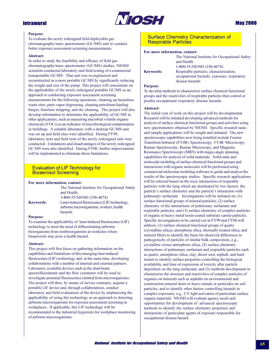

#### **Purpose:**

To evaluate the newly redesigned field deployable gas chromatography/mass spectrometer (GC/MS) unit to conduct better exposure assessment screening measurements.

#### Abstract:

In order to study the feasibility and efficacy of field gas chromatography/mass spectrometer (GC/MS) studies, NIOSH scientists conducted laboratory and field testing of a commercial transportable GC/MS. That unit was re-engineered and reconstructed as a more portable GC/MS by significantly reducing the weight and size of the pump. This project will concentrate on the applicability of the newly redesigned portable GC/MS as an approach to conducting exposure assessment screening measurements for the following operations: cleaning up hazardous waste sites, parts vapor degreasing, cleaning petroleum hauling barges, furniture stripping, and dry cleaning. This project will also develop information to determine the applicability of GC/MS in other applications, such as measuring microbial volatile organic chemicals (VOCs) as an indicator of microbiological contamination in buildings. A suitable laboratory with a desktop GC/MS unit was set up and field sites were identified. During FY99, laboratory tests and field tests of the newly redesigned unit were conducted. Limitations and disadvantages of the newly redesigned GC/MS were also identified. During FY00, further improvements will be implemented to eliminate those limitations.

### **Evaluation of LIF Technology for Bioaerosol Screening**

#### For more information, contact:

|                  | The National Institute for Occupational Safety<br>and Health                             |
|------------------|------------------------------------------------------------------------------------------|
|                  | 1-800-35-NIOSH (356-4674)                                                                |
| <b>Keywords:</b> | Laser-induced fluorescence (LIF) technology,<br>airborne microorganisms, workers, health |
| <b>D</b> .       | hazards                                                                                  |

#### **Purpose:**

To examine the applicability of laser-induced fluorescence (LIF) technology to meet the need of differentiating airborne bioorganisms from nonbioorganisms at worksites where bioaerosols may pose a health hazard.

#### Abstract:

This project will first focus on gathering information on the capabilities and limitations of this emerging laser-induced fluorescence (LIF) technology and, at the same time, developing collaborations with a number of internal and external partners. Laboratory available devices such as the dual-beam spectrofluorimeter and the flow cytometer will be used to investigate potential fluorescence emitted from microorganisms. The project will then, by means of service contracts, acquire a portable LIF device and, through collaborations, conduct laboratory and field evaluations of the device by emphasizing the applicability of using this technology as an approach to detecting airborne microorganisms for exposure assessment screening in workplaces. If applicable, this LIF technology will be recommended to the industrial hygienists for workplace monitoring of airborne microorganisms.

### **Surface Chemistry Characterization of Respirable Particles**

#### For more information, contact:

|                  | The National Institute for Occupational Safety<br>and Health |
|------------------|--------------------------------------------------------------|
|                  | 1-800-35-NIOSH (356-4674)                                    |
| <b>Keywords:</b> | Respirable particles, characterization,                      |
|                  | occupational hazards, exposure, respiratory                  |
|                  | disease hazards                                              |

#### **Purpose:**

To develop methods to characterize surface chemical functional groups and the reactivities of respirable particles that control or predict occupational respiratory disease hazards.

#### Abstract:

The initial year of work on this project will be developmental. Research will be initiated developing advanced methods for analysis of surface chemical functional groups and activities using new spectrometers obtained by NIOSH. Specific research tasks and sample applications will be sought and initiated. The new spectroscopic capabilities now being installed include Fourier Transform-Infrared (FT-IR) Spectroscopy, FT-IR Microscopy, Raman Spectroscopy, Raman Microscopy, and Magnetic Resonance Spectroscopy (MRS) with magic-angle spinning capabilities for analysis of solid materials. Solid-state and molecular modeling of surface chemical functional groups and interactions with organic molecules will be performed using commercial molecular modeling software to guide and analyze the results of the spectroscopic studies. Specific research applications will be selected based on the toxic interactions of respirable particles with the lung which are dominated by two factors: the particle's surface chemistry and the particle's interaction with pulmonary surfactant. Investigations will be initiated on: (1) surface functional groups of mineral particles, (2) surface chemistry of the interactions of pulmonary surfactant and respirable particles, and (3) surface chemistry of complex particles of organic or heavy metal toxin-coated substrate carrier particles. Specific investigations to be carried out in FY99 and FY00 will address: (1) surface chemical functional groups of quartz (crystalline silica), amorphous silica, thermally treated silica, and mineral fibers to identify the basis for observed differences in pathogenicity of particles of similar bulk composition, e.g., crystalline versus amorphous silica; (2) surface chemistry interactions of pulmonary surfactant and respirable particles such as quartz, amorphous silica, clay, diesel soot, asphalt, and hard metals to identify surface properties controlling the biological availability and time of expression of toxicity after particle deposition on the lung surfactant; and (3) methods development to characterize the structure and reactivities of complex particles of organics on minerals such as asphalts on environmental and construction mineral dusts or heavy metals or pesticides on soil particles, and to identify other factors controlling hazards in complex exposures, e.g., UV light activation of particulate surface organic materials. NIOSH will evaluate agency needs and opportunities for development of advanced spectroscopic methods to identify the surface chemistry properties and interactions of particulate agents of exposure responsible for occupational disease hazard.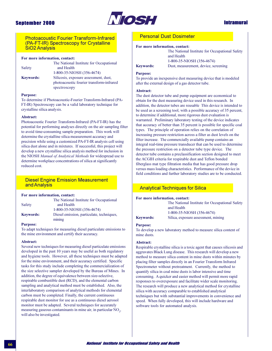

### **Intramural**

### **Photoacoustic Fourier Transform-Infrared** (PA-FT-IR) Spectroscopy for Crystalline **SiO2 Analysis**

#### For more information, contact:

| Safety           | The National Institute for Occupational<br>and Health                                             |
|------------------|---------------------------------------------------------------------------------------------------|
|                  | 1-800-35-NIOSH (356-4674)                                                                         |
| <b>Keywords:</b> | Silicosis, exposure assessment, dust,<br>photoacoustic fourier transform-infrared<br>spectroscopy |

#### **Purpose:**

To determine if Photoacoustic-Fourier Transform-Infrared (PA-FT-IR) Spectroscopy can be a valid laboratory technique for crystalline silica analysis.

#### Abstract:

Photoacoustic Fourier Transform-Infrared (PA-FT-IR) has the potential for performing analyses directly on the air sampling filter to avoid time-consuming sample preparation. This work will determine the crystalline silica measurement accuracy and precision while using a customized PA-FT-IR analysis cell using silica dust alone and in mixtures. If successful, this project will develop a new crystalline silica analysis method for inclusion in the NIOSH Manual of Analytical Methods for widespread use to determine workplace concentrations of silica at significantly reduced cost.

### **Diesel Engine Emission Measurement** and Analysis

#### For more information, contact:

|                  | The National Institute for Occupational   |
|------------------|-------------------------------------------|
| Safety           | and Health                                |
|                  | 1-800-35-NIOSH (356-4674)                 |
| <b>Keywords:</b> | Diesel emission, particulate, techniques, |
|                  | mining                                    |

#### **Purpose:**

To adapt techniques for measuring diesel particulate emissions to the mine environment and certify their accuracy.

#### Abstract:

Several new techniques for measuring diesel particulate emissions developed in the past 10 years may be useful as both regulatory and hygiene tools. However, all these techniques must be adapted for the mine environment, and their accuracy certified. Specific tasks for this study include completing the commercialization of the size selective sampler developed by the Bureau of Mines. In addition, the degree of equivalence between size-selective, respirable combustible dust (RCD), and the elemental carbon sampling and analytical method must be established. Also, the interlaboratory comparison of analytical methods for elemental carbon must be completed. Finally, the current continuous respirable dust monitor for use as a continuous diesel aerosol monitor must be adapted. Several techniques for accurately measuring gaseous contaminants in mine air, in particular NO<sub>2</sub>, will also be investigated.

### **Personal Dust Dosimeter**

#### For more information, contact:

| The National Institute for Occupational Safety |
|------------------------------------------------|
| and Health                                     |
| 1-800-35-NIOSH (356-4674)                      |
| Dust, measurement, device, screening           |
|                                                |

### **Keywords Purpose:**

To provide an inexpensive dust measuring device that is modeled after the external design of a gas detector tube.

#### Abstract:

The dust detector tube and pump equipment are economical to obtain for the dust measuring device used in this research. In addition, the detector tubes are reusable This device is intended to be used as a screening tool, with a possible accuracy of 35 percent, to determine if additional, more rigorous dust evaluation is warranted. Preliminary laboratory testing of the device indicates that accuracy of better than 35 percent is possible for specific coal types. The principle of operation relies on the correlation of increasing pressure restriction across a filter as dust levels on the filter increase. The commercially available pump contains an integral real-time pressure transducer that can be used to determine the pressure restriction on a detector tube type device. The detector tube contains a preclassification section designed to meet the ACGIH criteria for respirable dust and Teflon bonded fiberglass mat type filtration media that has good pressure drop versus mass loading characteristics. Performance of the device in field conditions and further laboratory studies are to be conducted.

### **Analytical Techniques for Silica**

#### For more information, contact:

The National Institute for Occupational Safety and Health 1-800-35-NIOSH (356-4674) Silica, exposure assessment, mining

**Keywords:** 

#### **Purpose:**

To develop a new laboratory method to measure silica content of mine dusts.

#### Abstract:

Respirable crystalline silica is a toxic agent that causes silicosis and aggravates Black Lung disease. This research will develop a new method to measure silica content in mine dusts within minutes by placing filter samples directly in an Fourier Transform Infrared Spectrometer without pretreatment. Currently, the method to quantify silica in coal mine dusts is labor intensive and time consuming. A quicker and easier method will permit more rapid responses to overexposure and facilitate wider scale monitoring. The research will produce a new analytical method for crystalline silica with accuracy comparable to established analytical techniques but with substantial improvements in convenience and speed. When fully developed, this will include hardware and software tools for automated analysis.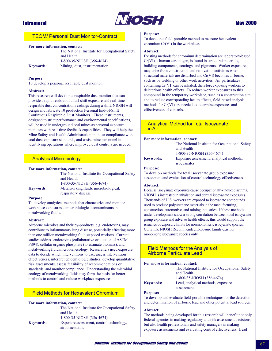

# **May 2000**

# **TEOM/ Personal Dust Monitor-Contract**

#### For more information, contact:

| The National Institute for Occupational Safety |
|------------------------------------------------|
| and Health                                     |
| 1-800-35-NIOSH (356-4674)                      |
| Mining, dust, instrumentation                  |
|                                                |

### **Purpose:**

**Keywords:** 

To develop a personal respirable dust monitor.

### Abstract:

This research will develop a respirable dust monitor that can provide a rapid readout of a full-shift exposure and real-time respirable dust concentration readings during a shift. NIOSH will design and fabricate 10 production Personal End-of-Shift Continuous Respirable Dust Monitors. These instruments, designed to strict performance and environmental specifications, will be used in underground coal mines as personal exposure monitors with real-time feedback capabilities. They will help the Mine Safety and Health Administration monitor compliance with coal dust exposure standards, and assist mine personnel in identifying operations where improved dust controls are needed.

# **Analytical Microbiology**

#### For more information, contact:

|                  | The National Institute for Occupational Safety |
|------------------|------------------------------------------------|
|                  | and Health                                     |
|                  | 1-800-35-NIOSH (356-4674)                      |
| <b>Keywords:</b> | Metalworking fluids, microbiological,          |
|                  | respiratory disease                            |

#### **Purpose:**

To develop analytical methods that characterize and monitor workplace exposures to microbiological contaminants in metalworking fluids.

#### Abstract:

Airborne microbes and their by-products, e.g. endotoxins, may contribute to inflammatory lung disease, potentially affecting more than one million metalworking fluid-exposed workers. Current studies address endotoxins (collaborative evaluation of ASTM PS94), cellular organic phosphate (to estimate biomass), and metalworking fluid microbial ecology. Researchers need exposure data to decide which interventions to use, assess intervention effectiveness, interpret epidemiologic studies, develop quantitative risk assessments, assess feasibility of recommendations or standards, and monitor compliance. Understanding the microbial ecology of metalworking fluids may form the basis for better methods to control and reduce workplace exposures.

# **Field Methods for Hexavalent Chromium**

#### For more information, contact:

|                  | The National Institute for Occupational Safety |
|------------------|------------------------------------------------|
|                  | and Health                                     |
|                  | 1-800-35-NIOSH (356-4674)                      |
| <b>Keywords:</b> | Exposure assessment, control technology,       |
|                  | airborne toxins                                |

### **Purpose:**

To develop a field-portable method to measure hexavalent chromium Cr(VI) in the workplace.

### Abstract:

Existing methods for chromium determination are laboratory-based. Cr(VI), a human carcinogen, is found in structural materials, building components, coatings, and pigments. Worker exposures may arise from construction and renovation activities when structural materials are disturbed and Cr(VI) becomes airborne, such as by welding or other work activities. Air particulates containing Cr(VI) can be inhaled, therefore exposing workers to deleterious health effects. To reduce worker exposures to this compound in the temporary workplace, such as a construction site, and to reduce corresponding health effects, field-based analysis methods for Cr(VI) are needed to determine exposures and effectiveness of controls.

## **Analytical Method for Total Isocyanate** in Air

### For more information, contact:

The National Institute for Occupational Safety and Health 1-800-35-NIOSH (356-4674)

# **Keywords:**

Exposure assessment, analytical methods, isocyanates

#### **Purpose:**

To develop methods for total isocyanate group exposure assessment and evaluation of control technology effectiveness.

## Abstract:

Because isocyanate exposures cause occupationally-induced asthma, NIOSH is interested in inhalation and dermal isocyanate exposures. Thousands of U.S. workers are exposed to isocyanate compounds used to produce polyurethane materials in the manufacturing, construction, automotive, and mining industries. If these methods under development show a strong correlation between total isocyanate group exposure and adverse health effects, this would support the issuance of exposure limits for nonmonomeric isocyanate species. Currently, NIOSH Recommended Exposure Limits exist for monomeric isocyanate species only.

# **Field Methods for the Analysis of Airborne Particulate Lead**

## For more information, contact:

The National Institute for Occupational Safety and Health 1-800-35-NIOSH (356-4674) Lead, analytical methods, exposure assessment

### **Purpose:**

**Keywords:** 

To develop and evaluate field-portable techniques for the detection and determination of airborne lead and other potential lead sources.

### **Abstract:**

The methods being developed for this research will benefit not only federal agencies in making regulatory and risk assessment decisions, but also health professionals and safety managers in making exposure assessments and evaluating control effectiveness. Lead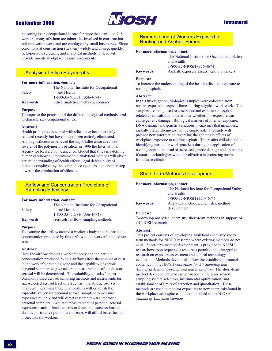

# **Intramural**

poisoning is an occupational hazard for more than a million U.S. workers, many of whom are minorities involved in construction and renovation work and are employed by small businesses. Since conditions at construction sites vary widely and change quickly, field-portable screening and analytical methods for lead will provide on-site workplace hazard assessments.

# **Analysis of Silica Polymorphs**

### For more information, contact:

**Safety** 

The National Institute for Occupational and Health 1-800-35-NIOSH (356-4674) Silica, analytical methods, accuracy

# **Keywords: Purpose:**

To improve the precision of the different analytical methods used to characterize occupational silica.

### Abstract:

Health problems associated with silica have been markedly reduced recently but have not yet been entirely eliminated. Although silicosis is believed the major killer associated with several of the polymorphs of silica, in 1996 the International Agency for Research on Cancer concluded that silica is a definite human carcinogen. Improvement in analytical methods will give a better understanding of health effects, legal defensibility of methods employed by the compliance agencies, and another step towards the elimination of silicosis.

# **Airflow and Concentration Predictors of Sampling Efficiency**

### For more information, contact:

|                  | The National Institute for Occupational |
|------------------|-----------------------------------------|
| Safety           | and Health                              |
|                  | 1-800-35-NIOSH (356-4674)               |
| <b>Keywords:</b> | Aerosols, airflow, sampling methods     |

#### **Purpose:**

To examine the airflow around a worker's body and the particle concentration produced by this airflow in the worker's immediate area.

#### Abstract:

How the airflow around a worker's body and the particle concentration produced by this airflow affect the amount of dust in the worker's breathing zone and the capability of various personal samplers to give accurate measurements of the dust or aerosol will be determined. The suitability of today's most commonly used aerosol sampling methods and instruments for size-selected aerosol fractions (such as inhalable aerosol) is unknown. Knowing these relationships will establish the capability of certain personal aerosol samplers to measure exposures reliably and will direct research toward improved personal samplers. Accurate measurement of personal aerosol exposures, such as lead aerosols or dusts that cause asthma or chronic obstructive pulmonary disease, will afford better health protection for workers.

# **Biomonitoring of Workers Exposed to Roofing and Asphalt Fumes**

### For more information, contact:

**Keywords:** 

and Health 1-800-35-NIOSH (356-4674) Asphalt, exposure assessment, biomarkers

The National Institute for Occupational Safety

# **Purpose:**

To increase the understanding of the health effects of exposure to roofing asphalt.

### **Abstract:**

In this investigation, biological samples were collected from roofers exposed to asphalt fumes during a typical work week. The samples are being used to assess internal exposure to asphaltrelated chemicals and to determine whether this exposure can cause genetic damage. Biological markers of internal exposure, DNA damage, and genetic variations in enzymes that metabolize asphalt-related chemicals will be employed. The study will provide new information regarding the genotoxic effects of workplace exposure to roofing asphalt. The results will also aid in identifying particular work practices during the application of roofing asphalt that lead to increased genetic damage and determine if control technologies would be effective in protecting roofers from these effects.

# **Short-Term Methods Development**

### For more information, contact:

|                  | The National Institute for Occupational Safety |
|------------------|------------------------------------------------|
|                  | and Health                                     |
|                  | 1-800-35-NIOSH (356-4674)                      |
| <b>Keywords:</b> | Analytical methods, chemistry, method          |
|                  | development                                    |

## **Purpose:**

To develop analytical chemistry short-term methods in support of all NIOSH research.

## **Abstract:**

This project consists of developing analytical chemistry shortterm methods for NIOSH research where existing methods do not exist. Short-term method development is provided to NIOSH researchers upon request (as resources permit) and is integral to research on exposure assessment and control technology evaluation. Methods developed follow the established protocols contained in the NIOSH Guidelines for Air Sampling and Analytical Method Development and Evaluation. The short-term method development process consists of a literature review, sampling system selection, instrumental optimization, and establishment of limits of detection and quantitation. These methods are used to monitor exposures to new chemicals found in the workplace atmosphere and are published in the NIOSH Manual of Analytical Methods.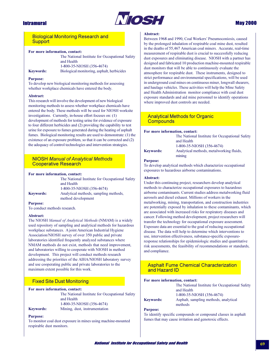

# **May 2000**

# **Biological Monitoring Research and Support**

### For more information, contact:

|                  | The National Institute for Occupational Safety |
|------------------|------------------------------------------------|
|                  | and Health                                     |
|                  | 1-800-35-NIOSH (356-4674)                      |
| <b>Keywords:</b> | Biological monitoring, asphalt, herbicides     |

#### **Purpose:**

To develop new biological monitoring methods for assessing whether workplace chemicals have entered the body.

### **Abstract:**

This research will involve the development of new biological monitoring methods to assess whether workplace chemicals have entered the body. These methods will be used for NIOSH worksite investigations. Currently, in-house effort focuses on: (1) development of methods for testing urine for evidence of exposure to four different herbicides and (2) providing the capability to test urine for exposure to fumes generated during the heating of asphalt fumes. Biological monitoring results are used to demonstrate: (1) the existence of an exposure problem, so that it can be corrected and (2) the adequacy of control technologies and intervention strategies.

# **NIOSH Manual of Analytical Methods Cooperative Research**

#### For more information, contact:

|                  | The National Institute for Occupational Safety |
|------------------|------------------------------------------------|
|                  | and Health                                     |
|                  | 1-800-35-NIOSH (356-4674)                      |
| <b>Keywords:</b> | Analytical methods, sampling methods,          |
|                  | method development                             |

#### **Purnose:**

To conduct methods research.

### Abstract:

The NIOSH Manual of Analytical Methods (NMAM) is a widely used repository of sampling and analytical methods for hazardous workplace substances. A joint American Industrial Hygiene Association/NIOSH survey of over 350 public and private laboratories identified frequently analyzed substances where NMAM methods do not exist, methods that need improvement, and laboratories willing to cooperate with NIOSH in method development. This project will conduct methods research addressing the priorities of the AIHA/NIOSH laboratory survey and use cooperating public and private laboratories to the maximum extent possible for this work.

# **Fixed Site Dust Monitoring**

#### For more information, contact:

The National Institute for Occupational Safety and Health 1-800-35-NIOSH (356-4674) Mining, dust, instrumentation

# Keywords: Purnose:

To monitor coal dust exposure in mines using machine-mounted respirable dust monitors.

### Abstract:

Between 1968 and 1990, Coal Workers' Pneumoconiosis, caused by the prolonged inhalation of respirable coal mine dust, resulted in the deaths of 55,467 American coal miners. Accurate, real-time measurement of respirable dust is crucial to successfully reducing dust exposures and eliminating disease. NIOSH with a partner has designed and fabricated 10 production machine-mounted respirable dust monitors that will be able to continuously evaluate the atmosphere for respirable dust. These instruments, designed to strict performance and environmental specifications, will be used in underground coal mines on continuous miner, longwall shearers, and haulage vehicles. These activities will help the Mine Safety and Health Administration monitor compliance with coal dust exposure standards and aid mine personnel to identify operations where improved dust controls are needed.

## **Analytical Methods for Organic Compounds**

### For more information, contact:

The National Institute for Occupational Safety and Health 1-800-35-NIOSH (356-4674) Analytical methods, metalworking fluids, mining

# **Purpose:**

**Keywords:** 

To develop analytical methods which characterize occupational exposures to hazardous airborne contaminations.

### Abstract:

Under this continuing project, researchers develop analytical methods to characterize occupational exposures to hazardous airborne contaminants. Current studies address metalworking fluid aerosols and diesel exhaust. Millions of workers in the metalworking, mining, transportation, and construction industries are potentially exposed by inhalation to these contaminants, which are associated with increased risks for respiratory diseases and cancer. Following method development, project researchers will transfer the technology for occupational exposure assessment. Exposure data are essential to the goal of reducing occupational disease. The data will help to determine which interventions to use, intervention effectiveness, substance-specific exposureresponse relationships for epidemiologic studies and quantitative risk assessments, the feasibility of recommendations or standards, and compliance.

# **Asphalt Fume Chemical Characterization** and Hazard ID

#### For more information, contact:

|                  | The National Institute for Occupational Safety<br>and Health |
|------------------|--------------------------------------------------------------|
|                  | 1-800-35-NIOSH (356-4674)                                    |
| <b>Keywords:</b> | Asphalt, sampling methods, analytical<br>methods             |

## **Purpose:**

To identify specific compounds or compound classes in asphalt fumes that may cause irritation and genotoxic effects.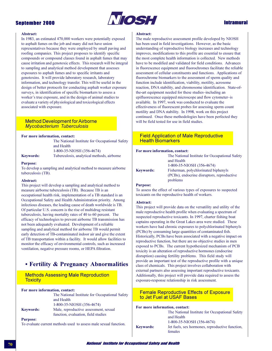

# **Intramural**

### Abstract:

In 1983, an estimated 470,000 workers were potentially exposed to asphalt fumes on the job and many did not have union representatives because they were employed by small paving and roofing companies. This project proposes to identify specific compounds or compound classes found in asphalt fumes that may cause irritation and genotoxic effects. This research will be integral to sampling and analytical method development that assesses exposures to asphalt fumes and to specific irritants and genotoxins. It will provide laboratory research, laboratory information, and technology transfer. This will be useful in the design of better protocols for conducting asphalt worker exposure surveys, in identification of specific biomarkers to assess a worker's true exposure, and in the design of animal studies to evaluate a variety of physiological and toxicological effects associated with exposure.

## **Method Development for Airborne Mycobacterium Tuberculosis**

### For more information, contact:

The National Institute for Occupational Safety and Health 1-800-35-NIOSH (356-4674) Tuberculosis, analytical methods, airborne

# **Keywords:**

### **Purpose:**

To develop a sampling and analytical method to measure airborne tuberculosis (TB).

## **Abstract:**

This project will develop a sampling and analytical method to measure airborne tuberculosis (TB). Because TB is an occupational health risk, implementation of a TB standard is an Occupational Safety and Health Administration priority. Among infectious diseases, the leading cause of death worldwide is TB. Of particular U.S. concern is the rise of multidrug resistant tuberculosis, having mortality rates of 40 to 60 percent. The efficacy of technologies to prevent airborne TB transmission has not been adequately evaluated. Development of a reliable sampling and analytical method for airborne TB would permit early detection of TB-contaminated indoor air and give the extent of TB transportation within a facility. It would allow facilities to monitor the efficacy of environmental controls, such as increased ventilation, negative pressure rooms, or HEPA filtration.

# • Fertility & Pregnancy Abnormalities

# **Methods Assessing Male Reproduction Toxicity**

#### For more information, contact:

|                  | The National Institute for Occupational Safety |
|------------------|------------------------------------------------|
|                  | and Health                                     |
|                  | 1-800-35-NIOSH (356-4674)                      |
| <b>Keywords:</b> | Male, reproductive assessment, sexual          |
|                  | function, evaluation, field studies            |

**Purpose:** 

To evaluate current methods used to assess male sexual function.

#### Abstract:

The male reproductive assessment profile developed by NIOSH has been used in field investigations. However, as the basic understanding of reproductive biology increases and technology improves, modifications to this profile are essential to ensure that the most complete health information is collected. New methods have to be modified and validated for field conditions. Advances in fluorescence equipment and fluorochromes facilitate the reliable assessment of cellular constituents and functions. Applications of fluorochrome biomarkers to the assessment of sperm quality and function include identification, viability, motility, acrosome reaction, DNA stability, and chromosome identification. State-ofthe-art equipment needed for these studies-including an epifluorescence equipped microscope and flow cytometer-is available. In 1997, work was conducted to evaluate the effectiveness of fluorescent probes for assessing sperm count motility and DNA stability. In 1998, work on this project continued. Once these methodologies have been perfected they will be field tested for use in field studies.

## **Field Application of Male Reproductive Health Biomarkers**

#### For more information, contact:

|                  | The National Institute for Occupational Safety<br>and Health |
|------------------|--------------------------------------------------------------|
|                  | 1-800-35-NIOSH (356-4674)                                    |
| <b>Keywords:</b> | Fisherman, polychlorinated biphenyls                         |
|                  | (PCBs), endocrine disruptors, reproductive                   |
|                  | problems                                                     |

## **Purpose:**

To assess the effect of various types of exposures to suspected toxicants on the reproductive health of workers.

#### Abstract:

This project will provide data on the versatility and utility of the male reproductive health profile when evaluating a spectrum of suspected reproductive toxicants. In 1997, charter fishing boat captains operating in the Great Lakes area were studied. These workers have had chronic exposures to polychlorinated biphenyls (PCBs) by consuming large quantities of contaminated fish. Historically, PCBs have been associated with a negative impact on reproductive function, but there are no objective studies in men exposed to PCBs. The current hypothesized mechanism of PCB toxicity is an alteration of reproductive hormones (endocrine disruption) causing fertility problems. This field study will provide an important test of the reproductive profile with a unique class of chemicals. This project involves collaboration with external partners also assessing important reproductive toxicants. Additionally, this project will provide data required to assess the exposure-response relationship in risk assessment.

# **Female Reproductive Effects of Exposure** to Jet Fuel at USAF Bases

### For more information, contact:

|                  | The National Institute for Occupational Safety  |
|------------------|-------------------------------------------------|
|                  | and Health                                      |
|                  | 1-800-35-NIOSH (356-4674)                       |
| <b>Keywords:</b> | Jet fuels, sex hormones, reproductive function, |
|                  | females                                         |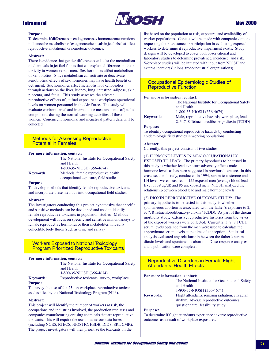

# **May 2000**

### **Purpose:**

To determine if differences in endogenous sex hormone concentrations influence the metabolism of exogenous chemicals in jet fuels that affect reproductive, mutational, or neurotoxic outcomes.

### Ahstract:

There is evidence that gender differences exist for the metabolism of chemicals in jet fuel fumes that can explain differences in their toxicity in women versus men. Sex hormones affect metabolism of xenobiotics. Since metabolism can activate or deactivate xenobiotics, effects of sex hormones may have health benefit or detriment. Sex hormones affect metabolism of xenobiotics through actions on the liver, kidney, lung, intestine, adipose, skin, placenta, and fetus. This study assesses the adverse reproductive effects of jet fuel exposure at workplace operational levels on women personnel in the Air Force. The study will evaluate environmental and internal dose measurements of jet fuel components during the normal working activities of these women. Concurrent hormonal and menstrual pattern data will be collected.

## **Methods for Assessing Reproductive Potential in Females**

### For more information, contact:

|                  | The National Institute for Occupational Safety |
|------------------|------------------------------------------------|
|                  | and Health                                     |
|                  | 1-800-35-NIOSH (356-4674)                      |
| <b>Keywords:</b> | Methods, female reproductive health,           |
|                  | occupational exposure, field studies           |

#### **Purpose:**

To develop methods that identify female reproductive toxicants and incorporate these methods into occupational field studies.

### Abstract:

The investigators conducting this project hypothesize that specific and sensitive methods can be developed and used to identify female reproductive toxicants in population studies. Methods development will focus on specific and sensitive immunoassays to female reproductive hormones or their metabolites in readily collectible body fluids (such as urine and saliva).

## **Workers Exposed to National Toxicology Program Prioritized Reproductive Toxicants**

### For more information, contact:

|                  | The National Institute for Occupational Safety |
|------------------|------------------------------------------------|
|                  | and Health                                     |
|                  | 1-800-35-NIOSH (356-4674)                      |
| <b>Kevwords:</b> | Reproductive toxicants, survey, workplace      |
| Purnose:         |                                                |

# **Purpose:**

To survey the use of the 25 top workplace reproductive toxicants as classified by the National Toxicology Program (NTP).

#### Abstract:

This project will identify the number of workers at risk, the occupations and industries involved, the production rate, uses and companies manufacturing or using chemicals that are reproductive toxicants. This will require the use of numerous data bases (including NOES, RTECS, NIOSTIC, HSDB, DIDS, SRI, CMR). The project investigators will then prioritize the toxicants on the

list based on the population at risk, exposure, and availability of worker populations. Contact will be made with companies/unions requesting their assistance or participation in evaluating exposed workers to determine if reproductive impairment exists. Study designs will be developed to cover both observational and laboratory studies to determine prevalence, incidence, and risk. Workplace studies will be initiated with input from NIOSH and external partners (unions, trade/industrial organizations).

## Occupational Epidemiologic Studies of **Reproductive Function**

and Health

### For more information, contact:

**Keywords:** 

1-800-35-NIOSH (356-4674) Male, reproductive hazards, workplace, lead, 2, 3, 7, 8-Tetrachlorodibenzo-p-dioxin (TCDD)

The National Institute for Occupational Safety

### **Purpose:**

To identify occupational reproductive hazards by conducting epidemiologic field studies in working populations.

### **Abstract:**

Currently, this project consists of two studies:

(1) HORMONE LEVELS IN MEN OCCUPATIONALLY EXPOSED TO LEAD: The primary hypothesis to be tested in this study is whether lead exposure adversely affects male hormone levels as has been suggested in previous literature. In this cross-sectional study, conducted in 1994, serum testosterone and LH levels were measured in 155 exposed men (average blood lead level of 39 ug/dl) and 85 unexposed men. NIOSH analyzed the relationship between blood lead and male hormone levels.

(2) DIOXIN REPRODUCTIVE OUTCOME STUDY: The primary hypothesis to be tested in this study is whether spontaneous abortion is associated with the father's exposure to 2, 3, 7, 8 Tetrachlorodibenzo-p-dioxin (TCDD). As part of the dioxin morbidity study, extensive reproductive histories from the wives of the exposed workers were collected. Current 2, 3, 7, 8 TCDD serum levels obtained from the men were used to calculate the approximate serum levels at the time of conception. Statistical analysis evaluated any relationship between the father's serum dioxin levels and spontaneous abortion. Dose-response analyses and a publication were completed.

## **Reproductive Disorders in Female Flight Attendants: Health Effects**

### For more information, contact:

The National Institute for Occupational Safety and Health 1-800-35-NIOSH (356-4674) Flight attendants, ionizing radiation, circadian **Keywords:** rhythm, adverse reproductive outcomes, questionnaire, feasibility study

## **Purpose:**

To determine if flight attendants experience adverse reproductive outcomes as a result of workplace exposures.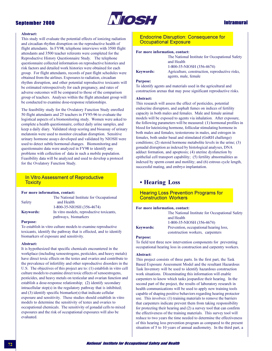

# **Intramural**

## Abstract:

This study will evaluate the potential effects of ionizing radiation and circadian rhythm disruption on the reproductive health of flight attendants. In FY98, telephone interviews with 3500 flight attendants and 3500 teacher referents were completed for the Reproductive History Questionnaire Study. The telephone questionnaire collected information on reproductive histories and risk factors and detailed work histories were obtained for each group. For flight attendants, records of past flight schedules were obtained from the airlines. Exposures to radiation, circadian rhythm disruption, and other potential reproductive toxicants will be estimated retrospectively for each pregnancy, and rates of adverse outcomes will be compared to those of the comparison group of teachers. Analyses within the flight attendant group will be conducted to examine dose-response relationships.

The feasibility study for the Ovulatory Function Study enrolled 50 flight attendants and 25 teachers in FY95-96 to evaluate the logistical aspects of a biomonitoring study. Women were asked to complete a health questionnaire, collect daily urine samples, and keep a daily diary. Validated sleep scoring and bioassay of urinary melatonin were used to monitor circadian disruption. Sensitive urinary hormone assays developed and validated by NIOSH were used to detect subtle hormonal changes. Biomonitoring and questionnaire data were analyzed in FY98 to identify any problems with collection of data in such a mobile population. Feasibility data will be analyzed and used to develop a protocol for the Ovulatory Function Study.

# In Vitro Assessment of Reproductive **Toxicity**

## For more information, contact:

| The National Institute for Occupational  |
|------------------------------------------|
|                                          |
| 1-800-35-NIOSH (356-4674)                |
| In vitro models, reproductive toxicants, |
|                                          |

### **Purpose:**

To establish in vitro culture models to examine reproductive toxicants, identify the pathway that is effected, and to identify biomarkers of exposure and sensitivity.

### Abstract:

It is hypothesized that specific chemicals encountered in the workplace (including xenoestrogens, pesticides, and heavy metals) have direct toxic effects on the testes and ovaries and contribute to the prevalence of infertility and other reproductive disorders in the U.S. The objectives of this project are to: (1) establish in vitro cell culture models to examine direct toxic effects of xenoestrogens, pesticides, and heavy metals on testicular and ovarian function and establish a dose-response relationship; (2) identify secondary intracellular step(s) in the regulatory pathway that is inhibited; and (3) identify specific biomarker(s) that indicate cellular exposure and sensitivity. These studies should establish in vitro models to determine the sensitivity of testes and ovaries to occupational chemicals. The sensitivity of gonadal cells to mixed exposures and the risk of occupational exposures will also be evaluated.

# **Endocrine Disruption: Consequence for Occupational Exposure**

### For more information, contact:

|                  | The National Institute for Occupational Safety |
|------------------|------------------------------------------------|
|                  | and Health                                     |
|                  | 1-800-35-NIOSH (356-4674)                      |
| <b>Keywords:</b> | Agriculture, construction, reproductive risks, |
|                  | agents, male, female                           |

### **Purpose:**

To identify agents and materials used in the agricultural and construction arenas that may pose significant reproductive risks.

## Abstract:

This research will assess the effect of pesticides, potential endocrine disruptors, and asphalt fumes on indices of fertility capacity in both males and females. Male and female animal models will be exposed to agents via inhalation. After exposure, the following parameters will be measured: (1) hormonal profiles in blood for luteinizing hormone, follicular stimulating hormone in both males and females, testosterone in males, and estrogen in females, both under basal and stimulated (GnRH challenge) conditions;  $(2)$  steroid hormone metabolite levels in the urine;  $(3)$ gonadal disruption as indexed by histological analyses, DNA adduct formation, and apoptosis; (4) uterine dysfunction by epithelial cell transport capability; (5) fertility abnormalities as indexed by sperm count and motility; and (6) estrous cycle length, successful mating, and embryo implantation.

# • Hearing Loss

# **Hearing Loss Prevention Programs for Construction Workers**

#### For more information, contact:

The National Institute for Occupational Safety and Health 1-800-35-NIOSH (356-4674) Prevention, occupational hearing loss, construction workers, carpenters

#### **Purpose:**

**Keywords:** 

To field test three new intervention components for preventing occupational hearing loss in construction and carpentry workers.

#### Abstract:

This project consists of three parts. In the first part, the Task Based Exposure Assessment Model and the resultant Hazardous Task Inventory will be used to identify hazardous construction work situations. Disseminating this information will enable carpenters to know which tasks jeopardize their hearing. In the second part of the project, the results of laboratory research in health communications will be used to apply new training tools capable of shaping positive behaviors regarding hearing protector use. This involves: (1) training materials to remove the barriers that carpenters indicate prevent them from taking responsibility for protecting their hearing and (2) a survey tool that can confirm the effectiveness of the training materials. This survey tool will reduce to two years the time needed to determine the effectiveness of this hearing loss prevention program as compared to the present situation of 5 to 10 years of annual audiometry. In the third part, a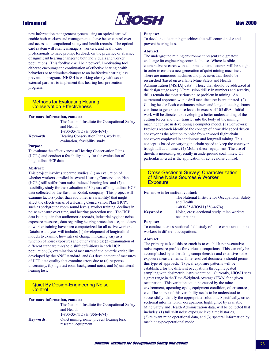

new information management system using an optical card will enable both workers and management to have better control over and access to occupational safety and health records. The optical card system will enable managers, workers, and health care professionals to have prompt feedback on the presence or absence of significant hearing changes to both individuals and worker populations. This feedback will be a powerful motivating tool either to encourage the continuation of effective hearing health behaviors or to stimulate changes to an ineffective hearing loss prevention program. NIOSH is working closely with several external partners to implement this hearing loss prevention program.

## **Methods for Evaluating Hearing Conservation Effectiveness**

#### For more information, contact:

|           | The National Institute for Occupational Safety |
|-----------|------------------------------------------------|
|           | and Health                                     |
|           | 1-800-35-NIOSH (356-4674)                      |
| Kevwords: | Hearing Conservation Plans, workers,           |
|           | evaluation, feasibility study                  |

### **Purpose:**

To evaluate the effectiveness of Hearing Conservation Plans (HCPs) and conduct a feasibility study for the evaluation of longitudinal HCP data.

### Abstract:

This project involves separate studies: (1) an evaluation of whether workers enrolled in several Hearing Conservation Plans (HCPs) still suffer from noise-induced hearing loss and (2) a feasibility study for the evaluation of 30 years of longitudinal HCP data collected by the Eastman Kodak company. This project will examine factors (other than audiometric variability) that might affect the effectiveness of a Hearing Conservation Plan (HCP), such as background room sound levels, worker training, declines in noise exposure over time, and hearing protection use. The HCP data is unique in that audiometric records, industrial hygiene noise exposure measures, data regarding hearing protection use, and dates of worker training have been computerized for all active workers. Database analyses will include: (1) development of longitudinal models to examine how rates of change in hearing vary as a function of noise exposures and other variables; (2) examination of different standard threshold shift definitions in each HCP population; (3) examination of measures of audiometric variability developed by the ANSI standard; and (4) development of measures of HCP data quality that examine errors due to (a) response uncertainty, (b) high test room background noise, and (c) unilateral hearing loss.

# **Quiet By Design-Engineering Noise** Control

### For more information, contact:

|                  | The National Institute for Occupational Safety<br>and Health      |
|------------------|-------------------------------------------------------------------|
|                  | 1-800-35-NIOSH (356-4674)                                         |
| <b>Keywords:</b> | Quiet mining, noise, prevent hearing loss,<br>research, equipment |

#### **Purpose:**

To develop quiet mining machines that will control noise and prevent hearing loss.

### Abstract:

The underground mining environment presents the greatest challenge for engineering control of noise. Where feasible, cooperative research with equipment manufacturers will be sought in order to ensure a new generation of quiet mining machines. There are numerous machines and processes that should be researched (based on available Mine Safety and Health Administration [MSHA] data). Those that should be addressed at the design stage are: (1) Percussion drills: In numbers and severity, drills remain the most serious noise problem in mining. An extramural approach with a drill manufacturer is anticipated. (2) Cutting heads: Both continuous miners and longtail cutting drums continue to generate noise levels in excess of 105 dBA. Initial work will be directed to developing a better understanding of the cutting forces and their transfer into the body of the mining machine for use in developing a computer model. (3) Conveyors: Previous research identified the concept of a variable speed driven conveyor as the solution to noise from armored flight chain conveyors employed in continuous and longwall mining. This concept is based on varying the chain speed to keep the conveyor trough full at all times. (4) Mobile diesel equipment: The use of diesels is increasing, especially in underground coal mines. Of particular interest is the application of active noise control.

## **Cross-Sectional Survey: Characterization** of Mine Noise Sources & Worker **Exposure**

#### For more information, contact:

|                  | The National Institute for Occupational Safety             |
|------------------|------------------------------------------------------------|
|                  | and Health                                                 |
|                  | 1-800-35-NIOSH (356-4674)                                  |
| <b>Kevwords:</b> | Noise, cross-sectional study, mine workers,<br>occupations |
|                  |                                                            |

#### **Purpose:**

To conduct a cross-sectional field study of noise exposure to mine workers in different occupations.

### Abstract:

The primary task of this research is to establish representative noise exposure profiles for various occupations. This can only be accomplished by undertaking comprehensive and extensive noise exposure measurements. Time-resolved dosimeters should permit this type of approach. Typical exposure patterns will be established for the different occupations through repeated sampling with dosimetric instrumentation. Currently, NIOSH sees a great range in the Time-Weighted-Average (TWA) for a given occupation. This variation could be caused by the mine environment, operating cycle, equipment condition, other sources, etc. The source of this variability needs to be understood to successfully identify the appropriate solutions. Specifically, crosssectional information on occupations, highlighted by available Mine Safety and Health Administration data, will be collected that includes: (1) full shift noise exposure level time histories, (2) relevant mine operational data, and (3) spectral information by machine type/operational mode.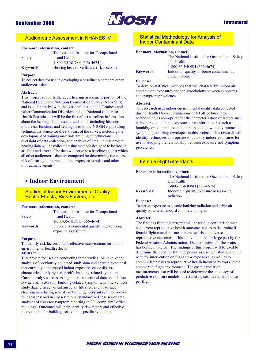

# **Intramural**

# **Audiometric Assessment in NHANES IV**

## For more information, contact:

|                  | The National Institute for Occupational     |
|------------------|---------------------------------------------|
| Safety           | and Health                                  |
|                  | 1-800-35-NIOSH (356-4674)                   |
| <b>Keywords:</b> | Hearing loss, surveillance, risk assessment |

### **Purpose:**

To collect data for use in developing a baseline to compare other audiometric data.

### Abstract:

This project supports the adult hearing assessment portion of the National Health and Nutrition Examination Survey (NHANES) and is collaborative with the National Institute on Deafness and Other Communication Disorders and the National Center for Health Statistics. It will be the first effort to collect information about the hearing of adolescents and adults including histories, middle ear function, and hearing thresholds. NIOSH is providing technical assistance for the six years of the survey, including the development of training materials, training of technicians, oversight of data collection, and analysis of data. In this project, hearing data will be collected using methods designed to be free of artifacts and errors. The data will serve as a baseline against which all other audiometric data are compared for determining the excess risk of hearing impairment due to exposure to noise and other ototraumatic agents.

# • Indoor Environment

## **Studies of Indoor Environmental Quality:** Health Effects, Risk Factors, etc.

#### For more information, contact:

|                  | The National Institute for Occupational     |
|------------------|---------------------------------------------|
| Safety           | and Health                                  |
|                  | 1-800-35-NIOSH (356-4674)                   |
| <b>Keywords:</b> | Indoor environmental quality, intervention. |
|                  | exposure assessment                         |

### **Purpose:**

To identify risk factors and/or effective interventions for indoor environmental health effects.

## Ahstract.

This project focuses on conducting three studies. All involve the analysis of previously collected study data and share a hypothesis that currently unmeasured indoor exposures cause disease characterized only by nonspecific building-related symptoms. Current analyses are assessing: in cross-sectional data, ventilation system risk factors for building-related symptoms; in intervention study data, efficacy of enhanced air filtration and of surface cleaning in reducing severity of building occupant symptoms over four seasons; and in cross-sectional/standardized case series data, analyses of risks for symptom reporting in 80 "complaint" office buildings. Outcomes will help identify risk factors and effective interventions for building-related nonspecific symptoms.

# **Statistical Methodology for Analysis of Indoor Contaminant Data**

## For more information, contact:

|                  | The National Institute for Occupational Safety |
|------------------|------------------------------------------------|
|                  | and Health                                     |
|                  | 1-800-35-NIOSH (356-4674)                      |
| <b>Keywords:</b> | Indoor air quality, airborne contaminants,     |
|                  | epidemiologic                                  |

### **Purpose:**

To develop statistical methods that will characterize indoor air contaminant exposures and the associations between exposures and symptom prevalence.

### Abstract:

This research uses indoor environmental quality data collected during Health Hazard Evaluations of 80 office buildings. Methodologies appropriate for the characterization of factors such as indoor contaminant exposures or comfort factors (such as humidity or temperature and their association with environmental symptoms) are being developed in this project. This research will identify techniques appropriate to quantify indoor exposures for use in studying the relationship between exposure and symptom prevalence.

# **Female Flight Attendants**

### For more information, contact:

|                  | The National Institute for Occupational Safety |
|------------------|------------------------------------------------|
|                  | and Health                                     |
|                  | 1-800-35-NIOSH (356-4674)                      |
| <b>Keywords:</b> | Indoor air quality, exposure assessment,       |
|                  | radiation                                      |

## **Purpose:**

To assess exposure to cosmic ionizing radiation and cabin air quality parameters aboard commercial flights.

### Abstract:

The findings from this research will be used in conjunction with concurrent reproductive health outcome studies to determine if female flight attendants are at increased risk of adverse reproductive outcomes. This study is funded in large part by the Federal Aviation Administration. Data collection for the project has been completed. The findings of this project will be used to determine the need for future exposure assessment studies and the need for intervention on flight crew exposures, as well as to communicate risks to reproductive health incurred by work in the commercial flight environment. The cosmic radiation measurements also will be used to determine the adequacy of predictive exposure models for estimating cosmic radiation dose per flight.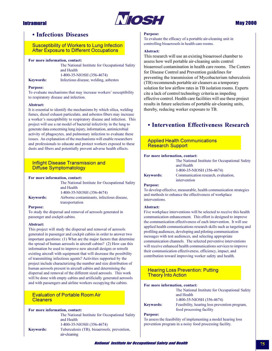

# • Infectious Diseases

# **Susceptibility of Workers to Lung Infection After Exposure to Different Occupations**

### For more information, contact:

The National Institute for Occupational Safety and Health 1-800-35-NIOSH (356-4674) Infectious disease, welding, asbestos

# **Keywords: Purpose:**

To evaluate mechanisms that may increase workers' susceptibility to respiratory disease and infection.

### Abstract:

It is essential to identify the mechanisms by which silica, welding fumes, diesel exhaust particulate, and asbestos fibers may increase a worker's susceptibility to respiratory disease and infection. This project will use a rat model of bacterial infectivity in the lung to generate data concerning lung injury, information, antimicrobial activity of phagocytes, and pulmonary infection to evaluate these issues. An explanation of the mechanisms will enable researchers and professionals to educate and protect workers exposed to these dusts and fibers and potentially prevent adverse health effects.

# **Inflight Disease Transmission and Diffuse Symptomatology**

### For more information, contact:

|                  | The National Institute for Occupational Safety |
|------------------|------------------------------------------------|
|                  | and Health                                     |
|                  | 1-800-35-NIOSH (356-4674)                      |
| <b>Keywords:</b> | Airborne contaminants, infectious disease,     |
|                  | transportation                                 |

### **Purpose:**

To study the dispersal and removal of aerosols generated in passenger and cockpit cabins.

### Abstract:

This project will study the dispersal and removal of aerosols generated in passenger and cockpit cabins in order to answer two important questions: (1) What are the major factors that determine the spread of human aerosols in aircraft cabins? (2) How can this information be used to improve new aircraft designs or retrofit existing aircraft with equipment that will decrease the possibility of transmitting infectious agents? Activities supported by the project include characterizing the number and size distribution of human aerosols present in aircraft cabins and determining the dispersal and removal of the different sized aerosols. This work will be done with empty cabins and artificially generated aerosols and with passengers and airline workers occupying the cabins.

# **Evaluation of Portable Room Air Cleaners**

### For more information, contact:

|                  | The National Institute for Occupational Safety |
|------------------|------------------------------------------------|
|                  | and Health                                     |
|                  | 1-800-35-NIOSH (356-4674)                      |
| <b>Keywords:</b> | Tuberculosis (TB), bioaerosols, prevention,    |
|                  | air-cleaning                                   |

### **Purpose:**

To evaluate the efficacy of a portable air-cleaning unit in controlling bioaerosols in health care rooms.

### Abstract:

This research will use an existing bioaerosol chamber to assess how well portable air-cleaning units control bioaerosol contamination in health care rooms. The Centers for Disease Control and Prevention guidelines for preventing the transmission of Mycobacterium tuberculosis (TB) recommends portable air cleaners as a temporary solution for low airflow rates in TB isolation rooms. Experts cite a lack of control technology criteria as impeding effective control. Health care facilities will use these project results in future selections of portable air-cleaning units, thereby, reducing worker exposure to TB.

# • Intervention Effectiveness Research

# **Applied Health Communications Research Support**

### For more information, contact:

The National Institute for Occupational Safety and Health 1-800-35-NIOSH (356-4674) Communication research, evaluation, intervention

### **Purpose:**

**Keywords:** 

To develop effective, measurable, health communication strategies and methods to enhance the effectiveness of workplace interventions.

### **Abstract:**

Five workplace interventions will be selected to receive this health communication enhancement. This effort is designed to improve the communication effectiveness of each intervention. It will use applied health communications research skills such as targeting and profiling audiences, developing and piloting communication messages with test audiences, and selecting appropriate communication channels. The selected preventive interventions will receive enhanced health communications services to improve their communication effectiveness, efficiency, impact, and contribution toward improving worker safety and health.

## **Hearing Loss Prevention: Putting Theory Into Action**

For more information, contact: The National Institute for Occupational Safety and Health 1-800-35-NIOSH (356-4674) Feasibility, hearing loss prevention program,

| <b>Keywords:</b> |  |
|------------------|--|
|                  |  |

### **Purpose:**

To assess the feasibility of implementing a model hearing loss prevention program in a noisy food processing facility.

food processing facility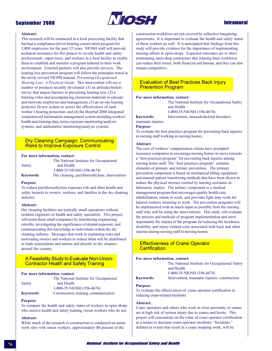

# **Intramural**

### Abstract:

This research will be conducted in a food processing facility that has had a compliance-driven hearing conservation program for 1,800 employees for the past 15 years. NIOSH staff will provide technical assistance for this project to on-site health and safety professionals, supervisors, and workers in a food facility to enable them to establish and monitor a program tailored to their work environment. External partners will also provide services. The hearing loss prevention program will follow the principles noted in the newly revised NIOSH manual, Preventing Occupational Hearing Loss: A Practical Guide. This intervention will use a number of products recently developed: (1) an attitudes/beliefs survey that targets barriers to preventing hearing loss, (2) a training video and accompanying classroom materials to educate and motivate employees and management, (3) an on-site hearing protector fit-test system to assess the effectiveness of each worker's hearing protection, and (4) the HearSaf 2000 integrated computerized information management system including workers' health and training data, noise exposure monitoring/analysis systems, and audiometric monitoring/analysis systems.

## Dry Cleaning Campaign: Communicating **Risks to Improve Exposure Control**

### For more information, contact:

|                  | The National Institute for Occupational       |
|------------------|-----------------------------------------------|
| Safety           | and Health                                    |
|                  | 1-800-35-NIOSH (356-4674)                     |
| <b>Keywords:</b> | Dry cleaning, perchloroethylene, intervention |

#### **Purpose:**

To reduce perchloroethylene exposure risk and other health and safety hazards to owners, workers, and families in the dry cleaning industry.

#### **Abstract:**

Dry cleaning facilities are typically small operations without resident engineers or health and safety specialists. This project will assist these small companies by introducing engineering retrofits, investigating the significance of dermal exposure, and communicating this knowledge to individuals within the dry cleaning industry. Messages that work in explaining risks and motivating owners and workers to reduce them will be distributed to trade associations and unions and directly to dry cleaners around the country.

# A Feasibility Study to Evaluate Non-Union-**Contractor Health and Safety Training**

#### For more information, contact:

|                  | The National Institute for Occupational |
|------------------|-----------------------------------------|
| Safety           | and Health                              |
|                  | 1-800-35-NIOSH (356-4674)               |
| <b>Keywords:</b> | Construction, training, communication   |

### **Purpose:**

To compare the health and safety status of workers in open shops who receive health and safety training versus workers who do not.

#### Abstract:

While much of the research in construction is conducted on union work sites with union workers, approximately 80 percent of the

construction workforce are not covered by collective bargaining agreements. It is important to evaluate the health and safety status of these workers as well. It is anticipated that findings from this study will provide evidence for the importance of implementing training efforts in open-shops. Expected outcomes are to show nontraining open-shop contractors that training their workforce can reduce their losses, both financial and human, and they can also remain competitive.

## **Evaluation of Best Practices Back Injury Prevention Program**

### For more information, contact:

The National Institute for Occupational Safety and Health 1-800-35-NIOSH (356-4674)

Intervention, musculoskeletal disorders,

**Keywords:** traumatic injuries **Purpose:** 

To evaluate the best practices program for preventing back injuries in nursing staff working in nursing homes.

#### **Abstract:**

The cost of workers' compensation claims have prompted insurance companies to encourage nursing homes to move towards a "best practices program" for preventing back injuries among nursing home staff. The "best practices program" contains elements of primary and tertiary prevention. The primary prevention component is based on mechanical lifting equipment and manual patient transferring methods that have been shown to reduce the physical stresses exerted by nursing assistants in laboratory studies. The tertiary component is a medical management program that encourages quality health care, rehabilitation, return to work, and provides light duty work for injured workers returning to work. The prevention programs will be implemented with as much input as possible from the nursing staff who will be using the interventions. This study will evaluate the process and methods of program implementation and most importantly the impact of the program for reducing the incidence, disability, and injury-related costs associated with back and other injuries among nursing staff in nursing homes.

## **Effectiveness of Crane Operator** Certification

### For more information, contact:

The National Institute for Occupational Safety and Health 1-800-35-NIOSH (356-4674) **Keywords:** Intervention, traumatic injuries, construction

# **Purpose:**

To evaluate the effectiveness of crane operator certification in reducing crane-related incidents.

#### Abstract:

Crane operators and others who work in close proximity to cranes are at high risk of serious injury due to cranes and hoists. This project will concentrate on the value of crane operator certification as a means to decrease crane-operator incidents. "Incidents," defined as events that result in a crane stopping work, will be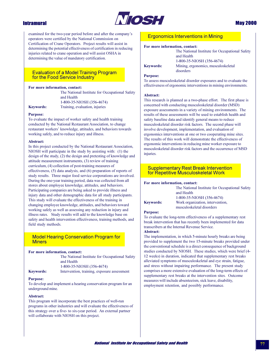

# **May 2000**

# **Intramural**

examined for the two-year period before and after the company's operators were certified by the National Commission on Certification of Crane Operators. Project results will assist in determining the potential effectiveness of certification in reducing injuries related to crane operation and will assist OSHA in determining the value of mandatory certification.

# **Evaluation of a Model Training Program** for the Food Service Industry

### For more information, contact:

The National Institute for Occupational Safety and Health 1-800-35-NIOSH (356-4674) Training, evaluation, injuries

# **Keywords: Purpose:**

To evaluate the impact of worker safety and health training conducted by the National Restaurant Association, to change restaurant workers' knowledge, attitudes, and behaviors towards working safely, and to reduce injury and illness.

### Abstract:

In this project conducted by the National Restaurant Association, NIOSH will participate in the study by assisting with: (1) the design of the study, (2) the design and pretesting of knowledge and attitude measurement instruments, (3) review of training curriculum, (4) collection of post-training measures of effectiveness,  $(5)$  data analysis, and  $(6)$  preparation of reports of study results. Three major food service corporations are involved. During the one-year training period, data was collected from all stores about employee knowledge, attitudes, and behaviors. Participating companies are being asked to provide illness and injury data and other demographic data for all study participants. This study will evaluate the effectiveness of the training in changing employee knowledge, attitudes, and behaviors toward working safely as well as assessing any reduction in injury and illness rates. Study results will add to the knowledge base on safety and health intervention effectiveness, training methods, and field study methods.

# **Model Hearing Conservation Program for Miners**

#### For more information, contact:

|                  | The National Institute for Occupational Safety |
|------------------|------------------------------------------------|
|                  | and Health                                     |
|                  | 1-800-35-NIOSH (356-4674)                      |
| <b>Keywords:</b> | Intervention, training, exposure assessment    |

#### **Purpose:**

To develop and implement a hearing conservation program for an underground mine.

### Abstract:

This program will incorporate the best practices of well-run programs in other industries and will evaluate the effectiveness of this strategy over a five- to six-year period. An external partner will collaborate with NIOSH on this project.

# **Ergonomics Interventions in Mining**

### For more information, contact:

|                                                | The National Institute for Occupational Safety |
|------------------------------------------------|------------------------------------------------|
|                                                | and Health                                     |
|                                                | 1-800-35-NIOSH (356-4674)                      |
| <b>Keywords:</b>                               | Mining, ergonomics, musculoskeletal            |
|                                                | disorders                                      |
| $\mathbf{D}$ and $\mathbf{D}$ and $\mathbf{D}$ |                                                |

### **Purpose:**

To assess musculoskeletal disorder exposures and to evaluate the effectiveness of ergonomic interventions in mining environments.

#### Abstract:

This research is planned as a two-phase effort. The first phase is concerned with conducting musculoskeletal disorder (MSD) exposure assessments in a variety of mining environments. The results of these assessments will be used to establish health and safety baseline data and identify general means to reduce musculoskeletal disorder risk factors. The second phase will involve development, implementation, and evaluation of ergonomics interventions at one or two cooperating mine sites. The results of this work will demonstrate the effectiveness of ergonomic interventions in reducing mine worker exposure to musculoskeletal disorder risk factors and the occurrence of MSD injuries.

# **Supplementary Rest Break Intervention** for Repetitive Musculoskeletal Work

## For more information, contact:

The National Institute for Occupational Safety and Health 1-800-35-NIOSH (356-4674) Work organization, intervention, musculoskeletal disorders

#### **Purpose:**

**Keywords:** 

To evaluate the long-term effectiveness of a supplementary rest break intervention that has recently been implemented for data transcribers at the Internal Revenue Service.

### Abstract:

The implementation, in which 5-minute hourly breaks are being provided to supplement the two 15-minute breaks provided under the conventional schedule is a direct consequence of background studies conducted by NIOSH. These studies, which were brief (4-12 weeks) in duration, indicated that supplementary rest breaks alleviated symptoms of musculoskeletal and eye strain, fatigue, and stress without impairing performance. The present study comprises a more extensive evaluation of the long-term effects of supplementary rest breaks at the intervention sites. Outcome measures will include absenteeism, sick leave, disability, employment retention, and possibly performance.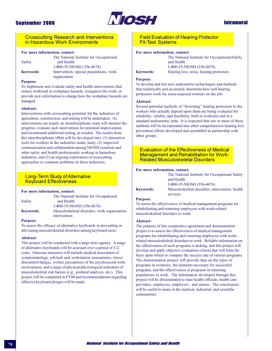

# **Intramural**

## **Crosscutting Research and Interventions** in Hazardous Work Environments

## For more information, contact:

|                  | The National Institute for Occupational |
|------------------|-----------------------------------------|
| Safety           | and Health                              |
|                  | 1-800-35-NIOSH (356-4674)               |
| <b>Keywords:</b> | Intervention, special populations, work |

organization

### **Purpose:**

To implement and evaluate safety and health interventions that reduce workload or workplace hazards, reorganize the work, or provide new information to change how the workplace hazards are managed.

#### Abstract:

Interventions with crosscutting potential for the industries of agriculture, construction, and mining will be undertaken. As interventions are tested, an interdisciplinary team will monitor the progress, evaluate each intervention for potential improvement, and recommend additional testing, as needed. The results from this interdisciplinary effort will be developed into: (1) interactive tools for workers in the industries under study, (2) improved communication and collaboration among NIOSH scientists and other safety and health professionals working in hazardous industries, and (3) an ongoing exploration of crosscutting approaches to common problems in these industries.

# **Long-Term Study of Alternative Keyboard Effectiveness**

#### For more information, contact:

|                  | The National Institute for Occupational                       |
|------------------|---------------------------------------------------------------|
| Safety           | and Health                                                    |
|                  | 1-800-35-NIOSH (356-4674)                                     |
| <b>Keywords:</b> | Musculoskeletal disorders, work organization,<br>intervention |
|                  |                                                               |

### **Purpose:**

To assess the efficacy of alternative keyboards in preventing or alleviating musculoskeletal disorders among keyboard users.

### Abstract:

This project will be conducted with a large news agency. A range of alternative keyboards will be assessed over a period of 1-2 years. Outcome measures will include medical assessment of symptomatology, job/task and workstation assessments, stress/ discomfort/fatigue, worker perceptions of the psychosocial work environment, and a range of physical/physiological indicators of musculoskeletal risk factors (e.g., postural analyses, etc.). This project will be completed in FY00 and recommendations regarding effective keyboard designs will be made.

# **Field Evaluation of Hearing Protector Fit-Test Systems**

### For more information, contact:

The National Institute for Occupational Safety and Health 1-800-35-NIOSH (356-4674)

Hearing loss, noise, hearing protectors

# **Keywords: Purpose:**

To develop and test new audiometric technologies and methods that realistically and accurately determine how well hearing protectors work for noise-exposed workers on the job.

### Abstract:

Several potential methods of "fit-testing" hearing protectors to the workers who actually depend upon them are being evaluated for reliability, validity, and feasibility, both in worksites and in a standard audiometric suite. It is expected that one or more of these methods will be incorporated into other comprehensive hearing loss prevention efforts developed and assembled in partnership with other groups.

## **Evaluation of the Effectiveness of Medical Management and Rehabilitation for Work-Related Musculoskeletal Disorders**

#### For more information, contact:

|                  | The National Institute for Occupational Safety  |
|------------------|-------------------------------------------------|
|                  | and Health                                      |
|                  | 1-800-35-NIOSH (356-4674)                       |
| <b>Keywords:</b> | Musculoskeletal disorders, intervention, health |
|                  | services                                        |

### **Purpose:**

To assess the effectiveness of medical management programs for rehabilitating and returning employees with work-related musculoskeletal disorders to work.

## Abstract:

The purpose of this cooperative agreement and demonstration project is to assess the effectiveness of medical management programs for rehabilitating and returning employees with workrelated musculoskeletal disorders to work. Reliable information on the effectiveness of such programs is lacking, and this project will develop and apply objective evaluation criteria that will form the basis upon which to compare the success rate of various programs. The demonstration project will provide data on the types of programs in existence, the elements necessary for successful programs, and the effectiveness of programs in returning populations to work. The information developed through this project will be disseminated to state health officials, health care providers, employees, employers, and unions. The conclusions will be useful to many in the medical, industrial, and scientific communities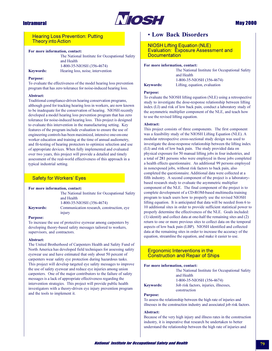

**Hearing Loss Prevention: Putting Theory into Action** 

### For more information, contact:

The National Institute for Occupational Safety and Health 1-800-35-NIOSH (356-4674) Hearing loss, noise, intervention

# **Keywords: Purpose:**

To evaluate the effectiveness of the model hearing loss prevention program that has zero tolerance for noise-induced hearing loss.

### Abstract:

Traditional compliance-driven hearing conservation programs, although good for tracking hearing loss in workers, are now known to be inadequate for the conservation of hearing. NIOSH recently developed a model hearing loss prevention program that has zero tolerance for noise-induced hearing loss. This project is designed to evaluate this intervention in the manufacturing setting. Key features of the program include evaluation to ensure the use of engineering controls has been maximized, intensive one-on-one worker education and training at the time of annual audiometry, and fit-testing of hearing protectors to optimize selection and use of appropriate devices. When fully implemented and evaluated over two years, this project will provide a detailed and timely assessment of the real-world effectiveness of this approach in a typical industrial setting.

# **Safety for Workers' Eyes**

### For more information, contact:

|                  | The National Institute for Occupational Safety |
|------------------|------------------------------------------------|
|                  | and Health                                     |
|                  | 1-800-35-NIOSH (356-4674)                      |
| <b>Keywords:</b> | Communication research, construction, eye      |
|                  | injury                                         |

### **Purpose:**

To increase the use of protective eyewear among carpenters by developing theory-based safety messages tailored to workers, supervisors, and contractors.

### Abstract:

The United Brotherhood of Carpenters Health and Safety Fund of North America has developed field techniques for assessing safety eyewear use and have estimated that only about 50 percent of carpenters wear safety eye protection during hazardous tasks. This project will develop targeted eye safety messages to improve the use of safety eyewear and reduce eye injuries among union carpenters. One of the major contributors to the failure of safety messages is a lack of appropriate effectiveness regarding the intervention strategies. This project will provide public health investigators with a theory-driven eye injury prevention program and the tools to implement it.

# **. Low Back Disorders**

**NIOSH Lifting Equation (NLE) Evaluation: Exposure Assessment and Documentation** 

### For more information, contact:

## The National Institute for Occupational Safety and Health 1-800-35-NIOSH (356-4674) Lifting, equation, evaluation

# **Keywords: Purpose:**

To evaluate the NIOSH lifting equation (NLE) using a retrospective study to investigate the dose-response relationship between lifting index (LI) and risk of low back pain, conduct a laboratory study of the asymmetric multiplier component of the NLE, and teach how to use the revised lifting equation.

### Abstract:

This project consists of three components. The first component was a feasibility study of the NIOSH Lifting Equation (NLE). A modular retrospective cross-sectional study design was used to investigate the dose-response relationship between the lifting index (LI) and risk of low back pain. The study provided data on physical exposure for 50 manual lifting jobs in four industries, and a total of 281 persons who were employed in those jobs completed a health effects questionnaire. An additional 99 persons employed in nonexposed jobs, without risk factors to back pain, also completed the questionnaire. Additional data were collected at a fifth industry. A second component of the project is a laboratorybased research study to evaluate the asymmetric multiplier component of the NLE. The final component of the project is to complete development of a CD-ROM-based multimedia training program to teach users how to properly use the revised NIOSH lifting equation. It is anticipated that data will be needed from 6 to 10 additional sites in order to provide sufficient statistical power to properly determine the effectiveness of the NLE. Goals included: (1) identify and collect data at one-half the remaining sites and (2) return to one or more previous sites to collect data on the temporal aspects of low back pain (LBP). NIOSH identified and collected data at the remaining sites in order to increase the accuracy of the equation, streamline the equation, and make it easier to use.

# **Ergonomic Interventions in the Construction and Repair of Ships**

### For more information, contact:

|                  | The National Institute for Occupational Safety<br>and Health |
|------------------|--------------------------------------------------------------|
|                  | 1-800-35-NIOSH (356-4674)                                    |
| <b>Keywords:</b> | Job risk factors, injuries, illnesses,<br>construction       |
|                  |                                                              |

### **Purpose:**

To assess the relationship between the high rate of injuries and illnesses in the construction industry and associated job risk factors.

# Abstract:

Because of the very high injury and illness rates in the construction industry, it is imperative that research be undertaken to better understand the relationship between the high rate of injuries and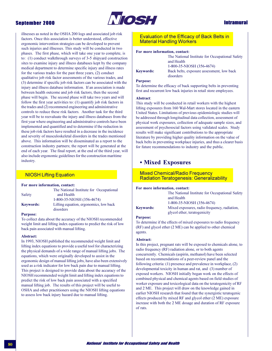

# **Intramural**

illnesses as noted in the OSHA 200 logs and associated job risk factors. Once this association is better understood, effective ergonomic intervention strategies can be developed to prevent such injuries and illnesses. This study will be conducted in two phases. The first phase, which will take one year to complete, is to: (1) conduct walkthrough surveys of 3-5 shipyard construction sites to examine injury and illness databases kept by the company medical department to determine specific injury and illness rates for the various trades for the past three years, (2) conduct qualitative job risk factor assessments of the various trades, and (3) determine if specific job risk factors can be associated with the injury and illness database information. If an association is made between health outcome and job risk factors, then the second phase will begin. The second phase will take two years and will follow the first year activities to:  $(1)$  quantify job risk factors in the trades and (2) recommend engineering and administrative controls to reduce these risk factors. Another task for the third year will be to reevaluate the injury and illness databases from the first year where engineering and administrative controls have been implemented and quantified and to determine if the reduction in these job risk factors have resulted in a decrease in the incidence and severity of musculoskeletal disorders in the trades mentioned above. This information will be disseminated as a report to the construction industry partners; the report will be generated at the end of each year. The final report, at the end of the third year, will also include ergonomic guidelines for the construction maritime industry.

# **NIOSH Lifting Equation**

### For more information, contact:

|                  | The National Institute for Occupational             |
|------------------|-----------------------------------------------------|
| Safety           | and Health                                          |
|                  | 1-800-35-NIOSH (356-4674)                           |
| <b>Keywords:</b> | Lifting equation, ergonomics, low back<br>disorders |

### **Purpose:**

To collect data about the accuracy of the NIOSH recommended weight limit and lifting index equations to predict the risk of low back pain associated with manual lifting.

### Abstract:

In 1993, NIOSH published the recommended weight limit and lifting index equations to provide a useful tool for characterizing the physical demands of a wide range of manual lifting jobs. The equations, which were originally developed to assist in the ergonomic design of manual lifting jobs, have also been extensively used as a risk indicator for low back pain due to manual lifting. This project is designed to provide data about the accuracy of the NIOSH recommended weight limit and lifting index equations to predict the risk of low back pain associated with a specified manual lifting job. The results of this project will be useful to OSHA and other practitioners using the NIOSH lifting equations to assess low back injury hazard due to manual lifting.

# **Evaluation of the Efficacy of Back Belts in Material Handling Workers**

### For more information, contact:

| Keywords: |  |  |
|-----------|--|--|

The National Institute for Occupational Safety and Health 1-800-35-NIOSH (356-4674) Back belts, exposure assessment, low back disorders

### **Purpose:**

To determine the efficacy of back supporting belts in preventing first and recurrent low back injuries in retail store employees.

### Abstract:

This study will be conducted in retail workers with the highest lifting exposures from 160 Wal-Mart stores located in the eastern United States. Limitations of previous epidemiologic studies will be addressed through longitudinal data collection, assessment of physical work exposures, collection of adequate sample sizes, and assessment of psychosocial factors using validated scales. Study results will make significant contributions to the appropriate literature by providing higher quality information on the value of back belts in preventing workplace injuries, and thus a clearer basis for future recommendations to industry and the public.

# • Mixed Exposures

**Mixed Chemical/Radio Frequency Radiation Teratogenesis: Generalizability** 

### For more information, contact:

|                  | The National Institute for Occupational Safety<br>and Health<br>1-800-35-NIOSH (356-4674) |
|------------------|-------------------------------------------------------------------------------------------|
| <b>Keywords:</b> | Mixed exposures, radio frequency, radiation,<br>glycol ether, teratogenicity              |

### **Purpose:**

To determine if the effects of mixed exposures to radio frequency (RF) and glycol ether (2 ME) can be applied to other chemical agents.

### Abstract:

In this project, pregnant rats will be exposed to chemicals alone, to radio frequency (RF) radiation alone, or to both agents concurrently. Chemicals (aspirin, methanol) have been selected based on recommendations of a peer-review panel and the following criteria: (1) presence and prevalence in workplace, (2) developmental toxicity in human and rat, and (3) number of exposed workers. NIOSH initially began work on the effects of combined physical and chemical agents based on field studies of worker exposure and toxicological data on the teratogenicity of RF and 2 ME. This project will draw on the knowledge gained in earlier NIOSH research that found that the synergistic teratogenic effects produced by mixed RF and glycol ether (2 ME) exposure increase with both the 2 ME dosage and duration of RF exposure of rats.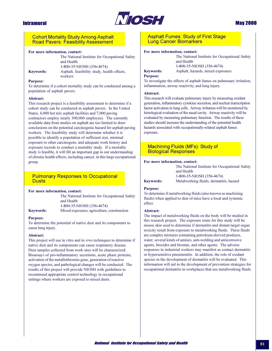

# **May 2000**

# **Cohort Mortality Study Among Asphalt Road Pavers: Feasibility Assessment**

### For more information, contact:

|                  | The National Institute for Occupational Safety |
|------------------|------------------------------------------------|
|                  | and Health                                     |
|                  | 1-800-35-NIOSH (356-4674)                      |
| <b>Keywords:</b> | Asphalt, feasibility study, health effects,    |
|                  | workers                                        |

### **Purpose:**

To determine if a cohort mortality study can be conducted among a population of asphalt pavers.

### Abstract:

This research project is a feasibility assessment to determine if a cohort study can be conducted in asphalt pavers. In the United States, 4,000 hot mix asphalt facilities and 7,000 paving contractors employ nearly 300,000 employees. The currently available data from studies on asphalt are too limited to draw conclusions on the potential carcinogenic hazard for asphalt paying workers. The feasibility study will determine whether it is possible to identify a population of sufficient size, minimal exposure to other carcinogens, and adequate work history and exposure records to conduct a mortality study. If a mortality study is feasible, it will fill an important gap in our understanding of chronic health effects, including cancer, in this large occupational group.

# **Pulmonary Responses to Occupational Dusts**

## For more information, contact:

|                  | The National Institute for Occupational Safety |
|------------------|------------------------------------------------|
|                  | and Health                                     |
|                  | 1-800-35-NIOSH (356-4674)                      |
| <b>Keywords:</b> | Mixed exposures, agriculture, construction     |

### **Purpose:**

To determine the potential of native dust and its components to cause lung injury.

### Abstract:

This project will use in vitro and in vivo techniques to determine if native dust and its components can cause respiratory disease. Dust samples collected from work sites will be characterized. Bioassays of pro-inflammatory secretions, acute phase proteins, activation of the metallothionine gene, generation of reactive oxygen species, and pathological changes will be conducted. The results of this project will provide NIOSH with guidelines to recommend appropriate control technology in occupational settings where workers are exposed to mixed dusts.

# **Asphalt Fumes: Study of First Stage Lung Cancer Biomarkers**

### For more information, contact:

The National Institute for Occupational Safety and Health 1-800-35-NIOSH (356-4674) **Keywords:** Asphalt, hazards, mixed exposures

## **Purpose:**

To investigate the effects of asphalt fumes on pulmonary irritation, inflammation, airway reactivity, and lung injury.

### Abstract:

This research will evaluate pulmonary injury by measuring oxidant generation, inflammatory cytokine secretion, and nuclear transcription factor activation in lung cells. Airway irritation will be monitored by histological evaluation of the nasal cavity. Airway reactivity will be evaluated by measuring pulmonary function. The results of these studies should increase the understanding of the potential health hazards associated with occupationally-related asphalt fumes exposure.

# **Machining Fluids (MFs): Study of Biological Responses**

#### For more information, contact:

The National Institute for Occupational Safety and Health 1-800-35-NIOSH (356-4674) Metalworking fluids, dermatitis, hazard

# **Keywords: Purpose:**

To determine if metalworking fluids (also known as machining fluids) when applied to skin of mice have a local and systemic effect

### Abstract:

The impact of metalworking fluids on the body will be studied in this research project. The exposure route for this study will be mouse skin used to determine if dermatitis and distant target organ toxicity result from exposure to metalworking fluids. These fluids are complex mixtures containing petroleum derived products, water, several kinds of amines, anti-welding and anticorrosive agents, biocides and biostats, and other agents. The adverse responses in industrial workers may manifest as contact dermatitis or hypersensitive pneumonitis. In addition, the role of oxidant species in the development of dermatitis will be evaluated. This information will aid in the development of prevention strategies for occupational dermatitis in workplaces that use metalworking fluids.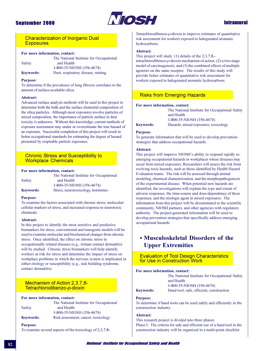

# **Intramural**

# **Characterization of Inorganic Dust Exposures**

### For more information, contact:

|                  | The National Institute for Occupational |
|------------------|-----------------------------------------|
| Safety           | and Health                              |
|                  | 1-800-35-NIOSH (356-4674)               |
| <b>Keywords:</b> | Dust, respiratory disease, mining       |

#### **Purpose:**

To determine if the prevalence of lung fibrosis correlates to the amount of surface-available silica.

#### Abstract:

Advanced surface analysis methods will be used in this project to determine both the bulk and the surface elemental composition of the silica particles. Although most exposures involve particles of mixed composition, the importance of particle surface in dust toxicity is unknown. Without this knowledge, current methods of exposure assessment may under or overestimate the true hazard of an exposure. Successful completion of this project will result in better occupational standards for estimating the degree of hazard presented by respirable particle exposures.

# **Chronic Stress and Susceptibility to Workplace Chemicals**

### For more information, contact:

|                  | The National Institute for Occupational |
|------------------|-----------------------------------------|
| Safety           | and Health                              |
|                  | 1-800-35-NIOSH (356-4674)               |
| <b>Keywords:</b> | Stress, neurotoxicology, hormones       |

### **Purpose:**

To examine the factors associated with chronic stress, molecular/ cellular markers of stress, and increased response to neurotoxic chemicals.

#### Abstract:

In this project to identify the most sensitive and predictive biomarkers for stress, conventional and transgenic models will be used to examine molecular and biochemical changes from chronic stress. Once identified, the effect on chronic stress in occupationally related diseases (e.g., irritant contact dermatitis) will be studied. Chronic stress biomarkers will help identify workers at risk for stress and determine the impact of stress on workplace problems in which the nervous system is implicated in either etiology or susceptibility (e.g., sick building syndrome, contact dermatitis).

# Mechanism of Action 2,3,7,8-Tetrachlorodibenzo-p-dioxin

For more information, contact:

|                  | The National Institute for Occupational |
|------------------|-----------------------------------------|
| Safety           | and Health                              |
|                  | 1-800-35-NIOSH (356-4674)               |
| <b>Keywords:</b> | Risk assessment, cancer, toxicology     |

**Purpose:** 

To examine several aspects of the toxicology of 2,3,7,8-

Tetrachlorodibenzo-p-dioxin to improve estimates of quantitative risk assessment for workers exposed to halogenated aromatic hydrocarbons.

#### Abstract:

This project will study:  $(1)$  details of the 2,3,7,8,-

tetrachlorodibenzo- $p$ -dioxin mechanism of action, (2) a two-stage model of carcinogenesis, and (3) the combined effects of multiple agonists on the same receptor. The results of this study will provide better estimates of quantitative risk assessment for workers exposed to halogenated aromatic hydrocarbons.

# **Risks from Emerging Hazards**

### For more information, contact:

The National Institute for Occupational Safety and Health 1-800-35-NIOSH (356-4674) Hazards, mixed exposures, toxicology

#### **Purpose:**

**Keywords:** 

To generate information that will be used to develop prevention strategies that address occupational hazards.

#### Abstract:

This project will improve NIOSH's ability to respond rapidly to emerging occupational hazards in workplaces where diseases may occur from mixed exposures. Researchers will assess the risk from evolving toxic hazards, such as those identified by Health Hazard Evaluation teams. The risk will be assessed through animal modeling, chemical characterization, and the morphopathogenesis of the experimental disease. When potential new hazards are identified, the investigations will explain the type and extent of adverse responses, the time-course and dose-dependence of these responses, and the etiologic agent in mixed exposures. The information from this project will be disseminated to the scientific community, NIOSH partners, and other agencies with regulatory authority. The project-generated information will be used to develop prevention strategies that specifically address emerging occupational hazards.

# • Musculoskeletal Disorders of the **Upper Extremities**

**Evaluation of Tool Design Characteristics** for Use in Construction Work

#### For more information, contact:

The National Institute for Occupational Safety and Health 1-800-35-NIOSH (356-4674) Hand tool, safe, efficient, construction

# **Keywords: Purpose:**

To determine if hand tools can be used safely and efficiently in the construction industry.

### Abstract:

This research project is divided into three phases. Phase I: The criteria for safe and efficient use of a hand tool in the construction industry will be organized in a multi-point checklist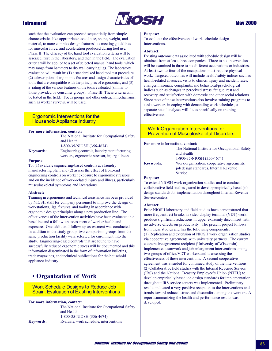

# **May 2000**

**Intramural** 

such that the evaluation can proceed sequentially from simple characteristics like appropriateness of size, shape, weight, and material, to more complex design features like meeting guidelines for muscular force, and acceleration produced during tool use. Phase II: The efficacy of the hand tool evaluation criteria will be assessed, first in the laboratory, and then in the field. The evaluation criteria will be applied to a set of selected manual hand tools, which may range from hammers to dry wall carrying jigs. The laboratory evaluation will result in: (1) a standardized hand tool test procedure, (2) a description of ergonomic features and design characteristics of tools that are compatible with the principles of ergonomics, and (3) a rating of the various features of the tools evaluated (similar to those provided by consumer groups). Phase III: These criteria will be tested in the field. Focus groups and other outreach mechanisms, such as worker surveys, will be used.

# **Ergonomic Interventions for the Household Appliance Industry**

### For more information, contact:

|                  | The National Institute for Occupational Safety<br>and Health |
|------------------|--------------------------------------------------------------|
|                  | 1-800-35-NIOSH (356-4674)                                    |
| <b>Keywords:</b> | Engineering controls, laundry manufacturing,                 |
|                  | workers, ergonomic stressor, injury, illness                 |

### **Purpose:**

To: (1) evaluate engineering-based controls at a laundry manufacturing plant and (2) assess the effect of front-end engineering controls on worker exposure to ergonomic stressors and on the incidence of work-related injury and illness, particularly musculoskeletal symptoms and lacerations.

### Abstract:

Training in ergonomics and technical assistance has been provided by NIOSH staff for company personnel to improve the design of workstations, jigs, fixtures, and tooling in accordance with ergonomic design principles along a new production line. The effectiveness of the intervention activities have been evaluated in a base line and a follow-up assessment of worker health and exposure. One additional follow-up assessment was conducted. In addition to the study group, two comparison groups from the same production facility were selected for enrollment into the study. Engineering-based controls that are found to have successfully reduced ergonomic stress will be documented and this information disseminated in the form of information bulletins, trade magazines, and technical publications for the household appliance industry.

# • Organization of Work

## **Work Schedule Designs to Reduce Job Strain: Evaluation of Existing Interventions**

For more information, contact:

**Keywords:** 

The National Institute for Occupational Safety and Health 1-800-35-NIOSH (356-4674) Evaluate, work schedule, interventions

### **Purpose:**

To evaluate the effectiveness of work schedule design interventions.

### Abstract:

Existing outcome data associated with schedule design will be obtained from at least three companies. Three to six interventions will be examined in three to six different occupations or industries. At least two to four of the occupations must require physical work. Targeted outcomes will include health/safety indices such as health-related absences, visits to clinics, injury and incident rates, changes in somatic complaints, and behavioral/psychological indices such as changes in perceived stress, fatigue, rest and recovery, and satisfaction with domestic and other social relations. Since most of these interventions also involve training programs to assist workers in coping with demanding work schedules, a separate set of analyses will focus specifically on training effectiveness.

# **Work Organization Interventions for Prevention of Musculoskeletal Disorders**

### For more information, contact:

|                  | The National Institute for Occupational Safety |
|------------------|------------------------------------------------|
|                  | and Health                                     |
|                  | 1-800-35-NIOSH (356-4674)                      |
| <b>Keywords:</b> | Work organization, cooperative agreements,     |
|                  | job design standards, Internal Revenue         |
|                  | <b>Service</b>                                 |

### **Purpose:**

To extend NIOSH work organization studies and to conduct collaborative field studies geared to develop empirically based job design standards for implementation throughout Internal Revenue Service centers.

### Abstract:

Prior NIOSH laboratory and field studies have demonstrated that more frequent rest breaks in video display terminal (VDT) work produce significant reductions in upper extremity discomfort with no adverse effects on productivity. The present project follows from these studies and has the following components: (1) Replication and extension of NIOSH work organization studies via cooperative agreements with university partners. The current cooperative agreement recipient (University of Wisconsin) implemented teamwork and job enlargement interventions among two groups of office/VDT workers and is assessing the effectiveness of these interventions. A second cooperative agreement was awarded for continued study of the interventions. (2) Collaborative field studies with the Internal Revenue Service (IRS) and the National Treasury Employee's Union (NTEU) to develop empirically based job design standards for implementation throughout IRS service centers was implemented. Preliminary results indicated a very positive reception to the interventions and trends toward reduced stress and discomfort among the workers. A report summarizing the health and performance results was developed.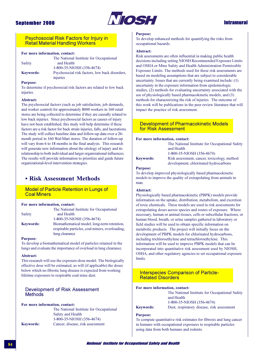

# **Intramural**

## **Psychosocial Risk Factors for Injury in Retail Material Handling Workers**

## For more information, contact:

|                  | The National Institute for Occupational        |
|------------------|------------------------------------------------|
| Safety           | and Health                                     |
|                  | 1-800-35-NIOSH (356-4674)                      |
| <b>Keywords:</b> | Psychosocial risk factors, low back disorders, |
|                  | injuries                                       |

## **Purpose:**

To determine if psychosocial risk factors are related to low back injuries.

### Abstract:

The psychosocial factors (such as job satisfaction, job demands, and worker control) for approximately 8000 workers in 160 retail stores are being collected to determine if they are causally related to low back injuries. Since psychosocial factors as causes of injury have not been established, this study will help determine if these factors are a risk factor for back strain injuries, falls, and lacerations. The study will collect baseline data and follow-up data over a 26month period in 160 Wal-Mart stores. The duration of follow-up will vary from 6 to 18 months in the final analysis. This research will generate new information about the etiology of injury and its relationship to both individual and larger organizational influences. The results will provide information to prioritize and guide future organizational-level intervention strategies.

# • Risk Assessment Methods

## **Model of Particle Retention in Lungs of Coal Miners**

### For more information, contact:

|                  | The National Institute for Occupational         |
|------------------|-------------------------------------------------|
| Safety           | and Health                                      |
|                  | 1-800-35-NIOSH (356-4674)                       |
| <b>Keywords:</b> | Biomathematical model, long-term retention,     |
|                  | respirable particles, coal miners, overloading. |
|                  | lung clearance                                  |

#### **Purpose:**

To develop a biomathematical model of particles retained in the lungs and evaluate the importance of overload in lung clearance.

#### Abstract:

This research will use the exposure-dose model. The biologically effective dose will be estimated, as will (if applicable) the doses below which no fibrotic lung disease is expected from working lifetime exposures to respirable coal mine dust.

# Development of Risk Assessment **Methods**

### For more information, contact:

|                  | The National Institute for Occupational |
|------------------|-----------------------------------------|
|                  | Safety and Health                       |
|                  | 1-800-35-NIOSH (356-4674)               |
| <b>Keywords:</b> | Cancer, disease, risk assessment        |

#### **Purpose:**

To develop enhanced methods for quantifying the risks from occupational hazards.

### Abstract:

Risk assessments are often influential in making public health decisions including setting NIOSH Recommended Exposure Limits and OSHA or Mine Safety and Health Administration Permissible Exposure Limits. The methods used for these risk assessments are based on modeling assumptions that are subject to considerable uncertainty. Issues that are currently being examined include: (1) uncertainty in the exposure information from epidemiologic studies, (2) methods for evaluating uncertainty associated with the use of physiologically based pharmacokinetic models, and (3) methods for characterizing the risk of injuries. The outcome of this work will be publications in the peer review literature that will impact the practice of risk assessment.

## **Development of Pharmacokinetic Models** for Risk Assessment

### For more information, contact:

The National Institute for Occupational Safety and Health 1-800-35-NIOSH (356-4674) Risk assessment, cancer, toxicology, method

**Keywords:** 

development, chlorinated hydrocarbons

#### **Purpose:**

To develop improved physiologically based pharmacokinetic models to improve the quality of extrapolating from animals to man.

## **Abstract:**

Physiologically based pharmacokinetic (PBPK) models provide information on the uptake, distribution, metabolism, and excretion of toxic chemicals. These models are used in risk assessments for extrapolating doses across species and routes of exposure. Where necessary, human or animal tissues, cells or subcellular fractions, or human blood, breath, or urine samples gathered in laboratory or field studies will be used to obtain specific information on metabolic products. The project will initially focus on the development of PBPK models for chlorinated hydrocarbons, including trichloroethylene and tetrachloroethylene. This information will be used to improve PBPK models that can be incorporated into quantitative risk assessment used by NIOSH, OSHA, and other regulatory agencies to set occupational exposure limits.

## **Interspecies Comparison of Particle-Related Disorders**

## For more information, contact:

|                  | The National Institute for Occupational Safet |
|------------------|-----------------------------------------------|
|                  | and Health                                    |
|                  | 1-800-35-NIOSH (356-4674)                     |
| <b>Keywords:</b> | Dust, respiratory disease, risk assessment    |

#### **Purpose:**

To compute quantitative risk estimates for fibrosis and lung cancer in humans with occupational exposures to respirable particles using data from both humans and rodents.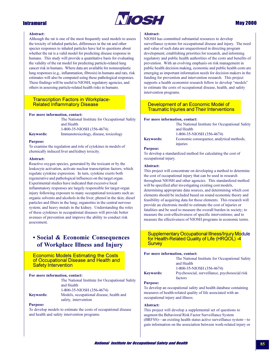

# **May 2000**

## **Abstract:**

Although the rat is one of the most frequently used models to assess the toxicity of inhaled particles, differences in the rat and other species responses to inhaled particles have led to questions about whether the rat is a valid model for predicting disease response in humans. This study will provide a quantitative basis for evaluating the validity of the rat model for predicting particle-related lung cancer risk in humans. Where data are available for nonneoplastic lung responses (e.g., inflammation, fibrosis) in humans and rats, risk estimates will also be computed using these pathological responses. These findings will be useful to NIOSH, regulatory agencies, and others in assessing particle-related health risks in humans.

# **Transcription Factors in Workplace-Related Inflammatory Disease**

### For more information, contact:

The National Institute for Occupational Safety and Health 1-800-35-NIOSH (356-4674) Immunotoxicology, disease, toxicology

# **Keywords: Purpose:**

To examine the regulation and role of cytokines in models of chemically induced liver and kidney toxicity.

### Abstract:

Reactive oxygen species, generated by the toxicant or by the leukocyte activation, activate nuclear transcription factors, which regulate cytokine expression. In turn, cytokine exerts both regenerative and pathological influences on the target organ. Experimental studies have indicated that excessive local inflammatory responses are largely responsible for target organ injury following exposure to many occupational toxicants such as: organic solvents and alcohols in the liver; phenol in the skin; diesel particles and fibers in the lung; organotins in the central nervous system; and heavy metals in the kidney. Understanding the roles of these cytokines in occupational diseases will provide better avenues of prevention and improve the ability to conduct risk assessment

# • Social & Economic Consequences of Workplace Illness and Injury

**Economic Models Estimating the Costs** of Occupational Disease and Health and **Safety Intervention** 

### For more information, contact:

|                  | The National Institute for Occupational Safety |
|------------------|------------------------------------------------|
|                  | and Health                                     |
|                  | 1-800-35-NIOSH (356-4674)                      |
| <b>Kevwords:</b> | Models, occupational disease, health and       |
|                  | safety, intervention                           |

### **Purpose:**

To develop models to estimate the costs of occupational disease and health and safety intervention programs.

### Abstract:

NIOSH has committed substantial resources to develop surveillance systems for occupational disease and injury. The need and value of such data are unquestioned in directing program development, establishing priorities for research, and informing regulatory and public health authorities of the costs and benefits of prevention. With an evolving emphasis on risk management in public health decision making, economic and public health costs are emerging as important information needs for decision makers in the funding for prevention and intervention research. This project supports a health economist research fellow to develop "models" to estimate the costs of occupational disease, health, and safety intervention programs.

# Development of an Economic Model of **Traumatic Injuries and Their Interventions**

### For more information, contact:

| <b>Keywords:</b> | Ec      |
|------------------|---------|
|                  | $1 - 8$ |
|                  | ano     |
|                  | ı n     |

The National Institute for Occupational Safety d Health 800-35-NIOSH (356-4674) onomic consequence, analytical methods, injuries

## **Purpose:**

To develop a standardized method for calculating the cost of occupational injury.

### Abstract:

This project will concentrate on developing a method to determine the cost of occupational injury that can be used in research throughout NIOSH and other agencies. This standardized method will be specified after investigating existing cost models, determining appropriate data sources, and determining which cost elements should be included based on sound economic theory and feasibility of acquiring data for those elements. This research will provide an electronic model to estimate the cost of injuries or fatalities and be used to measure the overall burden in society; to measure the cost-effectiveness of specific interventions; and to measure the effectiveness of NIOSH programs in economic terms.

**Supplementary Occupational Illness/Injury Module** for Health-Related Quality of Life (HRQOL) -4 **Survey** 

### For more information, contact:

|                  | The National Institute for Occupational Safety                   |
|------------------|------------------------------------------------------------------|
|                  | and Health                                                       |
|                  | 1-800-35-NIOSH (356-4674)                                        |
| <b>Keywords:</b> | Psychosocial, surveillance, psychosocial risk<br>factors         |
| <b>Purpose:</b>  |                                                                  |
|                  | To develop an occupational safety and health database containing |

To develop an occupational safety and health database containing measures of health-related quality of life associated with an occupational injury and illness.

### Abstract:

This project will develop a supplemental set of questions to augment the Behavioral Risk Factor Surveillance System (BRFSS)—an existing health status active surveillance system—to gain information on the association between work-related injury or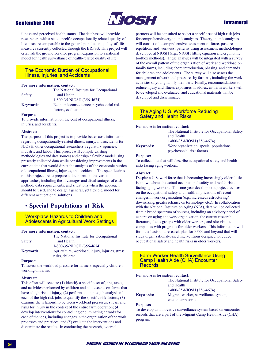

# **Intramural**

illness and perceived health status. The database will provide researchers with a state-specific occupationally related quality-oflife measure comparable to the general population quality-of-life measures currently collected through the BRFSS. This project will establish the groundwork for program expansion to a national model for health surveillance of health-related quality of life.

The National Institute for Occupational

Economic consequence, psychosocial risk

# **The Economic Burden of Occupational Illness, Injuries, and Accidents**

and Health

### For more information, contact:

Safety

1-800-35-NIOSH (356-4674)

**Keywords:** 

factors, evaluation

### **Purpose:**

To provide information on the cost of occupational illness, injuries, and accidents.

### Abstract:

The purpose of this project is to provide better cost information regarding occupationally-related illness, injury, and accidents for NIOSH, other occupational researchers, regulatory agencies, industry, and labor. This project will compile existing methodologies and data sources and design a flexible model using presently collected data while considering improvements in the current data that would direct the analysis of the economic burden of occupational illness, injuries, and accidents. The specific aims of this project are to prepare a document on the various approaches, including the advantages and disadvantages of each method, data requirements, and situations when the approach should be used, and to design a general, yet flexible, model for different occupational solutions.

# • Special Populations at Risk

## **Workplace Hazards to Children and Adolescents in Agricultural Work Settings**

#### For more information, contact:

|                  | The National Institute for Occupational         |
|------------------|-------------------------------------------------|
| Safety           | and Health                                      |
|                  | 1-800-35-NIOSH (356-4674)                       |
| <b>Keywords:</b> | Agriculture, workload, injury, injuries, stress |
|                  | risks, children                                 |

#### **Purpose:**

To assess the workload pressure for farmers especially children working on farms.

### **Abstract:**

This effort will seek to: (1) identify a specific set of jobs, tasks, and activities performed by children and adolescents on farms that have a high risk of injury; (2) perform an on-site job analysis of each of the high risk jobs to quantify the specific risk factors; (3) examine the relationship between workload pressures, stress, and risks for injury in the context of the entire farm operation; (4) develop interventions for controlling or eliminating hazards for each of the jobs, including changes in the organization of the work processes and practices; and (5) evaluate the interventions and disseminate the results. In conducting the research, external

partners will be consulted to select a specific set of high risk jobs for comprehensive ergonomic analyses. The ergonomic analyses will consist of a comprehensive assessment of force, posture, repetition, and work-rest patterns using assessment methodologies developed at NIOSH (e.g., NIOSH lifting equation and ergonomic toolbox methods). These analyses will be integrated with a survey of the overall pattern of the organization of work and workload on family farms, including chore introduction, phasing, and demands for children and adolescents. The survey will also assess the management of workload pressures by farmers, including the work activities of young family members. Finally, recommendations to reduce injury and illness exposures in adolescent farm workers will be developed and evaluated, and educational materials will be developed and disseminated.

## The Aging U.S. Workforce Reducing **Safety and Health Risks**

### For more information, contact:

|                  | The National Institute for Occupational Safety |
|------------------|------------------------------------------------|
|                  | and Health                                     |
|                  | 1-800-35-NIOSH (356-4674)                      |
| <b>Keywords:</b> | Work organization, special populations,        |
|                  | psychosocial risk factors                      |

### **Purpose:**

To collect data that will describe occupational safety and health risks facing aging workers.

### **Abstract:**

Despite a U.S. workforce that is becoming increasingly older, little is known about the actual occupational safety and health risks facing aging workers. This one-year development project focuses on the occupational safety and health implications of recent changes in work organization (e.g., increased restructuring/ downsizing, greater reliance on technology, etc.). In collaboration with the National Institute on Aging (NIA), data will be collected from a broad spectrum of sources, including an advisory panel of experts on aging and work organization, the current research literature, focus groups with older workers, and site visits to companies with programs for older workers. This information will form the basis of a research plan for FY00 and beyond that will study organizational-based interventions designed to reduce occupational safety and health risks in older workers.

## **Farm Worker Health Surveillance Using Camp Health Aide (CHA) Encounter Records**

## For more information, contact:

The National Institute for Occupational Safety and Health 1-800-35-NIOSH (356-4674) Migrant worker, surveillance system,

**Keywords:** encounter records

### **Purpose:**

To develop an innovative surveillance system based on encounter records that are a part of the Migrant Camp Health Aide (CHA) program.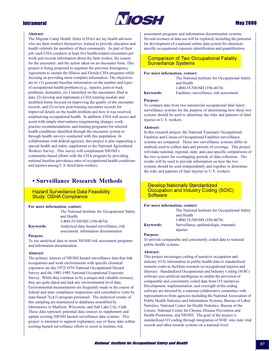

# **May 2000**

## Abstract:

The Migrant Camp Health Aides (CHAs) are lay health advisors who are farm workers themselves, trained to provide education and health referrals for members of their community. As part of their job, each CHA conducts at least five health-related encounters per week and records information about the farm worker, the reason for the encounter, and the action taken on an encounter form. This project is being proposed to augment the previous Interagency Agreement to sustain the Illinois and Florida CHA programs while focusing on providing more complete information. The objectives are to:  $(1)$  generate baseline information on the number and types of occupational health problems (e.g., injuries, joint or back problems, dermatitis, etc.) identified on the encounters filed to date, (2) develop and implement a CHA training module and modified forms focused on improving the quality of the encounter records, and (3) review post-training encounter records for improved details on the health problem and how it was resolved, emphasizing occupational health. In addition, CHA will assess and assist with simple interventions (engineering changes, work practice recommendations, and training programs) for selected health conditions identified through the encounter system or through health surveys conducted with this population. In collaboration with federal agencies, this project is also supporting a special health and safety supplement to the National Agricultural Workers Survey. This survey will complement NIOSH's community-based efforts with the CHA program by providing national baseline prevalence rates of occupational health conditions and injuries among U.S. hired farm workers.

# • Surveillance Research Methods

**Hazard Surveillance Data Feasibility Study: OSHA Compliance** 

### For more information, contact:

|                  | The National Institute for Occupational Safety<br>and Health                        |
|------------------|-------------------------------------------------------------------------------------|
|                  | 1-800-35-NIOSH (356-4674)                                                           |
| <b>Keywords:</b> | Analytical data, hazard surveillance, risk<br>assessment, information dissemination |

#### **Purpose:**

To use analytical data to assist NIOSH risk assessment programs and information dissemination.

### Abstract:

The primary sources of NIOSH hazard surveillance data that link occupations and work environments with specific chemical exposures are the 1972-1974 National Occupational Hazard Survey and the 1981-1983 National Occupational Exposure Survey. While they continue to be a unique and valuable resource, they are quite dated and lack any environmental level data. Environmental measurements are frequently made in the course of federal and state compliance inspections and consultative visits by state-based  $7(c)(1)$  program personnel. The analytical results of this sampling are maintained in databases assembled by laboratories in Madison, Wisconsin, and Salt Lake City, Utah. These data represent potential data sources to supplement and update existing NIOSH hazard surveillance data systems. This project is intended to support exploratory use of these data within existing hazard surveillance efforts to assist in institute risk

assessment programs and information dissemination systems. Several avenues of data use will be explored, including the potential for development of a national online data system for chemicalspecific occupational exposure identification and quantification.

**Comparison of Two Occupational Fatality Surveillance Systems** 

### For more information, contact:

The National Institute for Occupational Safety and Health 1-800-35-NIOSH (356-4674) Fatalities, surveillance, risk assessment

# **Keywords: Purpose:**

To compare data from two nationwide occupational fatal injury surveillance systems for the purpose of determining how these two systems should be used to determine the risks and patterns of fatal injuries in U.S. workers.

### Abstract:

In this research project, the National Traumatic Occupational Fatalities and Census of Occupational Fatalities surveillance systems are compared. These two surveillance systems differ in methods used to collect data and periods of coverage. This project will make national, regional, state, and case-specific comparisons of the two systems for overlapping periods of data collection. The results will be used to provide information on how the two systems should be used independently and together to determine the risks and patterns of fatal injuries to U.S. workers.

# **Develop Nationally Standardized Occupation and Industry Coding (SOIC) Software**

#### For more information, contact:

| The National Institute for Occupational Safety     |
|----------------------------------------------------|
| and Health<br>1-800-35-NIOSH (356-4674)            |
| Surveillance, epidemiologic, traumatic<br>injuries |
|                                                    |

### **Purpose:**

To provide comparable and consistently coded data to national public health systems.

### Abstract:

This project encourages coding of narrative occupation and industry (O/I) information in public health data to standardized numeric codes to facilitate research on occupational injuries and illnesses. Standardized Occupational and Industry Coding (SOIC) software uses artificial intelligence to enable the provision of comparable and consistently coded data from O/I narratives. Development, implementation, and oversight of the coding software are directed by a national collaborative committee with representatives from agencies including the National Association of Public Health Statistics and Information Systems, Bureau of Labor Statistics, National Center for Health Statistics, Bureau of the Census, National Center for Chronic Disease Prevention and Health Promotion, and NIOSH. The goal of the project is standardized O/I coding through integration of SOIC into state vital records and other records systems on a national level.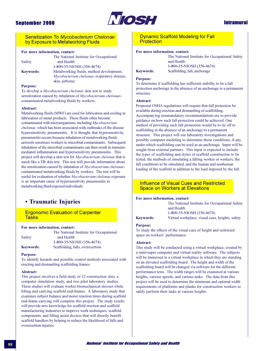

# **Intramural**

## **Sensitization To Mycobacterium Chelonae** by Exposure to Metalworking Fluids

## For more information, contact:

|                  | The National Institute for Occupational             |
|------------------|-----------------------------------------------------|
| Safety           | and Health                                          |
|                  | 1-800-35-NIOSH (356-4674)                           |
| <b>Keywords:</b> | Metalworking fluids, method development,            |
|                  | <i>Mycobacterium chelonae</i> , respiratory disease |
|                  | skin, airborne                                      |
|                  |                                                     |

### **Purpose:**

To develop a Mycobacterium chelonae skin test to study sensitization caused by inhalation of Mycobacterium chelonaecontaminated metalworking fluids by workers.

#### Abstract:

Metalworking fluids (MWF) are used for lubrication and cooling in fabrication of metal products. These fluids often become contaminated with microorganisms, including Mycobacterium *chelonae*, which has been associated with outbreaks of the disease hypersensitivity pneumonitis. It is thought that hypersensitivity pneumonitis occurs because inhalation of metalworking fluids aerosols sensitizes workers to microbial contaminants. Subsequent inhalation of the microbial contaminants can then result in immunemediated inflammation and hypersensitivity pneumonitis. This project will develop a skin test for *Mycobacterium chelonae* that is much like a TB skin test. This test will provide information about the sensitization caused by inhalation of Mycobacterium chelonaecontaminated metalworking fluids by workers. The test will be useful for evaluation of whether Mycobacterium chelonae exposure is an important cause of hypersensitivity pneumonitis in metalworking fluid-exposed individuals.

# **• Traumatic Injuries**

# **Ergonomic Evaluation of Carpenter Tasks**

### For more information, contact:

|                  | The National Institute for Occupational |
|------------------|-----------------------------------------|
| Safety           | and Health                              |
|                  | 1-800-35-NIOSH (356-4674)               |
| <b>Keywords:</b> | Scaffolding, falls, overexertion        |

#### **Purpose:**

To identify hazards and possible control methods associated with erecting and dismantling scaffolding frames.

#### Abstract:

This project involves a field study of 12 construction sites, a computer simulation study, and two pilot laboratory studies. These studies will evaluate worker biomechanical stresses while lifting and carrying scaffold end-frames. A laboratory study that examines subject balance and motor reaction times during scaffold end-frame carrying will complete this project. The study results will provide new knowledge for scaffold erection and scaffold manufacturing industries to improve work techniques, scaffold components, and lifting assist devices that will directly benefit scaffold handlers by helping to reduce the likelihood of falls and overexertion injuries.

# **Dynamic Scaffold Modeling for Fall** Protection

## For more information, contact:

**Keywords:** 

The National Institute for Occupational Safety and Health 1-800-35-NIOSH (356-4674) Scaffolding, fall, anchorage

#### **Purpose:**

To determine if scaffolding has sufficient stability to be a fall protection anchorage in the absence of an anchorage to a permanent structure.

### Abstract:

Proposed OSHA regulations will require that fall protection be available during erection and dismantling of scaffolding. Accompanying nonmandatory recommendations are to provide guidance on how such fall protection could be achieved. One method of providing such fall protection would be to tie off to scaffolding in the absence of an anchorage to a permanent structure. This project will use laboratory investigations and possibly computer modeling to determine those conditions, if any, under which scaffolding can be used as an anchorage. Input will be sought from external partners. This input is expected to include the types of scaffolding and styles of scaffold construction to be tested, the methods of simulating a falling worker or workers, the fall conditions to be simulated, and the human and nonhuman loading of the scaffold in addition to the load imposed by the fall.

# **Influence of Visual Cues and Restricted Space on Workers at Elevations**

#### For more information, contact:

The National Institute for Occupational Safety and Health 1-800-35-NIOSH (356-4674)

**Keywords:** Virtual workplace, visual cues, heights, safety

### **Purpose:**

To study the effects of the visual cues of height and restricted space on workers' performance.

### Abstract:

This study will be conducted using a virtual workplace, created by a mini-super computer and virtual reality software. The subjects will be immersed in a virtual workplace in which they are standing on an elevated scaffolding board. The height and width of the scaffolding board will be changed via software for the different performance tests. The width ranges will be examined at various heights, various speeds, and various tasks. The data from this project will be used to determine the minimum and optimal width requirements of platforms and planks for construction workers to safely perform their tasks at various heights.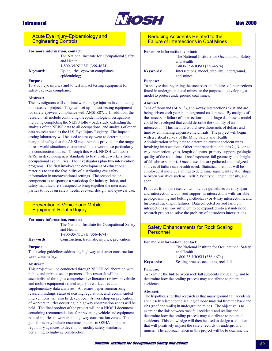

# **May 2000**

## **Acute Eye Injury-Epidemiology and Engineering Controls**

### For more information, contact:

The National Institute for Occupational Safety and Health 1-800-35-NIOSH (356-4674) Eye injuries, eyewear compliance, epidemiology

### **Purpose:**

**Keywords:** 

To study eye injuries and to test impact testing equipment for safety eyewear compliance.

### Abstract:

The investigators will continue work on eye injuries in conducting this research project. They will set up impact testing equipment for safety eyewear compliance with ANSI Z87.1. In addition, the research will include continuing the epidemiologic investigations including completing the NEISS follow back study, extending the analysis of the NEISS data to all occupations, and analysis of other data sources such as the U.S. Eye Injury Registry. The impact testing laboratory will be used to test eyewear to determine the margin of safety that the ANSI requirements provide for the range of real-world situations encountered in the workplace particularly the construction trades. Through this work NIOSH will assist ANSI in developing new standards to best protect workers from occupational eye injuries. The investigators plan two intervention programs. The first involves the development of educational materials to test the feasibility of distributing eye safety information in unconventional settings. The second major component is to sponsor a workshop for industry, labor, and safety manufacturers designed to bring together the interested parties to focus on safety needs, eyewear design, and eyewear use.

# **Prevention of Vehicle and Mobile Equipment-Related Injury**

#### For more information, contact:

|                  | The National Institute for Occupational Safety |
|------------------|------------------------------------------------|
|                  | and Health                                     |
|                  | 1-800-35-NIOSH (356-4674)                      |
| <b>Keywords:</b> | Construction, traumatic injuries, prevention   |

#### **Purpose:**

To develop guidelines addressing highway and street construction work zone safety.

#### Ahstract:

This project will be conducted through NIOSH collaboration with public and private sector partners. This research will be accomplished through a comprehensive literature review on vehicle and mobile equipment-related injury in work zones and supplementary data analyses. An issues paper summarizing research findings, status of existing regulations, and recommended interventions will also be developed. A workshop on prevention of workers injuries occurring in highway construction zones will be held. The final product of the project will be a NIOSH document containing recommendations for preventing vehicle and equipmentrelated injuries to workers in highway construction zones. The guidelines may include recommendations to OSHA and other regulatory agencies to develop or modify safety standards pertaining to highway construction.

## **Reducing Accidents Related to the Failure of Intersections in Coal Mines**

### For more information, contact:

|           | The National Institute for Occupational Safety |
|-----------|------------------------------------------------|
|           | and Health                                     |
|           | 1-800-35-NIOSH (356-4674)                      |
| Kevwords: | Intersections, model, stability, underground,  |
|           | coal mines                                     |

#### **Purpose:**

To analyze data regarding the successes and failures of intersections found in underground coal mines for the purpose of developing a model to protect underground coal mines.

### Abstract:

Tens of thousands of 2-, 3-, and 4-way intersections exist and are being driven each year in underground coal mines. By analysis of the success or failure of intersections in this huge database, a model could be developed that could describe the stability of an intersection. This method would save thousands of dollars and time by eliminating expensive field trials. The project will begin with a critical survey of the Mine Safety and Health Administration safety data to determine current accident rates involving intersections. Other important data includes 2-, 3-, or 4way intersection types, length of spans, primary support, geologic quality of the roof, time of roof exposure, fall geometry, and height of fall above support. Once these data are gathered and analyzed, sources of failure can be addressed. Statistical methods will be employed at individual mines to determine significant relationships between variables such as CMRR, bolt type, length, density, and span.

Products from this research will include guidelines on entry span and intersection width, roof support in intersections with variable geology, mining and bolting methods, 3- or 4-way intersections, and historical tracking of failures. Data collected on roof failure in intersections is now sufficient to be expanded into a stand-alone research project to solve the problem of hazardous intersections.

# **Safety Enhancements for Rock Scaling Personnel**

### For more information, contact:

The National Institute for Occupational Safety and Health 1-800-35-NIOSH (356-4674) Scaling process, accidents, rock fall

# **Keywords: Purpose:**

To examine the link between rock fall accidents and scaling, and to determine how the scaling process may contribute to potential accidents.

#### Abstract:

The hypothesis for this research is that many ground fall accidents are closely related to the scaling of loose material from the back and ribs (roof and walls) in underground mines. The objective is to examine the link between rock fall accidents and scaling and determine how the scaling process may contribute to potential accidents. This knowledge will then be used to design a solution that will positively impact the safety records of underground miners. The approach taken in this project will be to examine the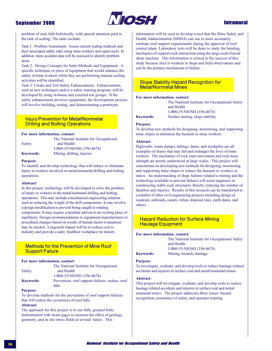

# **Intramural**

problem of rock falls holistically, with special attention paid to the task of scaling. The tasks include:

Task 1: Problem Assessment. Assess current scaling methods and their associated safety risks using mine workers and supervisors. In addition, mine accident data will be assessed to identify problem areas.

Task 2: Design Concepts for Safer Methods and Equipment. A specific technique or piece of equipment that would enhance the safety of mine workers while they are performing manual scaling activities will be identified.

Task 3: Create and Test Safety Enhancements. Enhancements, such as new techniques and/or a safety training program, will be developed by using in-house and external test groups. If the safety enhancement involves equipment, the development process will involve building, testing, and demonstrating a prototype.

# **Injury Prevention for Metal/Nonmetal Drilling and Bolting Operations**

### For more information, contact:

|                  | The National Institute for Occupational |
|------------------|-----------------------------------------|
| Safety           | and Health                              |
|                  | 1-800-35-NIOSH (356-4674)               |
| <b>Keywords:</b> | Mining, drilling, injuries              |

#### **Purpose:**

To identify and develop technology that will reduce or eliminate injury to workers involved in metal/nonmetal drilling and bolting operations.

#### Abstract:

In this project, technology will be developed to solve the problem of injury to workers in the metal/nonmetal drilling and bolting operations. This may include a mechanical engineering solution such as reducing the weight of the drill components. It may involve a design modification to prevent being caught in rotating components. It may require a modular add-on to an existing piece of machinery. Design recommendations to equipment manufacturers or procedural changes based on results of human factor evaluations may be needed. Long-term impact will be to reduce cost to industry and provide a safer, healthier workplace for miners.

# **Methods for the Prevention of Mine Roof Support Failure**

## For more information, contact:

|                  | The National Institute for Occupational         |
|------------------|-------------------------------------------------|
| Safety           | and Health                                      |
|                  | 1-800-35-NIOSH (356-4674)                       |
| <b>Keywords:</b> | Prevention, roof support failures, reduce, root |
|                  | falls                                           |

#### **Purpose:**

To develop methods for the prevention of roof support failures that will reduce the occurrence of roof falls. Abstract:

The approach for this project is to use fully grouted bolts instrumented with strain gages to measure the effect of geology, geometry, and in situ stress fields at several mines. This

information will be used to develop a tool that the Mine Safety and Health Administration (MSHA) can use to more accurately estimate roof support requirements during the approval of roof control plans. Laboratory tests will be done to study the bending mechanics of support-rock interaction using the large-scale biaxial shear machine. This information is critical to the success of this study because steel is weakest in shear and field observations and can be the primary mechanism of failure.

## **Slope Stability Hazard Recognition for Metal/Nonmetal Mines**

### For more information, contact:

| The National Institute for Occupational Safety |
|------------------------------------------------|
| and Health                                     |
| 1-800-35-NIOSH (356-4674)                      |
| Surface mining, slope stability                |

# **Keywords: Purpose:**

To develop new methods for designing, monitoring, and supporting mine slopes to minimize the hazards to mine workers.

### Abstract:

Highwalls, waste dumps, tailings, dams, and stockpiles are all examples of slopes that may fail and endanger the lives of mine workers. The mechanics of rock mass movement and rock mass strength are poorly understood at large scales. This project will concentrate on developing new methods for designing, monitoring, and supporting mine slopes to reduce the hazards to workers in mines. An understanding of slope failures related to mining and the technology available to prevent failures will assist engineers in constructing stable rock structures, thereby reducing the number of fatalities and injuries. Results of this research can be transferred to a number of other civil engineering projects including design of roadcuts, railroads, canals, refuse disposal sites, earth dams, and others

# **Hazard Reduction for Surface Mining Haulage Equipment**

### For more information, contact:

|                  | The National Institute for Occupational Safety |
|------------------|------------------------------------------------|
|                  | and Health                                     |
|                  | 1-800-35-NIOSH (356-4674)                      |
| <b>Keywords:</b> | Mining, hazards, haulage                       |

#### **Purpose:**

To investigate, evaluate, and develop tools to reduce haulage-related accidents and injuries in surface coal and metal/nonmetal mines.

#### Abstract:

This project will investigate, evaluate, and develop tools to reduce haulage related accidents and injuries in surface coal and metal/ nonmetal mines. The project addresses three issues: hazard recognition, economics of safety, and operator training.